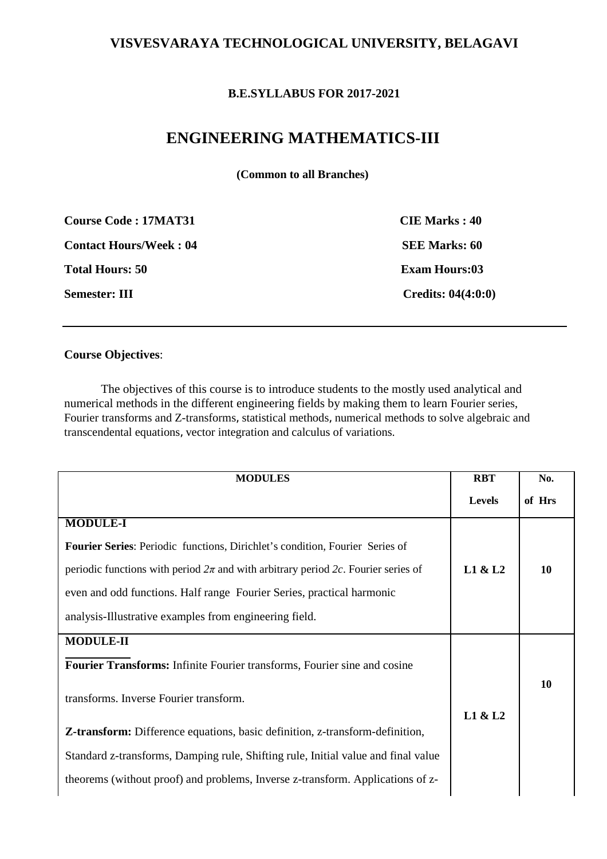## **VISVESVARAYA TECHNOLOGICAL UNIVERSITY, BELAGAVI**

### **B.E.SYLLABUS FOR 2017-2021**

# **ENGINEERING MATHEMATICS-III**

**(Common to all Branches)** 

| <b>Course Code: 17MAT31</b>   | <b>CIE Marks: 40</b>                   |
|-------------------------------|----------------------------------------|
| <b>Contact Hours/Week: 04</b> | <b>SEE Marks: 60</b>                   |
| <b>Total Hours: 50</b>        | <b>Exam Hours:03</b>                   |
| <b>Semester: III</b>          | <b>Credits: <math>04(4:0:0)</math></b> |

### **Course Objectives**:

The objectives of this course is to introduce students to the mostly used analytical and numerical methods in the different engineering fields by making them to learn Fourier series, Fourier transforms and Z-transforms, statistical methods, numerical methods to solve algebraic and transcendental equations, vector integration and calculus of variations.

| <b>MODULES</b>                                                                        | <b>RBT</b>    | No.    |
|---------------------------------------------------------------------------------------|---------------|--------|
|                                                                                       | <b>Levels</b> | of Hrs |
| <b>MODULE-I</b>                                                                       |               |        |
| <b>Fourier Series:</b> Periodic functions, Dirichlet's condition, Fourier Series of   |               |        |
| periodic functions with period $2\pi$ and with arbitrary period 2c. Fourier series of | L1 & L2       | 10     |
| even and odd functions. Half range Fourier Series, practical harmonic                 |               |        |
| analysis-Illustrative examples from engineering field.                                |               |        |
| <b>MODULE-II</b>                                                                      |               |        |
| <b>Fourier Transforms:</b> Infinite Fourier transforms, Fourier sine and cosine       |               |        |
| transforms. Inverse Fourier transform.                                                | L1 & L2       | 10     |
| <b>Z-transform:</b> Difference equations, basic definition, z-transform-definition,   |               |        |
| Standard z-transforms, Damping rule, Shifting rule, Initial value and final value     |               |        |
| theorems (without proof) and problems, Inverse z-transform. Applications of z-        |               |        |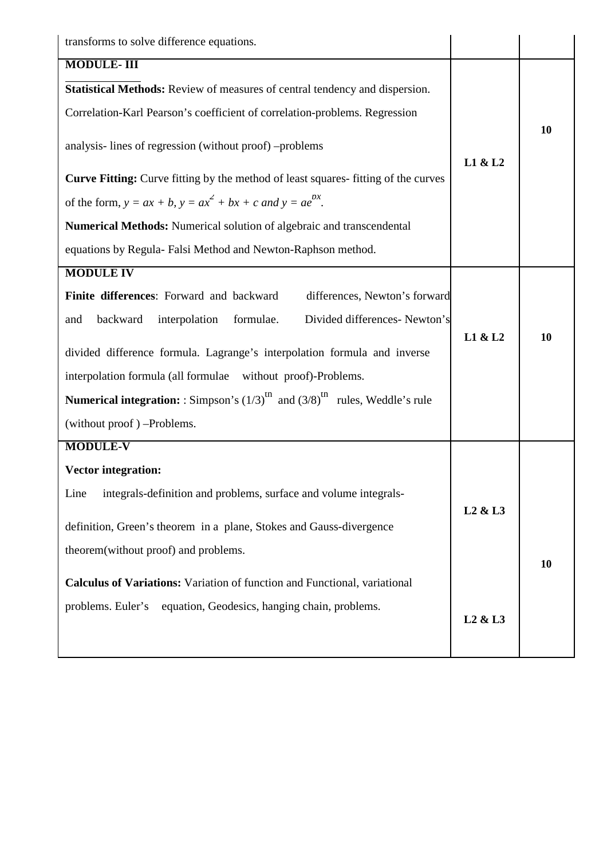| transforms to solve difference equations.                                                                      |                                 |    |
|----------------------------------------------------------------------------------------------------------------|---------------------------------|----|
| <b>MODULE-III</b>                                                                                              |                                 |    |
| Statistical Methods: Review of measures of central tendency and dispersion.                                    |                                 |    |
| Correlation-Karl Pearson's coefficient of correlation-problems. Regression                                     |                                 |    |
| analysis-lines of regression (without proof) -problems                                                         | L1 & L2                         | 10 |
| <b>Curve Fitting:</b> Curve fitting by the method of least squares-fitting of the curves                       |                                 |    |
| of the form, $y = ax + b$ , $y = ax^2 + bx + c$ and $y = ae^{bx}$ .                                            |                                 |    |
| Numerical Methods: Numerical solution of algebraic and transcendental                                          |                                 |    |
| equations by Regula- Falsi Method and Newton-Raphson method.                                                   |                                 |    |
| <b>MODULE IV</b>                                                                                               |                                 |    |
| Finite differences: Forward and backward<br>differences, Newton's forward                                      |                                 |    |
| interpolation<br>formulae.<br>Divided differences- Newton's<br>backward<br>and                                 |                                 |    |
|                                                                                                                | L1 & L2                         | 10 |
| divided difference formula. Lagrange's interpolation formula and inverse                                       |                                 |    |
| interpolation formula (all formulae without proof)-Problems.                                                   |                                 |    |
| <b>Numerical integration:</b> : Simpson's $(1/3)$ <sup>th</sup> and $(3/8)$ <sup>th</sup> rules, Weddle's rule |                                 |    |
| (without proof) -Problems.                                                                                     |                                 |    |
| <b>MODULE-V</b>                                                                                                |                                 |    |
| <b>Vector integration:</b>                                                                                     |                                 |    |
| integrals-definition and problems, surface and volume integrals-<br>Line                                       |                                 |    |
|                                                                                                                | L <sub>2</sub> & L <sub>3</sub> |    |
| definition, Green's theorem in a plane, Stokes and Gauss-divergence                                            |                                 |    |
| theorem(without proof) and problems.                                                                           |                                 | 10 |
| <b>Calculus of Variations:</b> Variation of function and Functional, variational                               |                                 |    |
| equation, Geodesics, hanging chain, problems.<br>problems. Euler's                                             |                                 |    |
|                                                                                                                | L <sub>2</sub> & L <sub>3</sub> |    |
|                                                                                                                |                                 |    |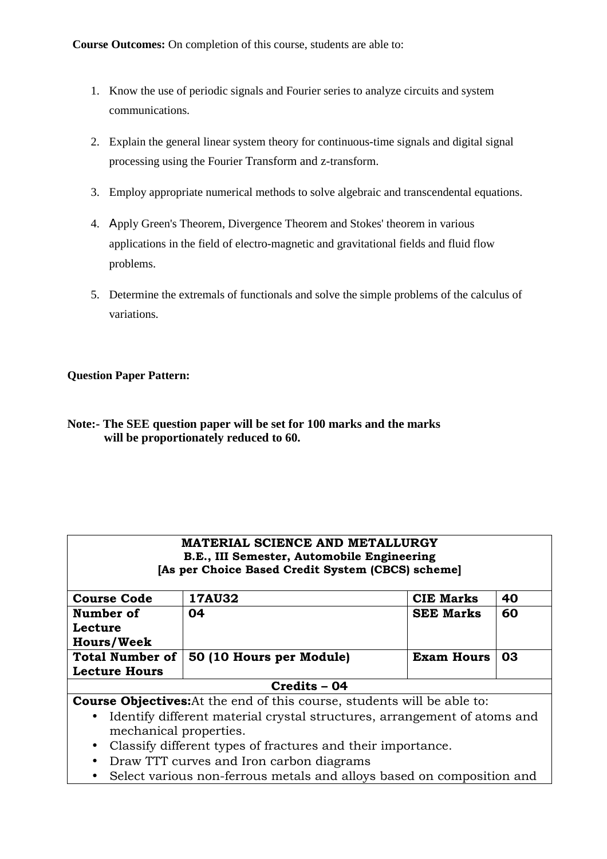- 1. Know the use of periodic signals and Fourier series to analyze circuits and system communications.
- 2. Explain the general linear system theory for continuous-time signals and digital signal processing using the Fourier Transform and z-transform.
- 3. Employ appropriate numerical methods to solve algebraic and transcendental equations.
- 4. Αpply Green's Theorem, Divergence Theorem and Stokes' theorem in various applications in the field of electro-magnetic and gravitational fields and fluid flow problems.
- 5. Determine the extremals of functionals and solve the simple problems of the calculus of variations.

### **Question Paper Pattern:**

| Note:- The SEE question paper will be set for 100 marks and the marks |
|-----------------------------------------------------------------------|
| will be proportionately reduced to 60.                                |

| <b>MATERIAL SCIENCE AND METALLURGY</b><br>B.E., III Semester, Automobile Engineering<br>[As per Choice Based Credit System (CBCS) scheme] |                          |                   |    |
|-------------------------------------------------------------------------------------------------------------------------------------------|--------------------------|-------------------|----|
|                                                                                                                                           |                          |                   |    |
| <b>Course Code</b>                                                                                                                        | <b>17AU32</b>            | <b>CIE Marks</b>  | 40 |
| Number of                                                                                                                                 | 04                       | <b>SEE Marks</b>  | 60 |
| Lecture                                                                                                                                   |                          |                   |    |
| <b>Hours/Week</b>                                                                                                                         |                          |                   |    |
| <b>Total Number of</b>                                                                                                                    | 50 (10 Hours per Module) | <b>Exam Hours</b> | 03 |
| <b>Lecture Hours</b>                                                                                                                      |                          |                   |    |
|                                                                                                                                           | Credits - 04             |                   |    |
| <b>Course Objectives:</b> At the end of this course, students will be able to:                                                            |                          |                   |    |
| Identify different material crystal structures, arrangement of atoms and<br>$\bullet$<br>mechanical properties.                           |                          |                   |    |
| Classify different types of fractures and their importance.<br>$\bullet$<br>$-$                                                           |                          |                   |    |

- Draw TTT curves and Iron carbon diagrams
- Select various non-ferrous metals and alloys based on composition and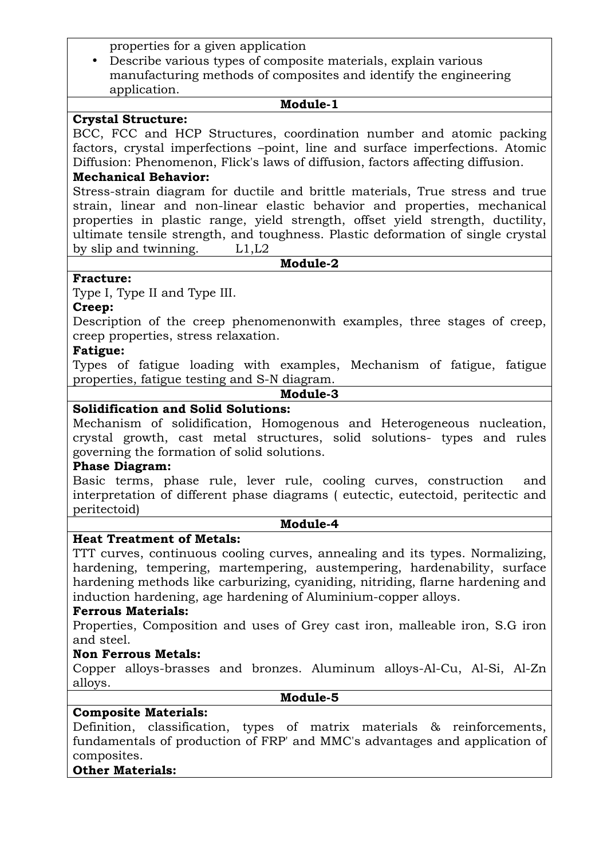properties for a given application

• Describe various types of composite materials, explain various manufacturing methods of composites and identify the engineering application.

### **Module-1**

### **Crystal Structure:**

BCC, FCC and HCP Structures, coordination number and atomic packing factors, crystal imperfections –point, line and surface imperfections. Atomic Diffusion: Phenomenon, Flick's laws of diffusion, factors affecting diffusion.

#### **Mechanical Behavior:**

Stress-strain diagram for ductile and brittle materials, True stress and true strain, linear and non-linear elastic behavior and properties, mechanical properties in plastic range, yield strength, offset yield strength, ductility, ultimate tensile strength, and toughness. Plastic deformation of single crystal by slip and twinning. L1,L2

#### **Module-2**

### **Fracture:**

Type I, Type II and Type III.

### **Creep:**

Description of the creep phenomenonwith examples, three stages of creep, creep properties, stress relaxation.

### **Fatigue:**

Types of fatigue loading with examples, Mechanism of fatigue, fatigue properties, fatigue testing and S-N diagram.

## **Module-3**

## **Solidification and Solid Solutions:**

Mechanism of solidification, Homogenous and Heterogeneous nucleation, crystal growth, cast metal structures, solid solutions- types and rules governing the formation of solid solutions.

### **Phase Diagram:**

Basic terms, phase rule, lever rule, cooling curves, construction and interpretation of different phase diagrams ( eutectic, eutectoid, peritectic and peritectoid)

#### **Module-4**

### **Heat Treatment of Metals:**

TTT curves, continuous cooling curves, annealing and its types. Normalizing, hardening, tempering, martempering, austempering, hardenability, surface hardening methods like carburizing, cyaniding, nitriding, flarne hardening and induction hardening, age hardening of Aluminium-copper alloys.

### **Ferrous Materials:**

Properties, Composition and uses of Grey cast iron, malleable iron, S.G iron and steel.

### **Non Ferrous Metals:**

Copper alloys-brasses and bronzes. Aluminum alloys-Al-Cu, Al-Si, Al-Zn alloys.

#### **Module-5**

### **Composite Materials:**

Definition, classification, types of matrix materials & reinforcements, fundamentals of production of FRP' and MMC's advantages and application of composites.

### **Other Materials:**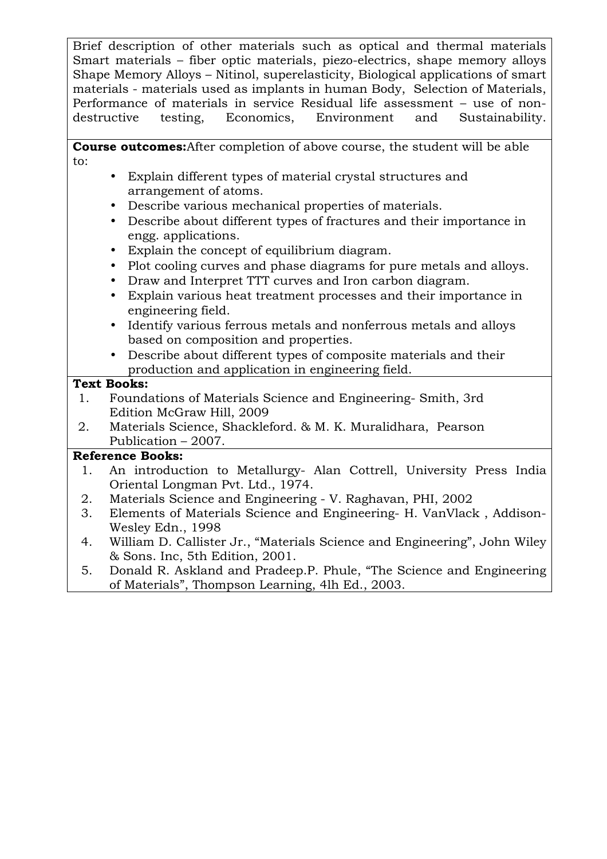Brief description of other materials such as optical and thermal materials Smart materials – fiber optic materials, piezo-electrics, shape memory alloys Shape Memory Alloys – Nitinol, superelasticity, Biological applications of smart materials - materials used as implants in human Body, Selection of Materials, Performance of materials in service Residual life assessment – use of nondestructive testing, Economics, Environment and Sustainability.

 **Course outcomes:**After completion of above course, the student will be able to:

- Explain different types of material crystal structures and arrangement of atoms.
- Describe various mechanical properties of materials.
- Describe about different types of fractures and their importance in engg. applications.
- Explain the concept of equilibrium diagram.
- Plot cooling curves and phase diagrams for pure metals and alloys.
- Draw and Interpret TTT curves and Iron carbon diagram.
- Explain various heat treatment processes and their importance in engineering field.
- Identify various ferrous metals and nonferrous metals and alloys based on composition and properties.
- Describe about different types of composite materials and their production and application in engineering field.

## **Text Books:**

- 1. Foundations of Materials Science and Engineering- Smith, 3rd Edition McGraw Hill, 2009
- 2. Materials Science, Shackleford. & M. K. Muralidhara, Pearson Publication – 2007.

## **Reference Books:**

- 1. An introduction to Metallurgy- Alan Cottrell, University Press India Oriental Longman Pvt. Ltd., 1974.
- 2. Materials Science and Engineering V. Raghavan, PHI, 2002
- 3. Elements of Materials Science and Engineering- H. VanVlack , Addison-Wesley Edn., 1998
- 4. William D. Callister Jr., "Materials Science and Engineering", John Wiley & Sons. Inc, 5th Edition, 2001.
- 5. Donald R. Askland and Pradeep.P. Phule, "The Science and Engineering of Materials", Thompson Learning, 4lh Ed., 2003.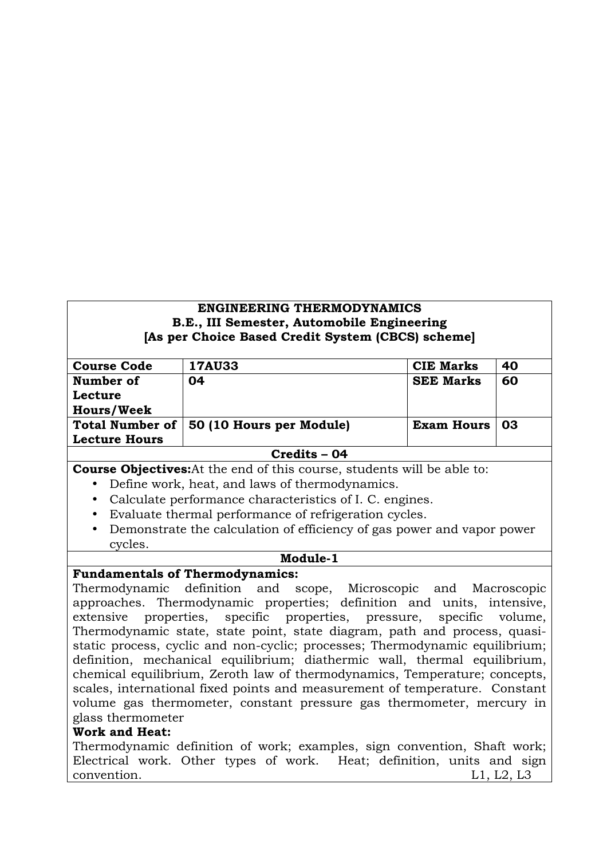### **ENGINEERING THERMODYNAMICS B.E., III Semester, Automobile Engineering [As per Choice Based Credit System (CBCS) scheme]**

| <b>Course Code</b>   | <b>17AU33</b>                            | <b>CIE Marks</b>  | 40 |
|----------------------|------------------------------------------|-------------------|----|
| Number of            | 04                                       | <b>SEE Marks</b>  | 60 |
| Lecture              |                                          |                   |    |
| <b>Hours/Week</b>    |                                          |                   |    |
|                      | Total Number of 50 (10 Hours per Module) | <b>Exam Hours</b> | 03 |
| <b>Lecture Hours</b> |                                          |                   |    |
| Credits - 04         |                                          |                   |    |

**Course Objectives:**At the end of this course, students will be able to:

- Define work, heat, and laws of thermodynamics.
- Calculate performance characteristics of I. C. engines.
- Evaluate thermal performance of refrigeration cycles.
- Demonstrate the calculation of efficiency of gas power and vapor power cycles.

#### **Module-1**

### **Fundamentals of Thermodynamics:**

Thermodynamic definition and scope, Microscopic and Macroscopic approaches. Thermodynamic properties; definition and units, intensive, extensive properties, specific properties, pressure, specific volume, Thermodynamic state, state point, state diagram, path and process, quasistatic process, cyclic and non-cyclic; processes; Thermodynamic equilibrium; definition, mechanical equilibrium; diathermic wall, thermal equilibrium, chemical equilibrium, Zeroth law of thermodynamics, Temperature; concepts, scales, international fixed points and measurement of temperature. Constant volume gas thermometer, constant pressure gas thermometer, mercury in glass thermometer

### **Work and Heat:**

Thermodynamic definition of work; examples, sign convention, Shaft work; Electrical work. Other types of work. Heat; definition, units and sign convention. L1, L2, L3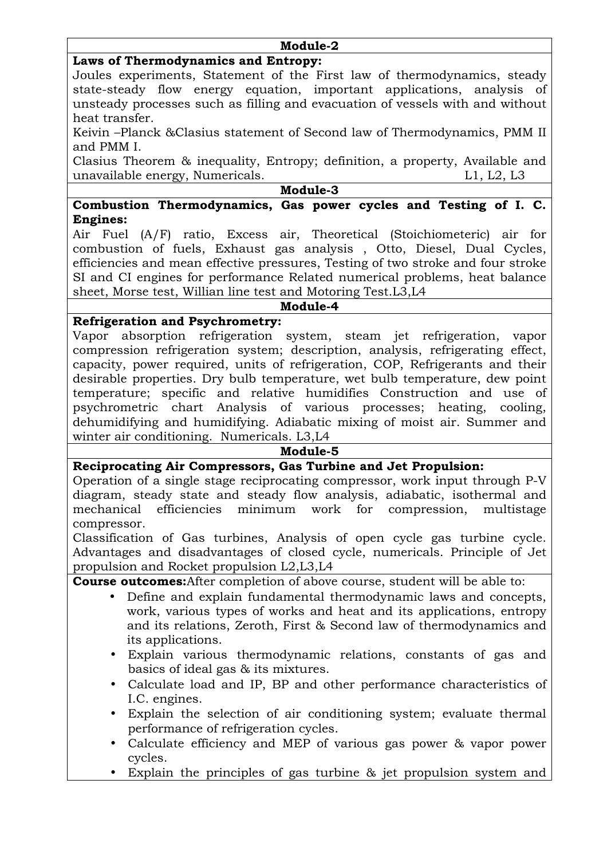### **Module-2**

## **Laws of Thermodynamics and Entropy:**

Joules experiments, Statement of the First law of thermodynamics, steady state-steady flow energy equation, important applications, analysis of unsteady processes such as filling and evacuation of vessels with and without heat transfer.

Keivin –Planck &Clasius statement of Second law of Thermodynamics, PMM II and PMM I.

Clasius Theorem & inequality, Entropy; definition, a property, Available and unavailable energy, Numericals. Let unavailable energy, Numericals.

**Module-3** 

### **Combustion Thermodynamics, Gas power cycles and Testing of I. C. Engines:**

Air Fuel (A/F) ratio, Excess air, Theoretical (Stoichiometeric) air for combustion of fuels, Exhaust gas analysis , Otto, Diesel, Dual Cycles, efficiencies and mean effective pressures, Testing of two stroke and four stroke SI and CI engines for performance Related numerical problems, heat balance sheet, Morse test, Willian line test and Motoring Test.L3,L4

### **Module-4**

## **Refrigeration and Psychrometry:**

Vapor absorption refrigeration system, steam jet refrigeration, vapor compression refrigeration system; description, analysis, refrigerating effect, capacity, power required, units of refrigeration, COP, Refrigerants and their desirable properties. Dry bulb temperature, wet bulb temperature, dew point temperature; specific and relative humidifies Construction and use of psychrometric chart Analysis of various processes; heating, cooling, dehumidifying and humidifying. Adiabatic mixing of moist air. Summer and winter air conditioning. Numericals. L3,L4

### **Module-5**

**Reciprocating Air Compressors, Gas Turbine and Jet Propulsion:** 

Operation of a single stage reciprocating compressor, work input through P-V diagram, steady state and steady flow analysis, adiabatic, isothermal and mechanical efficiencies minimum work for compression, multistage compressor.

Classification of Gas turbines, Analysis of open cycle gas turbine cycle. Advantages and disadvantages of closed cycle, numericals. Principle of Jet propulsion and Rocket propulsion L2,L3,L4

**Course outcomes:**After completion of above course, student will be able to:

- Define and explain fundamental thermodynamic laws and concepts, work, various types of works and heat and its applications, entropy and its relations, Zeroth, First & Second law of thermodynamics and its applications.
- Explain various thermodynamic relations, constants of gas and basics of ideal gas & its mixtures.
- Calculate load and IP, BP and other performance characteristics of I.C. engines.
- Explain the selection of air conditioning system; evaluate thermal performance of refrigeration cycles.
- Calculate efficiency and MEP of various gas power & vapor power cycles.
- Explain the principles of gas turbine & jet propulsion system and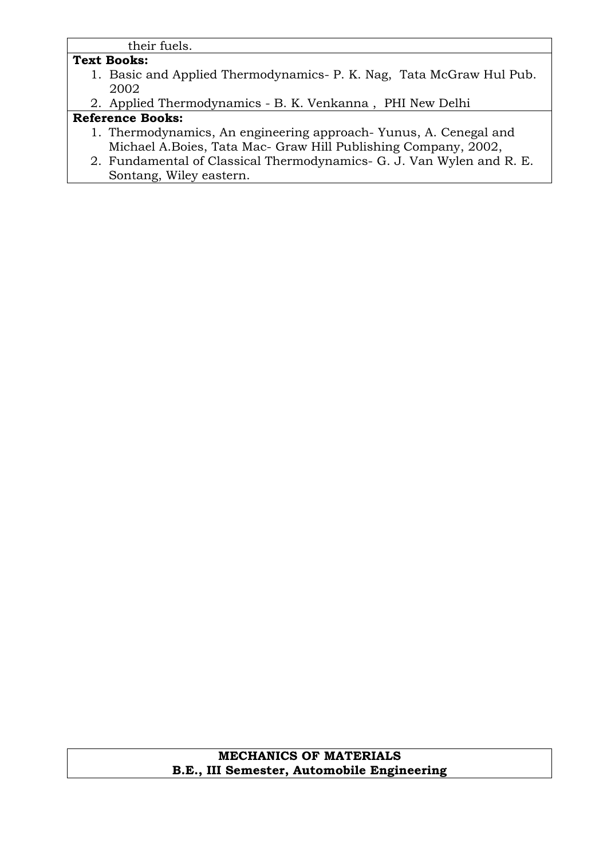their fuels.

## **Text Books:**

- 1. Basic and Applied Thermodynamics- P. K. Nag, Tata McGraw Hul Pub. 2002
- 2. Applied Thermodynamics B. K. Venkanna , PHI New Delhi

## **Reference Books:**

- 1. Thermodynamics, An engineering approach- Yunus, A. Cenegal and Michael A.Boies, Tata Mac- Graw Hill Publishing Company, 2002,
- 2. Fundamental of Classical Thermodynamics- G. J. Van Wylen and R. E. Sontang, Wiley eastern.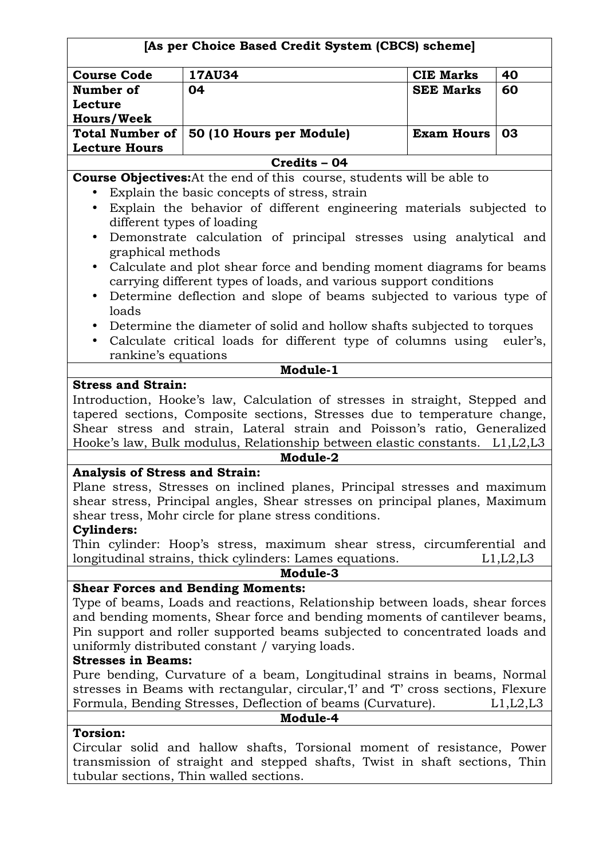| [As per Choice Based Credit System (CBCS) scheme]             |                                                                                                                                                       |                   |          |  |
|---------------------------------------------------------------|-------------------------------------------------------------------------------------------------------------------------------------------------------|-------------------|----------|--|
| <b>17AU34</b><br><b>Course Code</b><br><b>CIE Marks</b><br>40 |                                                                                                                                                       |                   |          |  |
| Number of                                                     | 04                                                                                                                                                    | <b>SEE Marks</b>  | 60       |  |
| Lecture                                                       |                                                                                                                                                       |                   |          |  |
| <b>Hours/Week</b>                                             |                                                                                                                                                       |                   |          |  |
| <b>Total Number of</b>                                        | 50 (10 Hours per Module)                                                                                                                              | <b>Exam Hours</b> | 03       |  |
| <b>Lecture Hours</b>                                          |                                                                                                                                                       |                   |          |  |
|                                                               | Credits - 04                                                                                                                                          |                   |          |  |
|                                                               | <b>Course Objectives:</b> At the end of this course, students will be able to                                                                         |                   |          |  |
|                                                               | Explain the basic concepts of stress, strain                                                                                                          |                   |          |  |
| $\bullet$                                                     | Explain the behavior of different engineering materials subjected to                                                                                  |                   |          |  |
|                                                               | different types of loading                                                                                                                            |                   |          |  |
| $\bullet$                                                     | Demonstrate calculation of principal stresses using analytical and                                                                                    |                   |          |  |
| graphical methods                                             |                                                                                                                                                       |                   |          |  |
| $\bullet$                                                     | Calculate and plot shear force and bending moment diagrams for beams                                                                                  |                   |          |  |
|                                                               | carrying different types of loads, and various support conditions                                                                                     |                   |          |  |
| $\bullet$<br>loads                                            | Determine deflection and slope of beams subjected to various type of                                                                                  |                   |          |  |
|                                                               |                                                                                                                                                       |                   |          |  |
|                                                               | Determine the diameter of solid and hollow shafts subjected to torques                                                                                |                   |          |  |
| $\bullet$                                                     | Calculate critical loads for different type of columns using euler's,                                                                                 |                   |          |  |
| rankine's equations                                           | Module-1                                                                                                                                              |                   |          |  |
| <b>Stress and Strain:</b>                                     |                                                                                                                                                       |                   |          |  |
|                                                               | Introduction, Hooke's law, Calculation of stresses in straight, Stepped and                                                                           |                   |          |  |
|                                                               | tapered sections, Composite sections, Stresses due to temperature change,                                                                             |                   |          |  |
|                                                               | Shear stress and strain, Lateral strain and Poisson's ratio, Generalized                                                                              |                   |          |  |
|                                                               | Hooke's law, Bulk modulus, Relationship between elastic constants. L1, L2, L3                                                                         |                   |          |  |
|                                                               | Module-2                                                                                                                                              |                   |          |  |
| <b>Analysis of Stress and Strain:</b>                         |                                                                                                                                                       |                   |          |  |
|                                                               | Plane stress, Stresses on inclined planes, Principal stresses and maximum                                                                             |                   |          |  |
|                                                               | shear stress, Principal angles, Shear stresses on principal planes, Maximum                                                                           |                   |          |  |
|                                                               | shear tress, Mohr circle for plane stress conditions.                                                                                                 |                   |          |  |
| <b>Cylinders:</b>                                             |                                                                                                                                                       |                   |          |  |
|                                                               | Thin cylinder: Hoop's stress, maximum shear stress, circumferential and                                                                               |                   |          |  |
|                                                               | longitudinal strains, thick cylinders: Lames equations.                                                                                               |                   | L1,L2,L3 |  |
|                                                               | Module-3                                                                                                                                              |                   |          |  |
|                                                               | <b>Shear Forces and Bending Moments:</b>                                                                                                              |                   |          |  |
|                                                               | Type of beams, Loads and reactions, Relationship between loads, shear forces                                                                          |                   |          |  |
|                                                               | and bending moments, Shear force and bending moments of cantilever beams,                                                                             |                   |          |  |
|                                                               | Pin support and roller supported beams subjected to concentrated loads and                                                                            |                   |          |  |
|                                                               | uniformly distributed constant / varying loads.                                                                                                       |                   |          |  |
| <b>Stresses in Beams:</b>                                     |                                                                                                                                                       |                   |          |  |
|                                                               | Pure bending, Curvature of a beam, Longitudinal strains in beams, Normal                                                                              |                   |          |  |
|                                                               | stresses in Beams with rectangular, circular, T and T cross sections, Flexure                                                                         |                   |          |  |
|                                                               | Formula, Bending Stresses, Deflection of beams (Curvature).<br>Module-4                                                                               |                   | L1,L2,L3 |  |
| <b>Torsion:</b>                                               |                                                                                                                                                       |                   |          |  |
|                                                               |                                                                                                                                                       |                   |          |  |
|                                                               | Circular solid and hallow shafts, Torsional moment of resistance, Power<br>transmission of straight and stepped shafts, Twist in shaft sections, Thin |                   |          |  |
|                                                               | tubular sections, Thin walled sections.                                                                                                               |                   |          |  |
|                                                               |                                                                                                                                                       |                   |          |  |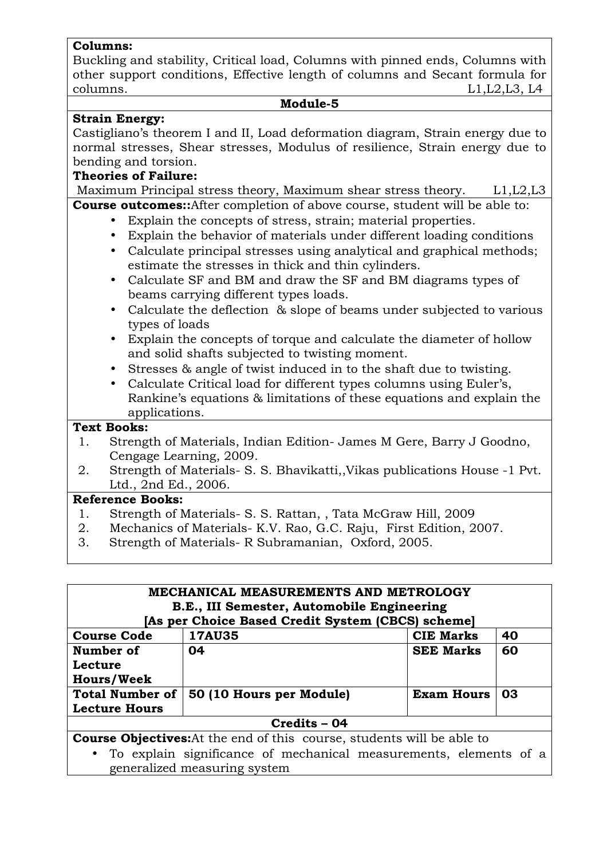### **Columns:**

Buckling and stability, Critical load, Columns with pinned ends, Columns with other support conditions, Effective length of columns and Secant formula for columns. L1,L2,L3, L4

#### **Module-5**

## **Strain Energy:**

Castigliano's theorem I and II, Load deformation diagram, Strain energy due to normal stresses, Shear stresses, Modulus of resilience, Strain energy due to bending and torsion.

## **Theories of Failure:**

Maximum Principal stress theory, Maximum shear stress theory. L1, L2, L3

- **Course outcomes::**After completion of above course, student will be able to:
	- Explain the concepts of stress, strain; material properties.
	- Explain the behavior of materials under different loading conditions
	- Calculate principal stresses using analytical and graphical methods; estimate the stresses in thick and thin cylinders.
	- Calculate SF and BM and draw the SF and BM diagrams types of beams carrying different types loads.
	- Calculate the deflection & slope of beams under subjected to various types of loads
	- Explain the concepts of torque and calculate the diameter of hollow and solid shafts subjected to twisting moment.
	- Stresses & angle of twist induced in to the shaft due to twisting.
	- Calculate Critical load for different types columns using Euler's, Rankine's equations & limitations of these equations and explain the applications.

## **Text Books:**

- 1. Strength of Materials, Indian Edition- James M Gere, Barry J Goodno, Cengage Learning, 2009.
- 2. Strength of Materials- S. S. Bhavikatti,,Vikas publications House -1 Pvt. Ltd., 2nd Ed., 2006.

## **Reference Books:**

- 1. Strength of Materials- S. S. Rattan, , Tata McGraw Hill, 2009
- 2. Mechanics of Materials- K.V. Rao, G.C. Raju, First Edition, 2007.
- 3. Strength of Materials- R Subramanian, Oxford, 2005.

| MECHANICAL MEASUREMENTS AND METROLOGY                                         |                                                   |                   |    |
|-------------------------------------------------------------------------------|---------------------------------------------------|-------------------|----|
| B.E., III Semester, Automobile Engineering                                    |                                                   |                   |    |
|                                                                               | [As per Choice Based Credit System (CBCS) scheme] |                   |    |
| <b>Course Code</b>                                                            | <b>17AU35</b>                                     | <b>CIE Marks</b>  | 40 |
| Number of                                                                     | 04                                                | <b>SEE Marks</b>  | 60 |
| Lecture                                                                       |                                                   |                   |    |
| <b>Hours/Week</b>                                                             |                                                   |                   |    |
| <b>Total Number of</b>                                                        | 50 (10 Hours per Module)                          | <b>Exam Hours</b> | 03 |
| <b>Lecture Hours</b>                                                          |                                                   |                   |    |
| Credits - 04                                                                  |                                                   |                   |    |
| <b>Course Objectives:</b> At the end of this course, students will be able to |                                                   |                   |    |
| • To explain significance of mechanical measurements, elements of a           |                                                   |                   |    |
| generalized measuring system                                                  |                                                   |                   |    |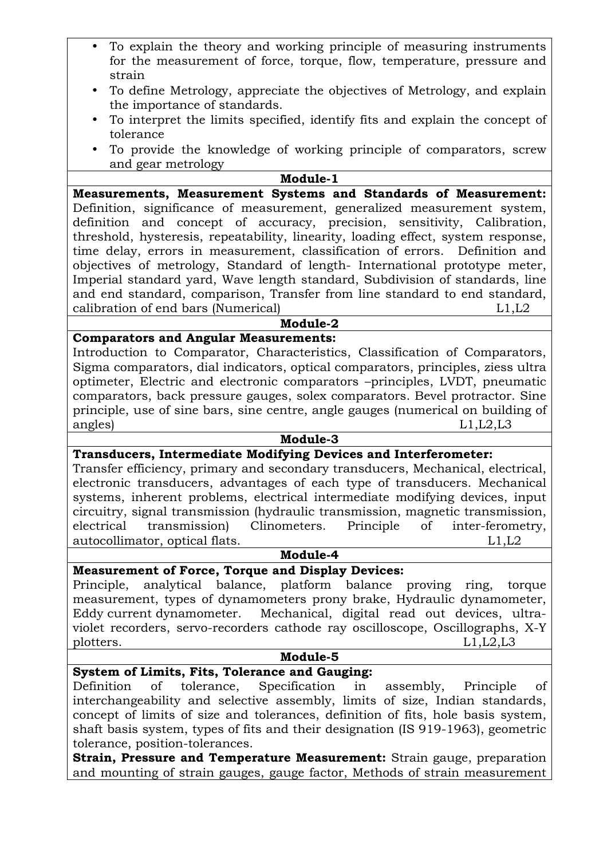- To explain the theory and working principle of measuring instruments for the measurement of force, torque, flow, temperature, pressure and strain
- To define Metrology, appreciate the objectives of Metrology, and explain the importance of standards.
- To interpret the limits specified, identify fits and explain the concept of tolerance
- To provide the knowledge of working principle of comparators, screw and gear metrology

# **Module-1**

**Measurements, Measurement Systems and Standards of Measurement:**  Definition, significance of measurement, generalized measurement system, definition and concept of accuracy, precision, sensitivity, Calibration, threshold, hysteresis, repeatability, linearity, loading effect, system response, time delay, errors in measurement, classification of errors. Definition and objectives of metrology, Standard of length- International prototype meter, Imperial standard yard, Wave length standard, Subdivision of standards, line and end standard, comparison, Transfer from line standard to end standard, calibration of end bars (Numerical) L1,L2

# **Module-2**

## **Comparators and Angular Measurements:**

Introduction to Comparator, Characteristics, Classification of Comparators, Sigma comparators, dial indicators, optical comparators, principles, ziess ultra optimeter, Electric and electronic comparators –principles, LVDT, pneumatic comparators, back pressure gauges, solex comparators. Bevel protractor. Sine principle, use of sine bars, sine centre, angle gauges (numerical on building of angles) L1,L2,L3

#### **Module-3**

### **Transducers, Intermediate Modifying Devices and Interferometer:**

Transfer efficiency, primary and secondary transducers, Mechanical, electrical, electronic transducers, advantages of each type of transducers. Mechanical systems, inherent problems, electrical intermediate modifying devices, input circuitry, signal transmission (hydraulic transmission, magnetic transmission, electrical transmission) Clinometers. Principle of inter-ferometry, autocollimator, optical flats. L1,L2

#### **Module-4**

**Measurement of Force, Torque and Display Devices:** 

Principle, analytical balance, platform balance proving ring, torque measurement, types of dynamometers prony brake, Hydraulic dynamometer, Eddy current dynamometer. Mechanical, digital read out devices, ultraviolet recorders, servo-recorders cathode ray oscilloscope, Oscillographs, X-Y plotters. L1, L2, L3

#### **Module-5**

## **System of Limits, Fits, Tolerance and Gauging:**

Definition of tolerance, Specification in assembly, Principle of interchangeability and selective assembly, limits of size, Indian standards, concept of limits of size and tolerances, definition of fits, hole basis system, shaft basis system, types of fits and their designation (IS 919-1963), geometric tolerance, position-tolerances.

**Strain, Pressure and Temperature Measurement:** Strain gauge, preparation and mounting of strain gauges, gauge factor, Methods of strain measurement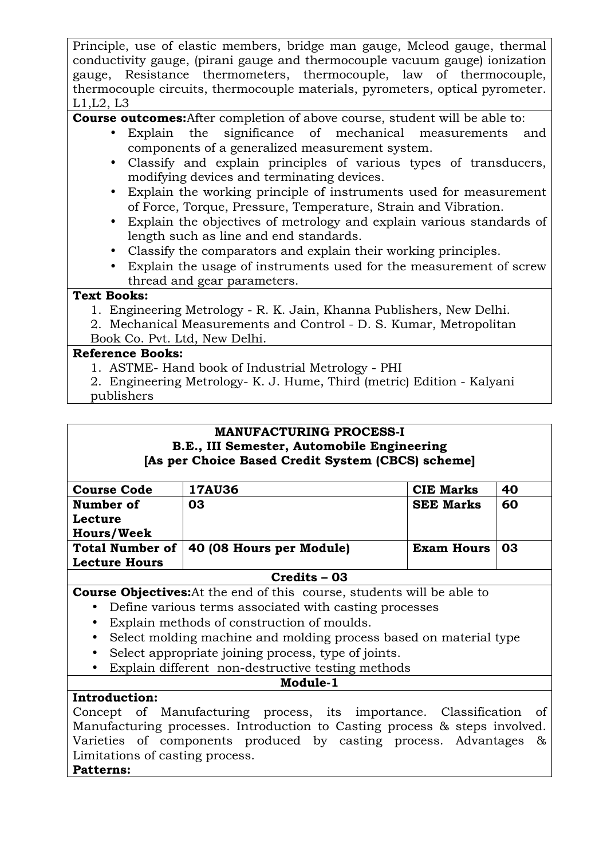Principle, use of elastic members, bridge man gauge, Mcleod gauge, thermal conductivity gauge, (pirani gauge and thermocouple vacuum gauge) ionization gauge, Resistance thermometers, thermocouple, law of thermocouple, thermocouple circuits, thermocouple materials, pyrometers, optical pyrometer. L1,L2, L3

**Course outcomes:**After completion of above course, student will be able to:

- Explain the significance of mechanical measurements and components of a generalized measurement system.
- Classify and explain principles of various types of transducers, modifying devices and terminating devices.
- Explain the working principle of instruments used for measurement of Force, Torque, Pressure, Temperature, Strain and Vibration.
- Explain the objectives of metrology and explain various standards of length such as line and end standards.
- Classify the comparators and explain their working principles.
- Explain the usage of instruments used for the measurement of screw thread and gear parameters.

## **Text Books:**

1. Engineering Metrology - R. K. Jain, Khanna Publishers, New Delhi.

2. Mechanical Measurements and Control - D. S. Kumar, Metropolitan

## Book Co. Pvt. Ltd, New Delhi.

## **Reference Books:**

- 1. ASTME- Hand book of Industrial Metrology PHI
- 2. Engineering Metrology- K. J. Hume, Third (metric) Edition Kalyani
- publishers

### **MANUFACTURING PROCESS-I B.E., III Semester, Automobile Engineering [As per Choice Based Credit System (CBCS) scheme]**

| <b>Course Code</b>     | <b>17AU36</b>            | <b>CIE Marks</b>  | 40 |
|------------------------|--------------------------|-------------------|----|
| Number of              | 03                       | <b>SEE Marks</b>  | 60 |
| Lecture                |                          |                   |    |
| <b>Hours/Week</b>      |                          |                   |    |
| <b>Total Number of</b> | 40 (08 Hours per Module) | <b>Exam Hours</b> | 03 |
| <b>Lecture Hours</b>   |                          |                   |    |
| Credits – 03           |                          |                   |    |

**Course Objectives:**At the end of this course, students will be able to

- Define various terms associated with casting processes
- Explain methods of construction of moulds.
- Select molding machine and molding process based on material type
- Select appropriate joining process, type of joints.
- Explain different non-destructive testing methods

## **Module-1**

## **Introduction:**

Concept of Manufacturing process, its importance. Classification of Manufacturing processes. Introduction to Casting process & steps involved. Varieties of components produced by casting process. Advantages & Limitations of casting process.

## **Patterns:**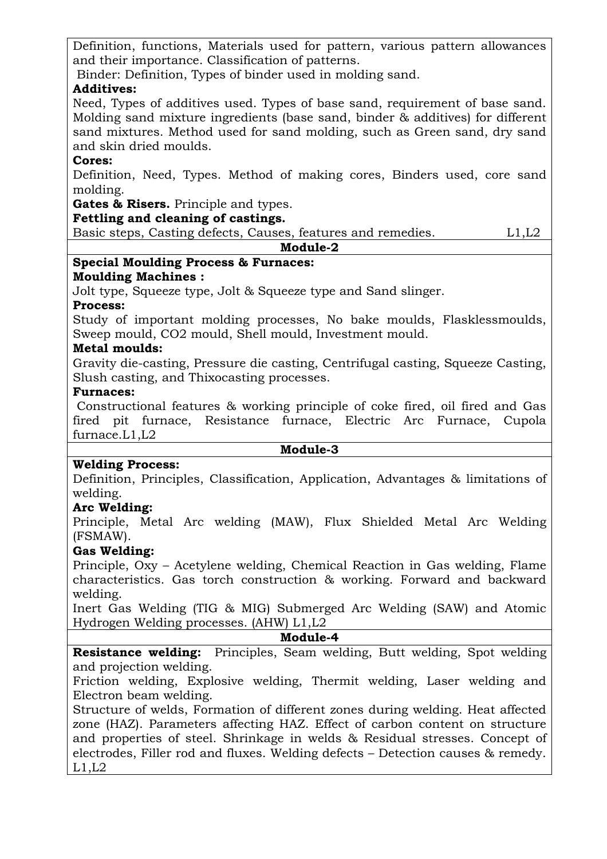Definition, functions, Materials used for pattern, various pattern allowances and their importance. Classification of patterns.

Binder: Definition, Types of binder used in molding sand.

## **Additives:**

Need, Types of additives used. Types of base sand, requirement of base sand. Molding sand mixture ingredients (base sand, binder & additives) for different sand mixtures. Method used for sand molding, such as Green sand, dry sand and skin dried moulds.

## **Cores:**

Definition, Need, Types. Method of making cores, Binders used, core sand molding.

**Gates & Risers.** Principle and types.

## **Fettling and cleaning of castings.**

Basic steps, Casting defects, Causes, features and remedies. L1,L2

## **Module-2**

## **Special Moulding Process & Furnaces:**

## **Moulding Machines :**

Jolt type, Squeeze type, Jolt & Squeeze type and Sand slinger.

## **Process:**

Study of important molding processes, No bake moulds, Flasklessmoulds, Sweep mould, CO2 mould, Shell mould, Investment mould.

## **Metal moulds:**

Gravity die-casting, Pressure die casting, Centrifugal casting, Squeeze Casting, Slush casting, and Thixocasting processes.

## **Furnaces:**

 Constructional features & working principle of coke fired, oil fired and Gas fired pit furnace, Resistance furnace, Electric Arc Furnace, Cupola furnace.L1,L2

### **Module-3**

## **Welding Process:**

Definition, Principles, Classification, Application, Advantages & limitations of welding.

## **Arc Welding:**

Principle, Metal Arc welding (MAW), Flux Shielded Metal Arc Welding (FSMAW).

## **Gas Welding:**

Principle, Oxy – Acetylene welding, Chemical Reaction in Gas welding, Flame characteristics. Gas torch construction & working. Forward and backward welding.

Inert Gas Welding (TIG & MIG) Submerged Arc Welding (SAW) and Atomic Hydrogen Welding processes. (AHW) L1,L2

### **Module-4**

**Resistance welding:** Principles, Seam welding, Butt welding, Spot welding and projection welding.

Friction welding, Explosive welding, Thermit welding, Laser welding and Electron beam welding.

Structure of welds, Formation of different zones during welding. Heat affected zone (HAZ). Parameters affecting HAZ. Effect of carbon content on structure and properties of steel. Shrinkage in welds & Residual stresses. Concept of electrodes, Filler rod and fluxes. Welding defects – Detection causes & remedy.  $L1,L2$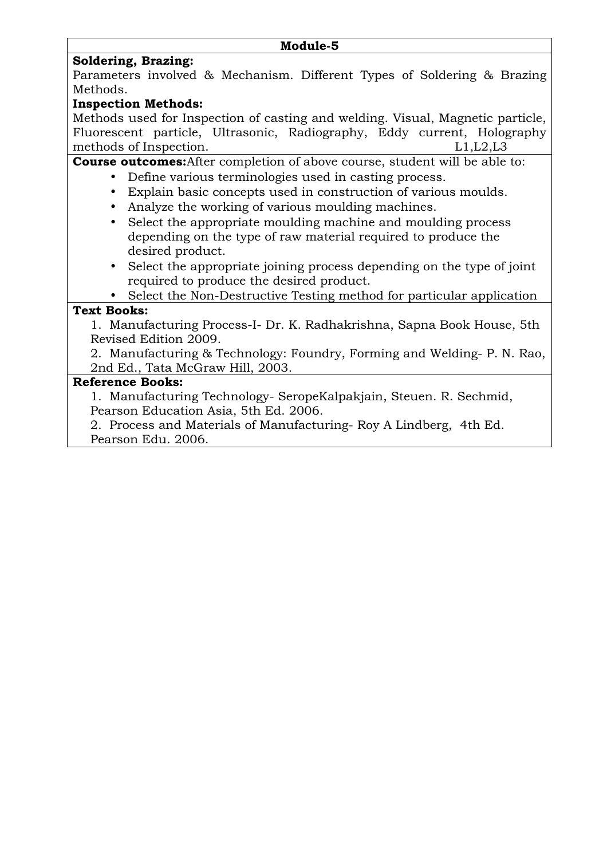#### **Module-5**

## **Soldering, Brazing:**

Parameters involved & Mechanism. Different Types of Soldering & Brazing Methods.

## **Inspection Methods:**

Methods used for Inspection of casting and welding. Visual, Magnetic particle, Fluorescent particle, Ultrasonic, Radiography, Eddy current, Holography methods of Inspection. L1, L2, L3

**Course outcomes:**After completion of above course, student will be able to:

- Define various terminologies used in casting process.
- Explain basic concepts used in construction of various moulds.
- Analyze the working of various moulding machines.
- Select the appropriate moulding machine and moulding process depending on the type of raw material required to produce the desired product.
- Select the appropriate joining process depending on the type of joint required to produce the desired product.

• Select the Non-Destructive Testing method for particular application

## **Text Books:**

1. Manufacturing Process-I- Dr. K. Radhakrishna, Sapna Book House, 5th Revised Edition 2009.

2. Manufacturing & Technology: Foundry, Forming and Welding- P. N. Rao, 2nd Ed., Tata McGraw Hill, 2003.

## **Reference Books:**

1. Manufacturing Technology- SeropeKalpakjain, Steuen. R. Sechmid, Pearson Education Asia, 5th Ed. 2006.

2. Process and Materials of Manufacturing- Roy A Lindberg, 4th Ed. Pearson Edu. 2006.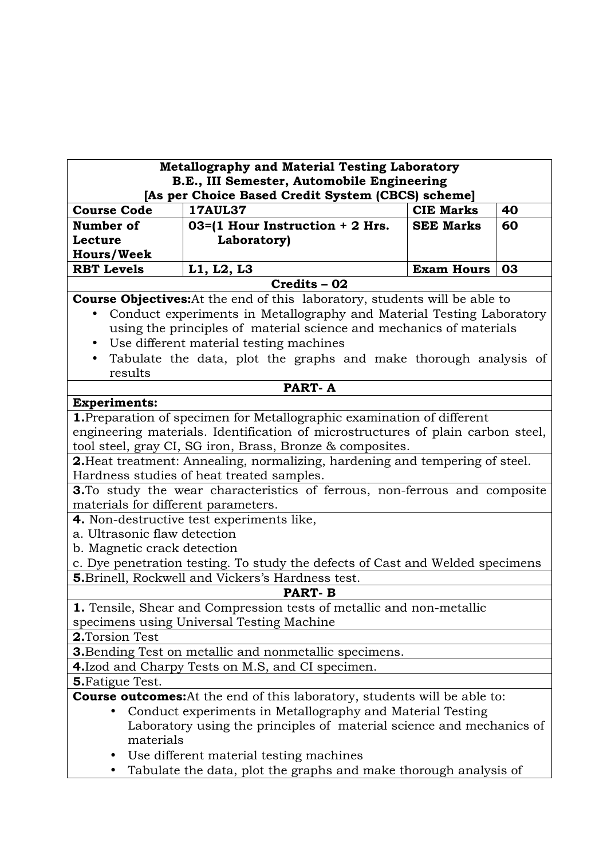| <b>Metallography and Material Testing Laboratory</b><br>B.E., III Semester, Automobile Engineering |                                                                                   |                   |    |  |  |
|----------------------------------------------------------------------------------------------------|-----------------------------------------------------------------------------------|-------------------|----|--|--|
|                                                                                                    | [As per Choice Based Credit System (CBCS) scheme]                                 |                   |    |  |  |
| <b>Course Code</b>                                                                                 | <b>17AUL37</b>                                                                    | <b>CIE Marks</b>  | 40 |  |  |
| Number of                                                                                          | $03 = (1$ Hour Instruction + 2 Hrs.                                               | <b>SEE Marks</b>  | 60 |  |  |
| Lecture                                                                                            | Laboratory)                                                                       |                   |    |  |  |
| <b>Hours/Week</b>                                                                                  |                                                                                   |                   |    |  |  |
| <b>RBT Levels</b>                                                                                  | L1, L2, L3                                                                        | <b>Exam Hours</b> | 03 |  |  |
|                                                                                                    | Credits - 02                                                                      |                   |    |  |  |
|                                                                                                    | <b>Course Objectives:</b> At the end of this laboratory, students will be able to |                   |    |  |  |
|                                                                                                    | Conduct experiments in Metallography and Material Testing Laboratory              |                   |    |  |  |
|                                                                                                    | using the principles of material science and mechanics of materials               |                   |    |  |  |
| $\bullet$                                                                                          | Use different material testing machines                                           |                   |    |  |  |
|                                                                                                    | Tabulate the data, plot the graphs and make thorough analysis of                  |                   |    |  |  |
| results                                                                                            |                                                                                   |                   |    |  |  |
|                                                                                                    | <b>PART-A</b>                                                                     |                   |    |  |  |
| <b>Experiments:</b>                                                                                |                                                                                   |                   |    |  |  |
|                                                                                                    | 1. Preparation of specimen for Metallographic examination of different            |                   |    |  |  |
|                                                                                                    | engineering materials. Identification of microstructures of plain carbon steel,   |                   |    |  |  |
|                                                                                                    | tool steel, gray CI, SG iron, Brass, Bronze & composites.                         |                   |    |  |  |
|                                                                                                    | 2. Heat treatment: Annealing, normalizing, hardening and tempering of steel.      |                   |    |  |  |
| Hardness studies of heat treated samples.                                                          |                                                                                   |                   |    |  |  |
| 3. To study the wear characteristics of ferrous, non-ferrous and composite                         |                                                                                   |                   |    |  |  |
| materials for different parameters.                                                                |                                                                                   |                   |    |  |  |
|                                                                                                    | 4. Non-destructive test experiments like,                                         |                   |    |  |  |
| a. Ultrasonic flaw detection                                                                       |                                                                                   |                   |    |  |  |
| b. Magnetic crack detection                                                                        |                                                                                   |                   |    |  |  |
|                                                                                                    | c. Dye penetration testing. To study the defects of Cast and Welded specimens     |                   |    |  |  |
|                                                                                                    | 5. Brinell, Rockwell and Vickers's Hardness test.                                 |                   |    |  |  |
|                                                                                                    | <b>PART-B</b>                                                                     |                   |    |  |  |
|                                                                                                    | 1. Tensile, Shear and Compression tests of metallic and non-metallic              |                   |    |  |  |
|                                                                                                    | specimens using Universal Testing Machine                                         |                   |    |  |  |
| 2.Torsion Test                                                                                     |                                                                                   |                   |    |  |  |
|                                                                                                    | <b>3.</b> Bending Test on metallic and nonmetallic specimens.                     |                   |    |  |  |
| 4. Izod and Charpy Tests on M.S, and CI specimen.                                                  |                                                                                   |                   |    |  |  |
| <b>5. Fatigue Test.</b>                                                                            |                                                                                   |                   |    |  |  |
|                                                                                                    | <b>Course outcomes:</b> At the end of this laboratory, students will be able to:  |                   |    |  |  |
|                                                                                                    | Conduct experiments in Metallography and Material Testing                         |                   |    |  |  |
|                                                                                                    |                                                                                   |                   |    |  |  |
| materials                                                                                          | Laboratory using the principles of material science and mechanics of              |                   |    |  |  |
|                                                                                                    |                                                                                   |                   |    |  |  |
|                                                                                                    | Use different material testing machines                                           |                   |    |  |  |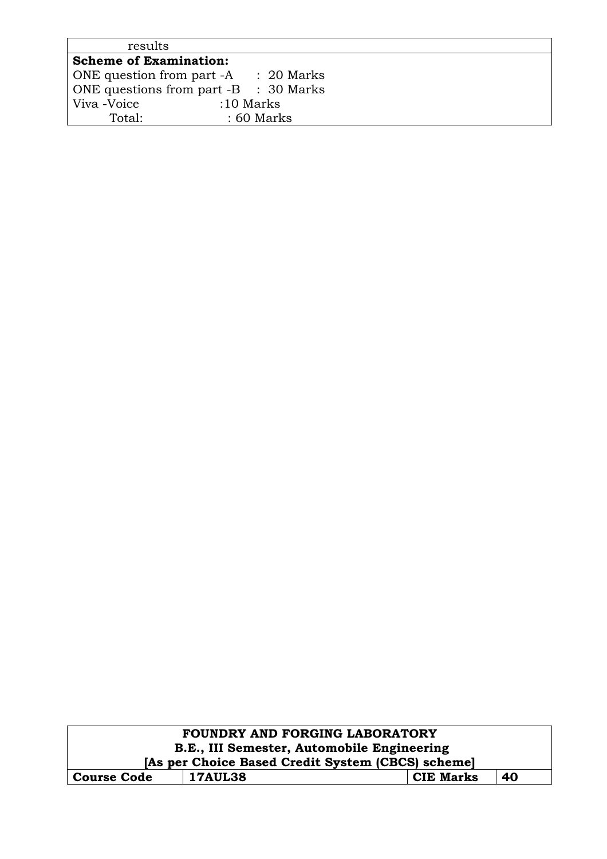| results                               |                       |
|---------------------------------------|-----------------------|
| <b>Scheme of Examination:</b>         |                       |
| ONE question from part -A             | $\therefore$ 20 Marks |
| ONE questions from part -B : 30 Marks |                       |
| Viva -Voice<br>$:10$ Marks            |                       |
| Total:                                | $:60$ Marks           |

| <b>FOUNDRY AND FORGING LABORATORY</b>                          |  |  |  |  |
|----------------------------------------------------------------|--|--|--|--|
| B.E., III Semester, Automobile Engineering                     |  |  |  |  |
| [As per Choice Based Credit System (CBCS) scheme]              |  |  |  |  |
| 40<br><b>17AUL38</b><br><b>CIE Marks</b><br><b>Course Code</b> |  |  |  |  |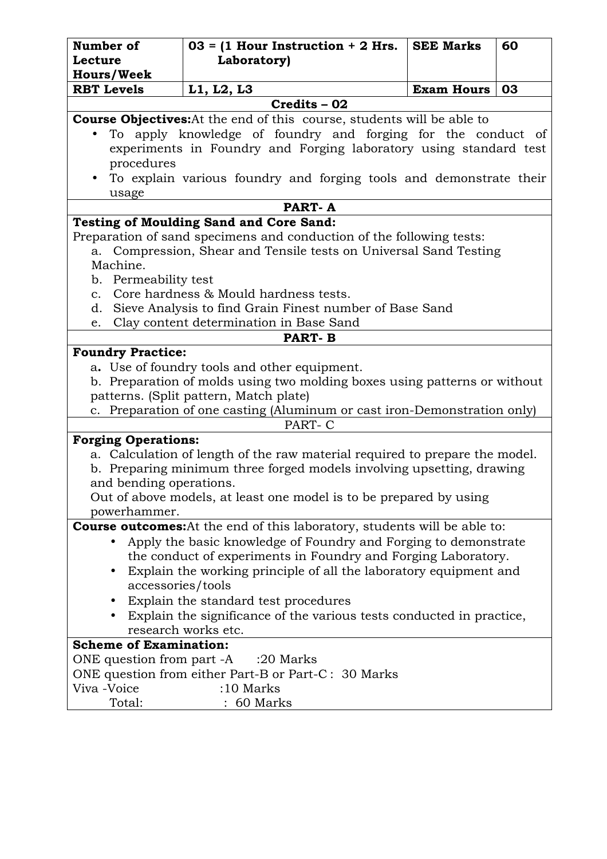| Number of                                                                                                          | $03 = (1$ Hour Instruction + 2 Hrs.                                                                                               | <b>SEE Marks</b>  | 60 |
|--------------------------------------------------------------------------------------------------------------------|-----------------------------------------------------------------------------------------------------------------------------------|-------------------|----|
| <b>Lecture</b>                                                                                                     | Laboratory)                                                                                                                       |                   |    |
| <b>Hours/Week</b>                                                                                                  |                                                                                                                                   |                   |    |
| <b>RBT Levels</b>                                                                                                  | L1, L2, L3                                                                                                                        | <b>Exam Hours</b> | 03 |
|                                                                                                                    | Credits - 02                                                                                                                      |                   |    |
|                                                                                                                    | <b>Course Objectives:</b> At the end of this course, students will be able to                                                     |                   |    |
| procedures                                                                                                         | To apply knowledge of foundry and forging for the conduct of<br>experiments in Foundry and Forging laboratory using standard test |                   |    |
| usage                                                                                                              | To explain various foundry and forging tools and demonstrate their                                                                |                   |    |
|                                                                                                                    | PART-A                                                                                                                            |                   |    |
|                                                                                                                    | <b>Testing of Moulding Sand and Core Sand:</b>                                                                                    |                   |    |
|                                                                                                                    | Preparation of sand specimens and conduction of the following tests:                                                              |                   |    |
| a.                                                                                                                 | Compression, Shear and Tensile tests on Universal Sand Testing                                                                    |                   |    |
| Machine.                                                                                                           |                                                                                                                                   |                   |    |
| b. Permeability test                                                                                               |                                                                                                                                   |                   |    |
| $\mathbf{c}$ .                                                                                                     | Core hardness & Mould hardness tests.                                                                                             |                   |    |
| d.                                                                                                                 | Sieve Analysis to find Grain Finest number of Base Sand                                                                           |                   |    |
| e.                                                                                                                 | Clay content determination in Base Sand                                                                                           |                   |    |
|                                                                                                                    | <b>PART-B</b>                                                                                                                     |                   |    |
| <b>Foundry Practice:</b>                                                                                           |                                                                                                                                   |                   |    |
|                                                                                                                    | a. Use of foundry tools and other equipment.                                                                                      |                   |    |
|                                                                                                                    | b. Preparation of molds using two molding boxes using patterns or without                                                         |                   |    |
| patterns. (Split pattern, Match plate)<br>c. Preparation of one casting (Aluminum or cast iron-Demonstration only) |                                                                                                                                   |                   |    |
|                                                                                                                    | PART-C                                                                                                                            |                   |    |
|                                                                                                                    |                                                                                                                                   |                   |    |
| <b>Forging Operations:</b><br>a. Calculation of length of the raw material required to prepare the model.          |                                                                                                                                   |                   |    |
| b. Preparing minimum three forged models involving upsetting, drawing                                              |                                                                                                                                   |                   |    |
|                                                                                                                    | and bending operations.                                                                                                           |                   |    |
|                                                                                                                    | Out of above models, at least one model is to be prepared by using                                                                |                   |    |
| powerhammer.                                                                                                       |                                                                                                                                   |                   |    |
|                                                                                                                    | <b>Course outcomes:</b> At the end of this laboratory, students will be able to:                                                  |                   |    |
|                                                                                                                    | Apply the basic knowledge of Foundry and Forging to demonstrate                                                                   |                   |    |
|                                                                                                                    | the conduct of experiments in Foundry and Forging Laboratory.                                                                     |                   |    |
| $\bullet$                                                                                                          | Explain the working principle of all the laboratory equipment and                                                                 |                   |    |
| accessories/tools                                                                                                  |                                                                                                                                   |                   |    |
|                                                                                                                    | Explain the standard test procedures                                                                                              |                   |    |
|                                                                                                                    | Explain the significance of the various tests conducted in practice,                                                              |                   |    |
|                                                                                                                    | research works etc.                                                                                                               |                   |    |
| <b>Scheme of Examination:</b>                                                                                      |                                                                                                                                   |                   |    |
|                                                                                                                    | ONE question from part -A :20 Marks                                                                                               |                   |    |
|                                                                                                                    | ONE question from either Part-B or Part-C: 30 Marks                                                                               |                   |    |
| Viva -Voice                                                                                                        | $:10$ Marks                                                                                                                       |                   |    |
| Total:                                                                                                             | 60 Marks                                                                                                                          |                   |    |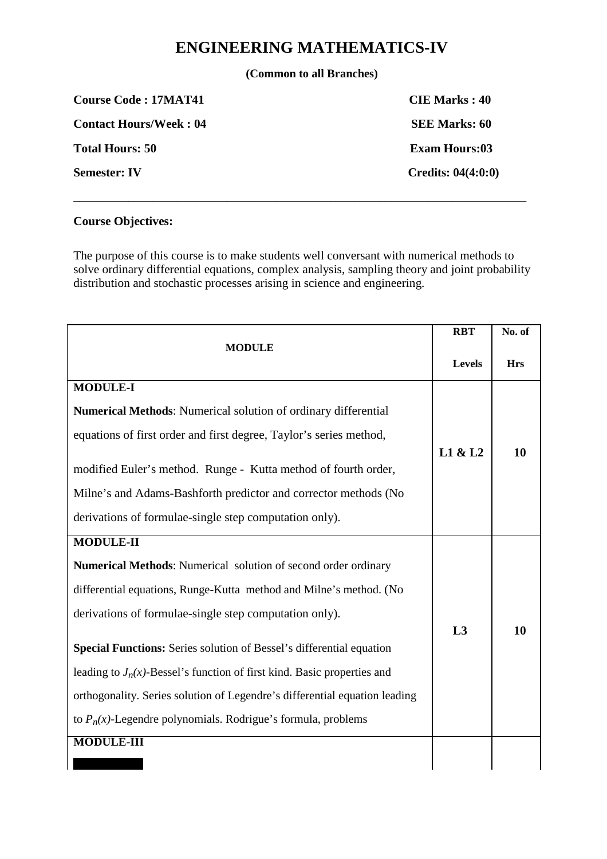# **ENGINEERING MATHEMATICS-IV**

**(Common to all Branches)** 

**COURSE Code : 17MAT41 CIE Marks : 40 Contact Hours/Week : 04 SEE Marks: 60 Total Hours: 50 Exam Hours: 60 Semester: IV** Credits: 04(4:0:0) **\_\_\_\_\_\_\_\_\_\_\_\_\_\_\_\_\_\_\_\_\_\_\_\_\_\_\_\_\_\_\_\_\_\_\_\_\_\_\_\_\_\_\_\_\_\_\_\_\_\_\_\_\_\_\_\_\_\_\_\_\_\_\_\_\_\_\_\_\_\_\_\_\_\_** 

## **Course Objectives:**

The purpose of this course is to make students well conversant with numerical methods to solve ordinary differential equations, complex analysis, sampling theory and joint probability distribution and stochastic processes arising in science and engineering.

| <b>MODULE</b>                                                                                                                |         | No. of     |
|------------------------------------------------------------------------------------------------------------------------------|---------|------------|
|                                                                                                                              |         | <b>Hrs</b> |
| <b>MODULE-I</b>                                                                                                              |         |            |
| <b>Numerical Methods:</b> Numerical solution of ordinary differential                                                        |         |            |
| equations of first order and first degree, Taylor's series method,                                                           |         |            |
| modified Euler's method. Runge - Kutta method of fourth order,                                                               | L1 & L2 | <b>10</b>  |
| Milne's and Adams-Bashforth predictor and corrector methods (No                                                              |         |            |
| derivations of formulae-single step computation only).                                                                       |         |            |
| <b>MODULE-II</b>                                                                                                             |         |            |
| <b>Numerical Methods:</b> Numerical solution of second order ordinary                                                        |         |            |
| differential equations, Runge-Kutta method and Milne's method. (No<br>derivations of formulae-single step computation only). |         |            |
|                                                                                                                              |         |            |
| Special Functions: Series solution of Bessel's differential equation                                                         | L3      | 10         |
| leading to $J_n(x)$ -Bessel's function of first kind. Basic properties and                                                   |         |            |
| orthogonality. Series solution of Legendre's differential equation leading                                                   |         |            |
| to $P_n(x)$ -Legendre polynomials. Rodrigue's formula, problems                                                              |         |            |
| <b>MODULE-III</b>                                                                                                            |         |            |
|                                                                                                                              |         |            |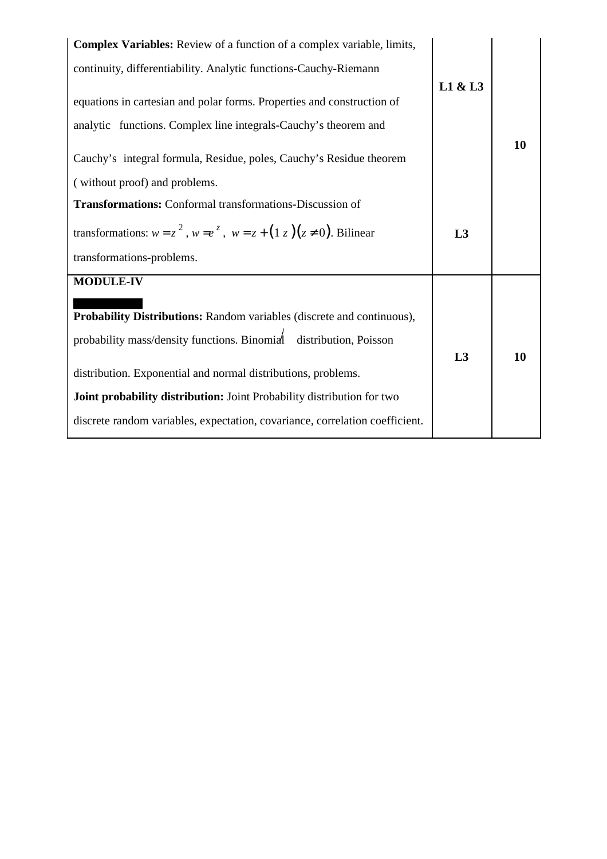| <b>Complex Variables:</b> Review of a function of a complex variable, limits,                        |         |    |
|------------------------------------------------------------------------------------------------------|---------|----|
| continuity, differentiability. Analytic functions-Cauchy-Riemann                                     |         |    |
|                                                                                                      | L1 & L3 |    |
| equations in cartesian and polar forms. Properties and construction of                               |         |    |
| analytic functions. Complex line integrals-Cauchy's theorem and                                      |         |    |
| Cauchy's integral formula, Residue, poles, Cauchy's Residue theorem<br>(without proof) and problems. |         | 10 |
| <b>Transformations:</b> Conformal transformations-Discussion of                                      |         |    |
|                                                                                                      |         |    |
| transformations: $w = z^2$ , $w = e^z$ , $w = z + (1 z)(z \ne 0)$ . Bilinear                         |         |    |
| transformations-problems.                                                                            |         |    |
| <b>MODULE-IV</b>                                                                                     |         |    |
| Probability Distributions: Random variables (discrete and continuous),                               |         |    |
| probability mass/density functions. Binomial<br>distribution, Poisson                                | L3      | 10 |
| distribution. Exponential and normal distributions, problems.                                        |         |    |
| Joint probability distribution: Joint Probability distribution for two                               |         |    |
| discrete random variables, expectation, covariance, correlation coefficient.                         |         |    |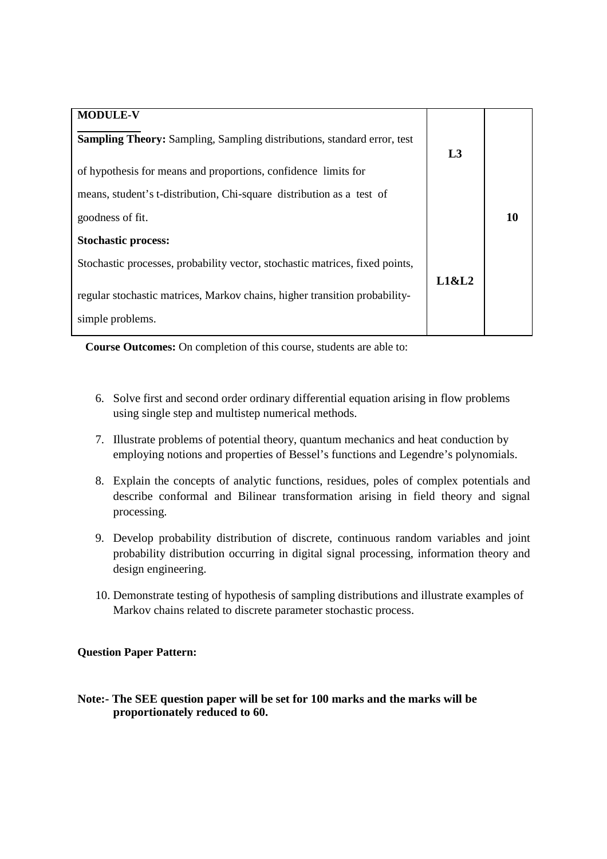| <b>MODULE-V</b>                                                                |       |    |
|--------------------------------------------------------------------------------|-------|----|
| <b>Sampling Theory:</b> Sampling, Sampling distributions, standard error, test | L3    |    |
| of hypothesis for means and proportions, confidence limits for                 |       |    |
| means, student's t-distribution, Chi-square distribution as a test of          |       |    |
| goodness of fit.                                                               |       | 10 |
| <b>Stochastic process:</b>                                                     |       |    |
| Stochastic processes, probability vector, stochastic matrices, fixed points,   |       |    |
| regular stochastic matrices, Markov chains, higher transition probability-     | L1&L2 |    |
| simple problems.                                                               |       |    |

**Course Outcomes:** On completion of this course, students are able to:

- 6. Solve first and second order ordinary differential equation arising in flow problems using single step and multistep numerical methods.
- 7. Illustrate problems of potential theory, quantum mechanics and heat conduction by employing notions and properties of Bessel's functions and Legendre's polynomials.
- 8. Explain the concepts of analytic functions, residues, poles of complex potentials and describe conformal and Bilinear transformation arising in field theory and signal processing.
- 9. Develop probability distribution of discrete, continuous random variables and joint probability distribution occurring in digital signal processing, information theory and design engineering.
- 10. Demonstrate testing of hypothesis of sampling distributions and illustrate examples of Markov chains related to discrete parameter stochastic process.

### **Question Paper Pattern:**

### **Note:- The SEE question paper will be set for 100 marks and the marks will be proportionately reduced to 60.**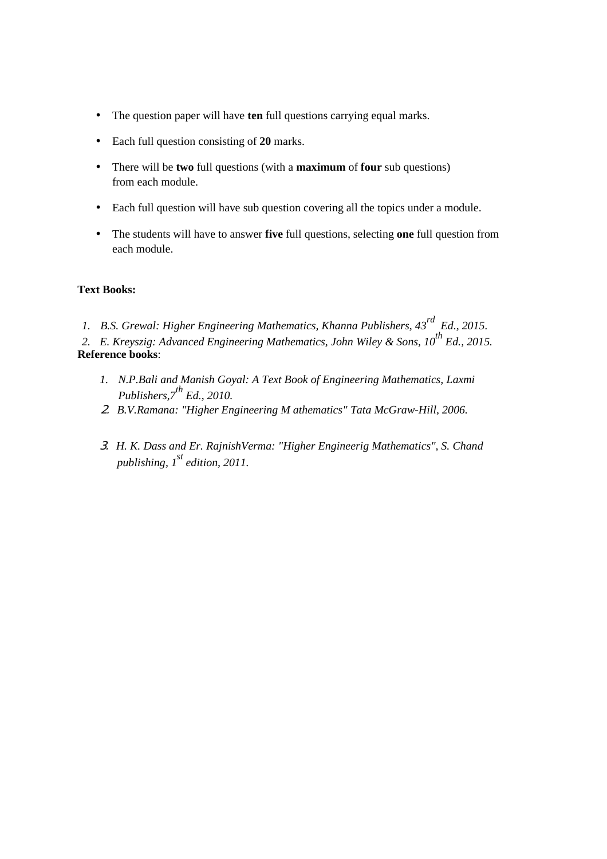- The question paper will have **ten** full questions carrying equal marks.
- Each full question consisting of **20** marks.
- There will be **two** full questions (with a **maximum** of **four** sub questions) from each module.
- Each full question will have sub question covering all the topics under a module.
- The students will have to answer **five** full questions, selecting **one** full question from each module.

### **Text Books:**

- *1. B.S. Grewal: Higher Engineering Mathematics, Khanna Publishers, 43rd Ed., 2015.*
- *2. E. Kreyszig: Advanced Engineering Mathematics, John Wiley & Sons, 10th Ed., 2015.*  **Reference books**:
	- *1. N.P.Bali and Manish Goyal: A Text Book of Engineering Mathematics, Laxmi Publishers,7th Ed., 2010.*
	- 2. *B.V.Ramana: "Higher Engineering M athematics" Tata McGraw-Hill, 2006.*
	- 3. *H. K. Dass and Er. RajnishVerma: "Higher Engineerig Mathematics", S. Chand publishing, 1st edition, 2011.*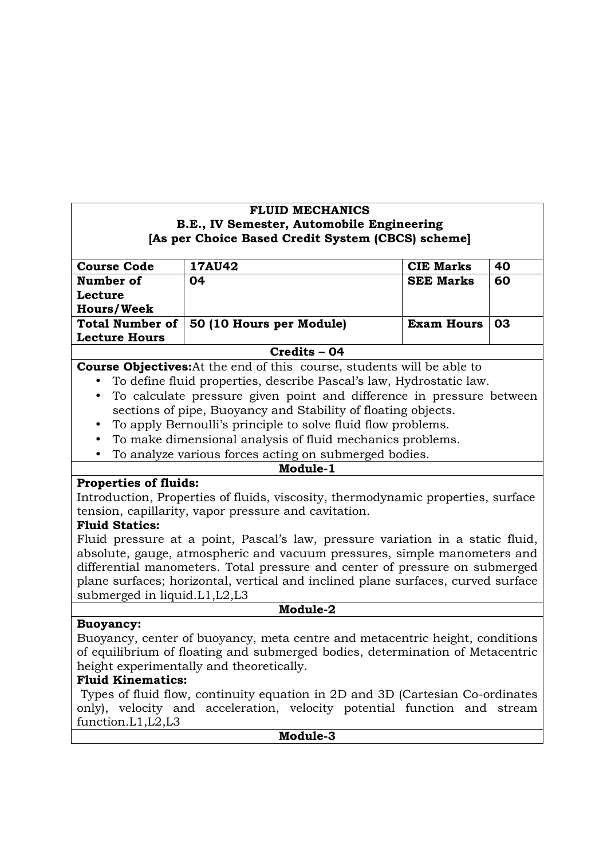## **FLUID MECHANICS B.E., IV Semester, Automobile Engineering [As per Choice Based Credit System (CBCS) scheme]**

| <b>Course Code</b>     | 17AU42                   | <b>CIE Marks</b>  | 40  |
|------------------------|--------------------------|-------------------|-----|
| Number of              | 04                       | <b>SEE Marks</b>  | 60  |
| Lecture                |                          |                   |     |
| <b>Hours/Week</b>      |                          |                   |     |
| <b>Total Number of</b> | 50 (10 Hours per Module) | <b>Exam Hours</b> | -03 |
| <b>Lecture Hours</b>   |                          |                   |     |
|                        | Credits - 04             |                   |     |

## **Course Objectives:**At the end of this course, students will be able to

- To define fluid properties, describe Pascal's law, Hydrostatic law.
- To calculate pressure given point and difference in pressure between sections of pipe, Buoyancy and Stability of floating objects.
- To apply Bernoulli's principle to solve fluid flow problems.
- To make dimensional analysis of fluid mechanics problems.
- To analyze various forces acting on submerged bodies.

### **Module-1**

## **Properties of fluids:**

Introduction, Properties of fluids, viscosity, thermodynamic properties, surface tension, capillarity, vapor pressure and cavitation.

### **Fluid Statics:**

Fluid pressure at a point, Pascal's law, pressure variation in a static fluid, absolute, gauge, atmospheric and vacuum pressures, simple manometers and differential manometers. Total pressure and center of pressure on submerged plane surfaces; horizontal, vertical and inclined plane surfaces, curved surface submerged in liquid.L1,L2,L3

## **Buoyancy:**

**Module-2** 

Buoyancy, center of buoyancy, meta centre and metacentric height, conditions of equilibrium of floating and submerged bodies, determination of Metacentric height experimentally and theoretically.

## **Fluid Kinematics:**

 Types of fluid flow, continuity equation in 2D and 3D (Cartesian Co-ordinates only), velocity and acceleration, velocity potential function and stream function.L1,L2,L3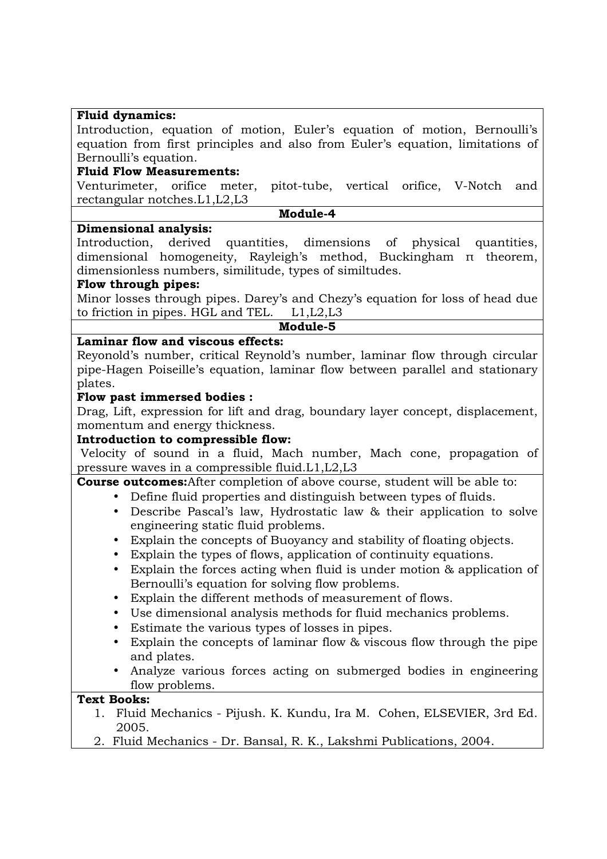### **Fluid dynamics:**

Introduction, equation of motion, Euler's equation of motion, Bernoulli's equation from first principles and also from Euler's equation, limitations of Bernoulli's equation.

### **Fluid Flow Measurements:**

Venturimeter, orifice meter, pitot-tube, vertical orifice, V-Notch and rectangular notches.L1,L2,L3

#### **Module-4**

#### **Dimensional analysis:**

Introduction, derived quantities, dimensions of physical quantities, dimensional homogeneity, Rayleigh's method, Buckingham π theorem, dimensionless numbers, similitude, types of similtudes.

#### **Flow through pipes:**

Minor losses through pipes. Darey's and Chezy's equation for loss of head due to friction in pipes. HGL and TEL. L1,L2,L3

### **Module-5**

### **Laminar flow and viscous effects:**

Reyonold's number, critical Reynold's number, laminar flow through circular pipe-Hagen Poiseille's equation, laminar flow between parallel and stationary plates.

### **Flow past immersed bodies :**

Drag, Lift, expression for lift and drag, boundary layer concept, displacement, momentum and energy thickness.

### **Introduction to compressible flow:**

 Velocity of sound in a fluid, Mach number, Mach cone, propagation of pressure waves in a compressible fluid.L1,L2,L3

**Course outcomes:**After completion of above course, student will be able to:

- Define fluid properties and distinguish between types of fluids.
	- Describe Pascal's law, Hydrostatic law & their application to solve engineering static fluid problems.
	- Explain the concepts of Buoyancy and stability of floating objects.
	- Explain the types of flows, application of continuity equations.
- Explain the forces acting when fluid is under motion & application of Bernoulli's equation for solving flow problems.
- Explain the different methods of measurement of flows.
- Use dimensional analysis methods for fluid mechanics problems.
- Estimate the various types of losses in pipes.
- Explain the concepts of laminar flow & viscous flow through the pipe and plates.
- Analyze various forces acting on submerged bodies in engineering flow problems.

## **Text Books:**

- 1. Fluid Mechanics Pijush. K. Kundu, Ira M. Cohen, ELSEVIER, 3rd Ed. 2005.
- 2. Fluid Mechanics Dr. Bansal, R. K., Lakshmi Publications, 2004.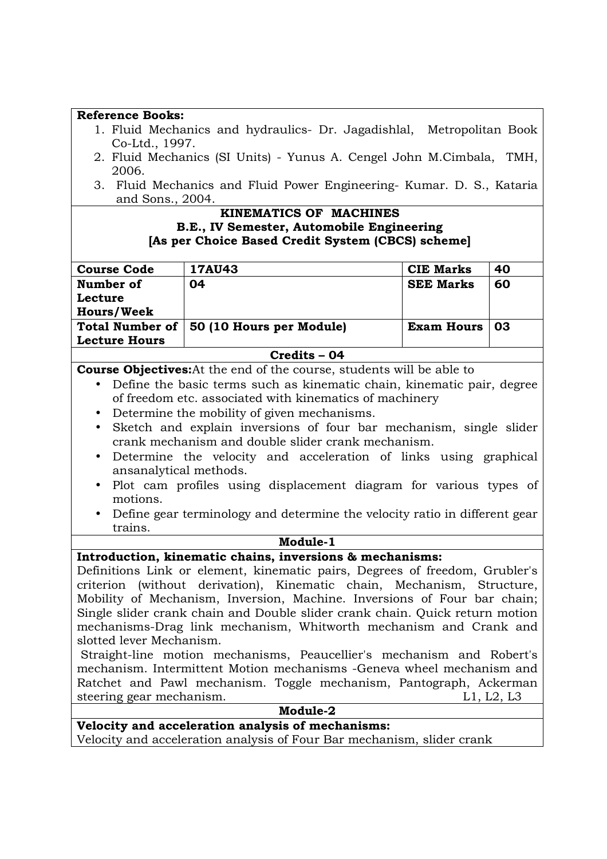| <b>Reference Books:</b>                                                                                                                                  |                                                                              |                   |    |
|----------------------------------------------------------------------------------------------------------------------------------------------------------|------------------------------------------------------------------------------|-------------------|----|
| 1. Fluid Mechanics and hydraulics- Dr. Jagadishlal, Metropolitan Book<br>Co-Ltd., 1997.                                                                  |                                                                              |                   |    |
| 2006.                                                                                                                                                    | 2. Fluid Mechanics (SI Units) - Yunus A. Cengel John M.Cimbala, TMH,         |                   |    |
| and Sons., 2004.                                                                                                                                         | 3. Fluid Mechanics and Fluid Power Engineering- Kumar. D. S., Kataria        |                   |    |
|                                                                                                                                                          | <b>KINEMATICS OF MACHINES</b>                                                |                   |    |
|                                                                                                                                                          | B.E., IV Semester, Automobile Engineering                                    |                   |    |
|                                                                                                                                                          | [As per Choice Based Credit System (CBCS) scheme]                            |                   |    |
|                                                                                                                                                          |                                                                              |                   |    |
| <b>Course Code</b>                                                                                                                                       | <b>17AU43</b>                                                                | <b>CIE Marks</b>  | 40 |
| Number of                                                                                                                                                | 04                                                                           | <b>SEE Marks</b>  | 60 |
| Lecture                                                                                                                                                  |                                                                              |                   |    |
| <b>Hours/Week</b>                                                                                                                                        |                                                                              |                   |    |
| <b>Total Number of</b>                                                                                                                                   | 50 (10 Hours per Module)                                                     | <b>Exam Hours</b> | 03 |
| <b>Lecture Hours</b>                                                                                                                                     |                                                                              |                   |    |
|                                                                                                                                                          | Credits - 04                                                                 |                   |    |
|                                                                                                                                                          | <b>Course Objectives:</b> At the end of the course, students will be able to |                   |    |
| $\bullet$                                                                                                                                                | Define the basic terms such as kinematic chain, kinematic pair, degree       |                   |    |
|                                                                                                                                                          | of freedom etc. associated with kinematics of machinery                      |                   |    |
| $\bullet$                                                                                                                                                | Determine the mobility of given mechanisms.                                  |                   |    |
| $\bullet$                                                                                                                                                | Sketch and explain inversions of four bar mechanism, single slider           |                   |    |
|                                                                                                                                                          | crank mechanism and double slider crank mechanism.                           |                   |    |
| Determine the velocity and acceleration of links using graphical<br>$\bullet$                                                                            |                                                                              |                   |    |
| ansanalytical methods.                                                                                                                                   |                                                                              |                   |    |
| Plot cam profiles using displacement diagram for various types of<br>$\bullet$                                                                           |                                                                              |                   |    |
| motions.                                                                                                                                                 |                                                                              |                   |    |
| Define gear terminology and determine the velocity ratio in different gear                                                                               |                                                                              |                   |    |
| trains.                                                                                                                                                  |                                                                              |                   |    |
| Module-1                                                                                                                                                 |                                                                              |                   |    |
|                                                                                                                                                          | Introduction, kinematic chains, inversions & mechanisms:                     |                   |    |
|                                                                                                                                                          | Definitions Link or element, kinematic pairs, Degrees of freedom, Grubler's  |                   |    |
| criterion (without derivation), Kinematic chain, Mechanism, Structure,                                                                                   |                                                                              |                   |    |
| Mobility of Mechanism, Inversion, Machine. Inversions of Four bar chain;<br>Single slider crank chain and Double slider crank chain. Quick return motion |                                                                              |                   |    |
| mechanisms-Drag link mechanism, Whitworth mechanism and Crank and                                                                                        |                                                                              |                   |    |
| slotted lever Mechanism.                                                                                                                                 |                                                                              |                   |    |
| Straight-line motion mechanisms, Peaucellier's mechanism and Robert's                                                                                    |                                                                              |                   |    |
| mechanism. Intermittent Motion mechanisms -Geneva wheel mechanism and                                                                                    |                                                                              |                   |    |
| Ratchet and Pawl mechanism. Toggle mechanism, Pantograph, Ackerman                                                                                       |                                                                              |                   |    |
| steering gear mechanism.<br>L1, L2, L3                                                                                                                   |                                                                              |                   |    |
| Module-2                                                                                                                                                 |                                                                              |                   |    |
| Velocity and acceleration analysis of mechanisms:                                                                                                        |                                                                              |                   |    |
|                                                                                                                                                          | Velocity and acceleration analysis of Four Bar mechanism, slider crank       |                   |    |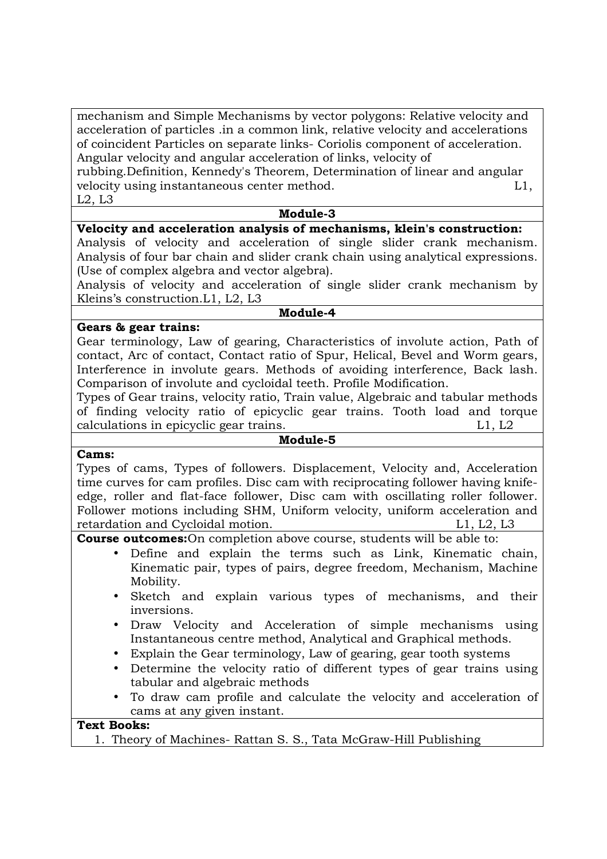mechanism and Simple Mechanisms by vector polygons: Relative velocity and acceleration of particles .in a common link, relative velocity and accelerations of coincident Particles on separate links- Coriolis component of acceleration. Angular velocity and angular acceleration of links, velocity of

rubbing.Definition, Kennedy's Theorem, Determination of linear and angular velocity using instantaneous center method. L1, L2, L3

#### **Module-3**

## **Velocity and acceleration analysis of mechanisms, klein's construction:**

Analysis of velocity and acceleration of single slider crank mechanism. Analysis of four bar chain and slider crank chain using analytical expressions. (Use of complex algebra and vector algebra).

Analysis of velocity and acceleration of single slider crank mechanism by Kleins's construction.L1, L2, L3

#### **Module-4**

#### **Gears & gear trains:**

Gear terminology, Law of gearing, Characteristics of involute action, Path of contact, Arc of contact, Contact ratio of Spur, Helical, Bevel and Worm gears, Interference in involute gears. Methods of avoiding interference, Back lash. Comparison of involute and cycloidal teeth. Profile Modification.

Types of Gear trains, velocity ratio, Train value, Algebraic and tabular methods of finding velocity ratio of epicyclic gear trains. Tooth load and torque calculations in epicyclic gear trains. L1, L2

#### **Module-5**

#### **Cams:**

Types of cams, Types of followers. Displacement, Velocity and, Acceleration time curves for cam profiles. Disc cam with reciprocating follower having knifeedge, roller and flat-face follower, Disc cam with oscillating roller follower. Follower motions including SHM, Uniform velocity, uniform acceleration and retardation and Cycloidal motion. L1, L2, L3

**Course outcomes:**On completion above course, students will be able to:

- Define and explain the terms such as Link, Kinematic chain, Kinematic pair, types of pairs, degree freedom, Mechanism, Machine Mobility.
- Sketch and explain various types of mechanisms, and their inversions.
- Draw Velocity and Acceleration of simple mechanisms using Instantaneous centre method, Analytical and Graphical methods.
- Explain the Gear terminology, Law of gearing, gear tooth systems
- Determine the velocity ratio of different types of gear trains using tabular and algebraic methods
- To draw cam profile and calculate the velocity and acceleration of cams at any given instant.

#### **Text Books:**

1. Theory of Machines- Rattan S. S., Tata McGraw-Hill Publishing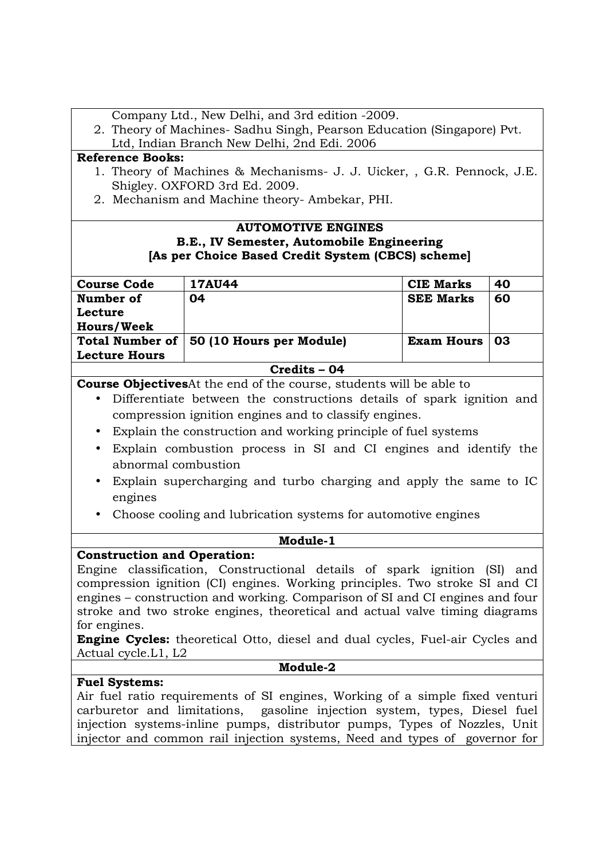|                                                                                     | Company Ltd., New Delhi, and 3rd edition -2009.                              |                   |    |
|-------------------------------------------------------------------------------------|------------------------------------------------------------------------------|-------------------|----|
|                                                                                     | 2. Theory of Machines- Sadhu Singh, Pearson Education (Singapore) Pvt.       |                   |    |
|                                                                                     | Ltd, Indian Branch New Delhi, 2nd Edi. 2006                                  |                   |    |
| <b>Reference Books:</b>                                                             |                                                                              |                   |    |
|                                                                                     | 1. Theory of Machines & Mechanisms- J. J. Uicker, , G.R. Pennock, J.E.       |                   |    |
|                                                                                     | Shigley. OXFORD 3rd Ed. 2009.                                                |                   |    |
|                                                                                     | 2. Mechanism and Machine theory-Ambekar, PHI.                                |                   |    |
|                                                                                     | <b>AUTOMOTIVE ENGINES</b>                                                    |                   |    |
|                                                                                     | B.E., IV Semester, Automobile Engineering                                    |                   |    |
|                                                                                     | [As per Choice Based Credit System (CBCS) scheme]                            |                   |    |
|                                                                                     |                                                                              |                   |    |
| <b>Course Code</b>                                                                  | <b>17AU44</b>                                                                | <b>CIE Marks</b>  | 40 |
| Number of                                                                           | 04                                                                           | <b>SEE Marks</b>  | 60 |
| Lecture                                                                             |                                                                              |                   |    |
| <b>Hours/Week</b>                                                                   |                                                                              |                   |    |
| <b>Total Number of</b>                                                              | 50 (10 Hours per Module)                                                     | <b>Exam Hours</b> | 03 |
| <b>Lecture Hours</b>                                                                |                                                                              |                   |    |
|                                                                                     | Credits - 04                                                                 |                   |    |
|                                                                                     | <b>Course Objectives</b> At the end of the course, students will be able to  |                   |    |
| $\bullet$                                                                           | Differentiate between the constructions details of spark ignition and        |                   |    |
|                                                                                     | compression ignition engines and to classify engines.                        |                   |    |
|                                                                                     | Explain the construction and working principle of fuel systems               |                   |    |
|                                                                                     | Explain combustion process in SI and CI engines and identify the             |                   |    |
| abnormal combustion                                                                 |                                                                              |                   |    |
|                                                                                     |                                                                              |                   |    |
| $\bullet$                                                                           | Explain supercharging and turbo charging and apply the same to IC            |                   |    |
| engines                                                                             |                                                                              |                   |    |
| Choose cooling and lubrication systems for automotive engines                       |                                                                              |                   |    |
| Module-1                                                                            |                                                                              |                   |    |
| <b>Construction and Operation:</b>                                                  |                                                                              |                   |    |
|                                                                                     | Engine classification, Constructional details of spark ignition (SI) and     |                   |    |
|                                                                                     | compression ignition (CI) engines. Working principles. Two stroke SI and CI  |                   |    |
|                                                                                     | engines – construction and working. Comparison of SI and CI engines and four |                   |    |
|                                                                                     | stroke and two stroke engines, theoretical and actual valve timing diagrams  |                   |    |
| for engines.                                                                        |                                                                              |                   |    |
| <b>Engine Cycles:</b> theoretical Otto, diesel and dual cycles, Fuel-air Cycles and |                                                                              |                   |    |
| Actual cycle.L1, L2                                                                 |                                                                              |                   |    |
|                                                                                     | Module-2                                                                     |                   |    |
| <b>Fuel Systems:</b>                                                                |                                                                              |                   |    |
|                                                                                     | Air fuel ratio requirements of SI engines, Working of a simple fixed venturi |                   |    |
|                                                                                     | carburetor and limitations, gasoline injection system, types, Diesel fuel    |                   |    |
|                                                                                     | injection systems-inline pumps, distributor pumps, Types of Nozzles, Unit    |                   |    |
|                                                                                     | injector and common rail injection systems, Need and types of governor for   |                   |    |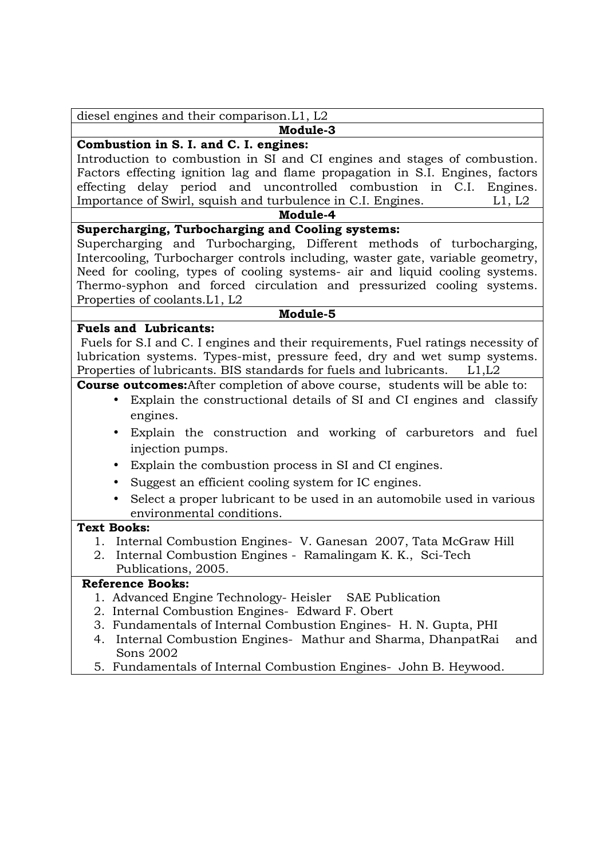| diesel engines and their comparison. L1, L2 |  |  |
|---------------------------------------------|--|--|
|---------------------------------------------|--|--|

# **Module-3**

## **Combustion in S. I. and C. I. engines:**

Introduction to combustion in SI and CI engines and stages of combustion. Factors effecting ignition lag and flame propagation in S.I. Engines, factors effecting delay period and uncontrolled combustion in C.I. Engines. Importance of Swirl, squish and turbulence in C.I. Engines. L1, L2

### **Module-4**

## **Supercharging, Turbocharging and Cooling systems:**

Supercharging and Turbocharging, Different methods of turbocharging, Intercooling, Turbocharger controls including, waster gate, variable geometry, Need for cooling, types of cooling systems- air and liquid cooling systems. Thermo-syphon and forced circulation and pressurized cooling systems. Properties of coolants.L1, L2

#### **Module-5**

### **Fuels and Lubricants:**

 Fuels for S.I and C. I engines and their requirements, Fuel ratings necessity of lubrication systems. Types-mist, pressure feed, dry and wet sump systems. Properties of lubricants. BIS standards for fuels and lubricants. L1,L2

**Course outcomes:**After completion of above course, students will be able to:

- Explain the constructional details of SI and CI engines and classify engines.
- Explain the construction and working of carburetors and fuel injection pumps.
- Explain the combustion process in SI and CI engines.
- Suggest an efficient cooling system for IC engines.
- Select a proper lubricant to be used in an automobile used in various environmental conditions.

#### **Text Books:**

- 1. Internal Combustion Engines- V. Ganesan 2007, Tata McGraw Hill
- 2. Internal Combustion Engines Ramalingam K. K., Sci-Tech Publications, 2005.

### **Reference Books:**

- 1. Advanced Engine Technology- Heisler SAE Publication
- 2. Internal Combustion Engines- Edward F. Obert
- 3. Fundamentals of Internal Combustion Engines- H. N. Gupta, PHI
- 4. Internal Combustion Engines- Mathur and Sharma, DhanpatRai and Sons 2002
- 5. Fundamentals of Internal Combustion Engines- John B. Heywood.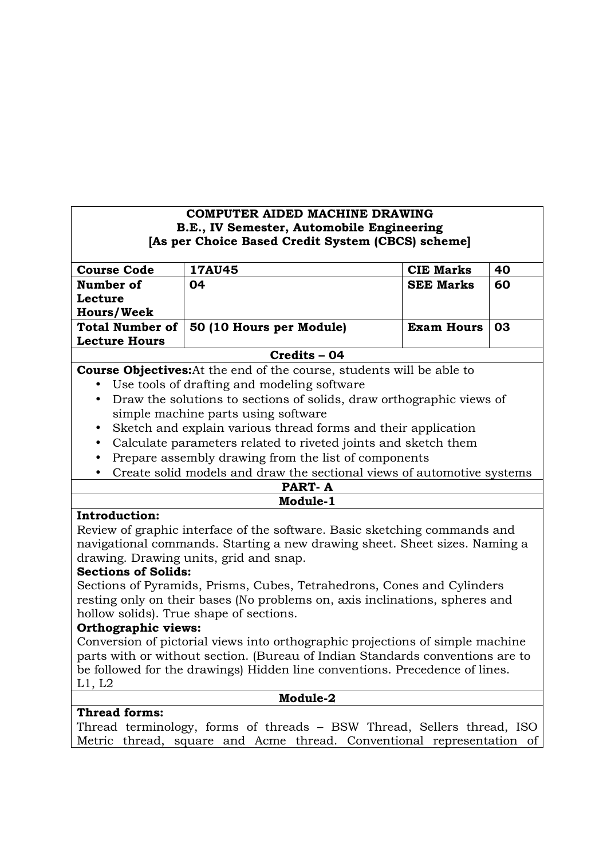### **COMPUTER AIDED MACHINE DRAWING B.E., IV Semester, Automobile Engineering [As per Choice Based Credit System (CBCS) scheme]**

| <b>Course Code</b>     | <b>17AU45</b>            | <b>CIE Marks</b>  | 40 |
|------------------------|--------------------------|-------------------|----|
| Number of              | 04                       | <b>SEE Marks</b>  | 60 |
| Lecture                |                          |                   |    |
| <b>Hours/Week</b>      |                          |                   |    |
| <b>Total Number of</b> | 50 (10 Hours per Module) | <b>Exam Hours</b> | 03 |
| <b>Lecture Hours</b>   |                          |                   |    |
|                        | Credits - 04             |                   |    |

**Course Objectives:**At the end of the course, students will be able to

- Use tools of drafting and modeling software
- Draw the solutions to sections of solids, draw orthographic views of simple machine parts using software
- Sketch and explain various thread forms and their application
- Calculate parameters related to riveted joints and sketch them
- Prepare assembly drawing from the list of components
- Create solid models and draw the sectional views of automotive systems

| PART-    |  |
|----------|--|
| Module-1 |  |

### **Introduction:**

Review of graphic interface of the software. Basic sketching commands and navigational commands. Starting a new drawing sheet. Sheet sizes. Naming a drawing. Drawing units, grid and snap.

#### **Sections of Solids:**

Sections of Pyramids, Prisms, Cubes, Tetrahedrons, Cones and Cylinders resting only on their bases (No problems on, axis inclinations, spheres and hollow solids). True shape of sections.

### **Orthographic views:**

Conversion of pictorial views into orthographic projections of simple machine parts with or without section. (Bureau of Indian Standards conventions are to be followed for the drawings) Hidden line conventions. Precedence of lines. L1, L2

**Module-2** 

### **Thread forms:**

Thread terminology, forms of threads – BSW Thread, Sellers thread, ISO Metric thread, square and Acme thread. Conventional representation of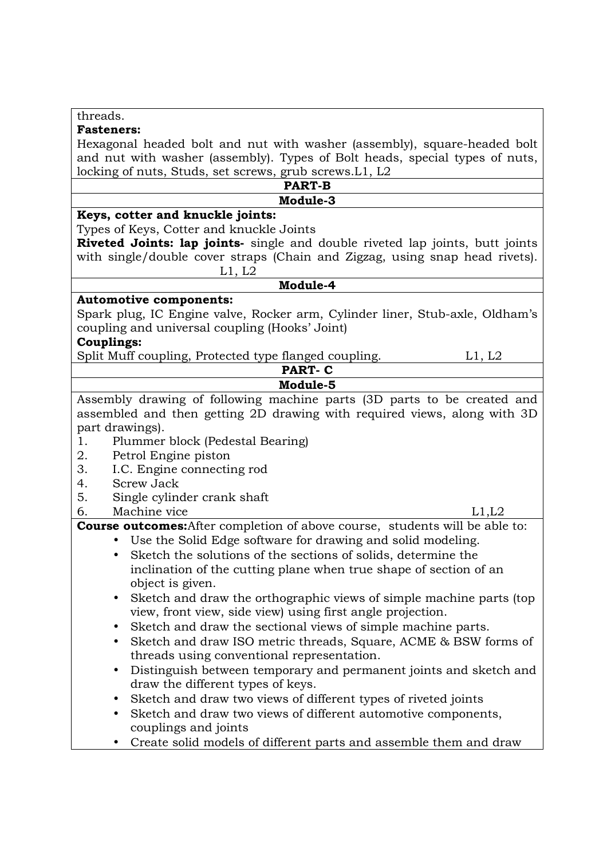| threads.                                                                              |
|---------------------------------------------------------------------------------------|
| <b>Fasteners:</b>                                                                     |
| Hexagonal headed bolt and nut with washer (assembly), square-headed bolt              |
| and nut with washer (assembly). Types of Bolt heads, special types of nuts,           |
| locking of nuts, Studs, set screws, grub screws. L1, L2                               |
| <b>PART-B</b>                                                                         |
| Module-3                                                                              |
| Keys, cotter and knuckle joints:                                                      |
| Types of Keys, Cotter and knuckle Joints                                              |
| <b>Riveted Joints: lap joints-</b> single and double riveted lap joints, butt joints  |
| with single/double cover straps (Chain and Zigzag, using snap head rivets).<br>L1, L2 |
| Module-4                                                                              |
| <b>Automotive components:</b>                                                         |
| Spark plug, IC Engine valve, Rocker arm, Cylinder liner, Stub-axle, Oldham's          |
| coupling and universal coupling (Hooks' Joint)                                        |
| <b>Couplings:</b>                                                                     |
| Split Muff coupling, Protected type flanged coupling.<br>L1, L2                       |
| <b>PART-C</b>                                                                         |
| Module-5                                                                              |
| Assembly drawing of following machine parts (3D parts to be created and               |
| assembled and then getting 2D drawing with required views, along with 3D              |
| part drawings).                                                                       |
| 1.<br>Plummer block (Pedestal Bearing)                                                |
| Petrol Engine piston<br>2.                                                            |
| 3.<br>I.C. Engine connecting rod                                                      |
| <b>Screw Jack</b><br>4.                                                               |
| 5.<br>Single cylinder crank shaft                                                     |
| Machine vice<br>6.<br>L1,L2                                                           |
| <b>Course outcomes:</b> After completion of above course, students will be able to:   |
| Use the Solid Edge software for drawing and solid modeling.                           |
| Sketch the solutions of the sections of solids, determine the<br>$\bullet$            |
| inclination of the cutting plane when true shape of section of an                     |
| object is given.                                                                      |
| Sketch and draw the orthographic views of simple machine parts (top)<br>$\bullet$     |
| view, front view, side view) using first angle projection.                            |
| Sketch and draw the sectional views of simple machine parts.                          |
| Sketch and draw ISO metric threads, Square, ACME & BSW forms of<br>$\bullet$          |
| threads using conventional representation.                                            |
| Distinguish between temporary and permanent joints and sketch and<br>$\bullet$        |
| draw the different types of keys.                                                     |
| Sketch and draw two views of different types of riveted joints<br>$\bullet$           |
| Sketch and draw two views of different automotive components,<br>$\bullet$            |
| couplings and joints                                                                  |
| Create solid models of different parts and assemble them and draw                     |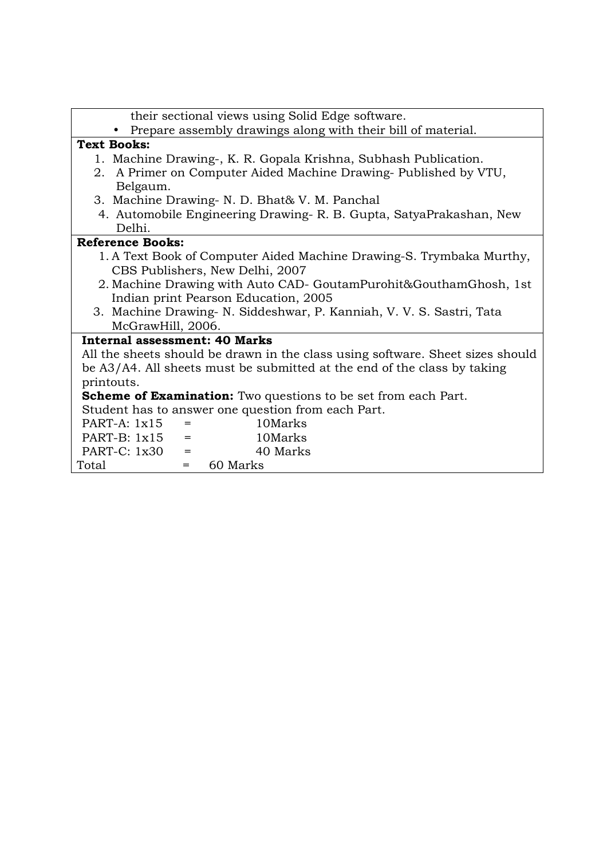| • Prepare assembly drawings along with their bill of material.<br><b>Text Books:</b><br>1. Machine Drawing-, K. R. Gopala Krishna, Subhash Publication.<br>2. A Primer on Computer Aided Machine Drawing-Published by VTU,<br>Belgaum.<br>3. Machine Drawing- N. D. Bhat& V. M. Panchal<br>4. Automobile Engineering Drawing-R. B. Gupta, SatyaPrakashan, New<br>Delhi.<br><b>Reference Books:</b><br>1. A Text Book of Computer Aided Machine Drawing-S. Trymbaka Murthy,<br>CBS Publishers, New Delhi, 2007<br>2. Machine Drawing with Auto CAD- GoutamPurohit&GouthamGhosh, 1st<br>Indian print Pearson Education, 2005<br>3. Machine Drawing- N. Siddeshwar, P. Kanniah, V. V. S. Sastri, Tata<br>McGrawHill, 2006.<br><b>Internal assessment: 40 Marks</b><br>All the sheets should be drawn in the class using software. Sheet sizes should<br>be A3/A4. All sheets must be submitted at the end of the class by taking<br>printouts.<br><b>Scheme of Examination:</b> Two questions to be set from each Part.<br>Student has to answer one question from each Part.<br>$PART-A: 1x15$<br>10Marks<br>$=$<br>$PART-B: 1x15$<br>10Marks<br>$=$ | their sectional views using Solid Edge software. |
|----------------------------------------------------------------------------------------------------------------------------------------------------------------------------------------------------------------------------------------------------------------------------------------------------------------------------------------------------------------------------------------------------------------------------------------------------------------------------------------------------------------------------------------------------------------------------------------------------------------------------------------------------------------------------------------------------------------------------------------------------------------------------------------------------------------------------------------------------------------------------------------------------------------------------------------------------------------------------------------------------------------------------------------------------------------------------------------------------------------------------------------------------|--------------------------------------------------|
|                                                                                                                                                                                                                                                                                                                                                                                                                                                                                                                                                                                                                                                                                                                                                                                                                                                                                                                                                                                                                                                                                                                                                    |                                                  |
|                                                                                                                                                                                                                                                                                                                                                                                                                                                                                                                                                                                                                                                                                                                                                                                                                                                                                                                                                                                                                                                                                                                                                    |                                                  |
|                                                                                                                                                                                                                                                                                                                                                                                                                                                                                                                                                                                                                                                                                                                                                                                                                                                                                                                                                                                                                                                                                                                                                    |                                                  |
|                                                                                                                                                                                                                                                                                                                                                                                                                                                                                                                                                                                                                                                                                                                                                                                                                                                                                                                                                                                                                                                                                                                                                    |                                                  |
|                                                                                                                                                                                                                                                                                                                                                                                                                                                                                                                                                                                                                                                                                                                                                                                                                                                                                                                                                                                                                                                                                                                                                    |                                                  |
|                                                                                                                                                                                                                                                                                                                                                                                                                                                                                                                                                                                                                                                                                                                                                                                                                                                                                                                                                                                                                                                                                                                                                    |                                                  |
|                                                                                                                                                                                                                                                                                                                                                                                                                                                                                                                                                                                                                                                                                                                                                                                                                                                                                                                                                                                                                                                                                                                                                    |                                                  |
|                                                                                                                                                                                                                                                                                                                                                                                                                                                                                                                                                                                                                                                                                                                                                                                                                                                                                                                                                                                                                                                                                                                                                    |                                                  |
|                                                                                                                                                                                                                                                                                                                                                                                                                                                                                                                                                                                                                                                                                                                                                                                                                                                                                                                                                                                                                                                                                                                                                    |                                                  |
|                                                                                                                                                                                                                                                                                                                                                                                                                                                                                                                                                                                                                                                                                                                                                                                                                                                                                                                                                                                                                                                                                                                                                    |                                                  |
|                                                                                                                                                                                                                                                                                                                                                                                                                                                                                                                                                                                                                                                                                                                                                                                                                                                                                                                                                                                                                                                                                                                                                    |                                                  |
|                                                                                                                                                                                                                                                                                                                                                                                                                                                                                                                                                                                                                                                                                                                                                                                                                                                                                                                                                                                                                                                                                                                                                    |                                                  |
|                                                                                                                                                                                                                                                                                                                                                                                                                                                                                                                                                                                                                                                                                                                                                                                                                                                                                                                                                                                                                                                                                                                                                    |                                                  |
|                                                                                                                                                                                                                                                                                                                                                                                                                                                                                                                                                                                                                                                                                                                                                                                                                                                                                                                                                                                                                                                                                                                                                    |                                                  |
|                                                                                                                                                                                                                                                                                                                                                                                                                                                                                                                                                                                                                                                                                                                                                                                                                                                                                                                                                                                                                                                                                                                                                    |                                                  |
|                                                                                                                                                                                                                                                                                                                                                                                                                                                                                                                                                                                                                                                                                                                                                                                                                                                                                                                                                                                                                                                                                                                                                    |                                                  |
|                                                                                                                                                                                                                                                                                                                                                                                                                                                                                                                                                                                                                                                                                                                                                                                                                                                                                                                                                                                                                                                                                                                                                    |                                                  |
|                                                                                                                                                                                                                                                                                                                                                                                                                                                                                                                                                                                                                                                                                                                                                                                                                                                                                                                                                                                                                                                                                                                                                    |                                                  |
|                                                                                                                                                                                                                                                                                                                                                                                                                                                                                                                                                                                                                                                                                                                                                                                                                                                                                                                                                                                                                                                                                                                                                    |                                                  |
|                                                                                                                                                                                                                                                                                                                                                                                                                                                                                                                                                                                                                                                                                                                                                                                                                                                                                                                                                                                                                                                                                                                                                    |                                                  |
|                                                                                                                                                                                                                                                                                                                                                                                                                                                                                                                                                                                                                                                                                                                                                                                                                                                                                                                                                                                                                                                                                                                                                    |                                                  |
|                                                                                                                                                                                                                                                                                                                                                                                                                                                                                                                                                                                                                                                                                                                                                                                                                                                                                                                                                                                                                                                                                                                                                    |                                                  |
|                                                                                                                                                                                                                                                                                                                                                                                                                                                                                                                                                                                                                                                                                                                                                                                                                                                                                                                                                                                                                                                                                                                                                    |                                                  |
|                                                                                                                                                                                                                                                                                                                                                                                                                                                                                                                                                                                                                                                                                                                                                                                                                                                                                                                                                                                                                                                                                                                                                    | PART-C: 1x30<br>40 Marks<br>$=$                  |
| 60 Marks<br>Total<br>$=$                                                                                                                                                                                                                                                                                                                                                                                                                                                                                                                                                                                                                                                                                                                                                                                                                                                                                                                                                                                                                                                                                                                           |                                                  |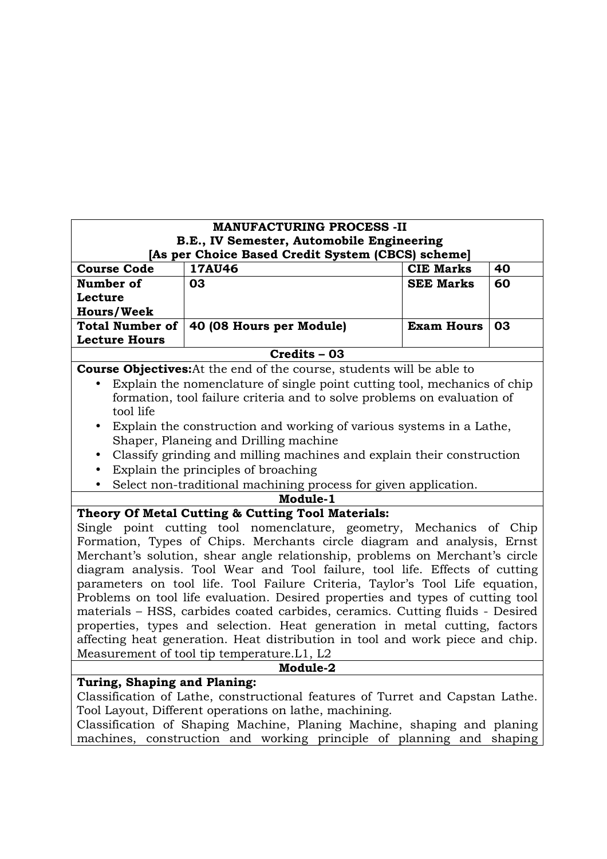|                                                                                                                                                                                                                                   | <b>MANUFACTURING PROCESS -II</b>                                               |                   |    |  |
|-----------------------------------------------------------------------------------------------------------------------------------------------------------------------------------------------------------------------------------|--------------------------------------------------------------------------------|-------------------|----|--|
| B.E., IV Semester, Automobile Engineering                                                                                                                                                                                         |                                                                                |                   |    |  |
|                                                                                                                                                                                                                                   | [As per Choice Based Credit System (CBCS) scheme]                              |                   |    |  |
| <b>Course Code</b>                                                                                                                                                                                                                | <b>17AU46</b>                                                                  | <b>CIE Marks</b>  | 40 |  |
| Number of                                                                                                                                                                                                                         | 03                                                                             | <b>SEE Marks</b>  | 60 |  |
| Lecture                                                                                                                                                                                                                           |                                                                                |                   |    |  |
| <b>Hours/Week</b>                                                                                                                                                                                                                 |                                                                                |                   |    |  |
| <b>Total Number of</b>                                                                                                                                                                                                            | 40 (08 Hours per Module)                                                       | <b>Exam Hours</b> | 03 |  |
| <b>Lecture Hours</b>                                                                                                                                                                                                              |                                                                                |                   |    |  |
|                                                                                                                                                                                                                                   | Credits - 03                                                                   |                   |    |  |
|                                                                                                                                                                                                                                   | <b>Course Objectives:</b> At the end of the course, students will be able to   |                   |    |  |
|                                                                                                                                                                                                                                   | Explain the nomenclature of single point cutting tool, mechanics of chip       |                   |    |  |
| formation, tool failure criteria and to solve problems on evaluation of<br>tool life                                                                                                                                              |                                                                                |                   |    |  |
| $\bullet$                                                                                                                                                                                                                         | Explain the construction and working of various systems in a Lathe,            |                   |    |  |
| Shaper, Planeing and Drilling machine                                                                                                                                                                                             |                                                                                |                   |    |  |
| $\bullet$                                                                                                                                                                                                                         | Classify grinding and milling machines and explain their construction          |                   |    |  |
| $\bullet$                                                                                                                                                                                                                         | Explain the principles of broaching                                            |                   |    |  |
|                                                                                                                                                                                                                                   | Select non-traditional machining process for given application.                |                   |    |  |
|                                                                                                                                                                                                                                   | Module-1                                                                       |                   |    |  |
|                                                                                                                                                                                                                                   | Theory Of Metal Cutting & Cutting Tool Materials:                              |                   |    |  |
|                                                                                                                                                                                                                                   | Single point cutting tool nomenclature, geometry, Mechanics of Chip            |                   |    |  |
| Formation, Types of Chips. Merchants circle diagram and analysis, Ernst                                                                                                                                                           |                                                                                |                   |    |  |
|                                                                                                                                                                                                                                   | Merchant's solution, shear angle relationship, problems on Merchant's circle   |                   |    |  |
|                                                                                                                                                                                                                                   | diagram analysis. Tool Wear and Tool failure, tool life. Effects of cutting    |                   |    |  |
|                                                                                                                                                                                                                                   | parameters on tool life. Tool Failure Criteria, Taylor's Tool Life equation,   |                   |    |  |
|                                                                                                                                                                                                                                   | Problems on tool life evaluation. Desired properties and types of cutting tool |                   |    |  |
|                                                                                                                                                                                                                                   | materials - HSS, carbides coated carbides, ceramics. Cutting fluids - Desired  |                   |    |  |
|                                                                                                                                                                                                                                   | properties, types and selection. Heat generation in metal cutting, factors     |                   |    |  |
|                                                                                                                                                                                                                                   | affecting heat generation. Heat distribution in tool and work piece and chip.  |                   |    |  |
|                                                                                                                                                                                                                                   | Measurement of tool tip temperature. L1, L2                                    |                   |    |  |
|                                                                                                                                                                                                                                   | Module-2                                                                       |                   |    |  |
| Turing, Shaping and Planing:                                                                                                                                                                                                      |                                                                                |                   |    |  |
| Classification of Lathe, constructional features of Turret and Capstan Lathe.                                                                                                                                                     |                                                                                |                   |    |  |
| Tool Layout, Different operations on lathe, machining.<br>$\mathbf{r}$ and $\mathbf{r}$ and $\mathbf{r}$ and $\mathbf{r}$ and $\mathbf{r}$ and $\mathbf{r}$ and $\mathbf{r}$ and $\mathbf{r}$<br>$-1$ , $-1$ , $-1$ , $-1$ , $-1$ |                                                                                |                   |    |  |

Classification of Shaping Machine, Planing Machine, shaping and planing machines, construction and working principle of planning and shaping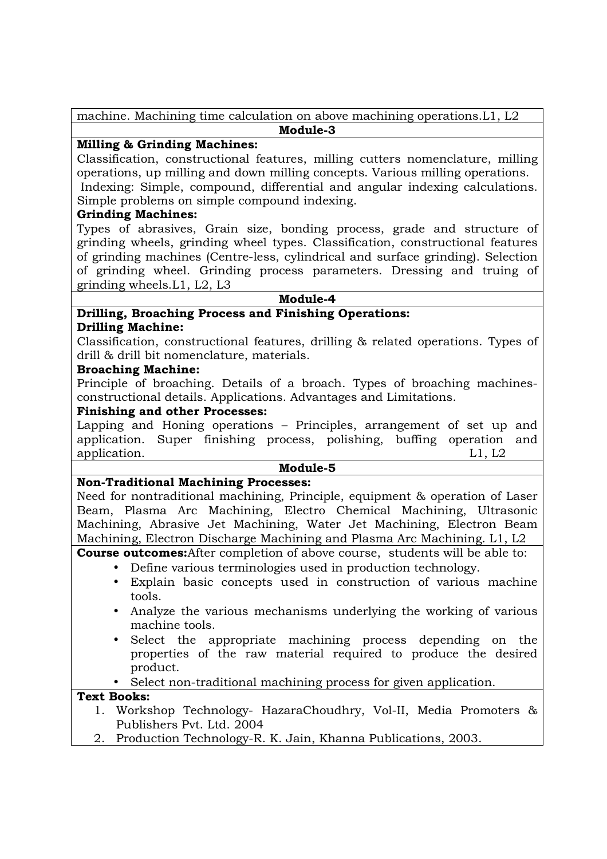machine. Machining time calculation on above machining operations.L1, L2 **Module-3** 

## **Milling & Grinding Machines:**

Classification, constructional features, milling cutters nomenclature, milling operations, up milling and down milling concepts. Various milling operations. Indexing: Simple, compound, differential and angular indexing calculations.

Simple problems on simple compound indexing.

## **Grinding Machines:**

Types of abrasives, Grain size, bonding process, grade and structure of grinding wheels, grinding wheel types. Classification, constructional features of grinding machines (Centre-less, cylindrical and surface grinding). Selection of grinding wheel. Grinding process parameters. Dressing and truing of grinding wheels.L1, L2, L3

**Module-4** 

# **Drilling, Broaching Process and Finishing Operations:**

### **Drilling Machine:**

Classification, constructional features, drilling & related operations. Types of drill & drill bit nomenclature, materials.

### **Broaching Machine:**

Principle of broaching. Details of a broach. Types of broaching machinesconstructional details. Applications. Advantages and Limitations.

### **Finishing and other Processes:**

Lapping and Honing operations – Principles, arrangement of set up and application. Super finishing process, polishing, buffing operation and application. L1, L2

## **Module-5**

### **Non-Traditional Machining Processes:**

Need for nontraditional machining, Principle, equipment & operation of Laser Beam, Plasma Arc Machining, Electro Chemical Machining, Ultrasonic Machining, Abrasive Jet Machining, Water Jet Machining, Electron Beam Machining, Electron Discharge Machining and Plasma Arc Machining. L1, L2

**Course outcomes:**After completion of above course, students will be able to:

- Define various terminologies used in production technology.
	- Explain basic concepts used in construction of various machine tools.
	- Analyze the various mechanisms underlying the working of various machine tools.
	- Select the appropriate machining process depending on the properties of the raw material required to produce the desired product.
	- Select non-traditional machining process for given application.

### **Text Books:**

- 1. Workshop Technology- HazaraChoudhry, Vol-II, Media Promoters & Publishers Pvt. Ltd. 2004
- 2. Production Technology-R. K. Jain, Khanna Publications, 2003.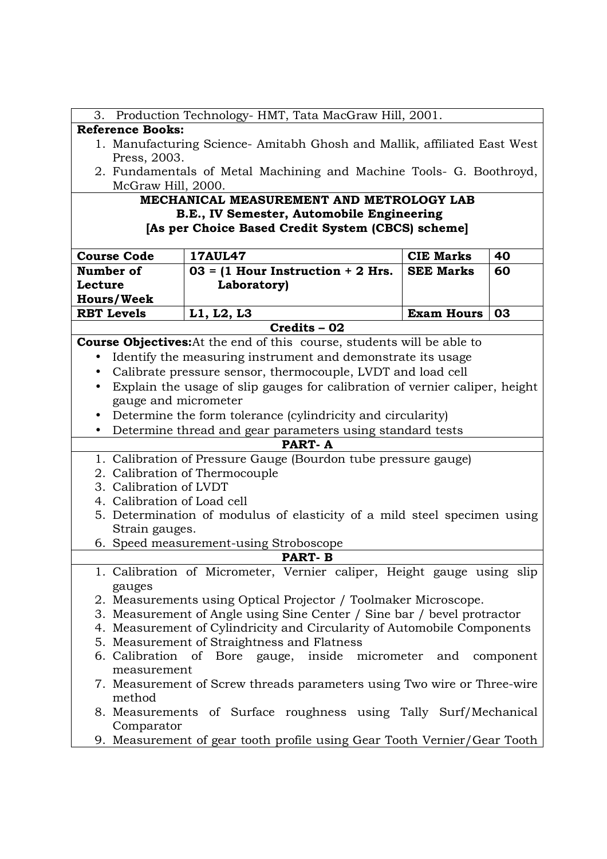| 3. Production Technology- HMT, Tata MacGraw Hill, 2001. |                                                                               |                   |    |
|---------------------------------------------------------|-------------------------------------------------------------------------------|-------------------|----|
|                                                         |                                                                               |                   |    |
| <b>Reference Books:</b>                                 |                                                                               |                   |    |
|                                                         | 1. Manufacturing Science- Amitabh Ghosh and Mallik, affiliated East West      |                   |    |
| Press, 2003.                                            |                                                                               |                   |    |
|                                                         | 2. Fundamentals of Metal Machining and Machine Tools- G. Boothroyd,           |                   |    |
| McGraw Hill, 2000.                                      |                                                                               |                   |    |
|                                                         | MECHANICAL MEASUREMENT AND METROLOGY LAB                                      |                   |    |
|                                                         | B.E., IV Semester, Automobile Engineering                                     |                   |    |
|                                                         | [As per Choice Based Credit System (CBCS) scheme]                             |                   |    |
| <b>Course Code</b>                                      | <b>17AUL47</b>                                                                | <b>CIE Marks</b>  | 40 |
| Number of                                               | $03 = (1$ Hour Instruction + 2 Hrs.                                           | <b>SEE Marks</b>  | 60 |
| Lecture                                                 | Laboratory)                                                                   |                   |    |
| <b>Hours/Week</b>                                       |                                                                               |                   |    |
| <b>RBT Levels</b>                                       | L1, L2, L3                                                                    | <b>Exam Hours</b> | 03 |
|                                                         | Credits - 02                                                                  |                   |    |
|                                                         | <b>Course Objectives:</b> At the end of this course, students will be able to |                   |    |
|                                                         | Identify the measuring instrument and demonstrate its usage                   |                   |    |
| ٠                                                       |                                                                               |                   |    |
|                                                         | Calibrate pressure sensor, thermocouple, LVDT and load cell                   |                   |    |
|                                                         | Explain the usage of slip gauges for calibration of vernier caliper, height   |                   |    |
|                                                         | gauge and micrometer                                                          |                   |    |
|                                                         | Determine the form tolerance (cylindricity and circularity)                   |                   |    |
|                                                         | Determine thread and gear parameters using standard tests                     |                   |    |
|                                                         | PART-A                                                                        |                   |    |
|                                                         | 1. Calibration of Pressure Gauge (Bourdon tube pressure gauge)                |                   |    |
|                                                         | 2. Calibration of Thermocouple                                                |                   |    |
| 3. Calibration of LVDT                                  |                                                                               |                   |    |
| 4. Calibration of Load cell                             |                                                                               |                   |    |
|                                                         | 5. Determination of modulus of elasticity of a mild steel specimen using      |                   |    |
| Strain gauges.                                          |                                                                               |                   |    |
|                                                         | 6. Speed measurement-using Stroboscope                                        |                   |    |
|                                                         | <b>PART-B</b>                                                                 |                   |    |
|                                                         | 1. Calibration of Micrometer, Vernier caliper, Height gauge using slip        |                   |    |
| gauges                                                  |                                                                               |                   |    |
|                                                         | 2. Measurements using Optical Projector / Toolmaker Microscope.               |                   |    |
|                                                         | 3. Measurement of Angle using Sine Center / Sine bar / bevel protractor       |                   |    |
|                                                         | 4. Measurement of Cylindricity and Circularity of Automobile Components       |                   |    |
|                                                         | 5. Measurement of Straightness and Flatness                                   |                   |    |
|                                                         | 6. Calibration of Bore gauge, inside micrometer and component                 |                   |    |
| measurement                                             |                                                                               |                   |    |
|                                                         | 7. Measurement of Screw threads parameters using Two wire or Three-wire       |                   |    |
| method                                                  |                                                                               |                   |    |
|                                                         | 8. Measurements of Surface roughness using Tally Surf/Mechanical              |                   |    |
| Comparator                                              |                                                                               |                   |    |
|                                                         | 9. Measurement of gear tooth profile using Gear Tooth Vernier/Gear Tooth      |                   |    |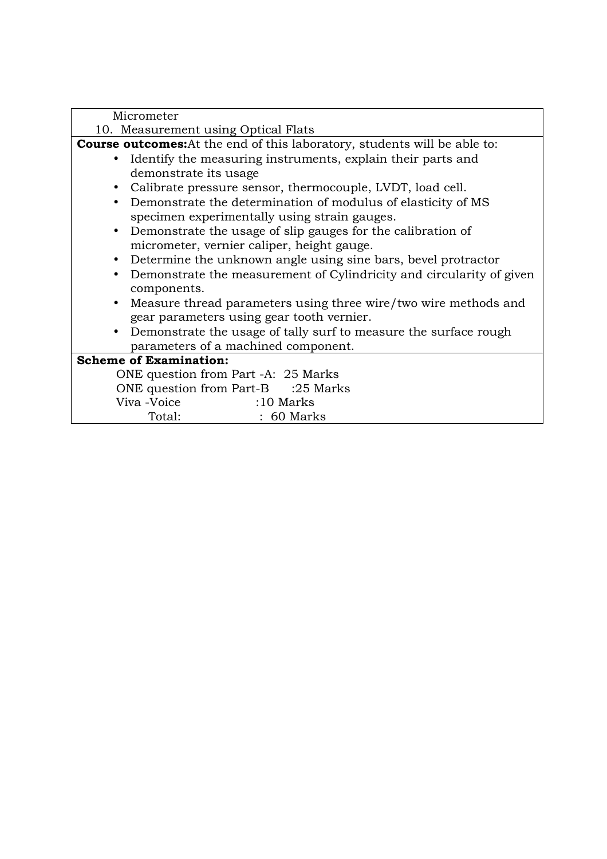| Micrometer                                                                       |
|----------------------------------------------------------------------------------|
| 10. Measurement using Optical Flats                                              |
| <b>Course outcomes:</b> At the end of this laboratory, students will be able to: |
| • Identify the measuring instruments, explain their parts and                    |
| demonstrate its usage                                                            |
| • Calibrate pressure sensor, thermocouple, LVDT, load cell.                      |
| • Demonstrate the determination of modulus of elasticity of MS                   |
| specimen experimentally using strain gauges.                                     |
| • Demonstrate the usage of slip gauges for the calibration of                    |
| micrometer, vernier caliper, height gauge.                                       |
| • Determine the unknown angle using sine bars, bevel protractor                  |
| • Demonstrate the measurement of Cylindricity and circularity of given           |
| components.                                                                      |
| Measure thread parameters using three wire/two wire methods and                  |
| gear parameters using gear tooth vernier.                                        |
| • Demonstrate the usage of tally surf to measure the surface rough               |
| parameters of a machined component.                                              |
| <b>Scheme of Examination:</b>                                                    |
| ONE question from Part -A: 25 Marks                                              |
| ONE question from Part-B :25 Marks                                               |
| Viva -Voice<br>$:10$ Marks                                                       |
| Total:<br>$: 60$ Marks                                                           |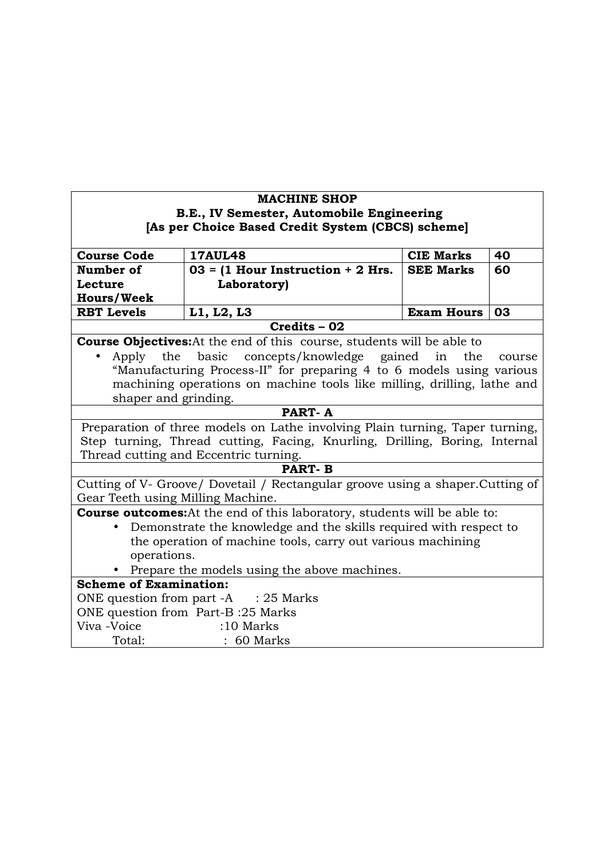| <b>MACHINE SHOP</b>                                                          |                                                                                  |                   |        |  |
|------------------------------------------------------------------------------|----------------------------------------------------------------------------------|-------------------|--------|--|
|                                                                              | B.E., IV Semester, Automobile Engineering                                        |                   |        |  |
|                                                                              | [As per Choice Based Credit System (CBCS) scheme]                                |                   |        |  |
|                                                                              |                                                                                  |                   |        |  |
| <b>Course Code</b>                                                           | <b>17AUL48</b>                                                                   | <b>CIE Marks</b>  | 40     |  |
| Number of                                                                    | $03 = (1$ Hour Instruction + 2 Hrs.                                              | <b>SEE Marks</b>  | 60     |  |
| Lecture                                                                      | Laboratory)                                                                      |                   |        |  |
| <b>Hours/Week</b>                                                            |                                                                                  |                   |        |  |
| <b>RBT Levels</b>                                                            | L1, L2, L3                                                                       | <b>Exam Hours</b> | 03     |  |
|                                                                              | Credits - 02                                                                     |                   |        |  |
|                                                                              | <b>Course Objectives:</b> At the end of this course, students will be able to    |                   |        |  |
| the<br>Apply                                                                 | basic<br>concepts/knowledge gained                                               | in<br>the         | course |  |
|                                                                              | "Manufacturing Process-II" for preparing 4 to 6 models using various             |                   |        |  |
|                                                                              | machining operations on machine tools like milling, drilling, lathe and          |                   |        |  |
| shaper and grinding.                                                         |                                                                                  |                   |        |  |
|                                                                              | <b>PART-A</b>                                                                    |                   |        |  |
| Preparation of three models on Lathe involving Plain turning, Taper turning, |                                                                                  |                   |        |  |
|                                                                              | Step turning, Thread cutting, Facing, Knurling, Drilling, Boring, Internal       |                   |        |  |
|                                                                              | Thread cutting and Eccentric turning.                                            |                   |        |  |
|                                                                              | <b>PART-B</b>                                                                    |                   |        |  |
|                                                                              | Cutting of V- Groove/ Dovetail / Rectangular groove using a shaper. Cutting of   |                   |        |  |
| Gear Teeth using Milling Machine.                                            |                                                                                  |                   |        |  |
|                                                                              | <b>Course outcomes:</b> At the end of this laboratory, students will be able to: |                   |        |  |
| Demonstrate the knowledge and the skills required with respect to            |                                                                                  |                   |        |  |
| the operation of machine tools, carry out various machining                  |                                                                                  |                   |        |  |
| operations.                                                                  |                                                                                  |                   |        |  |
|                                                                              | Prepare the models using the above machines.                                     |                   |        |  |
| <b>Scheme of Examination:</b>                                                |                                                                                  |                   |        |  |
|                                                                              | ONE question from part $-A$ : 25 Marks                                           |                   |        |  |
| ONE question from Part-B:25 Marks                                            |                                                                                  |                   |        |  |
| Viva -Voice                                                                  | $:10$ Marks                                                                      |                   |        |  |
| Total:                                                                       | $: 60$ Marks                                                                     |                   |        |  |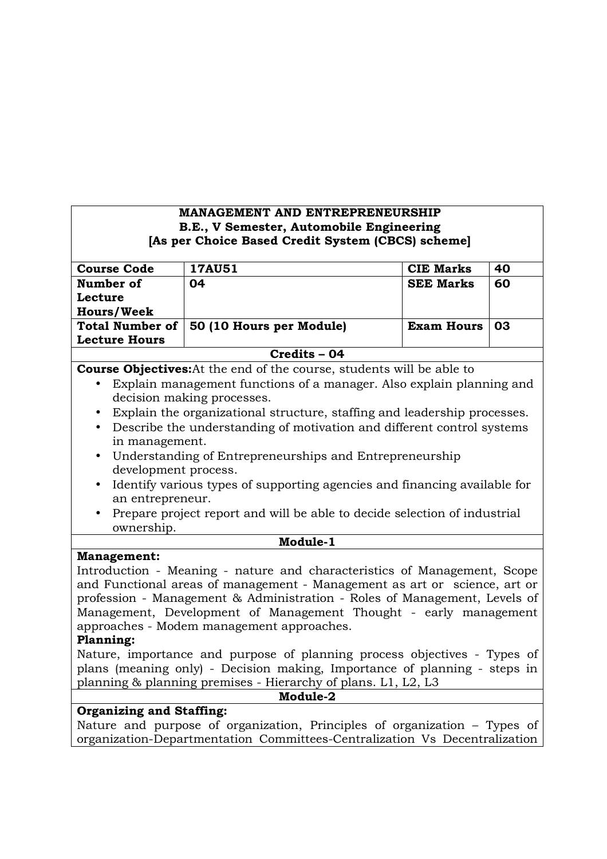### **MANAGEMENT AND ENTREPRENEURSHIP B.E., V Semester, Automobile Engineering [As per Choice Based Credit System (CBCS) scheme]**

| <b>Course Code</b>                                                                  | <b>17AU51</b>                                                            | <b>CIE Marks</b>  | 40 |
|-------------------------------------------------------------------------------------|--------------------------------------------------------------------------|-------------------|----|
| Number of                                                                           | 04                                                                       | <b>SEE Marks</b>  | 60 |
| Lecture                                                                             |                                                                          |                   |    |
| <b>Hours/Week</b>                                                                   |                                                                          |                   |    |
| <b>Total Number of</b>                                                              | 50 (10 Hours per Module)                                                 | <b>Exam Hours</b> | 03 |
| <b>Lecture Hours</b>                                                                |                                                                          |                   |    |
| Credits - 04                                                                        |                                                                          |                   |    |
| <b>Course Objectives:</b> At the end of the course, students will be able to        |                                                                          |                   |    |
| Explain management functions of a manager. Also explain planning and<br>$\bullet$   |                                                                          |                   |    |
|                                                                                     | decision making processes.                                               |                   |    |
|                                                                                     | Explain the organizational structure, staffing and leadership processes. |                   |    |
| Describe the understanding of motivation and different control systems<br>$\bullet$ |                                                                          |                   |    |
| in management.                                                                      |                                                                          |                   |    |
| $\bullet$                                                                           | Understanding of Entrepreneurships and Entrepreneurship                  |                   |    |
| development process.                                                                |                                                                          |                   |    |
|                                                                                     | Identify various types of supporting egencies and financing evolable for |                   |    |

- Identify various types of supporting agencies and financing available for an entrepreneur.
- Prepare project report and will be able to decide selection of industrial ownership.

**Module-1** 

#### **Management:**

Introduction - Meaning - nature and characteristics of Management, Scope and Functional areas of management - Management as art or science, art or profession - Management & Administration - Roles of Management, Levels of Management, Development of Management Thought - early management approaches - Modem management approaches.

### **Planning:**

Nature, importance and purpose of planning process objectives - Types of plans (meaning only) - Decision making, Importance of planning - steps in planning & planning premises - Hierarchy of plans. L1, L2, L3

**Module-2** 

## **Organizing and Staffing:**

Nature and purpose of organization, Principles of organization – Types of organization-Departmentation Committees-Centralization Vs Decentralization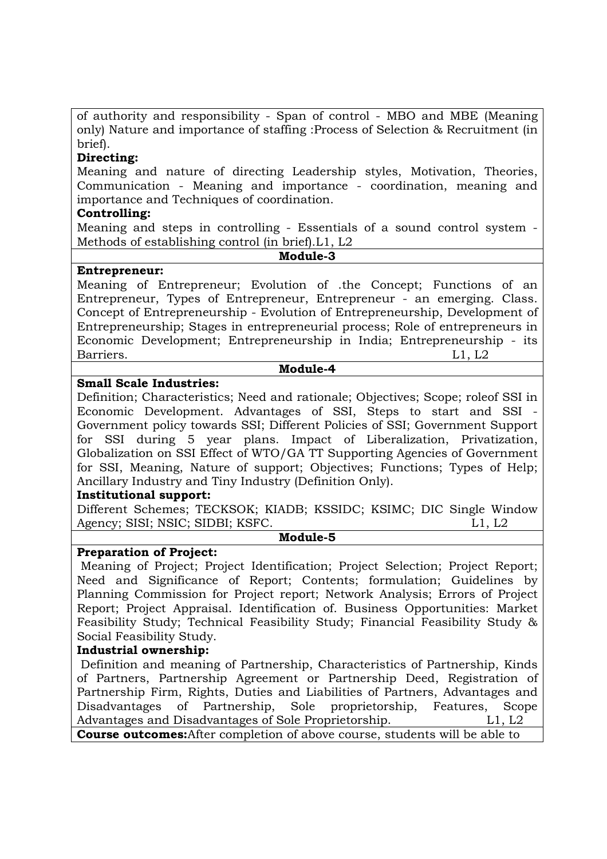of authority and responsibility - Span of control - MBO and MBE (Meaning only) Nature and importance of staffing :Process of Selection & Recruitment (in brief).

## **Directing:**

Meaning and nature of directing Leadership styles, Motivation, Theories, Communication - Meaning and importance - coordination, meaning and importance and Techniques of coordination.

## **Controlling:**

Meaning and steps in controlling - Essentials of a sound control system - Methods of establishing control (in brief).L1, L2

#### **Module-3**

### **Entrepreneur:**

Meaning of Entrepreneur; Evolution of .the Concept; Functions of an Entrepreneur, Types of Entrepreneur, Entrepreneur - an emerging. Class. Concept of Entrepreneurship - Evolution of Entrepreneurship, Development of Entrepreneurship; Stages in entrepreneurial process; Role of entrepreneurs in Economic Development; Entrepreneurship in India; Entrepreneurship - its Barriers. L1, L2

#### **Module-4**

## **Small Scale Industries:**

Definition; Characteristics; Need and rationale; Objectives; Scope; roleof SSI in Economic Development. Advantages of SSI, Steps to start and SSI Government policy towards SSI; Different Policies of SSI; Government Support for SSI during 5 year plans. Impact of Liberalization, Privatization, Globalization on SSI Effect of WTO/GA TT Supporting Agencies of Government for SSI, Meaning, Nature of support; Objectives; Functions; Types of Help; Ancillary Industry and Tiny Industry (Definition Only).

### **Institutional support:**

Different Schemes; TECKSOK; KIADB; KSSIDC; KSIMC; DIC Single Window Agency; SISI; NSIC; SIDBI; KSFC. L1, L2

#### **Module-5**

## **Preparation of Project:**

 Meaning of Project; Project Identification; Project Selection; Project Report; Need and Significance of Report; Contents; formulation; Guidelines by Planning Commission for Project report; Network Analysis; Errors of Project Report; Project Appraisal. Identification of. Business Opportunities: Market Feasibility Study; Technical Feasibility Study; Financial Feasibility Study & Social Feasibility Study.

### **Industrial ownership:**

 Definition and meaning of Partnership, Characteristics of Partnership, Kinds of Partners, Partnership Agreement or Partnership Deed, Registration of Partnership Firm, Rights, Duties and Liabilities of Partners, Advantages and Disadvantages of Partnership, Sole proprietorship, Features, Scope Advantages and Disadvantages of Sole Proprietorship. L1, L2

**Course outcomes:**After completion of above course, students will be able to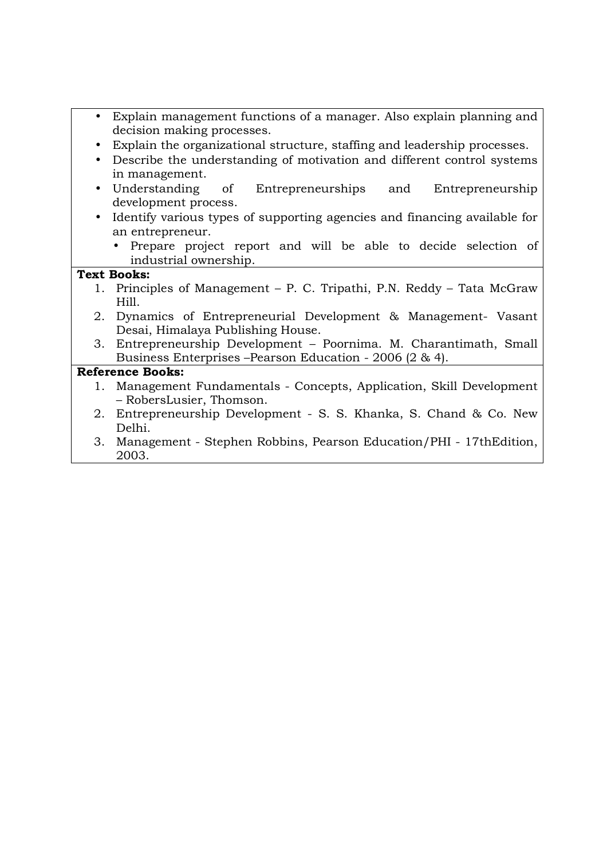- Explain management functions of a manager. Also explain planning and decision making processes.
- Explain the organizational structure, staffing and leadership processes.
- Describe the understanding of motivation and different control systems in management.
- Understanding of Entrepreneurships and Entrepreneurship development process.
- Identify various types of supporting agencies and financing available for an entrepreneur.
	- Prepare project report and will be able to decide selection of industrial ownership.

## **Text Books:**

- 1. Principles of Management P. C. Tripathi, P.N. Reddy Tata McGraw Hill.
- 2. Dynamics of Entrepreneurial Development & Management- Vasant Desai, Himalaya Publishing House.
- 3. Entrepreneurship Development Poornima. M. Charantimath, Small Business Enterprises –Pearson Education - 2006 (2 & 4).

- 1. Management Fundamentals Concepts, Application, Skill Development – RobersLusier, Thomson.
- 2. Entrepreneurship Development S. S. Khanka, S. Chand & Co. New Delhi.
- 3. Management Stephen Robbins, Pearson Education/PHI 17thEdition, 2003.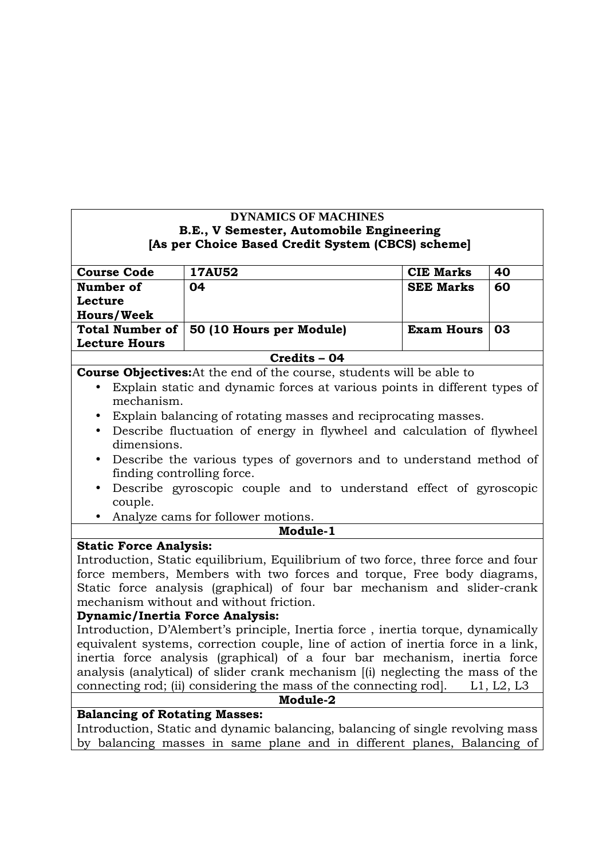# **DYNAMICS OF MACHINES B.E., V Semester, Automobile Engineering [As per Choice Based Credit System (CBCS) scheme]**

| <b>Course Code</b>     | <b>17AU52</b>            | <b>CIE Marks</b>  | 40  |
|------------------------|--------------------------|-------------------|-----|
| Number of              | 04                       | <b>SEE Marks</b>  | 60  |
| Lecture                |                          |                   |     |
| <b>Hours/Week</b>      |                          |                   |     |
| <b>Total Number of</b> | 50 (10 Hours per Module) | <b>Exam Hours</b> | -03 |
| <b>Lecture Hours</b>   |                          |                   |     |
|                        | Credits - 04             |                   |     |

**Course Objectives:**At the end of the course, students will be able to

- Explain static and dynamic forces at various points in different types of mechanism.
- Explain balancing of rotating masses and reciprocating masses.
- Describe fluctuation of energy in flywheel and calculation of flywheel dimensions.
- Describe the various types of governors and to understand method of finding controlling force.
- Describe gyroscopic couple and to understand effect of gyroscopic couple.
- Analyze cams for follower motions.

### **Module-1**

# **Static Force Analysis:**

Introduction, Static equilibrium, Equilibrium of two force, three force and four force members, Members with two forces and torque, Free body diagrams, Static force analysis (graphical) of four bar mechanism and slider-crank mechanism without and without friction.

# **Dynamic/Inertia Force Analysis:**

Introduction, D'Alembert's principle, Inertia force , inertia torque, dynamically equivalent systems, correction couple, line of action of inertia force in a link, inertia force analysis (graphical) of a four bar mechanism, inertia force analysis (analytical) of slider crank mechanism [(i) neglecting the mass of the connecting rod; (ii) considering the mass of the connecting rod]. L1, L2, L3

**Module-2** 

# **Balancing of Rotating Masses:**

Introduction, Static and dynamic balancing, balancing of single revolving mass by balancing masses in same plane and in different planes, Balancing of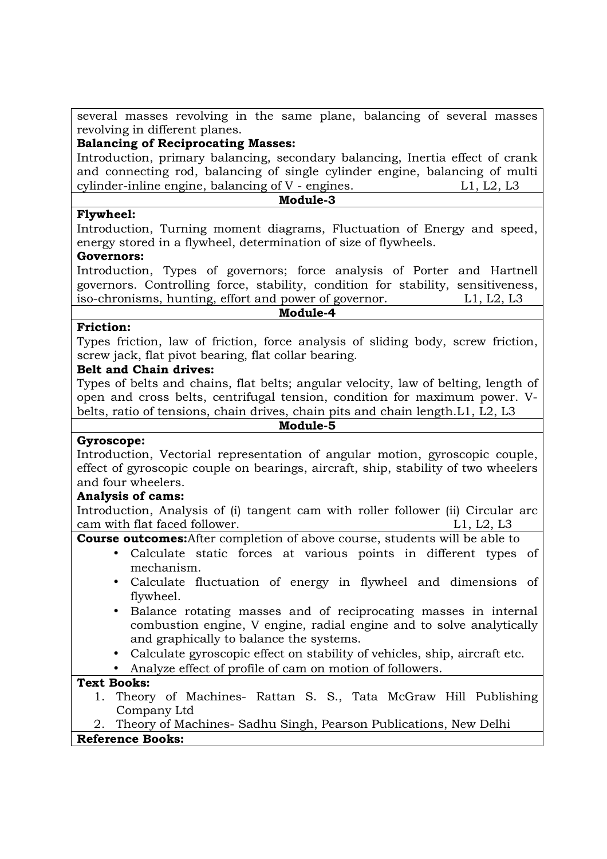several masses revolving in the same plane, balancing of several masses revolving in different planes.

# **Balancing of Reciprocating Masses:**

Introduction, primary balancing, secondary balancing, Inertia effect of crank and connecting rod, balancing of single cylinder engine, balancing of multi cylinder-inline engine, balancing of V - engines. L1, L2, L3 **Module-3** 

## **Flywheel:**

Introduction, Turning moment diagrams, Fluctuation of Energy and speed, energy stored in a flywheel, determination of size of flywheels.

### **Governors:**

Introduction, Types of governors; force analysis of Porter and Hartnell governors. Controlling force, stability, condition for stability, sensitiveness, iso-chronisms, hunting, effort and power of governor. L1, L2, L3

#### **Module-4**

### **Friction:**

Types friction, law of friction, force analysis of sliding body, screw friction, screw jack, flat pivot bearing, flat collar bearing.

## **Belt and Chain drives:**

Types of belts and chains, flat belts; angular velocity, law of belting, length of open and cross belts, centrifugal tension, condition for maximum power. Vbelts, ratio of tensions, chain drives, chain pits and chain length.L1, L2, L3

#### **Module-5**

### **Gyroscope:**

Introduction, Vectorial representation of angular motion, gyroscopic couple, effect of gyroscopic couple on bearings, aircraft, ship, stability of two wheelers and four wheelers.

### **Analysis of cams:**

Introduction, Analysis of (i) tangent cam with roller follower (ii) Circular arc cam with flat faced follower. L1, L2, L3

**Course outcomes:**After completion of above course, students will be able to

- Calculate static forces at various points in different types of mechanism.
	- Calculate fluctuation of energy in flywheel and dimensions of flywheel.
- Balance rotating masses and of reciprocating masses in internal combustion engine, V engine, radial engine and to solve analytically and graphically to balance the systems.
- Calculate gyroscopic effect on stability of vehicles, ship, aircraft etc.
- Analyze effect of profile of cam on motion of followers.

### **Text Books:**

1. Theory of Machines- Rattan S. S., Tata McGraw Hill Publishing Company Ltd

2. Theory of Machines- Sadhu Singh, Pearson Publications, New Delhi **Reference Books:**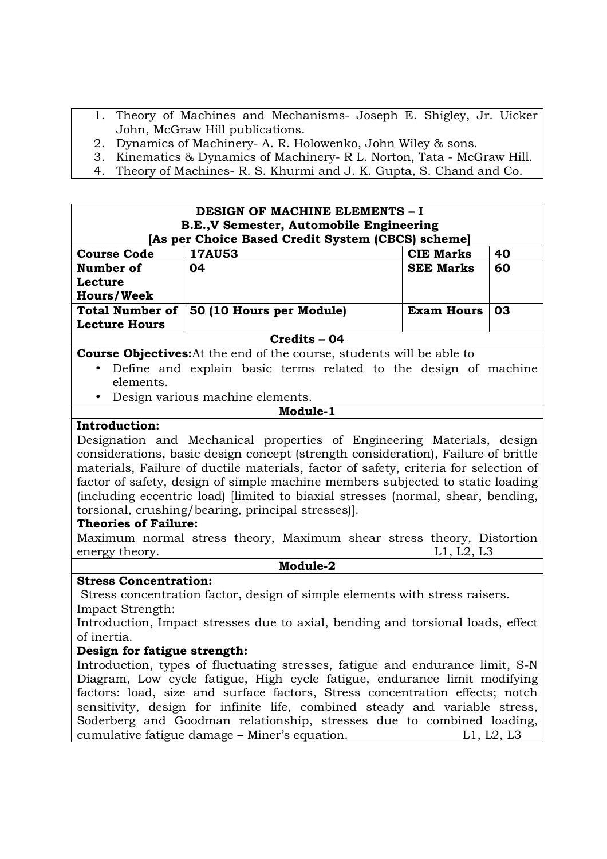- 1. Theory of Machines and Mechanisms- Joseph E. Shigley, Jr. Uicker John, McGraw Hill publications.
- 2. Dynamics of Machinery- A. R. Holowenko, John Wiley & sons.
- 3. Kinematics & Dynamics of Machinery- R L. Norton, Tata McGraw Hill.
- 4. Theory of Machines- R. S. Khurmi and J. K. Gupta, S. Chand and Co.

|                        | <b>DESIGN OF MACHINE ELEMENTS - I</b>             |                   |    |
|------------------------|---------------------------------------------------|-------------------|----|
|                        | B.E., V Semester, Automobile Engineering          |                   |    |
|                        | [As per Choice Based Credit System (CBCS) scheme] |                   |    |
| <b>Course Code</b>     | <b>17AU53</b>                                     | <b>CIE Marks</b>  | 40 |
| Number of              | 04                                                | <b>SEE Marks</b>  | 60 |
| Lecture                |                                                   |                   |    |
| <b>Hours/Week</b>      |                                                   |                   |    |
| <b>Total Number of</b> | 50 (10 Hours per Module)                          | <b>Exam Hours</b> | 03 |
| <b>Lecture Hours</b>   |                                                   |                   |    |
| Credits - 04           |                                                   |                   |    |

**Course Objectives:**At the end of the course, students will be able to

- Define and explain basic terms related to the design of machine elements.
- Design various machine elements.

## **Module-1**

### **Introduction:**

Designation and Mechanical properties of Engineering Materials, design considerations, basic design concept (strength consideration), Failure of brittle materials, Failure of ductile materials, factor of safety, criteria for selection of factor of safety, design of simple machine members subjected to static loading (including eccentric load) [limited to biaxial stresses (normal, shear, bending, torsional, crushing/bearing, principal stresses)].

### **Theories of Failure:**

Maximum normal stress theory, Maximum shear stress theory, Distortion energy theory. L1, L2, L3

#### **Module-2**

### **Stress Concentration:**

 Stress concentration factor, design of simple elements with stress raisers. Impact Strength:

Introduction, Impact stresses due to axial, bending and torsional loads, effect of inertia.

### **Design for fatigue strength:**

Introduction, types of fluctuating stresses, fatigue and endurance limit, S-N Diagram, Low cycle fatigue, High cycle fatigue, endurance limit modifying factors: load, size and surface factors, Stress concentration effects; notch sensitivity, design for infinite life, combined steady and variable stress, Soderberg and Goodman relationship, stresses due to combined loading, cumulative fatigue damage – Miner's equation. L1, L2, L3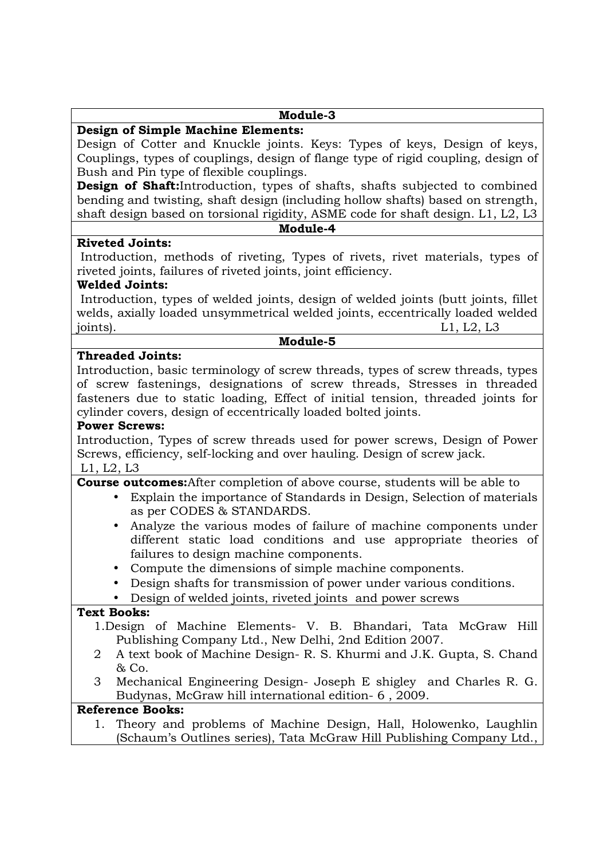### **Module-3**

### **Design of Simple Machine Elements:**

Design of Cotter and Knuckle joints. Keys: Types of keys, Design of keys, Couplings, types of couplings, design of flange type of rigid coupling, design of Bush and Pin type of flexible couplings.

**Design of Shaft:**Introduction, types of shafts, shafts subjected to combined bending and twisting, shaft design (including hollow shafts) based on strength, shaft design based on torsional rigidity, ASME code for shaft design. L1, L2, L3

#### **Module-4**

 Introduction, methods of riveting, Types of rivets, rivet materials, types of riveted joints, failures of riveted joints, joint efficiency.

### **Welded Joints:**

**Riveted Joints:** 

 Introduction, types of welded joints, design of welded joints (butt joints, fillet welds, axially loaded unsymmetrical welded joints, eccentrically loaded welded joints). L1, L2, L3

#### **Module-5**

#### **Threaded Joints:**

Introduction, basic terminology of screw threads, types of screw threads, types of screw fastenings, designations of screw threads, Stresses in threaded fasteners due to static loading, Effect of initial tension, threaded joints for cylinder covers, design of eccentrically loaded bolted joints.

#### **Power Screws:**

Introduction, Types of screw threads used for power screws, Design of Power Screws, efficiency, self-locking and over hauling. Design of screw jack. L1, L2, L3

**Course outcomes:**After completion of above course, students will be able to

- Explain the importance of Standards in Design, Selection of materials as per CODES & STANDARDS.
- Analyze the various modes of failure of machine components under different static load conditions and use appropriate theories of failures to design machine components.
- Compute the dimensions of simple machine components.
- Design shafts for transmission of power under various conditions.
- Design of welded joints, riveted joints and power screws

## **Text Books:**

- 1.Design of Machine Elements- V. B. Bhandari, Tata McGraw Hill Publishing Company Ltd., New Delhi, 2nd Edition 2007.
- 2 A text book of Machine Design- R. S. Khurmi and J.K. Gupta, S. Chand & Co.
- 3 Mechanical Engineering Design- Joseph E shigley and Charles R. G. Budynas, McGraw hill international edition- 6 , 2009.

# **Reference Books:**

1. Theory and problems of Machine Design, Hall, Holowenko, Laughlin (Schaum's Outlines series), Tata McGraw Hill Publishing Company Ltd.,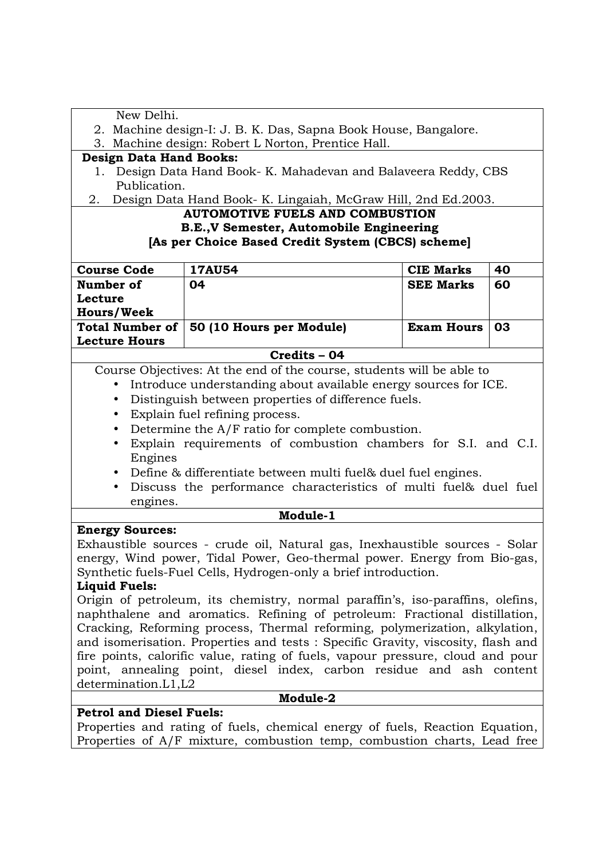| New Delhi.                                                                      |                                                                                |                   |    |  |
|---------------------------------------------------------------------------------|--------------------------------------------------------------------------------|-------------------|----|--|
|                                                                                 | 2. Machine design-I: J. B. K. Das, Sapna Book House, Bangalore.                |                   |    |  |
|                                                                                 | 3. Machine design: Robert L Norton, Prentice Hall.                             |                   |    |  |
| <b>Design Data Hand Books:</b>                                                  |                                                                                |                   |    |  |
|                                                                                 | 1. Design Data Hand Book- K. Mahadevan and Balaveera Reddy, CBS                |                   |    |  |
| Publication.                                                                    |                                                                                |                   |    |  |
| 2.                                                                              | Design Data Hand Book- K. Lingaiah, McGraw Hill, 2nd Ed.2003.                  |                   |    |  |
|                                                                                 | <b>AUTOMOTIVE FUELS AND COMBUSTION</b>                                         |                   |    |  |
|                                                                                 | B.E., V Semester, Automobile Engineering                                       |                   |    |  |
|                                                                                 | [As per Choice Based Credit System (CBCS) scheme]                              |                   |    |  |
| <b>Course Code</b>                                                              | <b>17AU54</b>                                                                  | <b>CIE Marks</b>  | 40 |  |
| Number of                                                                       | 04                                                                             | <b>SEE Marks</b>  | 60 |  |
| Lecture                                                                         |                                                                                |                   |    |  |
| <b>Hours/Week</b>                                                               |                                                                                |                   |    |  |
| <b>Total Number of</b>                                                          | 50 (10 Hours per Module)                                                       | <b>Exam Hours</b> | 03 |  |
| <b>Lecture Hours</b>                                                            |                                                                                |                   |    |  |
|                                                                                 | Credits - 04                                                                   |                   |    |  |
|                                                                                 | Course Objectives: At the end of the course, students will be able to          |                   |    |  |
|                                                                                 | Introduce understanding about available energy sources for ICE.                |                   |    |  |
| $\bullet$                                                                       | Distinguish between properties of difference fuels.                            |                   |    |  |
| $\bullet$                                                                       | Explain fuel refining process.                                                 |                   |    |  |
|                                                                                 | Determine the A/F ratio for complete combustion.                               |                   |    |  |
| $\bullet$                                                                       | Explain requirements of combustion chambers for S.I. and C.I.                  |                   |    |  |
| Engines                                                                         |                                                                                |                   |    |  |
| $\bullet$                                                                       | Define & differentiate between multi fuel & duel fuel engines.                 |                   |    |  |
| $\bullet$                                                                       | Discuss the performance characteristics of multi fuel& duel fuel               |                   |    |  |
| engines.                                                                        |                                                                                |                   |    |  |
|                                                                                 | Module-1                                                                       |                   |    |  |
| <b>Energy Sources:</b>                                                          |                                                                                |                   |    |  |
|                                                                                 | Exhaustible sources - crude oil, Natural gas, Inexhaustible sources - Solar    |                   |    |  |
|                                                                                 | energy, Wind power, Tidal Power, Geo-thermal power. Energy from Bio-gas,       |                   |    |  |
|                                                                                 | Synthetic fuels-Fuel Cells, Hydrogen-only a brief introduction.                |                   |    |  |
| <b>Liquid Fuels:</b>                                                            |                                                                                |                   |    |  |
|                                                                                 | Origin of petroleum, its chemistry, normal paraffin's, iso-paraffins, olefins, |                   |    |  |
|                                                                                 | naphthalene and aromatics. Refining of petroleum: Fractional distillation,     |                   |    |  |
|                                                                                 | Cracking, Reforming process, Thermal reforming, polymerization, alkylation,    |                   |    |  |
|                                                                                 |                                                                                |                   |    |  |
| and isomerisation. Properties and tests: Specific Gravity, viscosity, flash and |                                                                                |                   |    |  |
| fire points, calorific value, rating of fuels, vapour pressure, cloud and pour  |                                                                                |                   |    |  |
| point, annealing point, diesel index, carbon residue and ash content            |                                                                                |                   |    |  |
| determination.L1,L2                                                             |                                                                                |                   |    |  |
|                                                                                 | Module-2                                                                       |                   |    |  |
| <b>Petrol and Diesel Fuels:</b>                                                 |                                                                                |                   |    |  |
|                                                                                 | Properties and rating of fuels, chemical energy of fuels, Reaction Equation,   |                   |    |  |
| Properties of A/F mixture, combustion temp, combustion charts, Lead free        |                                                                                |                   |    |  |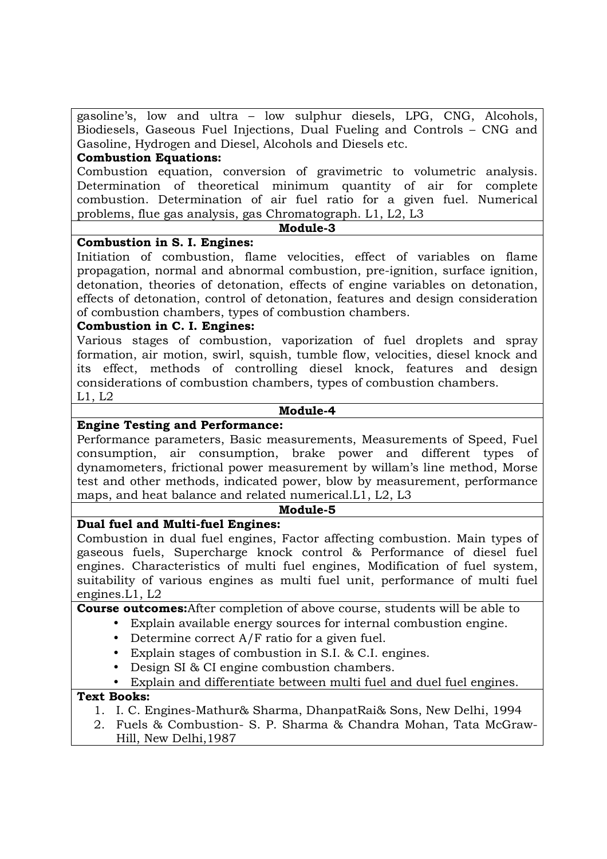gasoline's, low and ultra – low sulphur diesels, LPG, CNG, Alcohols, Biodiesels, Gaseous Fuel Injections, Dual Fueling and Controls – CNG and Gasoline, Hydrogen and Diesel, Alcohols and Diesels etc.

# **Combustion Equations:**

Combustion equation, conversion of gravimetric to volumetric analysis. Determination of theoretical minimum quantity of air for complete combustion. Determination of air fuel ratio for a given fuel. Numerical problems, flue gas analysis, gas Chromatograph. L1, L2, L3

#### **Module-3**

## **Combustion in S. I. Engines:**

Initiation of combustion, flame velocities, effect of variables on flame propagation, normal and abnormal combustion, pre-ignition, surface ignition, detonation, theories of detonation, effects of engine variables on detonation, effects of detonation, control of detonation, features and design consideration of combustion chambers, types of combustion chambers.

## **Combustion in C. I. Engines:**

Various stages of combustion, vaporization of fuel droplets and spray formation, air motion, swirl, squish, tumble flow, velocities, diesel knock and its effect, methods of controlling diesel knock, features and design considerations of combustion chambers, types of combustion chambers. L1, L2

#### **Module-4**

#### **Engine Testing and Performance:**

Performance parameters, Basic measurements, Measurements of Speed, Fuel consumption, air consumption, brake power and different types of dynamometers, frictional power measurement by willam's line method, Morse test and other methods, indicated power, blow by measurement, performance maps, and heat balance and related numerical.L1, L2, L3

#### **Module-5**

### **Dual fuel and Multi-fuel Engines:**

Combustion in dual fuel engines, Factor affecting combustion. Main types of gaseous fuels, Supercharge knock control & Performance of diesel fuel engines. Characteristics of multi fuel engines, Modification of fuel system, suitability of various engines as multi fuel unit, performance of multi fuel engines.L1, L2

# **Course outcomes:**After completion of above course, students will be able to

• Explain available energy sources for internal combustion engine.

- Determine correct A/F ratio for a given fuel.
- Explain stages of combustion in S.I. & C.I. engines.
- Design SI & CI engine combustion chambers.

# • Explain and differentiate between multi fuel and duel fuel engines.

### **Text Books:**

- 1. I. C. Engines-Mathur& Sharma, DhanpatRai& Sons, New Delhi, 1994
- 2. Fuels & Combustion- S. P. Sharma & Chandra Mohan, Tata McGraw-Hill, New Delhi,1987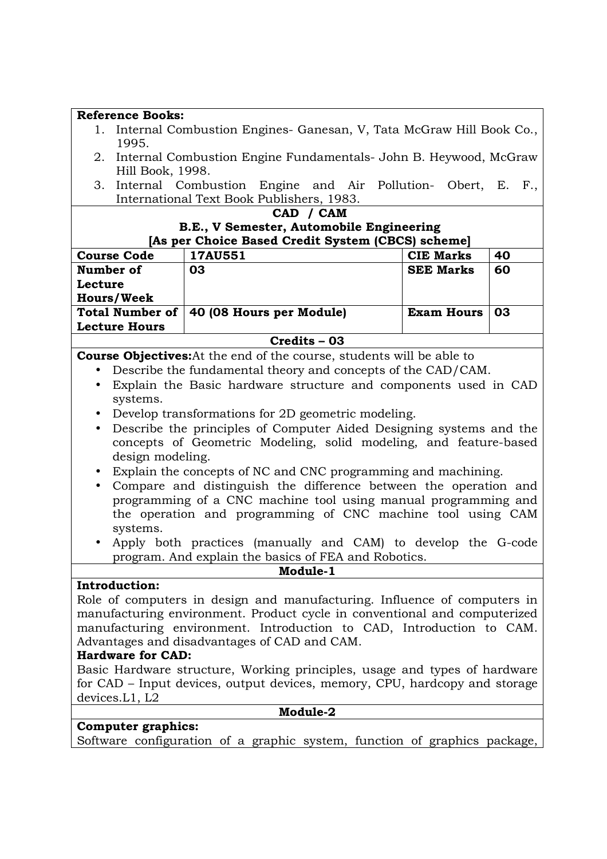| <b>Reference Books:</b>                                                                                              |                                                                              |                   |    |
|----------------------------------------------------------------------------------------------------------------------|------------------------------------------------------------------------------|-------------------|----|
| Internal Combustion Engines- Ganesan, V, Tata McGraw Hill Book Co.,<br>1.<br>1995.                                   |                                                                              |                   |    |
| Hill Book, 1998.                                                                                                     | 2. Internal Combustion Engine Fundamentals- John B. Heywood, McGraw          |                   |    |
| 3.                                                                                                                   | Internal Combustion Engine and Air Pollution- Obert, E. F.,                  |                   |    |
|                                                                                                                      | International Text Book Publishers, 1983.                                    |                   |    |
|                                                                                                                      | CAD / CAM                                                                    |                   |    |
|                                                                                                                      | B.E., V Semester, Automobile Engineering                                     |                   |    |
|                                                                                                                      | [As per Choice Based Credit System (CBCS) scheme]                            |                   |    |
| <b>Course Code</b>                                                                                                   | 17AU551                                                                      | <b>CIE Marks</b>  | 40 |
| Number of                                                                                                            | 03                                                                           | <b>SEE Marks</b>  | 60 |
| Lecture                                                                                                              |                                                                              |                   |    |
| <b>Hours/Week</b>                                                                                                    |                                                                              |                   |    |
| <b>Total Number of</b>                                                                                               | 40 (08 Hours per Module)                                                     | <b>Exam Hours</b> | 03 |
| <b>Lecture Hours</b>                                                                                                 |                                                                              |                   |    |
|                                                                                                                      | Credits - 03                                                                 |                   |    |
|                                                                                                                      | <b>Course Objectives:</b> At the end of the course, students will be able to |                   |    |
|                                                                                                                      | Describe the fundamental theory and concepts of the CAD/CAM.                 |                   |    |
| $\bullet$                                                                                                            | Explain the Basic hardware structure and components used in CAD              |                   |    |
| systems.                                                                                                             |                                                                              |                   |    |
| $\bullet$                                                                                                            | Develop transformations for 2D geometric modeling.                           |                   |    |
| $\bullet$                                                                                                            | Describe the principles of Computer Aided Designing systems and the          |                   |    |
|                                                                                                                      | concepts of Geometric Modeling, solid modeling, and feature-based            |                   |    |
| design modeling.                                                                                                     |                                                                              |                   |    |
| $\bullet$                                                                                                            | Explain the concepts of NC and CNC programming and machining.                |                   |    |
| Compare and distinguish the difference between the operation and<br>$\bullet$                                        |                                                                              |                   |    |
|                                                                                                                      | programming of a CNC machine tool using manual programming and               |                   |    |
|                                                                                                                      | the operation and programming of CNC machine tool using CAM                  |                   |    |
| systems.<br>Apply both practices (manually and CAM) to develop the G-code                                            |                                                                              |                   |    |
| $\bullet$                                                                                                            |                                                                              |                   |    |
|                                                                                                                      | program. And explain the basics of FEA and Robotics.<br>Module-1             |                   |    |
| <b>Introduction:</b>                                                                                                 |                                                                              |                   |    |
|                                                                                                                      | Role of computers in design and manufacturing. Influence of computers in     |                   |    |
|                                                                                                                      | manufacturing environment. Product cycle in conventional and computerized    |                   |    |
|                                                                                                                      |                                                                              |                   |    |
| manufacturing environment. Introduction to CAD, Introduction to CAM.<br>Advantages and disadvantages of CAD and CAM. |                                                                              |                   |    |
| <b>Hardware for CAD:</b>                                                                                             |                                                                              |                   |    |
|                                                                                                                      | Basic Hardware structure, Working principles, usage and types of hardware    |                   |    |
|                                                                                                                      | for CAD – Input devices, output devices, memory, CPU, hardcopy and storage   |                   |    |
| devices. L1, L2                                                                                                      |                                                                              |                   |    |
|                                                                                                                      | Module-2                                                                     |                   |    |
| <b>Computer graphics:</b>                                                                                            |                                                                              |                   |    |
|                                                                                                                      | Software configuration of a graphic system, function of graphics package,    |                   |    |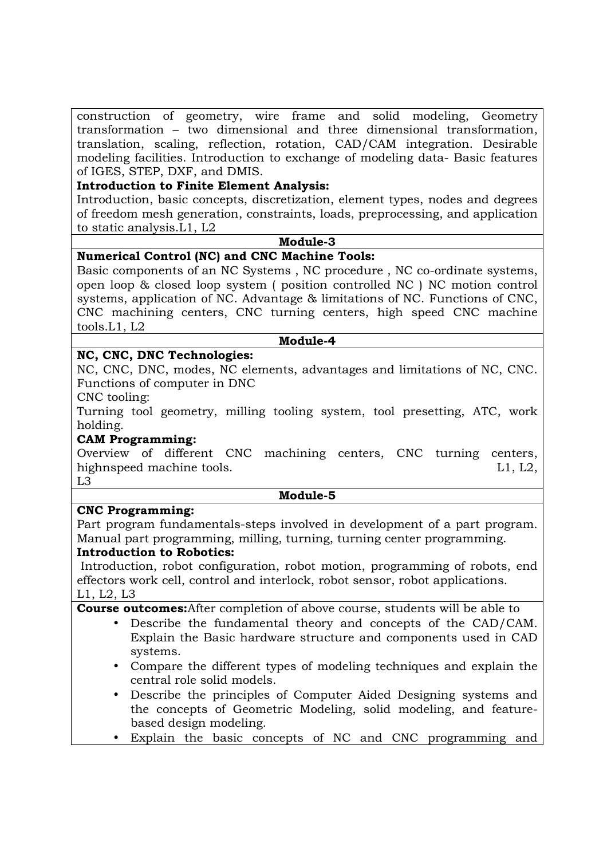construction of geometry, wire frame and solid modeling, Geometry transformation – two dimensional and three dimensional transformation, translation, scaling, reflection, rotation, CAD/CAM integration. Desirable modeling facilities. Introduction to exchange of modeling data- Basic features of IGES, STEP, DXF, and DMIS.

# **Introduction to Finite Element Analysis:**

Introduction, basic concepts, discretization, element types, nodes and degrees of freedom mesh generation, constraints, loads, preprocessing, and application to static analysis.L1, L2

#### **Module-3**

# **Numerical Control (NC) and CNC Machine Tools:**

Basic components of an NC Systems , NC procedure , NC co-ordinate systems, open loop & closed loop system ( position controlled NC ) NC motion control systems, application of NC. Advantage & limitations of NC. Functions of CNC, CNC machining centers, CNC turning centers, high speed CNC machine tools.L1, L2

## **Module-4**

## **NC, CNC, DNC Technologies:**

NC, CNC, DNC, modes, NC elements, advantages and limitations of NC, CNC. Functions of computer in DNC

CNC tooling:

Turning tool geometry, milling tooling system, tool presetting, ATC, work holding.

### **CAM Programming:**

Overview of different CNC machining centers, CNC turning centers, highnspeed machine tools. Let us a set of the set of the set of the set of the set of the set of the set of th

L3

### **Module-5**

### **CNC Programming:**

Part program fundamentals-steps involved in development of a part program. Manual part programming, milling, turning, turning center programming.

### **Introduction to Robotics:**

 Introduction, robot configuration, robot motion, programming of robots, end effectors work cell, control and interlock, robot sensor, robot applications. L1, L2, L3

**Course outcomes:**After completion of above course, students will be able to

- Describe the fundamental theory and concepts of the CAD/CAM. Explain the Basic hardware structure and components used in CAD systems.
- Compare the different types of modeling techniques and explain the central role solid models.
- Describe the principles of Computer Aided Designing systems and the concepts of Geometric Modeling, solid modeling, and featurebased design modeling.
- Explain the basic concepts of NC and CNC programming and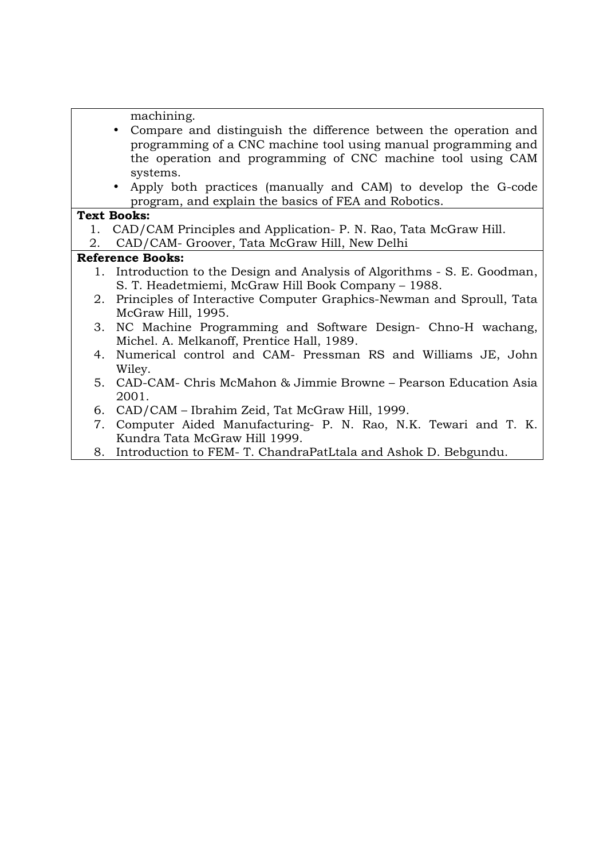machining.

- Compare and distinguish the difference between the operation and programming of a CNC machine tool using manual programming and the operation and programming of CNC machine tool using CAM systems.
- Apply both practices (manually and CAM) to develop the G-code program, and explain the basics of FEA and Robotics.

## **Text Books:**

- 1. CAD/CAM Principles and Application- P. N. Rao, Tata McGraw Hill.
- 2. CAD/CAM- Groover, Tata McGraw Hill, New Delhi

- 1. Introduction to the Design and Analysis of Algorithms S. E. Goodman, S. T. Headetmiemi, McGraw Hill Book Company – 1988.
- 2. Principles of Interactive Computer Graphics-Newman and Sproull, Tata McGraw Hill, 1995.
- 3. NC Machine Programming and Software Design- Chno-H wachang, Michel. A. Melkanoff, Prentice Hall, 1989.
- 4. Numerical control and CAM- Pressman RS and Williams JE, John Wiley.
- 5. CAD-CAM- Chris McMahon & Jimmie Browne Pearson Education Asia 2001.
- 6. CAD/CAM Ibrahim Zeid, Tat McGraw Hill, 1999.
- 7. Computer Aided Manufacturing- P. N. Rao, N.K. Tewari and T. K. Kundra Tata McGraw Hill 1999.
- 8. Introduction to FEM- T. ChandraPatLtala and Ashok D. Bebgundu.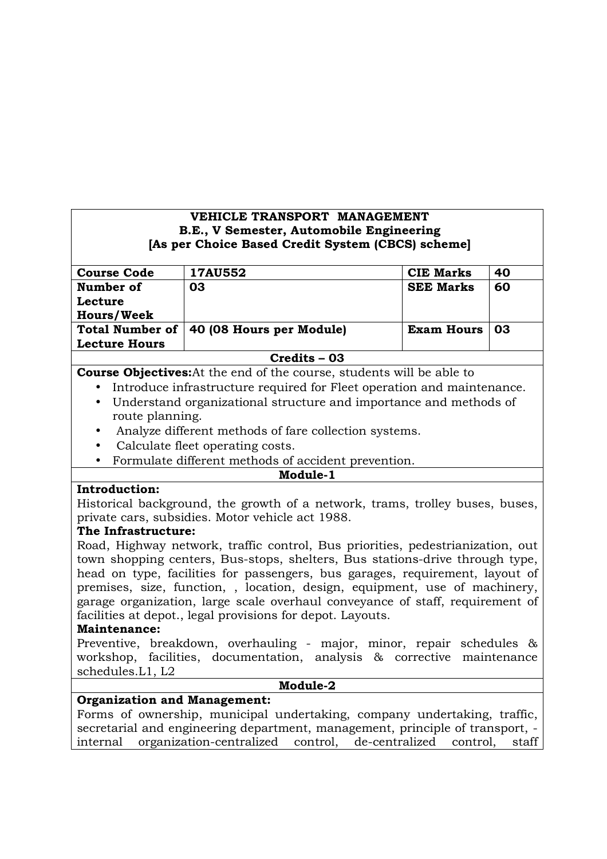# **VEHICLE TRANSPORT MANAGEMENT B.E., V Semester, Automobile Engineering [As per Choice Based Credit System (CBCS) scheme]**

| <b>Course Code</b>     | <b>17AU552</b>           | <b>CIE Marks</b>  | 40 |
|------------------------|--------------------------|-------------------|----|
| Number of              | 03                       | <b>SEE Marks</b>  | 60 |
| Lecture                |                          |                   |    |
| <b>Hours/Week</b>      |                          |                   |    |
| <b>Total Number of</b> | 40 (08 Hours per Module) | <b>Exam Hours</b> | 03 |
| <b>Lecture Hours</b>   |                          |                   |    |
|                        |                          |                   |    |

#### **Credits – 03**

**Course Objectives:**At the end of the course, students will be able to

- Introduce infrastructure required for Fleet operation and maintenance.
	- Understand organizational structure and importance and methods of route planning.
	- Analyze different methods of fare collection systems.
	- Calculate fleet operating costs.
	- Formulate different methods of accident prevention.

#### **Module-1**

### **Introduction:**

Historical background, the growth of a network, trams, trolley buses, buses, private cars, subsidies. Motor vehicle act 1988.

## **The Infrastructure:**

Road, Highway network, traffic control, Bus priorities, pedestrianization, out town shopping centers, Bus-stops, shelters, Bus stations-drive through type, head on type, facilities for passengers, bus garages, requirement, layout of premises, size, function, , location, design, equipment, use of machinery, garage organization, large scale overhaul conveyance of staff, requirement of facilities at depot., legal provisions for depot. Layouts.

### **Maintenance:**

Preventive, breakdown, overhauling - major, minor, repair schedules & workshop, facilities, documentation, analysis & corrective maintenance schedules.L1, L2

#### **Module-2**

## **Organization and Management:**

Forms of ownership, municipal undertaking, company undertaking, traffic, secretarial and engineering department, management, principle of transport, internal organization-centralized control, de-centralized control, staff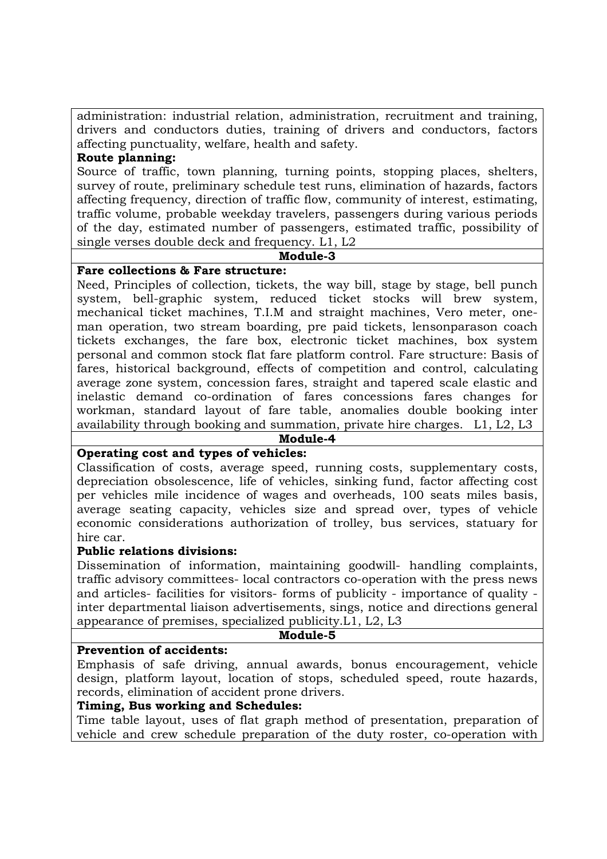administration: industrial relation, administration, recruitment and training, drivers and conductors duties, training of drivers and conductors, factors affecting punctuality, welfare, health and safety.

### **Route planning:**

Source of traffic, town planning, turning points, stopping places, shelters, survey of route, preliminary schedule test runs, elimination of hazards, factors affecting frequency, direction of traffic flow, community of interest, estimating, traffic volume, probable weekday travelers, passengers during various periods of the day, estimated number of passengers, estimated traffic, possibility of single verses double deck and frequency. L1, L2

### **Module-3**

### **Fare collections & Fare structure:**

Need, Principles of collection, tickets, the way bill, stage by stage, bell punch system, bell-graphic system, reduced ticket stocks will brew system, mechanical ticket machines, T.I.M and straight machines, Vero meter, oneman operation, two stream boarding, pre paid tickets, lensonparason coach tickets exchanges, the fare box, electronic ticket machines, box system personal and common stock flat fare platform control. Fare structure: Basis of fares, historical background, effects of competition and control, calculating average zone system, concession fares, straight and tapered scale elastic and inelastic demand co-ordination of fares concessions fares changes for workman, standard layout of fare table, anomalies double booking inter availability through booking and summation, private hire charges. L1, L2, L3

#### **Module-4**

# **Operating cost and types of vehicles:**

Classification of costs, average speed, running costs, supplementary costs, depreciation obsolescence, life of vehicles, sinking fund, factor affecting cost per vehicles mile incidence of wages and overheads, 100 seats miles basis, average seating capacity, vehicles size and spread over, types of vehicle economic considerations authorization of trolley, bus services, statuary for hire car.

### **Public relations divisions:**

Dissemination of information, maintaining goodwill- handling complaints, traffic advisory committees- local contractors co-operation with the press news and articles- facilities for visitors- forms of publicity - importance of quality inter departmental liaison advertisements, sings, notice and directions general appearance of premises, specialized publicity.L1, L2, L3

#### **Module-5**

### **Prevention of accidents:**

Emphasis of safe driving, annual awards, bonus encouragement, vehicle design, platform layout, location of stops, scheduled speed, route hazards, records, elimination of accident prone drivers.

## **Timing, Bus working and Schedules:**

Time table layout, uses of flat graph method of presentation, preparation of vehicle and crew schedule preparation of the duty roster, co-operation with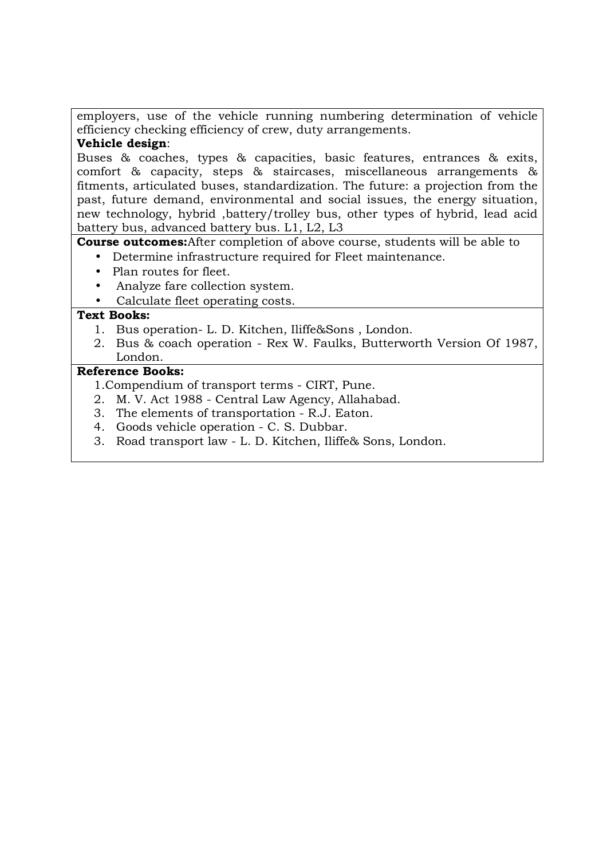employers, use of the vehicle running numbering determination of vehicle efficiency checking efficiency of crew, duty arrangements.

# **Vehicle design**:

Buses & coaches, types & capacities, basic features, entrances & exits, comfort & capacity, steps & staircases, miscellaneous arrangements & fitments, articulated buses, standardization. The future: a projection from the past, future demand, environmental and social issues, the energy situation, new technology, hybrid ,battery/trolley bus, other types of hybrid, lead acid battery bus, advanced battery bus. L1, L2, L3

**Course outcomes:**After completion of above course, students will be able to

- Determine infrastructure required for Fleet maintenance.
- Plan routes for fleet.
- Analyze fare collection system.
- Calculate fleet operating costs.

# **Text Books:**

- 1. Bus operation- L. D. Kitchen, Iliffe&Sons , London.
- 2. Bus & coach operation Rex W. Faulks, Butterworth Version Of 1987, London.

- 1.Compendium of transport terms CIRT, Pune.
- 2. M. V. Act 1988 Central Law Agency, Allahabad.
- 3. The elements of transportation R.J. Eaton.
- 4. Goods vehicle operation C. S. Dubbar.
- 3. Road transport law L. D. Kitchen, Iliffe& Sons, London.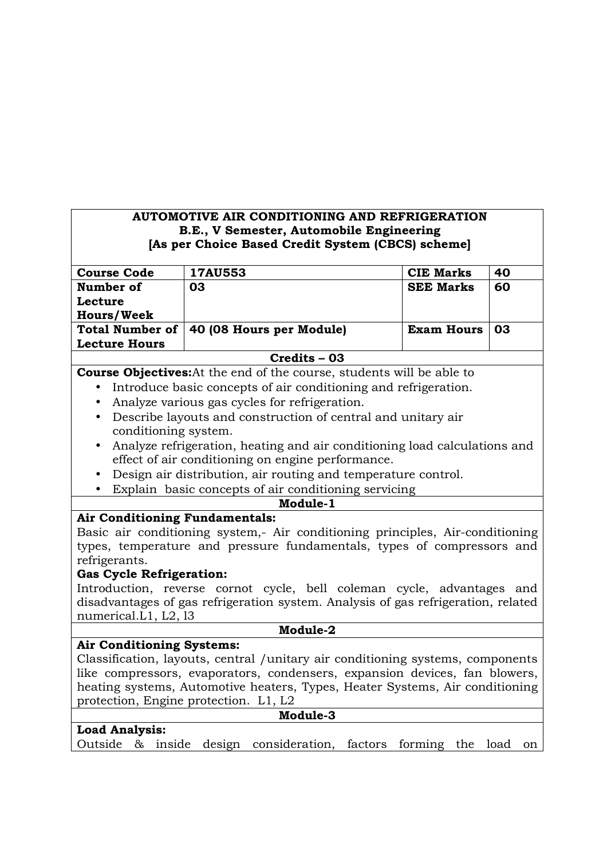# **AUTOMOTIVE AIR CONDITIONING AND REFRIGERATION B.E., V Semester, Automobile Engineering [As per Choice Based Credit System (CBCS) scheme]**

| <b>Course Code</b>     | <b>17AU553</b>           | <b>CIE Marks</b>  | 40  |
|------------------------|--------------------------|-------------------|-----|
| Number of              | 03                       | <b>SEE Marks</b>  | 60  |
| Lecture                |                          |                   |     |
| <b>Hours/Week</b>      |                          |                   |     |
| <b>Total Number of</b> | 40 (08 Hours per Module) | <b>Exam Hours</b> | -03 |
| <b>Lecture Hours</b>   |                          |                   |     |
|                        |                          |                   |     |

## **Credits – 03**

# **Course Objectives:**At the end of the course, students will be able to

- Introduce basic concepts of air conditioning and refrigeration.
- Analyze various gas cycles for refrigeration.
- Describe layouts and construction of central and unitary air conditioning system.
- Analyze refrigeration, heating and air conditioning load calculations and effect of air conditioning on engine performance.
- Design air distribution, air routing and temperature control.
- Explain basic concepts of air conditioning servicing

### **Module-1**

# **Air Conditioning Fundamentals:**

Basic air conditioning system,- Air conditioning principles, Air-conditioning types, temperature and pressure fundamentals, types of compressors and refrigerants.

### **Gas Cycle Refrigeration:**

Introduction, reverse cornot cycle, bell coleman cycle, advantages and disadvantages of gas refrigeration system. Analysis of gas refrigeration, related numerical.L1, L2, l3

### **Module-2**

# **Air Conditioning Systems:**

Classification, layouts, central /unitary air conditioning systems, components like compressors, evaporators, condensers, expansion devices, fan blowers, heating systems, Automotive heaters, Types, Heater Systems, Air conditioning protection, Engine protection. L1, L2

# **Module-3**

## **Load Analysis:**

Outside & inside design consideration, factors forming the load on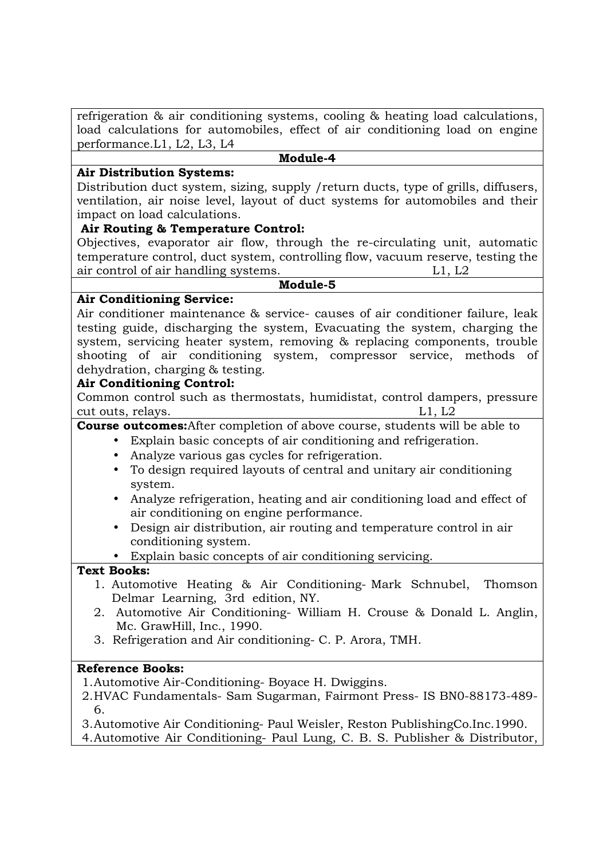refrigeration & air conditioning systems, cooling & heating load calculations, load calculations for automobiles, effect of air conditioning load on engine performance.L1, L2, L3, L4

**Module-4** 

### **Air Distribution Systems:**

Distribution duct system, sizing, supply /return ducts, type of grills, diffusers, ventilation, air noise level, layout of duct systems for automobiles and their impact on load calculations.

## **Air Routing & Temperature Control:**

Objectives, evaporator air flow, through the re-circulating unit, automatic temperature control, duct system, controlling flow, vacuum reserve, testing the air control of air handling systems. L1, L2

**Module-5** 

## **Air Conditioning Service:**

Air conditioner maintenance & service- causes of air conditioner failure, leak testing guide, discharging the system, Evacuating the system, charging the system, servicing heater system, removing & replacing components, trouble shooting of air conditioning system, compressor service, methods of dehydration, charging & testing.

## **Air Conditioning Control:**

Common control such as thermostats, humidistat, control dampers, pressure cut outs, relays. L1, L2

# **Course outcomes:**After completion of above course, students will be able to

- Explain basic concepts of air conditioning and refrigeration.
	- Analyze various gas cycles for refrigeration.
	- To design required layouts of central and unitary air conditioning system.
	- Analyze refrigeration, heating and air conditioning load and effect of air conditioning on engine performance.
	- Design air distribution, air routing and temperature control in air conditioning system.

• Explain basic concepts of air conditioning servicing.

### **Text Books:**

- 1. Automotive Heating & Air Conditioning- Mark Schnubel, Thomson Delmar Learning, 3rd edition, NY.
- 2. Automotive Air Conditioning- William H. Crouse & Donald L. Anglin, Mc. GrawHill, Inc., 1990.
- 3. Refrigeration and Air conditioning- C. P. Arora, TMH.

# **Reference Books:**

1. Automotive Air-Conditioning- Boyace H. Dwiggins.

2. HVAC Fundamentals- Sam Sugarman, Fairmont Press- IS BN0-88173-489- 6.

3. Automotive Air Conditioning- Paul Weisler, Reston PublishingCo.Inc.1990. 4. Automotive Air Conditioning- Paul Lung, C. B. S. Publisher & Distributor,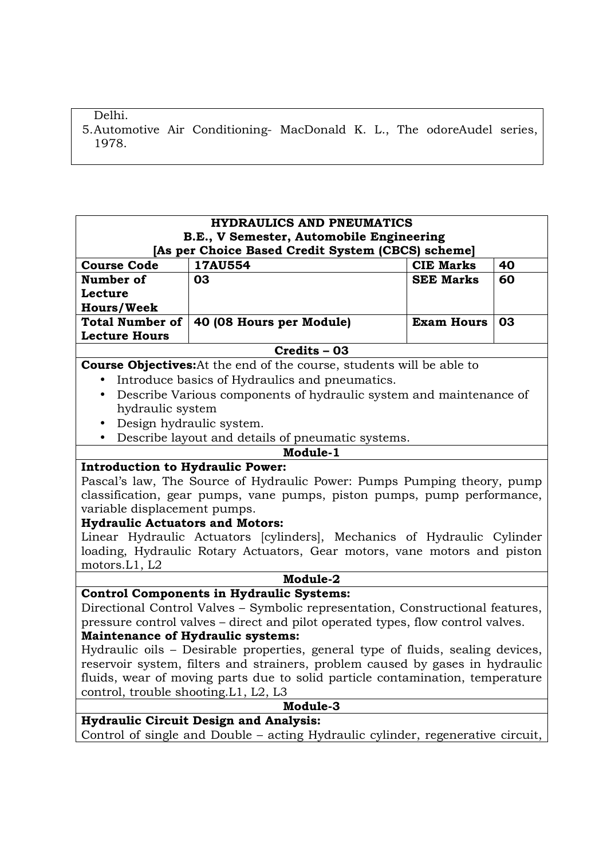# Delhi.

5. Automotive Air Conditioning- MacDonald K. L., The odoreAudel series, 1978.

| <b>HYDRAULICS AND PNEUMATICS</b>                                                              |                                                                                 |                   |    |  |
|-----------------------------------------------------------------------------------------------|---------------------------------------------------------------------------------|-------------------|----|--|
| B.E., V Semester, Automobile Engineering<br>[As per Choice Based Credit System (CBCS) scheme] |                                                                                 |                   |    |  |
| <b>Course Code</b>                                                                            | 17AU554                                                                         | <b>CIE Marks</b>  | 40 |  |
| Number of                                                                                     | 03                                                                              | <b>SEE Marks</b>  | 60 |  |
| Lecture                                                                                       |                                                                                 |                   |    |  |
| <b>Hours/Week</b>                                                                             |                                                                                 |                   |    |  |
| <b>Total Number of</b>                                                                        | 40 (08 Hours per Module)                                                        | <b>Exam Hours</b> | 03 |  |
| <b>Lecture Hours</b>                                                                          |                                                                                 |                   |    |  |
|                                                                                               | Credits - 03                                                                    |                   |    |  |
|                                                                                               | <b>Course Objectives:</b> At the end of the course, students will be able to    |                   |    |  |
| $\bullet$                                                                                     | Introduce basics of Hydraulics and pneumatics.                                  |                   |    |  |
| $\bullet$                                                                                     | Describe Various components of hydraulic system and maintenance of              |                   |    |  |
| hydraulic system                                                                              |                                                                                 |                   |    |  |
| $\bullet$                                                                                     | Design hydraulic system.                                                        |                   |    |  |
|                                                                                               | Describe layout and details of pneumatic systems.                               |                   |    |  |
|                                                                                               | Module-1                                                                        |                   |    |  |
| <b>Introduction to Hydraulic Power:</b>                                                       |                                                                                 |                   |    |  |
|                                                                                               | Pascal's law, The Source of Hydraulic Power: Pumps Pumping theory, pump         |                   |    |  |
|                                                                                               | classification, gear pumps, vane pumps, piston pumps, pump performance,         |                   |    |  |
| variable displacement pumps.                                                                  |                                                                                 |                   |    |  |
| <b>Hydraulic Actuators and Motors:</b>                                                        |                                                                                 |                   |    |  |
|                                                                                               | Linear Hydraulic Actuators [cylinders], Mechanics of Hydraulic Cylinder         |                   |    |  |
| motors.L1, L2                                                                                 | loading, Hydraulic Rotary Actuators, Gear motors, vane motors and piston        |                   |    |  |
|                                                                                               | Module-2                                                                        |                   |    |  |
|                                                                                               | <b>Control Components in Hydraulic Systems:</b>                                 |                   |    |  |
|                                                                                               | Directional Control Valves - Symbolic representation, Constructional features,  |                   |    |  |
|                                                                                               | pressure control valves - direct and pilot operated types, flow control valves. |                   |    |  |
| <b>Maintenance of Hydraulic systems:</b>                                                      |                                                                                 |                   |    |  |
| Hydraulic oils - Desirable properties, general type of fluids, sealing devices,               |                                                                                 |                   |    |  |
| reservoir system, filters and strainers, problem caused by gases in hydraulic                 |                                                                                 |                   |    |  |
| fluids, wear of moving parts due to solid particle contamination, temperature                 |                                                                                 |                   |    |  |
| control, trouble shooting.L1, L2, L3                                                          |                                                                                 |                   |    |  |
| Module-3                                                                                      |                                                                                 |                   |    |  |
| <b>Hydraulic Circuit Design and Analysis:</b>                                                 |                                                                                 |                   |    |  |
| Control of single and Double - acting Hydraulic cylinder, regenerative circuit,               |                                                                                 |                   |    |  |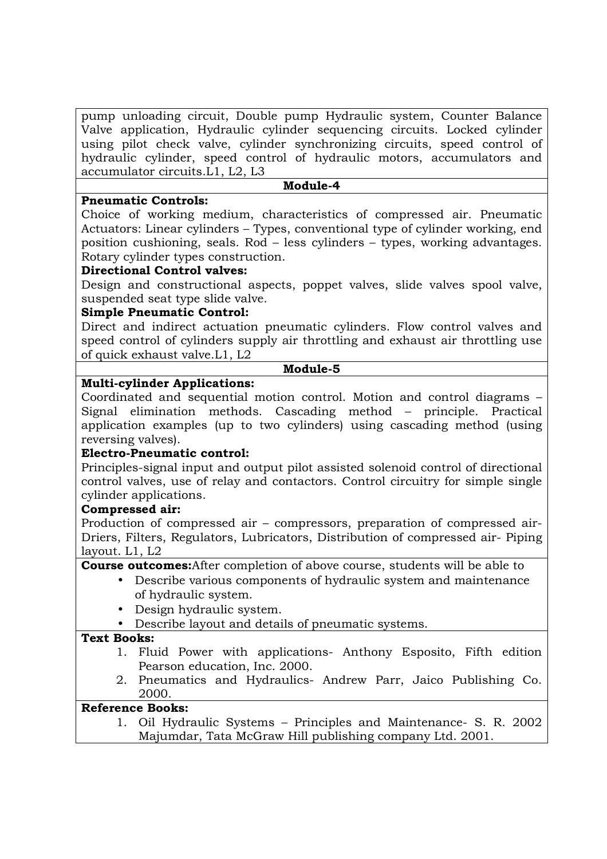pump unloading circuit, Double pump Hydraulic system, Counter Balance Valve application, Hydraulic cylinder sequencing circuits. Locked cylinder using pilot check valve, cylinder synchronizing circuits, speed control of hydraulic cylinder, speed control of hydraulic motors, accumulators and accumulator circuits.L1, L2, L3

## **Module-4**

## **Pneumatic Controls:**

Choice of working medium, characteristics of compressed air. Pneumatic Actuators: Linear cylinders – Types, conventional type of cylinder working, end position cushioning, seals. Rod – less cylinders – types, working advantages. Rotary cylinder types construction.

# **Directional Control valves:**

Design and constructional aspects, poppet valves, slide valves spool valve, suspended seat type slide valve.

# **Simple Pneumatic Control:**

Direct and indirect actuation pneumatic cylinders. Flow control valves and speed control of cylinders supply air throttling and exhaust air throttling use of quick exhaust valve.L1, L2

### **Module-5**

# **Multi-cylinder Applications:**

Coordinated and sequential motion control. Motion and control diagrams – Signal elimination methods. Cascading method – principle. Practical application examples (up to two cylinders) using cascading method (using reversing valves).

# **Electro-Pneumatic control:**

Principles-signal input and output pilot assisted solenoid control of directional control valves, use of relay and contactors. Control circuitry for simple single cylinder applications.

### **Compressed air:**

Production of compressed air – compressors, preparation of compressed air-Driers, Filters, Regulators, Lubricators, Distribution of compressed air- Piping layout. L1, L2

**Course outcomes:**After completion of above course, students will be able to

- Describe various components of hydraulic system and maintenance of hydraulic system.
- Design hydraulic system.
- Describe layout and details of pneumatic systems.

### **Text Books:**

- 1. Fluid Power with applications- Anthony Esposito, Fifth edition Pearson education, Inc. 2000.
- 2. Pneumatics and Hydraulics- Andrew Parr, Jaico Publishing Co. 2000.

# **Reference Books:**

1. Oil Hydraulic Systems – Principles and Maintenance- S. R. 2002 Majumdar, Tata McGraw Hill publishing company Ltd. 2001.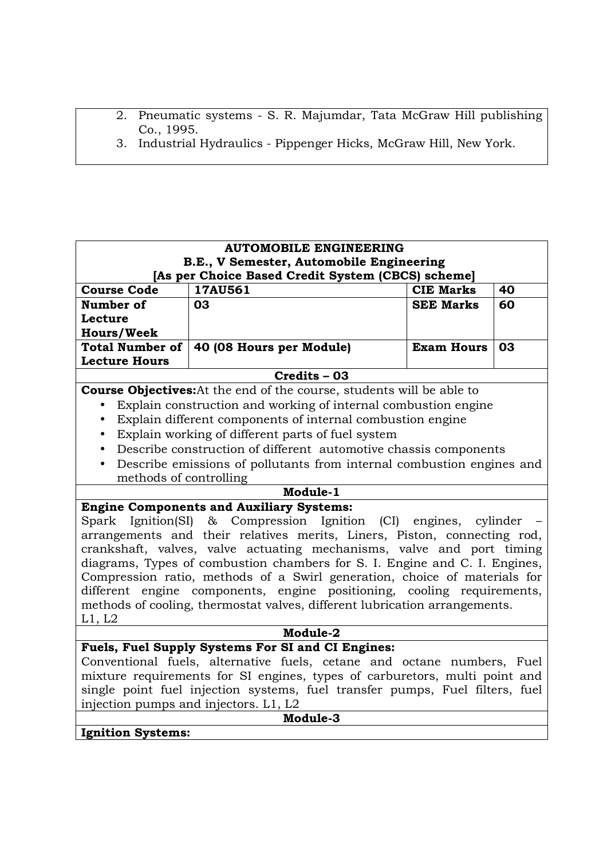- 2. Pneumatic systems S. R. Majumdar, Tata McGraw Hill publishing Co., 1995.
- 3. Industrial Hydraulics Pippenger Hicks, McGraw Hill, New York.

| <b>AUTOMOBILE ENGINEERING</b>                                                |                                                                              |                   |    |  |
|------------------------------------------------------------------------------|------------------------------------------------------------------------------|-------------------|----|--|
|                                                                              | B.E., V Semester, Automobile Engineering                                     |                   |    |  |
|                                                                              | [As per Choice Based Credit System (CBCS) scheme]                            |                   |    |  |
| <b>Course Code</b>                                                           | 17AU561                                                                      | <b>CIE Marks</b>  | 40 |  |
| Number of                                                                    | 03                                                                           | <b>SEE Marks</b>  | 60 |  |
| Lecture                                                                      |                                                                              |                   |    |  |
| <b>Hours/Week</b>                                                            |                                                                              |                   |    |  |
| <b>Total Number of</b>                                                       | 40 (08 Hours per Module)                                                     | <b>Exam Hours</b> | 03 |  |
| <b>Lecture Hours</b>                                                         |                                                                              |                   |    |  |
|                                                                              | $Credits - 03$                                                               |                   |    |  |
|                                                                              | <b>Course Objectives:</b> At the end of the course, students will be able to |                   |    |  |
|                                                                              | Explain construction and working of internal combustion engine               |                   |    |  |
|                                                                              | Explain different components of internal combustion engine                   |                   |    |  |
| $\bullet$                                                                    | Explain working of different parts of fuel system                            |                   |    |  |
|                                                                              | Describe construction of different automotive chassis components             |                   |    |  |
| $\bullet$                                                                    | Describe emissions of pollutants from internal combustion engines and        |                   |    |  |
| methods of controlling                                                       |                                                                              |                   |    |  |
|                                                                              | Module-1                                                                     |                   |    |  |
|                                                                              | <b>Engine Components and Auxiliary Systems:</b>                              |                   |    |  |
| Ignition(SI)<br>Spark                                                        | Compression Ignition (CI) engines, cylinder<br>$\alpha$                      |                   |    |  |
|                                                                              | arrangements and their relatives merits, Liners, Piston, connecting rod,     |                   |    |  |
|                                                                              | crankshaft, valves, valve actuating mechanisms, valve and port timing        |                   |    |  |
|                                                                              | diagrams, Types of combustion chambers for S. I. Engine and C. I. Engines,   |                   |    |  |
|                                                                              | Compression ratio, methods of a Swirl generation, choice of materials for    |                   |    |  |
|                                                                              | different engine components, engine positioning, cooling requirements,       |                   |    |  |
|                                                                              | methods of cooling, thermostat valves, different lubrication arrangements.   |                   |    |  |
| L1, L2                                                                       |                                                                              |                   |    |  |
| Module-2                                                                     |                                                                              |                   |    |  |
| Fuels, Fuel Supply Systems For SI and CI Engines:                            |                                                                              |                   |    |  |
| Conventional fuels, alternative fuels, cetane and octane numbers, Fuel       |                                                                              |                   |    |  |
| mixture requirements for SI engines, types of carburetors, multi point and   |                                                                              |                   |    |  |
| single point fuel injection systems, fuel transfer pumps, Fuel filters, fuel |                                                                              |                   |    |  |
| injection pumps and injectors. L1, L2                                        |                                                                              |                   |    |  |
|                                                                              | Module-3                                                                     |                   |    |  |
| <b>Ignition Systems:</b>                                                     |                                                                              |                   |    |  |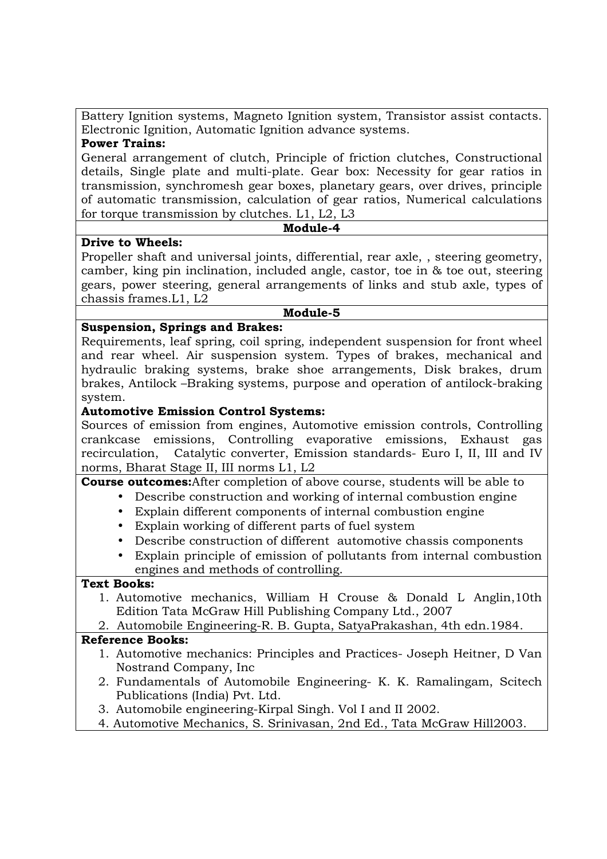Battery Ignition systems, Magneto Ignition system, Transistor assist contacts. Electronic Ignition, Automatic Ignition advance systems.

## **Power Trains:**

General arrangement of clutch, Principle of friction clutches, Constructional details, Single plate and multi-plate. Gear box: Necessity for gear ratios in transmission, synchromesh gear boxes, planetary gears, over drives, principle of automatic transmission, calculation of gear ratios, Numerical calculations for torque transmission by clutches. L1, L2, L3

### **Module-4**

## **Drive to Wheels:**

Propeller shaft and universal joints, differential, rear axle, , steering geometry, camber, king pin inclination, included angle, castor, toe in & toe out, steering gears, power steering, general arrangements of links and stub axle, types of chassis frames.L1, L2

### **Module-5**

# **Suspension, Springs and Brakes:**

Requirements, leaf spring, coil spring, independent suspension for front wheel and rear wheel. Air suspension system. Types of brakes, mechanical and hydraulic braking systems, brake shoe arrangements, Disk brakes, drum brakes, Antilock –Braking systems, purpose and operation of antilock-braking system.

## **Automotive Emission Control Systems:**

Sources of emission from engines, Automotive emission controls, Controlling crankcase emissions, Controlling evaporative emissions, Exhaust gas recirculation, Catalytic converter, Emission standards- Euro I, II, III and IV norms, Bharat Stage II, III norms L1, L2

# **Course outcomes:**After completion of above course, students will be able to

- Describe construction and working of internal combustion engine
- Explain different components of internal combustion engine
- Explain working of different parts of fuel system
- Describe construction of different automotive chassis components
- Explain principle of emission of pollutants from internal combustion engines and methods of controlling.

### **Text Books:**

- 1. Automotive mechanics, William H Crouse & Donald L Anglin,10th Edition Tata McGraw Hill Publishing Company Ltd., 2007
- 2. Automobile Engineering-R. B. Gupta, SatyaPrakashan, 4th edn.1984.

- 1. Automotive mechanics: Principles and Practices- Joseph Heitner, D Van Nostrand Company, Inc
- 2. Fundamentals of Automobile Engineering- K. K. Ramalingam, Scitech Publications (India) Pvt. Ltd.
- 3. Automobile engineering-Kirpal Singh. Vol I and II 2002.
- 4. Automotive Mechanics, S. Srinivasan, 2nd Ed., Tata McGraw Hill2003.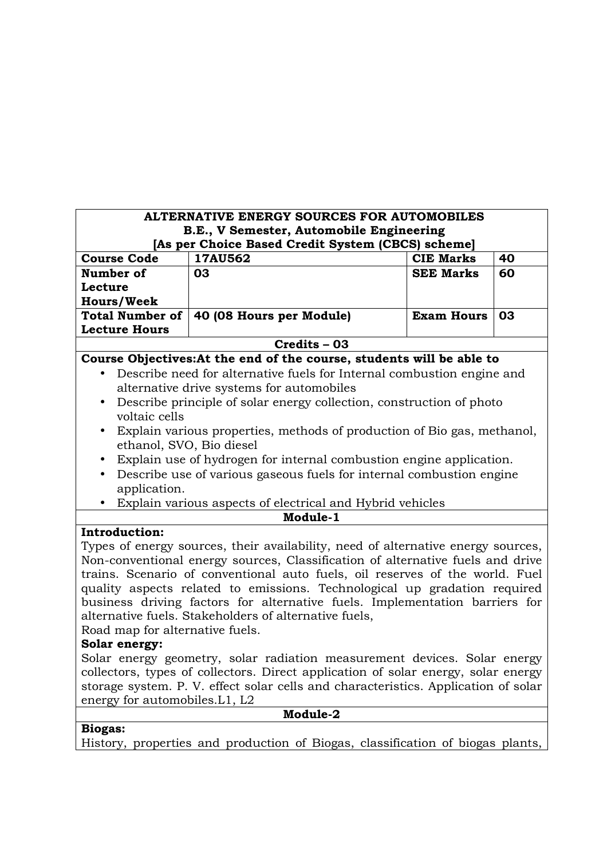| ALTERNATIVE ENERGY SOURCES FOR AUTOMOBILES                                         |                                                                                               |                   |    |  |
|------------------------------------------------------------------------------------|-----------------------------------------------------------------------------------------------|-------------------|----|--|
|                                                                                    | B.E., V Semester, Automobile Engineering<br>[As per Choice Based Credit System (CBCS) scheme] |                   |    |  |
| <b>Course Code</b>                                                                 | 17AU562                                                                                       | <b>CIE Marks</b>  | 40 |  |
| Number of                                                                          | 03                                                                                            | <b>SEE Marks</b>  | 60 |  |
| Lecture                                                                            |                                                                                               |                   |    |  |
| <b>Hours/Week</b>                                                                  |                                                                                               |                   |    |  |
| <b>Total Number of</b>                                                             | 40 (08 Hours per Module)                                                                      | <b>Exam Hours</b> | 03 |  |
| <b>Lecture Hours</b>                                                               |                                                                                               |                   |    |  |
|                                                                                    | Credits - 03                                                                                  |                   |    |  |
|                                                                                    | Course Objectives: At the end of the course, students will be able to                         |                   |    |  |
|                                                                                    | Describe need for alternative fuels for Internal combustion engine and                        |                   |    |  |
|                                                                                    | alternative drive systems for automobiles                                                     |                   |    |  |
| $\bullet$<br>voltaic cells                                                         | Describe principle of solar energy collection, construction of photo                          |                   |    |  |
| $\bullet$<br>ethanol, SVO, Bio diesel                                              | Explain various properties, methods of production of Bio gas, methanol,                       |                   |    |  |
| ٠                                                                                  | Explain use of hydrogen for internal combustion engine application.                           |                   |    |  |
| $\bullet$                                                                          | Describe use of various gaseous fuels for internal combustion engine                          |                   |    |  |
| application.                                                                       |                                                                                               |                   |    |  |
|                                                                                    | Explain various aspects of electrical and Hybrid vehicles                                     |                   |    |  |
|                                                                                    | Module-1                                                                                      |                   |    |  |
| <b>Introduction:</b>                                                               |                                                                                               |                   |    |  |
|                                                                                    | Types of energy sources, their availability, need of alternative energy sources,              |                   |    |  |
|                                                                                    | Non-conventional energy sources, Classification of alternative fuels and drive                |                   |    |  |
|                                                                                    | trains. Scenario of conventional auto fuels, oil reserves of the world. Fuel                  |                   |    |  |
|                                                                                    | quality aspects related to emissions. Technological up gradation required                     |                   |    |  |
|                                                                                    | business driving factors for alternative fuels. Implementation barriers for                   |                   |    |  |
|                                                                                    | alternative fuels. Stakeholders of alternative fuels,                                         |                   |    |  |
| Road map for alternative fuels.                                                    |                                                                                               |                   |    |  |
| Solar energy:                                                                      |                                                                                               |                   |    |  |
|                                                                                    | Solar energy geometry, solar radiation measurement devices. Solar energy                      |                   |    |  |
| collectors, types of collectors. Direct application of solar energy, solar energy  |                                                                                               |                   |    |  |
| storage system. P. V. effect solar cells and characteristics. Application of solar |                                                                                               |                   |    |  |
| energy for automobiles. L1, L2                                                     |                                                                                               |                   |    |  |
|                                                                                    | Module-2                                                                                      |                   |    |  |
| <b>Biogas:</b>                                                                     |                                                                                               |                   |    |  |
|                                                                                    | History, properties and production of Biogas, classification of biogas plants,                |                   |    |  |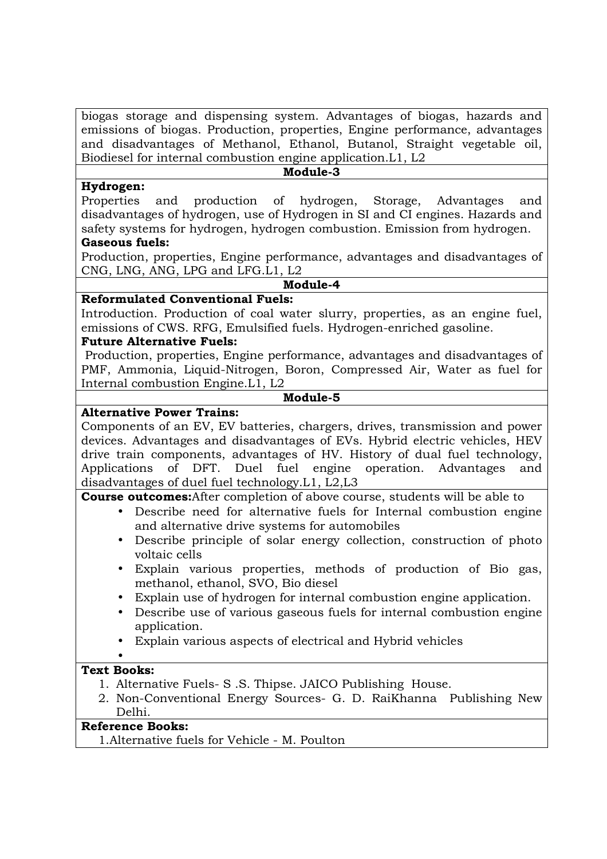biogas storage and dispensing system. Advantages of biogas, hazards and emissions of biogas. Production, properties, Engine performance, advantages and disadvantages of Methanol, Ethanol, Butanol, Straight vegetable oil, Biodiesel for internal combustion engine application.L1, L2

#### **Module-3**

### **Hydrogen:**

Properties and production of hydrogen, Storage, Advantages and disadvantages of hydrogen, use of Hydrogen in SI and CI engines. Hazards and safety systems for hydrogen, hydrogen combustion. Emission from hydrogen.

# **Gaseous fuels:**

Production, properties, Engine performance, advantages and disadvantages of CNG, LNG, ANG, LPG and LFG.L1, L2

#### **Module-4**

## **Reformulated Conventional Fuels:**

Introduction. Production of coal water slurry, properties, as an engine fuel, emissions of CWS. RFG, Emulsified fuels. Hydrogen-enriched gasoline.

## **Future Alternative Fuels:**

 Production, properties, Engine performance, advantages and disadvantages of PMF, Ammonia, Liquid-Nitrogen, Boron, Compressed Air, Water as fuel for Internal combustion Engine.L1, L2

### **Module-5**

# **Alternative Power Trains:**

Components of an EV, EV batteries, chargers, drives, transmission and power devices. Advantages and disadvantages of EVs. Hybrid electric vehicles, HEV drive train components, advantages of HV. History of dual fuel technology, Applications of DFT. Duel fuel engine operation. Advantages and disadvantages of duel fuel technology.L1, L2,L3

**Course outcomes:**After completion of above course, students will be able to

- Describe need for alternative fuels for Internal combustion engine and alternative drive systems for automobiles
- Describe principle of solar energy collection, construction of photo voltaic cells
- Explain various properties, methods of production of Bio gas, methanol, ethanol, SVO, Bio diesel
- Explain use of hydrogen for internal combustion engine application.
- Describe use of various gaseous fuels for internal combustion engine application.
- Explain various aspects of electrical and Hybrid vehicles

#### • **Text Books:**

- 1. Alternative Fuels- S .S. Thipse. JAICO Publishing House.
- 2. Non-Conventional Energy Sources- G. D. RaiKhanna Publishing New Delhi.

# **Reference Books:**

1.Alternative fuels for Vehicle - M. Poulton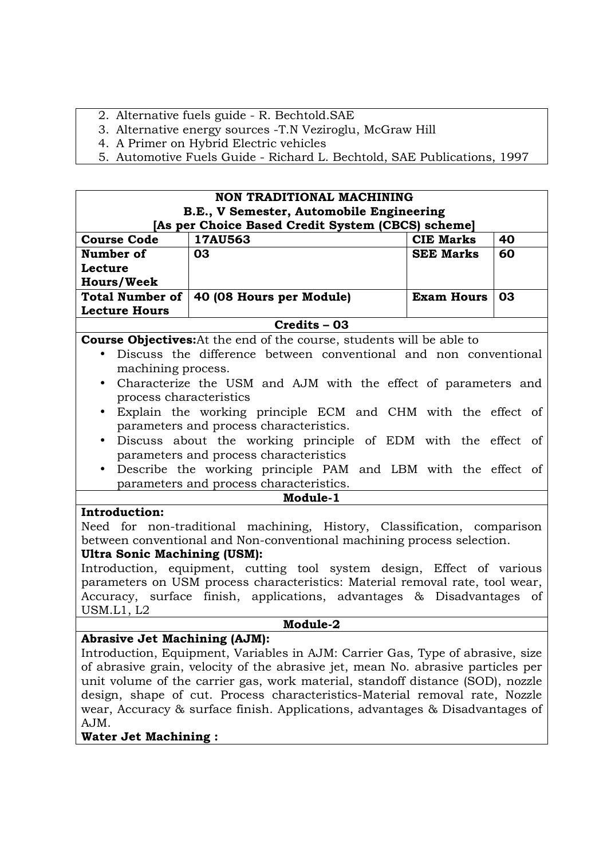- 2. Alternative fuels guide R. Bechtold.SAE
- 3. Alternative energy sources -T.N Veziroglu, McGraw Hill
- 4. A Primer on Hybrid Electric vehicles
- 5. Automotive Fuels Guide Richard L. Bechtold, SAE Publications, 1997

| <b>NON TRADITIONAL MACHINING</b><br>B.E., V Semester, Automobile Engineering |                                                                                  |                   |    |
|------------------------------------------------------------------------------|----------------------------------------------------------------------------------|-------------------|----|
|                                                                              | [As per Choice Based Credit System (CBCS) scheme]                                |                   |    |
| <b>Course Code</b>                                                           | 17AU563                                                                          | <b>CIE Marks</b>  | 40 |
| Number of                                                                    | 03                                                                               | <b>SEE Marks</b>  | 60 |
| Lecture                                                                      |                                                                                  |                   |    |
| <b>Hours/Week</b>                                                            |                                                                                  |                   |    |
| <b>Total Number of</b>                                                       | 40 (08 Hours per Module)                                                         | <b>Exam Hours</b> | 03 |
| <b>Lecture Hours</b>                                                         |                                                                                  |                   |    |
|                                                                              | Credits - 03                                                                     |                   |    |
|                                                                              | <b>Course Objectives:</b> At the end of the course, students will be able to     |                   |    |
|                                                                              | Discuss the difference between conventional and non conventional                 |                   |    |
| machining process.                                                           |                                                                                  |                   |    |
| $\bullet$                                                                    | Characterize the USM and AJM with the effect of parameters and                   |                   |    |
| process characteristics                                                      |                                                                                  |                   |    |
| $\bullet$                                                                    | Explain the working principle ECM and CHM with the effect of                     |                   |    |
|                                                                              | parameters and process characteristics.                                          |                   |    |
|                                                                              | Discuss about the working principle of EDM with the effect of                    |                   |    |
|                                                                              | parameters and process characteristics                                           |                   |    |
| $\bullet$                                                                    | Describe the working principle PAM and LBM with the effect of                    |                   |    |
|                                                                              | parameters and process characteristics.                                          |                   |    |
|                                                                              | Module-1                                                                         |                   |    |
| Introduction:                                                                |                                                                                  |                   |    |
|                                                                              | Need for non-traditional machining, History, Classification, comparison          |                   |    |
|                                                                              | between conventional and Non-conventional machining process selection.           |                   |    |
| <b>Ultra Sonic Machining (USM):</b>                                          |                                                                                  |                   |    |
|                                                                              | Introduction, equipment, cutting tool system design, Effect of various           |                   |    |
|                                                                              | parameters on USM process characteristics: Material removal rate, tool wear,     |                   |    |
|                                                                              | Accuracy, surface finish, applications, advantages & Disadvantages of            |                   |    |
| USM.L1, L2                                                                   |                                                                                  |                   |    |
|                                                                              | Module-2                                                                         |                   |    |
| <b>Abrasive Jet Machining (AJM):</b>                                         |                                                                                  |                   |    |
|                                                                              | Introduction, Equipment, Variables in AJM: Carrier Gas, Type of abrasive, size   |                   |    |
|                                                                              | of abrasive grain, velocity of the abrasive jet, mean No. abrasive particles per |                   |    |
|                                                                              | unit volume of the carrier gas, work material, standoff distance (SOD), nozzle   |                   |    |
|                                                                              | design, shape of cut. Process characteristics-Material removal rate, Nozzle      |                   |    |
|                                                                              | wear, Accuracy & surface finish. Applications, advantages & Disadvantages of     |                   |    |
| AJM.                                                                         |                                                                                  |                   |    |
| <b>Water Jet Machining:</b>                                                  |                                                                                  |                   |    |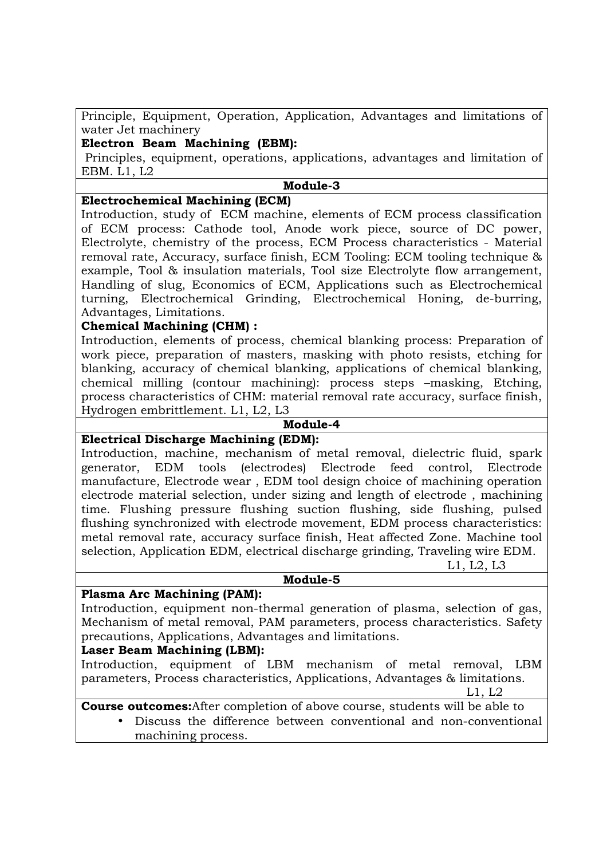Principle, Equipment, Operation, Application, Advantages and limitations of water Jet machinery

# **Electron Beam Machining (EBM):**

 Principles, equipment, operations, applications, advantages and limitation of EBM. L1, L2

## **Module-3**

## **Electrochemical Machining (ECM)**

Introduction, study of ECM machine, elements of ECM process classification of ECM process: Cathode tool, Anode work piece, source of DC power, Electrolyte, chemistry of the process, ECM Process characteristics - Material removal rate, Accuracy, surface finish, ECM Tooling: ECM tooling technique & example, Tool & insulation materials, Tool size Electrolyte flow arrangement, Handling of slug, Economics of ECM, Applications such as Electrochemical turning, Electrochemical Grinding, Electrochemical Honing, de-burring, Advantages, Limitations.

# **Chemical Machining (CHM) :**

Introduction, elements of process, chemical blanking process: Preparation of work piece, preparation of masters, masking with photo resists, etching for blanking, accuracy of chemical blanking, applications of chemical blanking, chemical milling (contour machining): process steps –masking, Etching, process characteristics of CHM: material removal rate accuracy, surface finish, Hydrogen embrittlement. L1, L2, L3

#### **Module-4**

### **Electrical Discharge Machining (EDM):**

Introduction, machine, mechanism of metal removal, dielectric fluid, spark generator, EDM tools (electrodes) Electrode feed control, Electrode manufacture, Electrode wear , EDM tool design choice of machining operation electrode material selection, under sizing and length of electrode , machining time. Flushing pressure flushing suction flushing, side flushing, pulsed flushing synchronized with electrode movement, EDM process characteristics: metal removal rate, accuracy surface finish, Heat affected Zone. Machine tool selection, Application EDM, electrical discharge grinding, Traveling wire EDM.

L1, L2, L3

### **Module-5**

### **Plasma Arc Machining (PAM):**

Introduction, equipment non-thermal generation of plasma, selection of gas, Mechanism of metal removal, PAM parameters, process characteristics. Safety precautions, Applications, Advantages and limitations.

### **Laser Beam Machining (LBM):**

Introduction, equipment of LBM mechanism of metal removal, LBM parameters, Process characteristics, Applications, Advantages & limitations.

L1, L2

**Course outcomes:**After completion of above course, students will be able to

• Discuss the difference between conventional and non-conventional machining process.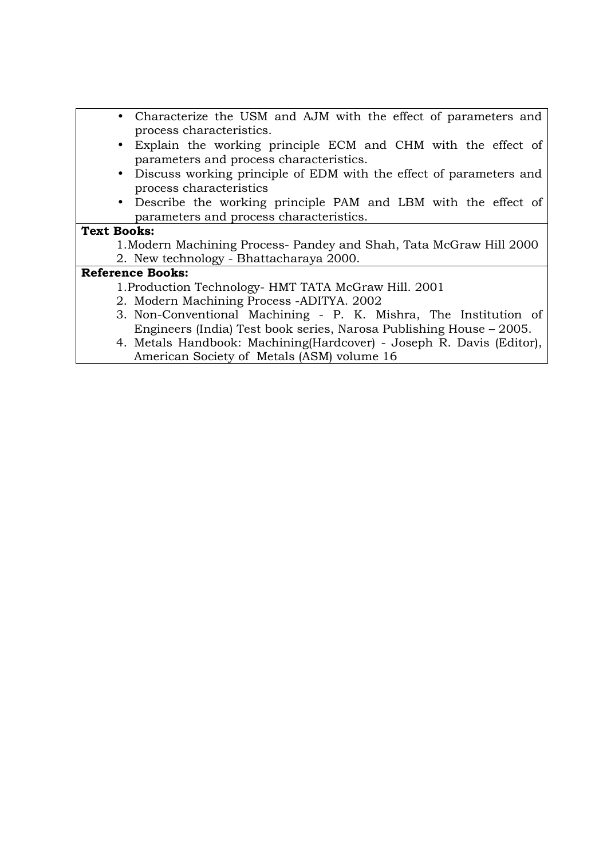- Characterize the USM and AJM with the effect of parameters and process characteristics.
- Explain the working principle ECM and CHM with the effect of parameters and process characteristics.
- Discuss working principle of EDM with the effect of parameters and process characteristics
- Describe the working principle PAM and LBM with the effect of parameters and process characteristics.

## **Text Books:**

1.Modern Machining Process- Pandey and Shah, Tata McGraw Hill 2000 2. New technology - Bhattacharaya 2000.

- 1.Production Technology- HMT TATA McGraw Hill. 2001
- 2. Modern Machining Process -ADITYA. 2002
- 3. Non-Conventional Machining P. K. Mishra, The Institution of Engineers (India) Test book series, Narosa Publishing House – 2005.
- 4. Metals Handbook: Machining(Hardcover) Joseph R. Davis (Editor), American Society of Metals (ASM) volume 16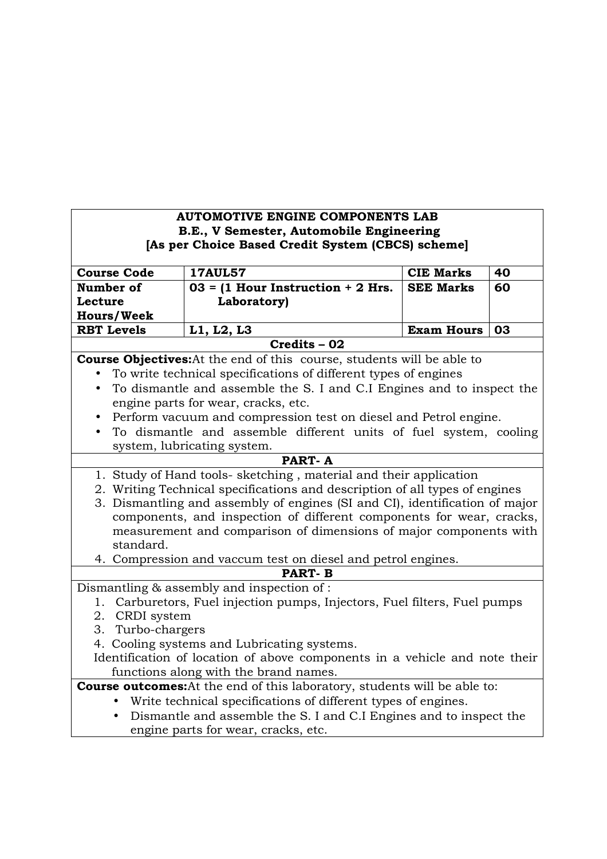# **AUTOMOTIVE ENGINE COMPONENTS LAB B.E., V Semester, Automobile Engineering [As per Choice Based Credit System (CBCS) scheme]**

| <b>Course Code</b>                                                               | <b>17AUL57</b>                                                                | <b>CIE Marks</b>  | 40 |
|----------------------------------------------------------------------------------|-------------------------------------------------------------------------------|-------------------|----|
| Number of                                                                        | $03 = (1$ Hour Instruction + 2 Hrs.                                           | <b>SEE Marks</b>  | 60 |
| Lecture                                                                          | Laboratory)                                                                   |                   |    |
| <b>Hours/Week</b>                                                                |                                                                               |                   |    |
| <b>RBT Levels</b>                                                                | L1, L2, L3                                                                    | <b>Exam Hours</b> | 03 |
|                                                                                  | Credits - 02                                                                  |                   |    |
|                                                                                  | <b>Course Objectives:</b> At the end of this course, students will be able to |                   |    |
|                                                                                  | To write technical specifications of different types of engines               |                   |    |
|                                                                                  | To dismantle and assemble the S. I and C.I Engines and to inspect the         |                   |    |
|                                                                                  | engine parts for wear, cracks, etc.                                           |                   |    |
|                                                                                  | Perform vacuum and compression test on diesel and Petrol engine.              |                   |    |
| $\bullet$                                                                        | To dismantle and assemble different units of fuel system, cooling             |                   |    |
|                                                                                  | system, lubricating system.                                                   |                   |    |
|                                                                                  | <b>PART-A</b>                                                                 |                   |    |
|                                                                                  | 1. Study of Hand tools- sketching, material and their application             |                   |    |
|                                                                                  | 2. Writing Technical specifications and description of all types of engines   |                   |    |
|                                                                                  | 3. Dismantling and assembly of engines (SI and CI), identification of major   |                   |    |
|                                                                                  | components, and inspection of different components for wear, cracks,          |                   |    |
|                                                                                  | measurement and comparison of dimensions of major components with             |                   |    |
| standard.                                                                        |                                                                               |                   |    |
|                                                                                  | 4. Compression and vaccum test on diesel and petrol engines.                  |                   |    |
|                                                                                  | <b>PART-B</b>                                                                 |                   |    |
|                                                                                  | Dismantling & assembly and inspection of :                                    |                   |    |
|                                                                                  | 1. Carburetors, Fuel injection pumps, Injectors, Fuel filters, Fuel pumps     |                   |    |
| 2. CRDI system                                                                   |                                                                               |                   |    |
| 3. Turbo-chargers                                                                |                                                                               |                   |    |
| 4. Cooling systems and Lubricating systems.                                      |                                                                               |                   |    |
| Identification of location of above components in a vehicle and note their       |                                                                               |                   |    |
|                                                                                  | functions along with the brand names.                                         |                   |    |
| <b>Course outcomes:</b> At the end of this laboratory, students will be able to: |                                                                               |                   |    |
| Write technical specifications of different types of engines.                    |                                                                               |                   |    |
| $\bullet$                                                                        | Dismantle and assemble the S. I and C.I Engines and to inspect the            |                   |    |
| engine parts for wear, cracks, etc.                                              |                                                                               |                   |    |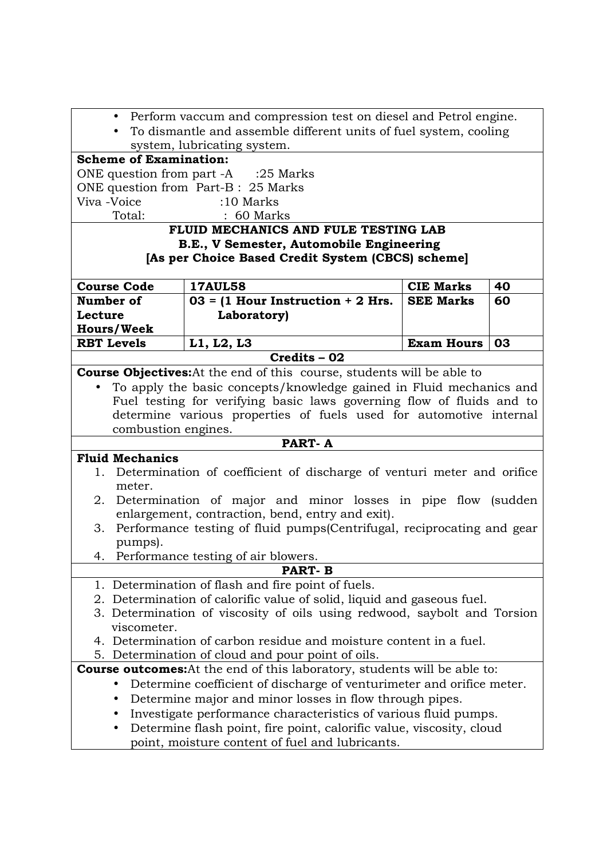| • Perform vaccum and compression test on diesel and Petrol engine.                                 |                                                                                  |                   |    |
|----------------------------------------------------------------------------------------------------|----------------------------------------------------------------------------------|-------------------|----|
| • To dismantle and assemble different units of fuel system, cooling<br>system, lubricating system. |                                                                                  |                   |    |
| <b>Scheme of Examination:</b>                                                                      |                                                                                  |                   |    |
|                                                                                                    | ONE question from part -A :25 Marks                                              |                   |    |
|                                                                                                    | ONE question from Part-B: 25 Marks                                               |                   |    |
| Viva -Voice                                                                                        | $:10$ Marks                                                                      |                   |    |
| Total:                                                                                             | $: 60$ Marks                                                                     |                   |    |
|                                                                                                    | FLUID MECHANICS AND FULE TESTING LAB                                             |                   |    |
|                                                                                                    | B.E., V Semester, Automobile Engineering                                         |                   |    |
|                                                                                                    | [As per Choice Based Credit System (CBCS) scheme]                                |                   |    |
| <b>Course Code</b>                                                                                 | <b>17AUL58</b>                                                                   | <b>CIE Marks</b>  | 40 |
| Number of                                                                                          | $03 = (1$ Hour Instruction + 2 Hrs.                                              | <b>SEE Marks</b>  | 60 |
| Lecture                                                                                            | Laboratory)                                                                      |                   |    |
| <b>Hours/Week</b>                                                                                  |                                                                                  |                   |    |
| <b>RBT Levels</b>                                                                                  | L1, L2, L3                                                                       | <b>Exam Hours</b> | 03 |
|                                                                                                    | Credits - 02                                                                     |                   |    |
|                                                                                                    | <b>Course Objectives:</b> At the end of this course, students will be able to    |                   |    |
| $\bullet$                                                                                          | To apply the basic concepts/knowledge gained in Fluid mechanics and              |                   |    |
|                                                                                                    | Fuel testing for verifying basic laws governing flow of fluids and to            |                   |    |
|                                                                                                    | determine various properties of fuels used for automotive internal               |                   |    |
| combustion engines.                                                                                |                                                                                  |                   |    |
|                                                                                                    | PART-A                                                                           |                   |    |
| <b>Fluid Mechanics</b>                                                                             |                                                                                  |                   |    |
| meter.                                                                                             | 1. Determination of coefficient of discharge of venturi meter and orifice        |                   |    |
|                                                                                                    | 2. Determination of major and minor losses in pipe flow (sudden                  |                   |    |
|                                                                                                    | enlargement, contraction, bend, entry and exit).                                 |                   |    |
| 3.                                                                                                 | Performance testing of fluid pumps (Centrifugal, reciprocating and gear          |                   |    |
| pumps).                                                                                            |                                                                                  |                   |    |
|                                                                                                    | 4. Performance testing of air blowers.                                           |                   |    |
|                                                                                                    | <b>PART-B</b>                                                                    |                   |    |
|                                                                                                    | 1. Determination of flash and fire point of fuels.                               |                   |    |
|                                                                                                    | 2. Determination of calorific value of solid, liquid and gaseous fuel.           |                   |    |
|                                                                                                    | 3. Determination of viscosity of oils using redwood, saybolt and Torsion         |                   |    |
| viscometer.                                                                                        |                                                                                  |                   |    |
|                                                                                                    | 4. Determination of carbon residue and moisture content in a fuel.               |                   |    |
|                                                                                                    | 5. Determination of cloud and pour point of oils.                                |                   |    |
|                                                                                                    | <b>Course outcomes:</b> At the end of this laboratory, students will be able to: |                   |    |
|                                                                                                    | Determine coefficient of discharge of venturimeter and orifice meter.            |                   |    |
|                                                                                                    | Determine major and minor losses in flow through pipes.                          |                   |    |
|                                                                                                    | Investigate performance characteristics of various fluid pumps.                  |                   |    |
| $\bullet$                                                                                          | Determine flash point, fire point, calorific value, viscosity, cloud             |                   |    |
| point, moisture content of fuel and lubricants.                                                    |                                                                                  |                   |    |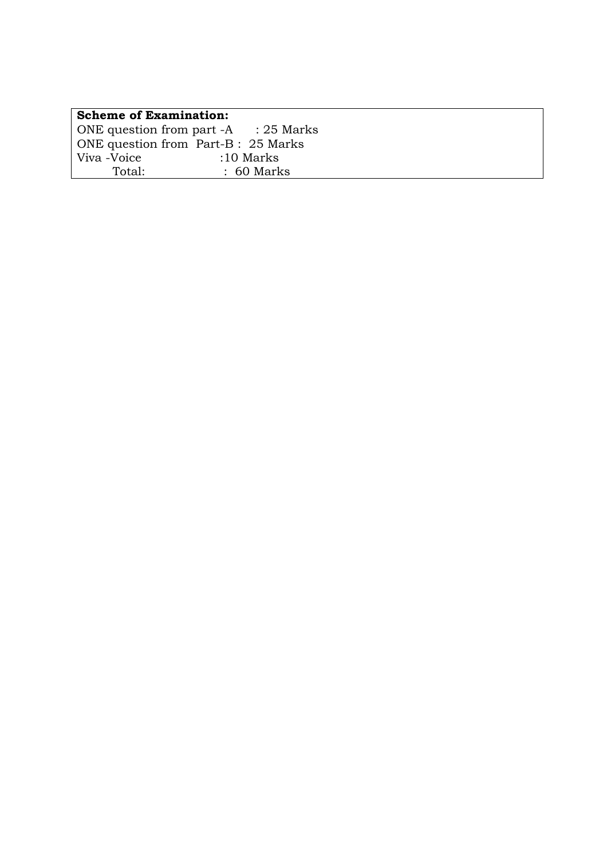| <b>Scheme of Examination:</b><br>ONE question from part -A : 25 Marks<br>ONE question from Part-B: 25 Marks<br>Viva -Voice<br>$:10$ Marks<br>Total:<br>$: 60$ Marks |  |  |
|---------------------------------------------------------------------------------------------------------------------------------------------------------------------|--|--|
|                                                                                                                                                                     |  |  |
|                                                                                                                                                                     |  |  |
|                                                                                                                                                                     |  |  |
|                                                                                                                                                                     |  |  |
|                                                                                                                                                                     |  |  |
|                                                                                                                                                                     |  |  |
|                                                                                                                                                                     |  |  |
|                                                                                                                                                                     |  |  |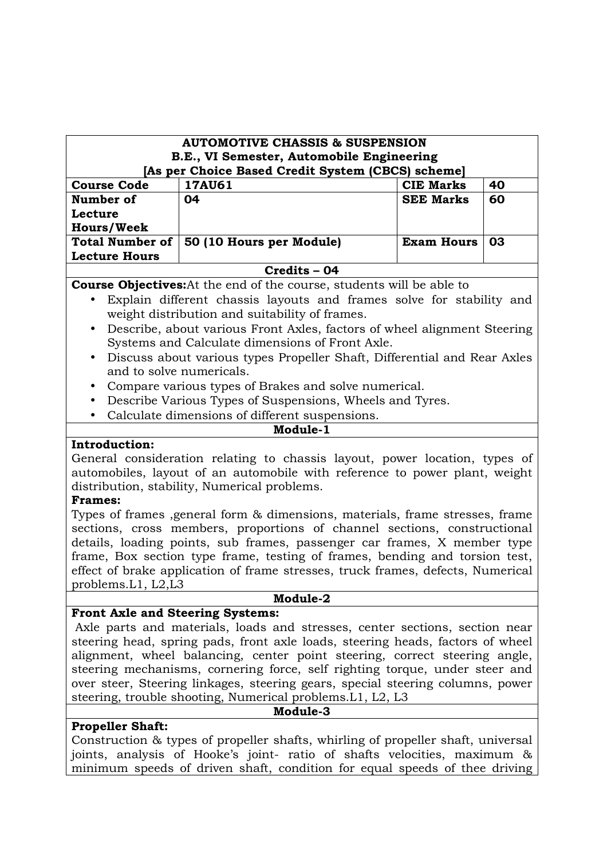| <b>AUTOMOTIVE CHASSIS &amp; SUSPENSION</b><br>B.E., VI Semester, Automobile Engineering<br>[As per Choice Based Credit System (CBCS) scheme] |                          |                   |    |  |
|----------------------------------------------------------------------------------------------------------------------------------------------|--------------------------|-------------------|----|--|
| <b>Course Code</b>                                                                                                                           | <b>17AU61</b>            | <b>CIE Marks</b>  | 40 |  |
| Number of                                                                                                                                    | 04                       | <b>SEE Marks</b>  | 60 |  |
| Lecture                                                                                                                                      |                          |                   |    |  |
| <b>Hours/Week</b>                                                                                                                            |                          |                   |    |  |
| <b>Total Number of</b>                                                                                                                       | 50 (10 Hours per Module) | <b>Exam Hours</b> | 03 |  |
| <b>Lecture Hours</b>                                                                                                                         |                          |                   |    |  |
| Credits – 04                                                                                                                                 |                          |                   |    |  |

**Course Objectives:**At the end of the course, students will be able to

- Explain different chassis layouts and frames solve for stability and weight distribution and suitability of frames.
- Describe, about various Front Axles, factors of wheel alignment Steering Systems and Calculate dimensions of Front Axle.
- Discuss about various types Propeller Shaft, Differential and Rear Axles and to solve numericals.
- Compare various types of Brakes and solve numerical.
- Describe Various Types of Suspensions, Wheels and Tyres.
- Calculate dimensions of different suspensions.

# **Introduction:**

General consideration relating to chassis layout, power location, types of automobiles, layout of an automobile with reference to power plant, weight distribution, stability, Numerical problems.

**Module-1** 

### **Frames:**

Types of frames ,general form & dimensions, materials, frame stresses, frame sections, cross members, proportions of channel sections, constructional details, loading points, sub frames, passenger car frames, X member type frame, Box section type frame, testing of frames, bending and torsion test, effect of brake application of frame stresses, truck frames, defects, Numerical problems.L1, L2,L3

#### **Module-2**

# **Front Axle and Steering Systems:**

 Axle parts and materials, loads and stresses, center sections, section near steering head, spring pads, front axle loads, steering heads, factors of wheel alignment, wheel balancing, center point steering, correct steering angle, steering mechanisms, cornering force, self righting torque, under steer and over steer, Steering linkages, steering gears, special steering columns, power steering, trouble shooting, Numerical problems.L1, L2, L3

### **Module-3**

# **Propeller Shaft:**

Construction & types of propeller shafts, whirling of propeller shaft, universal joints, analysis of Hooke's joint- ratio of shafts velocities, maximum & minimum speeds of driven shaft, condition for equal speeds of thee driving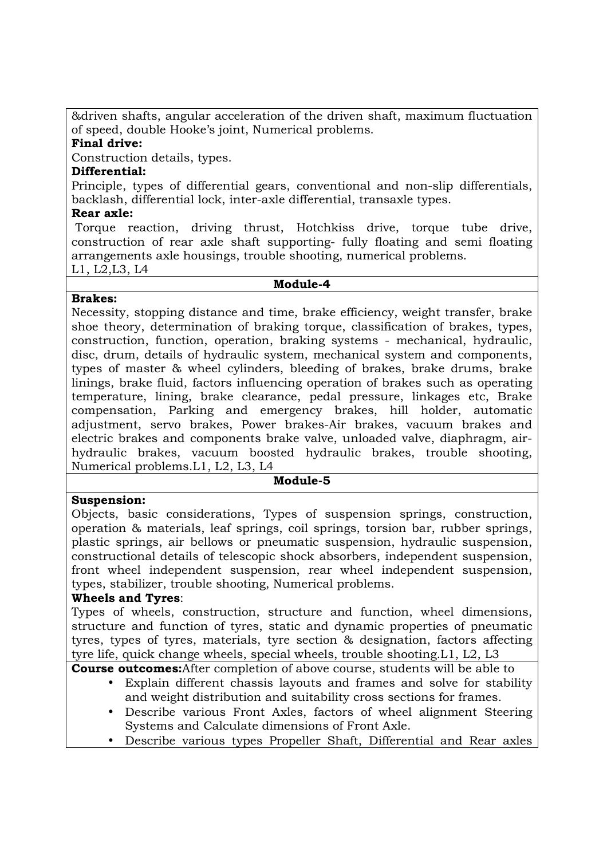&driven shafts, angular acceleration of the driven shaft, maximum fluctuation of speed, double Hooke's joint, Numerical problems.

# **Final drive:**

Construction details, types.

## **Differential:**

Principle, types of differential gears, conventional and non-slip differentials, backlash, differential lock, inter-axle differential, transaxle types.

## **Rear axle:**

 Torque reaction, driving thrust, Hotchkiss drive, torque tube drive, construction of rear axle shaft supporting- fully floating and semi floating arrangements axle housings, trouble shooting, numerical problems. L1, L2,L3, L4

#### **Module-4**

# **Brakes:**

Necessity, stopping distance and time, brake efficiency, weight transfer, brake shoe theory, determination of braking torque, classification of brakes, types, construction, function, operation, braking systems - mechanical, hydraulic, disc, drum, details of hydraulic system, mechanical system and components, types of master & wheel cylinders, bleeding of brakes, brake drums, brake linings, brake fluid, factors influencing operation of brakes such as operating temperature, lining, brake clearance, pedal pressure, linkages etc, Brake compensation, Parking and emergency brakes, hill holder, automatic adjustment, servo brakes, Power brakes-Air brakes, vacuum brakes and electric brakes and components brake valve, unloaded valve, diaphragm, airhydraulic brakes, vacuum boosted hydraulic brakes, trouble shooting, Numerical problems.L1, L2, L3, L4

# **Module-5**

# **Suspension:**

Objects, basic considerations, Types of suspension springs, construction, operation & materials, leaf springs, coil springs, torsion bar, rubber springs, plastic springs, air bellows or pneumatic suspension, hydraulic suspension, constructional details of telescopic shock absorbers, independent suspension, front wheel independent suspension, rear wheel independent suspension, types, stabilizer, trouble shooting, Numerical problems.

# **Wheels and Tyres**:

Types of wheels, construction, structure and function, wheel dimensions, structure and function of tyres, static and dynamic properties of pneumatic tyres, types of tyres, materials, tyre section & designation, factors affecting tyre life, quick change wheels, special wheels, trouble shooting.L1, L2, L3

**Course outcomes:**After completion of above course, students will be able to

- Explain different chassis layouts and frames and solve for stability and weight distribution and suitability cross sections for frames.
- Describe various Front Axles, factors of wheel alignment Steering Systems and Calculate dimensions of Front Axle.
- Describe various types Propeller Shaft, Differential and Rear axles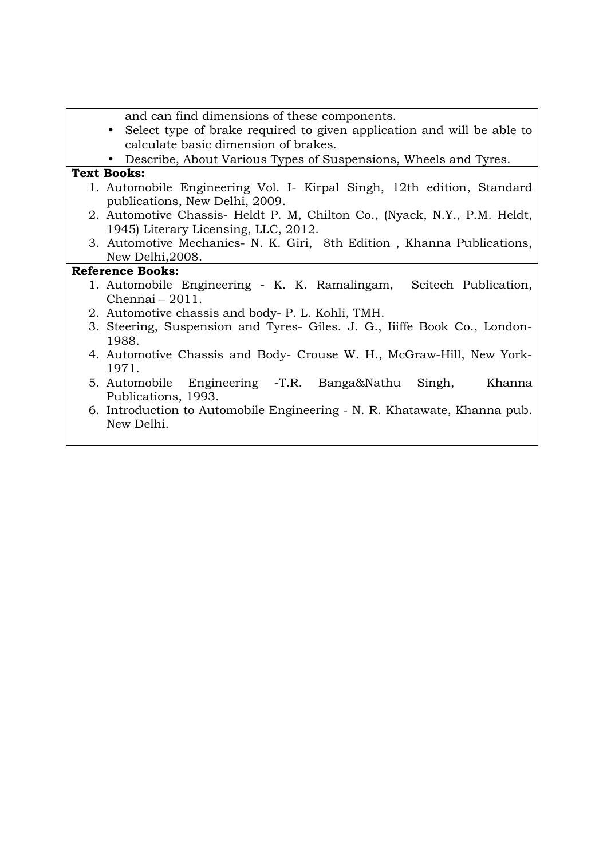| and can find dimensions of these components.<br>Select type of brake required to given application and will be able to<br>calculate basic dimension of brakes.<br>• Describe, About Various Types of Suspensions, Wheels and Tyres. |  |  |  |
|-------------------------------------------------------------------------------------------------------------------------------------------------------------------------------------------------------------------------------------|--|--|--|
| <b>Text Books:</b>                                                                                                                                                                                                                  |  |  |  |
| 1. Automobile Engineering Vol. I Kirpal Singh, 12th edition, Standard<br>publications, New Delhi, 2009.                                                                                                                             |  |  |  |
| 2. Automotive Chassis- Heldt P. M, Chilton Co., (Nyack, N.Y., P.M. Heldt,<br>1945) Literary Licensing, LLC, 2012.                                                                                                                   |  |  |  |
| 3. Automotive Mechanics- N. K. Giri, 8th Edition, Khanna Publications,<br>New Delhi, 2008.                                                                                                                                          |  |  |  |
| <b>Reference Books:</b>                                                                                                                                                                                                             |  |  |  |
| 1. Automobile Engineering - K. K. Ramalingam, Scitech Publication,<br>Chennai $-2011$ .                                                                                                                                             |  |  |  |
| 2. Automotive chassis and body- P. L. Kohli, TMH.                                                                                                                                                                                   |  |  |  |
| 3. Steering, Suspension and Tyres- Giles. J. G., Iiiffe Book Co., London-<br>1988.                                                                                                                                                  |  |  |  |
| 4. Automotive Chassis and Body- Crouse W. H., McGraw-Hill, New York-<br>1971.                                                                                                                                                       |  |  |  |
| 5. Automobile Engineering -T.R. Banga&Nathu<br>Khanna<br>Singh,<br>Publications, 1993.                                                                                                                                              |  |  |  |
| 6. Introduction to Automobile Engineering - N. R. Khatawate, Khanna pub.<br>New Delhi.                                                                                                                                              |  |  |  |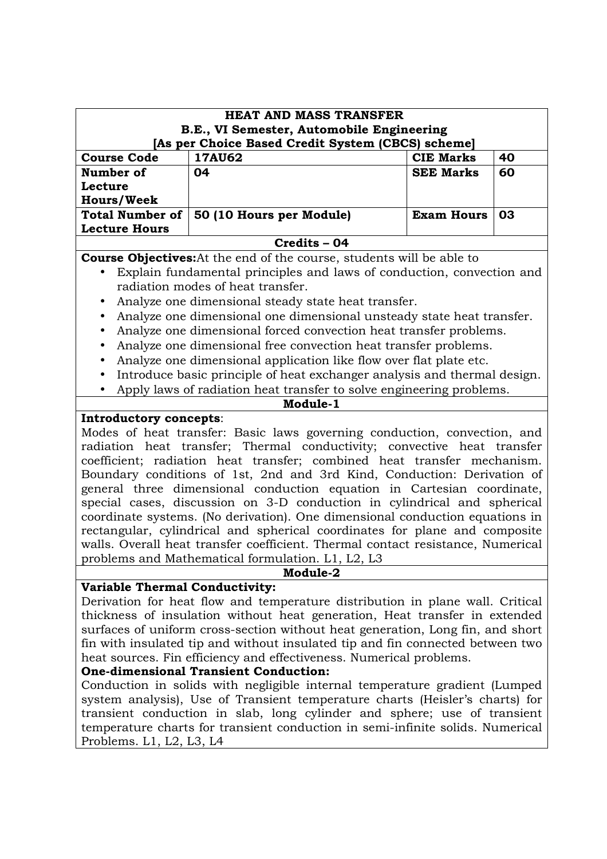| <b>HEAT AND MASS TRANSFER</b>                                                                  |                                                                                |                   |    |  |
|------------------------------------------------------------------------------------------------|--------------------------------------------------------------------------------|-------------------|----|--|
| B.E., VI Semester, Automobile Engineering<br>[As per Choice Based Credit System (CBCS) scheme] |                                                                                |                   |    |  |
| <b>Course Code</b>                                                                             | <b>17AU62</b>                                                                  | <b>CIE Marks</b>  | 40 |  |
| Number of                                                                                      | 04                                                                             | <b>SEE Marks</b>  | 60 |  |
| Lecture                                                                                        |                                                                                |                   |    |  |
| <b>Hours/Week</b>                                                                              |                                                                                |                   |    |  |
| <b>Total Number of</b>                                                                         | 50 (10 Hours per Module)                                                       | <b>Exam Hours</b> | 03 |  |
| <b>Lecture Hours</b>                                                                           |                                                                                |                   |    |  |
|                                                                                                | Credits - 04                                                                   |                   |    |  |
|                                                                                                | <b>Course Objectives:</b> At the end of the course, students will be able to   |                   |    |  |
|                                                                                                | Explain fundamental principles and laws of conduction, convection and          |                   |    |  |
|                                                                                                | radiation modes of heat transfer.                                              |                   |    |  |
|                                                                                                | Analyze one dimensional steady state heat transfer.                            |                   |    |  |
|                                                                                                | Analyze one dimensional one dimensional unsteady state heat transfer.          |                   |    |  |
| $\bullet$                                                                                      | Analyze one dimensional forced convection heat transfer problems.              |                   |    |  |
| $\bullet$                                                                                      | Analyze one dimensional free convection heat transfer problems.                |                   |    |  |
|                                                                                                | Analyze one dimensional application like flow over flat plate etc.             |                   |    |  |
|                                                                                                | Introduce basic principle of heat exchanger analysis and thermal design.       |                   |    |  |
| $\bullet$                                                                                      | Apply laws of radiation heat transfer to solve engineering problems.           |                   |    |  |
| Module-1                                                                                       |                                                                                |                   |    |  |
| Introductory concepts:                                                                         |                                                                                |                   |    |  |
| Modes of heat transfer: Basic laws governing conduction, convection, and                       |                                                                                |                   |    |  |
| radiation heat transfer; Thermal conductivity; convective heat transfer                        |                                                                                |                   |    |  |
| coefficient; radiation heat transfer; combined heat transfer mechanism.                        |                                                                                |                   |    |  |
|                                                                                                | Boundary conditions of 1st, 2nd and 3rd Kind, Conduction: Derivation of        |                   |    |  |
|                                                                                                | general three dimensional conduction equation in Cartesian coordinate,         |                   |    |  |
|                                                                                                | special cases, discussion on 3-D conduction in cylindrical and spherical       |                   |    |  |
|                                                                                                | coordinate systems. (No derivation). One dimensional conduction equations in   |                   |    |  |
|                                                                                                | rectangular, cylindrical and spherical coordinates for plane and composite     |                   |    |  |
| walls. Overall heat transfer coefficient. Thermal contact resistance, Numerical                |                                                                                |                   |    |  |
|                                                                                                | problems and Mathematical formulation. L1, L2, L3                              |                   |    |  |
|                                                                                                | Module-2                                                                       |                   |    |  |
| <b>Variable Thermal Conductivity:</b>                                                          |                                                                                |                   |    |  |
|                                                                                                | Derivation for heat flow and temperature distribution in plane wall. Critical  |                   |    |  |
|                                                                                                | thickness of insulation without heat generation, Heat transfer in extended     |                   |    |  |
| surfaces of uniform cross-section without heat generation, Long fin, and short                 |                                                                                |                   |    |  |
|                                                                                                | fin with insulated tip and without insulated tip and fin connected between two |                   |    |  |
|                                                                                                | heat sources. Fin efficiency and effectiveness. Numerical problems.            |                   |    |  |
|                                                                                                | <b>One-dimensional Transient Conduction:</b>                                   |                   |    |  |

Conduction in solids with negligible internal temperature gradient (Lumped system analysis), Use of Transient temperature charts (Heisler's charts) for transient conduction in slab, long cylinder and sphere; use of transient temperature charts for transient conduction in semi-infinite solids. Numerical Problems. L1, L2, L3, L4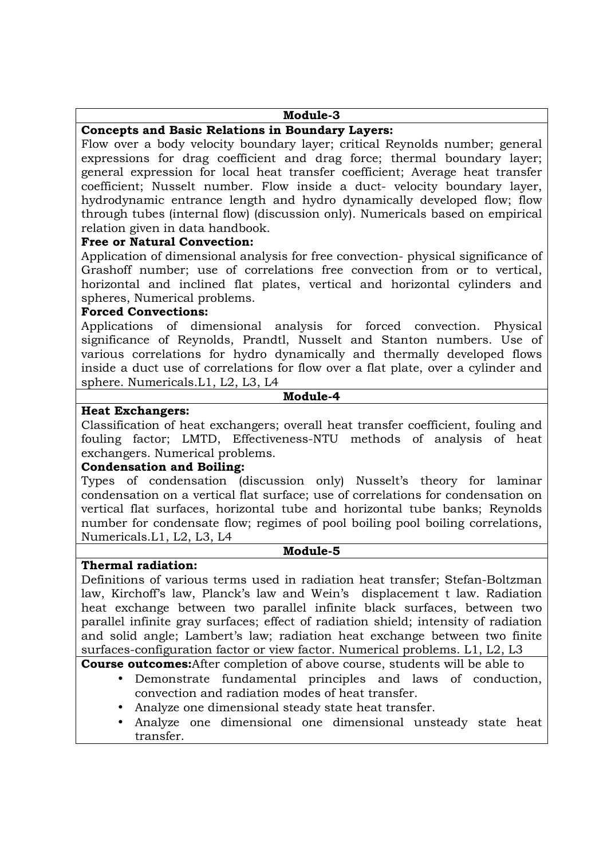### **Module-3**

## **Concepts and Basic Relations in Boundary Layers:**

Flow over a body velocity boundary layer; critical Reynolds number; general expressions for drag coefficient and drag force; thermal boundary layer; general expression for local heat transfer coefficient; Average heat transfer coefficient; Nusselt number. Flow inside a duct- velocity boundary layer, hydrodynamic entrance length and hydro dynamically developed flow; flow through tubes (internal flow) (discussion only). Numericals based on empirical relation given in data handbook.

### **Free or Natural Convection:**

Application of dimensional analysis for free convection- physical significance of Grashoff number; use of correlations free convection from or to vertical, horizontal and inclined flat plates, vertical and horizontal cylinders and spheres, Numerical problems.

### **Forced Convections:**

Applications of dimensional analysis for forced convection. Physical significance of Reynolds, Prandtl, Nusselt and Stanton numbers. Use of various correlations for hydro dynamically and thermally developed flows inside a duct use of correlations for flow over a flat plate, over a cylinder and sphere. Numericals.L1, L2, L3, L4

## **Module-4**

## **Heat Exchangers:**

Classification of heat exchangers; overall heat transfer coefficient, fouling and fouling factor; LMTD, Effectiveness-NTU methods of analysis of heat exchangers. Numerical problems.

### **Condensation and Boiling:**

Types of condensation (discussion only) Nusselt's theory for laminar condensation on a vertical flat surface; use of correlations for condensation on vertical flat surfaces, horizontal tube and horizontal tube banks; Reynolds number for condensate flow; regimes of pool boiling pool boiling correlations, Numericals.L1, L2, L3, L4

#### **Module-5**

### **Thermal radiation:**

Definitions of various terms used in radiation heat transfer; Stefan-Boltzman law, Kirchoff's law, Planck's law and Wein's displacement t law. Radiation heat exchange between two parallel infinite black surfaces, between two parallel infinite gray surfaces; effect of radiation shield; intensity of radiation and solid angle; Lambert's law; radiation heat exchange between two finite surfaces-configuration factor or view factor. Numerical problems. L1, L2, L3

**Course outcomes:**After completion of above course, students will be able to

- Demonstrate fundamental principles and laws of conduction, convection and radiation modes of heat transfer.
- Analyze one dimensional steady state heat transfer.
- Analyze one dimensional one dimensional unsteady state heat transfer.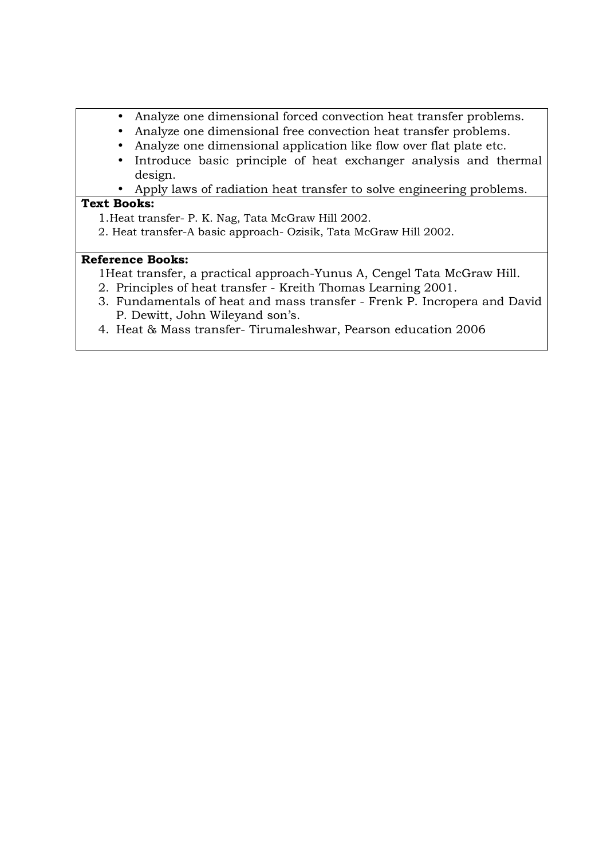- Analyze one dimensional forced convection heat transfer problems.
- Analyze one dimensional free convection heat transfer problems.
- Analyze one dimensional application like flow over flat plate etc.
- Introduce basic principle of heat exchanger analysis and thermal design.
- Apply laws of radiation heat transfer to solve engineering problems.

## **Text Books:**

- 1.Heat transfer- P. K. Nag, Tata McGraw Hill 2002.
- 2. Heat transfer-A basic approach- Ozisik, Tata McGraw Hill 2002.

- 1Heat transfer, a practical approach-Yunus A, Cengel Tata McGraw Hill.
- 2. Principles of heat transfer Kreith Thomas Learning 2001.
- 3. Fundamentals of heat and mass transfer Frenk P. Incropera and David P. Dewitt, John Wileyand son's.
- 4. Heat & Mass transfer- Tirumaleshwar, Pearson education 2006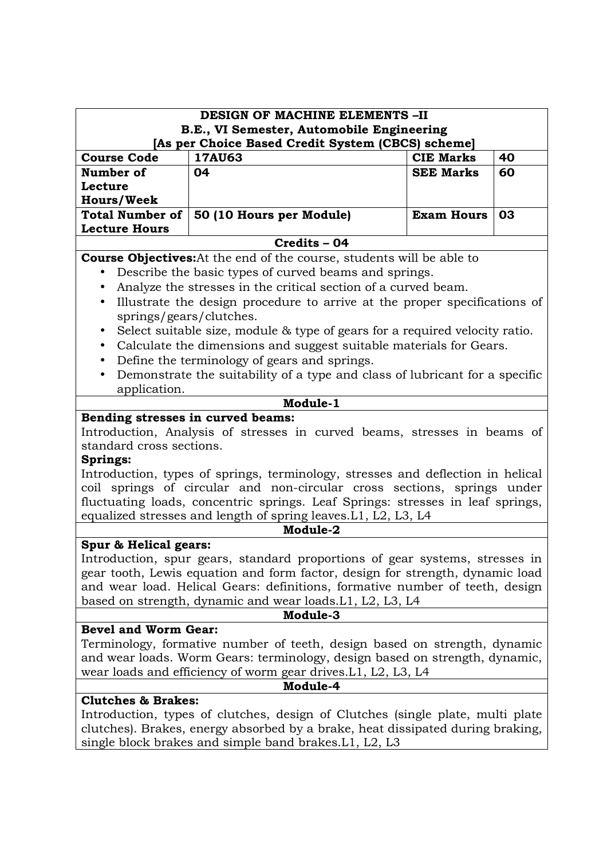| <b>DESIGN OF MACHINE ELEMENTS -II</b><br>B.E., VI Semester, Automobile Engineering                                                                            |                                                                                |                   |    |  |  |
|---------------------------------------------------------------------------------------------------------------------------------------------------------------|--------------------------------------------------------------------------------|-------------------|----|--|--|
| [As per Choice Based Credit System (CBCS) scheme]                                                                                                             |                                                                                |                   |    |  |  |
| <b>Course Code</b>                                                                                                                                            | <b>17AU63</b>                                                                  | <b>CIE Marks</b>  | 40 |  |  |
| Number of                                                                                                                                                     | 04                                                                             | <b>SEE Marks</b>  | 60 |  |  |
| Lecture                                                                                                                                                       |                                                                                |                   |    |  |  |
| <b>Hours/Week</b>                                                                                                                                             |                                                                                |                   |    |  |  |
| <b>Total Number of</b><br><b>Lecture Hours</b>                                                                                                                | 50 (10 Hours per Module)                                                       | <b>Exam Hours</b> | 03 |  |  |
|                                                                                                                                                               | Credits - 04                                                                   |                   |    |  |  |
|                                                                                                                                                               | <b>Course Objectives:</b> At the end of the course, students will be able to   |                   |    |  |  |
| $\bullet$                                                                                                                                                     | Describe the basic types of curved beams and springs.                          |                   |    |  |  |
| ٠                                                                                                                                                             | Analyze the stresses in the critical section of a curved beam.                 |                   |    |  |  |
| $\bullet$                                                                                                                                                     | Illustrate the design procedure to arrive at the proper specifications of      |                   |    |  |  |
| springs/gears/clutches.                                                                                                                                       |                                                                                |                   |    |  |  |
| $\bullet$                                                                                                                                                     | Select suitable size, module & type of gears for a required velocity ratio.    |                   |    |  |  |
| $\bullet$                                                                                                                                                     | Calculate the dimensions and suggest suitable materials for Gears.             |                   |    |  |  |
| $\bullet$                                                                                                                                                     | Define the terminology of gears and springs.                                   |                   |    |  |  |
| $\bullet$                                                                                                                                                     | Demonstrate the suitability of a type and class of lubricant for a specific    |                   |    |  |  |
| application.                                                                                                                                                  |                                                                                |                   |    |  |  |
|                                                                                                                                                               | Module-1                                                                       |                   |    |  |  |
| Bending stresses in curved beams:                                                                                                                             |                                                                                |                   |    |  |  |
|                                                                                                                                                               | Introduction, Analysis of stresses in curved beams, stresses in beams of       |                   |    |  |  |
| standard cross sections.                                                                                                                                      |                                                                                |                   |    |  |  |
| <b>Springs:</b>                                                                                                                                               |                                                                                |                   |    |  |  |
| Introduction, types of springs, terminology, stresses and deflection in helical                                                                               |                                                                                |                   |    |  |  |
| coil springs of circular and non-circular cross sections, springs under                                                                                       |                                                                                |                   |    |  |  |
| fluctuating loads, concentric springs. Leaf Springs: stresses in leaf springs,                                                                                |                                                                                |                   |    |  |  |
| equalized stresses and length of spring leaves. L1, L2, L3, L4                                                                                                |                                                                                |                   |    |  |  |
|                                                                                                                                                               | Module-2                                                                       |                   |    |  |  |
| Spur & Helical gears:                                                                                                                                         |                                                                                |                   |    |  |  |
| Introduction, spur gears, standard proportions of gear systems, stresses in                                                                                   |                                                                                |                   |    |  |  |
| gear tooth, Lewis equation and form factor, design for strength, dynamic load<br>and wear load. Helical Gears: definitions, formative number of teeth, design |                                                                                |                   |    |  |  |
|                                                                                                                                                               | based on strength, dynamic and wear loads. L1, L2, L3, L4                      |                   |    |  |  |
|                                                                                                                                                               | Module-3                                                                       |                   |    |  |  |
| <b>Bevel and Worm Gear:</b>                                                                                                                                   |                                                                                |                   |    |  |  |
|                                                                                                                                                               | Terminology, formative number of teeth, design based on strength, dynamic      |                   |    |  |  |
|                                                                                                                                                               | and wear loads. Worm Gears: terminology, design based on strength, dynamic,    |                   |    |  |  |
|                                                                                                                                                               | wear loads and efficiency of worm gear drives. L1, L2, L3, L4                  |                   |    |  |  |
| Module-4                                                                                                                                                      |                                                                                |                   |    |  |  |
| <b>Clutches &amp; Brakes:</b>                                                                                                                                 |                                                                                |                   |    |  |  |
| Introduction, types of clutches, design of Clutches (single plate, multi plate                                                                                |                                                                                |                   |    |  |  |
|                                                                                                                                                               | clutches). Brakes, energy absorbed by a brake, heat dissipated during braking, |                   |    |  |  |
|                                                                                                                                                               | single block brakes and simple band brakes. L1, L2, L3                         |                   |    |  |  |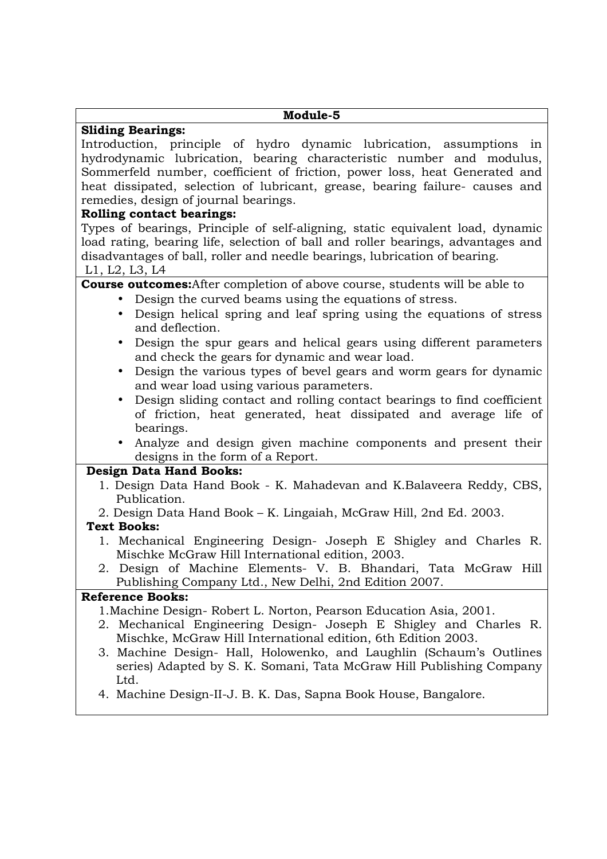# **Module-5**

# **Sliding Bearings:**

Introduction, principle of hydro dynamic lubrication, assumptions in hydrodynamic lubrication, bearing characteristic number and modulus, Sommerfeld number, coefficient of friction, power loss, heat Generated and heat dissipated, selection of lubricant, grease, bearing failure- causes and remedies, design of journal bearings.

# **Rolling contact bearings:**

Types of bearings, Principle of self-aligning, static equivalent load, dynamic load rating, bearing life, selection of ball and roller bearings, advantages and disadvantages of ball, roller and needle bearings, lubrication of bearing. L1, L2, L3, L4

# **Course outcomes:**After completion of above course, students will be able to

- Design the curved beams using the equations of stress.
- Design helical spring and leaf spring using the equations of stress and deflection.
- Design the spur gears and helical gears using different parameters and check the gears for dynamic and wear load.
- Design the various types of bevel gears and worm gears for dynamic and wear load using various parameters.
- Design sliding contact and rolling contact bearings to find coefficient of friction, heat generated, heat dissipated and average life of bearings.
- Analyze and design given machine components and present their designs in the form of a Report.

# **Design Data Hand Books:**

- 1. Design Data Hand Book K. Mahadevan and K.Balaveera Reddy, CBS, Publication.
- 2. Design Data Hand Book K. Lingaiah, McGraw Hill, 2nd Ed. 2003.

# **Text Books:**

- 1. Mechanical Engineering Design- Joseph E Shigley and Charles R. Mischke McGraw Hill International edition, 2003.
- 2. Design of Machine Elements- V. B. Bhandari, Tata McGraw Hill Publishing Company Ltd., New Delhi, 2nd Edition 2007.

# **Reference Books:**

- 1.Machine Design- Robert L. Norton, Pearson Education Asia, 2001.
- 2. Mechanical Engineering Design- Joseph E Shigley and Charles R. Mischke, McGraw Hill International edition, 6th Edition 2003.
- 3. Machine Design- Hall, Holowenko, and Laughlin (Schaum's Outlines series) Adapted by S. K. Somani, Tata McGraw Hill Publishing Company Ltd.
- 4. Machine Design-II-J. B. K. Das, Sapna Book House, Bangalore.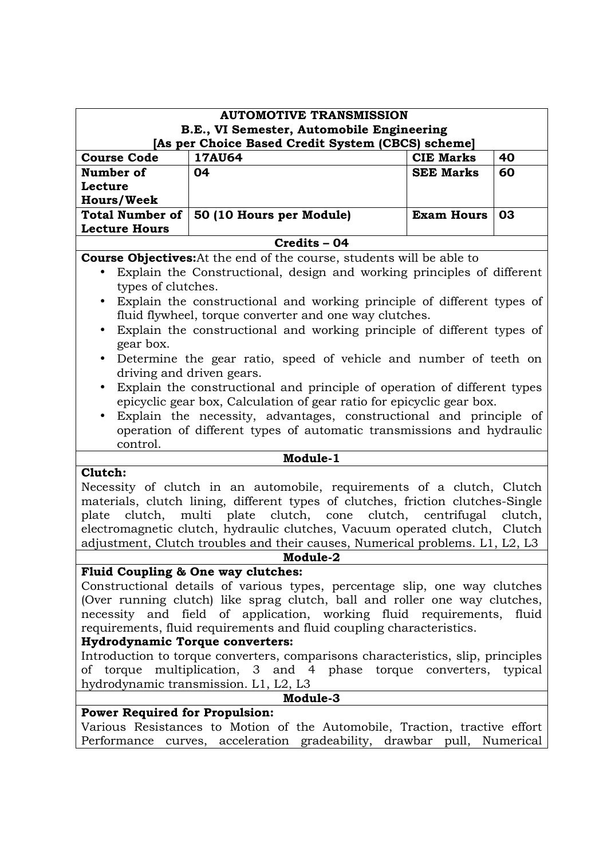| <b>AUTOMOTIVE TRANSMISSION</b>                                       |                                                                                                                                                            |                   |         |
|----------------------------------------------------------------------|------------------------------------------------------------------------------------------------------------------------------------------------------------|-------------------|---------|
|                                                                      | B.E., VI Semester, Automobile Engineering<br>[As per Choice Based Credit System (CBCS) scheme]                                                             |                   |         |
| <b>Course Code</b>                                                   | <b>17AU64</b>                                                                                                                                              | <b>CIE Marks</b>  | 40      |
| Number of                                                            | 04                                                                                                                                                         | <b>SEE Marks</b>  | 60      |
| Lecture                                                              |                                                                                                                                                            |                   |         |
| <b>Hours/Week</b>                                                    |                                                                                                                                                            |                   |         |
| <b>Total Number of</b><br><b>Lecture Hours</b>                       | 50 (10 Hours per Module)                                                                                                                                   | <b>Exam Hours</b> | 03      |
|                                                                      | Credits - 04                                                                                                                                               |                   |         |
|                                                                      | <b>Course Objectives:</b> At the end of the course, students will be able to                                                                               |                   |         |
|                                                                      | Explain the Constructional, design and working principles of different                                                                                     |                   |         |
| types of clutches.                                                   |                                                                                                                                                            |                   |         |
| $\bullet$                                                            | Explain the constructional and working principle of different types of                                                                                     |                   |         |
|                                                                      | fluid flywheel, torque converter and one way clutches.                                                                                                     |                   |         |
| $\bullet$                                                            | Explain the constructional and working principle of different types of                                                                                     |                   |         |
| gear box.                                                            |                                                                                                                                                            |                   |         |
| $\bullet$                                                            | Determine the gear ratio, speed of vehicle and number of teeth on                                                                                          |                   |         |
|                                                                      | driving and driven gears.                                                                                                                                  |                   |         |
| $\bullet$                                                            | Explain the constructional and principle of operation of different types                                                                                   |                   |         |
|                                                                      | epicyclic gear box, Calculation of gear ratio for epicyclic gear box.                                                                                      |                   |         |
|                                                                      | Explain the necessity, advantages, constructional and principle of                                                                                         |                   |         |
|                                                                      | operation of different types of automatic transmissions and hydraulic                                                                                      |                   |         |
| control.                                                             |                                                                                                                                                            |                   |         |
|                                                                      | Module-1                                                                                                                                                   |                   |         |
| Clutch:                                                              |                                                                                                                                                            |                   |         |
|                                                                      | Necessity of clutch in an automobile, requirements of a clutch, Clutch                                                                                     |                   |         |
|                                                                      | materials, clutch lining, different types of clutches, friction clutches-Single                                                                            |                   |         |
| plate                                                                | clutch, multi plate clutch, cone clutch, centrifugal                                                                                                       |                   | clutch, |
|                                                                      | electromagnetic clutch, hydraulic clutches, Vacuum operated clutch, Clutch<br>adjustment, Clutch troubles and their causes, Numerical problems. L1, L2, L3 |                   |         |
|                                                                      | Module-2                                                                                                                                                   |                   |         |
|                                                                      | Fluid Coupling & One way clutches:                                                                                                                         |                   |         |
|                                                                      | Constructional details of various types, percentage slip, one way clutches                                                                                 |                   |         |
|                                                                      | (Over running clutch) like sprag clutch, ball and roller one way clutches,                                                                                 |                   |         |
|                                                                      | necessity and field of application, working fluid requirements,<br>fluid                                                                                   |                   |         |
| requirements, fluid requirements and fluid coupling characteristics. |                                                                                                                                                            |                   |         |
| <b>Hydrodynamic Torque converters:</b>                               |                                                                                                                                                            |                   |         |
|                                                                      | Introduction to torque converters, comparisons characteristics, slip, principles                                                                           |                   |         |
|                                                                      | of torque multiplication, 3 and 4 phase torque converters,<br>typical                                                                                      |                   |         |
| hydrodynamic transmission. L1, L2, L3                                |                                                                                                                                                            |                   |         |
| Module-3                                                             |                                                                                                                                                            |                   |         |
| <b>Power Required for Propulsion:</b>                                |                                                                                                                                                            |                   |         |
|                                                                      | Various Resistances to Motion of the Automobile, Traction, tractive effort                                                                                 |                   |         |
|                                                                      | Performance curves, acceleration gradeability, drawbar pull, Numerical                                                                                     |                   |         |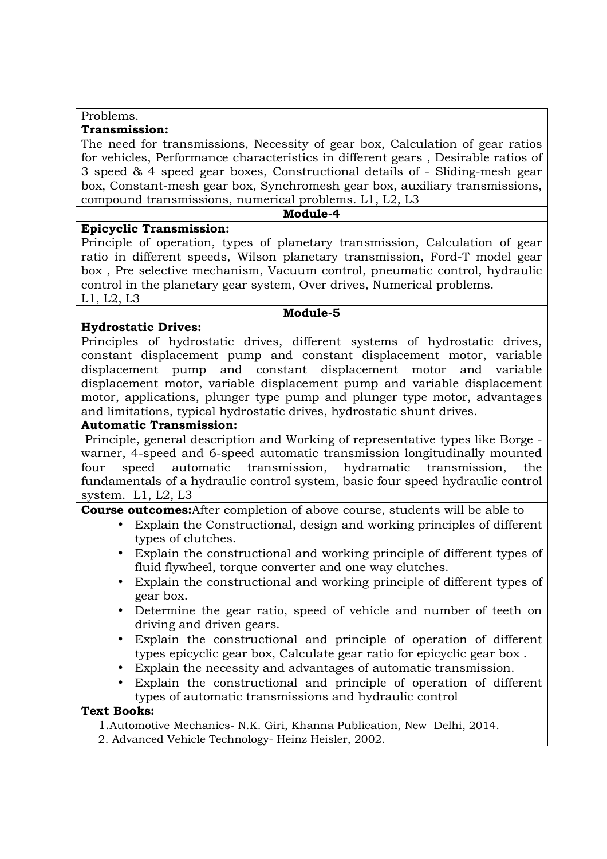#### Problems. **Transmission:**

The need for transmissions, Necessity of gear box, Calculation of gear ratios for vehicles, Performance characteristics in different gears , Desirable ratios of 3 speed & 4 speed gear boxes, Constructional details of - Sliding-mesh gear box, Constant-mesh gear box, Synchromesh gear box, auxiliary transmissions, compound transmissions, numerical problems. L1, L2, L3

#### **Module-4**

### **Epicyclic Transmission:**

Principle of operation, types of planetary transmission, Calculation of gear ratio in different speeds, Wilson planetary transmission, Ford-T model gear box , Pre selective mechanism, Vacuum control, pneumatic control, hydraulic control in the planetary gear system, Over drives, Numerical problems. L1, L2, L3

#### **Module-5**

# **Hydrostatic Drives:**

Principles of hydrostatic drives, different systems of hydrostatic drives, constant displacement pump and constant displacement motor, variable displacement pump and constant displacement motor and variable displacement motor, variable displacement pump and variable displacement motor, applications, plunger type pump and plunger type motor, advantages and limitations, typical hydrostatic drives, hydrostatic shunt drives.

### **Automatic Transmission:**

 Principle, general description and Working of representative types like Borge warner, 4-speed and 6-speed automatic transmission longitudinally mounted four speed automatic transmission, hydramatic transmission, the fundamentals of a hydraulic control system, basic four speed hydraulic control system. L1, L2, L3

**Course outcomes:**After completion of above course, students will be able to

- Explain the Constructional, design and working principles of different types of clutches.
- Explain the constructional and working principle of different types of fluid flywheel, torque converter and one way clutches.
- Explain the constructional and working principle of different types of gear box.
- Determine the gear ratio, speed of vehicle and number of teeth on driving and driven gears.
- Explain the constructional and principle of operation of different types epicyclic gear box, Calculate gear ratio for epicyclic gear box .
- Explain the necessity and advantages of automatic transmission.
- Explain the constructional and principle of operation of different types of automatic transmissions and hydraulic control

### **Text Books:**

1.Automotive Mechanics- N.K. Giri, Khanna Publication, New Delhi, 2014.

2. Advanced Vehicle Technology- Heinz Heisler, 2002.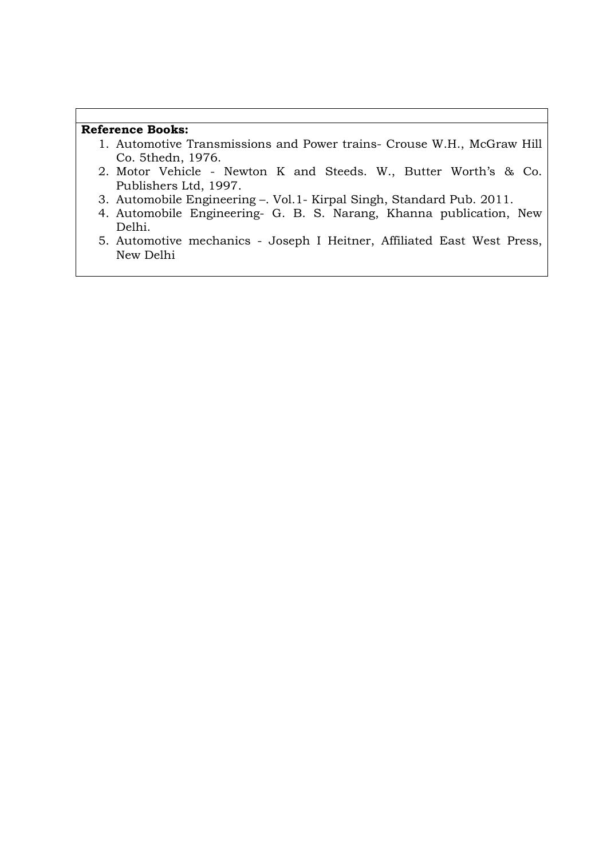# **Reference Books:**

- 1. Automotive Transmissions and Power trains- Crouse W.H., McGraw Hill Co. 5thedn, 1976.
- 2. Motor Vehicle Newton K and Steeds. W., Butter Worth's & Co. Publishers Ltd, 1997.
- 3. Automobile Engineering –. Vol.1- Kirpal Singh, Standard Pub. 2011.
- 4. Automobile Engineering- G. B. S. Narang, Khanna publication, New Delhi.
- 5. Automotive mechanics Joseph I Heitner, Affiliated East West Press, New Delhi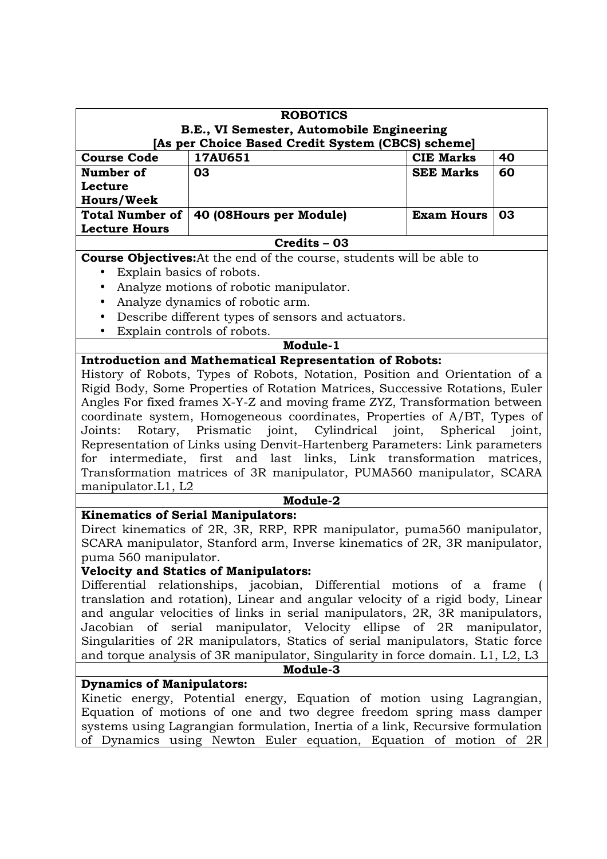| <b>ROBOTICS</b>                                                                                                                                     |                                                                                |                   |    |  |
|-----------------------------------------------------------------------------------------------------------------------------------------------------|--------------------------------------------------------------------------------|-------------------|----|--|
|                                                                                                                                                     | B.E., VI Semester, Automobile Engineering                                      |                   |    |  |
| [As per Choice Based Credit System (CBCS) scheme]                                                                                                   |                                                                                |                   |    |  |
| <b>Course Code</b>                                                                                                                                  | 17AU651                                                                        | <b>CIE Marks</b>  | 40 |  |
| Number of                                                                                                                                           | 03                                                                             | <b>SEE Marks</b>  | 60 |  |
| Lecture                                                                                                                                             |                                                                                |                   |    |  |
| <b>Hours/Week</b><br><b>Total Number of</b>                                                                                                         | 40 (08Hours per Module)                                                        | <b>Exam Hours</b> | 03 |  |
| <b>Lecture Hours</b>                                                                                                                                |                                                                                |                   |    |  |
|                                                                                                                                                     | Credits - 03                                                                   |                   |    |  |
|                                                                                                                                                     | <b>Course Objectives:</b> At the end of the course, students will be able to   |                   |    |  |
| $\bullet$                                                                                                                                           | Explain basics of robots.                                                      |                   |    |  |
| $\bullet$                                                                                                                                           | Analyze motions of robotic manipulator.                                        |                   |    |  |
| $\bullet$                                                                                                                                           | Analyze dynamics of robotic arm.                                               |                   |    |  |
| $\bullet$                                                                                                                                           | Describe different types of sensors and actuators.                             |                   |    |  |
| $\bullet$                                                                                                                                           | Explain controls of robots.                                                    |                   |    |  |
|                                                                                                                                                     | Module-1                                                                       |                   |    |  |
|                                                                                                                                                     | <b>Introduction and Mathematical Representation of Robots:</b>                 |                   |    |  |
|                                                                                                                                                     | History of Robots, Types of Robots, Notation, Position and Orientation of a    |                   |    |  |
|                                                                                                                                                     | Rigid Body, Some Properties of Rotation Matrices, Successive Rotations, Euler  |                   |    |  |
|                                                                                                                                                     | Angles For fixed frames X-Y-Z and moving frame ZYZ, Transformation between     |                   |    |  |
|                                                                                                                                                     | coordinate system, Homogeneous coordinates, Properties of A/BT, Types of       |                   |    |  |
| Joints:                                                                                                                                             | Rotary, Prismatic joint, Cylindrical joint,                                    | Spherical joint,  |    |  |
|                                                                                                                                                     | Representation of Links using Denvit-Hartenberg Parameters: Link parameters    |                   |    |  |
| for                                                                                                                                                 | intermediate, first and last links, Link transformation matrices,              |                   |    |  |
| manipulator.L1, L2                                                                                                                                  | Transformation matrices of 3R manipulator, PUMA560 manipulator, SCARA          |                   |    |  |
|                                                                                                                                                     | Module-2                                                                       |                   |    |  |
|                                                                                                                                                     | <b>Kinematics of Serial Manipulators:</b>                                      |                   |    |  |
|                                                                                                                                                     | Direct kinematics of 2R, 3R, RRP, RPR manipulator, puma560 manipulator,        |                   |    |  |
|                                                                                                                                                     | SCARA manipulator, Stanford arm, Inverse kinematics of 2R, 3R manipulator,     |                   |    |  |
| puma 560 manipulator.                                                                                                                               |                                                                                |                   |    |  |
|                                                                                                                                                     | <b>Velocity and Statics of Manipulators:</b>                                   |                   |    |  |
|                                                                                                                                                     | Differential relationships, jacobian, Differential motions of a frame          |                   |    |  |
|                                                                                                                                                     | translation and rotation), Linear and angular velocity of a rigid body, Linear |                   |    |  |
|                                                                                                                                                     | and angular velocities of links in serial manipulators, 2R, 3R manipulators,   |                   |    |  |
|                                                                                                                                                     | Jacobian of serial manipulator, Velocity ellipse of 2R manipulator,            |                   |    |  |
|                                                                                                                                                     | Singularities of 2R manipulators, Statics of serial manipulators, Static force |                   |    |  |
| and torque analysis of 3R manipulator, Singularity in force domain. L1, L2, L3                                                                      |                                                                                |                   |    |  |
|                                                                                                                                                     | Module-3                                                                       |                   |    |  |
| <b>Dynamics of Manipulators:</b>                                                                                                                    |                                                                                |                   |    |  |
| Kinetic energy, Potential energy, Equation of motion using Lagrangian,                                                                              |                                                                                |                   |    |  |
| Equation of motions of one and two degree freedom spring mass damper                                                                                |                                                                                |                   |    |  |
| systems using Lagrangian formulation, Inertia of a link, Recursive formulation<br>of Dynamics using Newton Euler equation, Equation of motion of 2R |                                                                                |                   |    |  |
|                                                                                                                                                     |                                                                                |                   |    |  |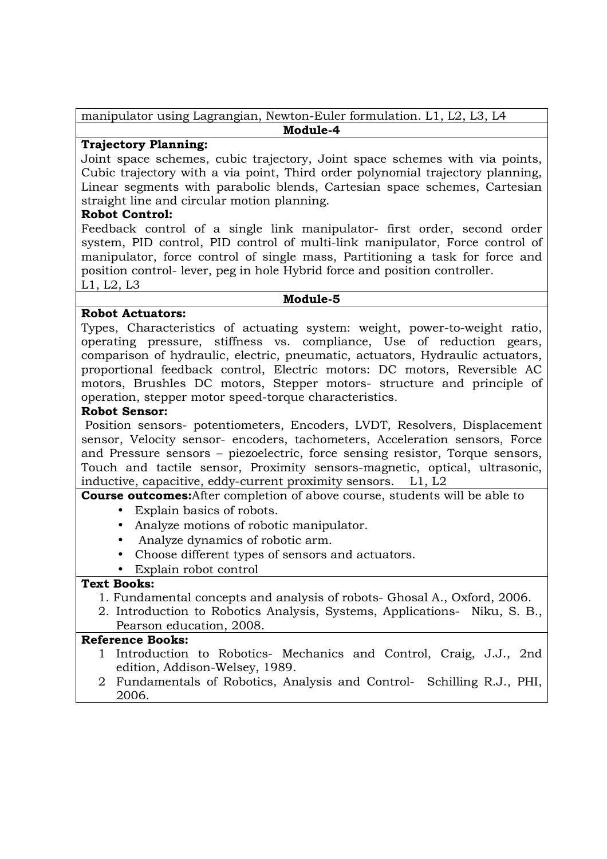manipulator using Lagrangian, Newton-Euler formulation. L1, L2, L3, L4 **Module-4** 

# **Trajectory Planning:**

Joint space schemes, cubic trajectory, Joint space schemes with via points, Cubic trajectory with a via point, Third order polynomial trajectory planning, Linear segments with parabolic blends, Cartesian space schemes, Cartesian straight line and circular motion planning.

## **Robot Control:**

Feedback control of a single link manipulator- first order, second order system, PID control, PID control of multi-link manipulator, Force control of manipulator, force control of single mass, Partitioning a task for force and position control- lever, peg in hole Hybrid force and position controller. L1, L2, L3

#### **Module-5**

# **Robot Actuators:**

Types, Characteristics of actuating system: weight, power-to-weight ratio, operating pressure, stiffness vs. compliance, Use of reduction gears, comparison of hydraulic, electric, pneumatic, actuators, Hydraulic actuators, proportional feedback control, Electric motors: DC motors, Reversible AC motors, Brushles DC motors, Stepper motors- structure and principle of operation, stepper motor speed-torque characteristics.

### **Robot Sensor:**

 Position sensors- potentiometers, Encoders, LVDT, Resolvers, Displacement sensor, Velocity sensor- encoders, tachometers, Acceleration sensors, Force and Pressure sensors – piezoelectric, force sensing resistor, Torque sensors, Touch and tactile sensor, Proximity sensors-magnetic, optical, ultrasonic, inductive, capacitive, eddy-current proximity sensors. L1, L2

# **Course outcomes:**After completion of above course, students will be able to

- Explain basics of robots.
- Analyze motions of robotic manipulator.
- Analyze dynamics of robotic arm.
- Choose different types of sensors and actuators.

#### • Explain robot control

#### **Text Books:**

- 1. Fundamental concepts and analysis of robots- Ghosal A., Oxford, 2006.
- 2. Introduction to Robotics Analysis, Systems, Applications- Niku, S. B., Pearson education, 2008.

- 1 Introduction to Robotics- Mechanics and Control, Craig, J.J., 2nd edition, Addison-Welsey, 1989.
- 2 Fundamentals of Robotics, Analysis and Control- Schilling R.J., PHI, 2006.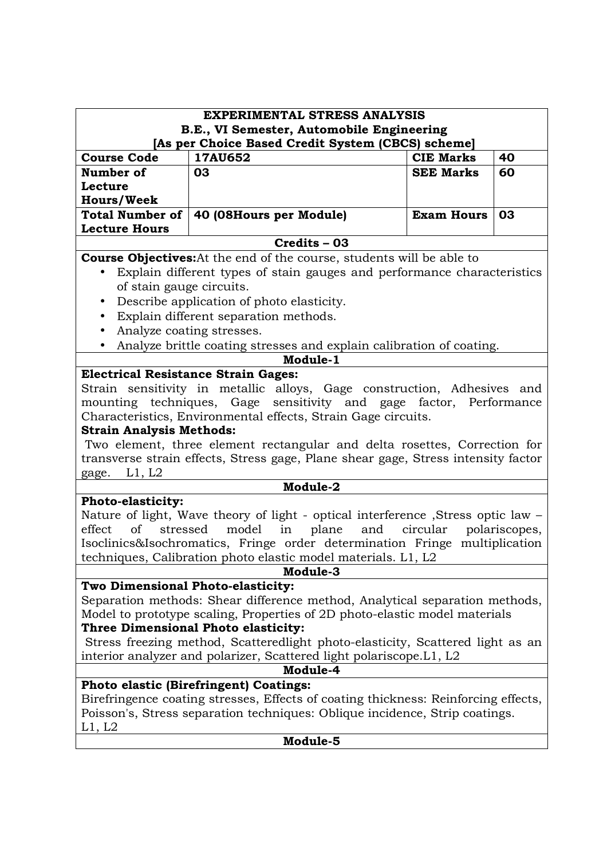| <b>EXPERIMENTAL STRESS ANALYSIS</b>                                                                                                                               |                                                                                                |                   |               |
|-------------------------------------------------------------------------------------------------------------------------------------------------------------------|------------------------------------------------------------------------------------------------|-------------------|---------------|
|                                                                                                                                                                   | B.E., VI Semester, Automobile Engineering<br>[As per Choice Based Credit System (CBCS) scheme] |                   |               |
| <b>Course Code</b>                                                                                                                                                | 17AU652                                                                                        | <b>CIE Marks</b>  | 40            |
| Number of                                                                                                                                                         | 03                                                                                             | <b>SEE Marks</b>  | 60            |
| Lecture                                                                                                                                                           |                                                                                                |                   |               |
| <b>Hours/Week</b>                                                                                                                                                 |                                                                                                |                   |               |
| <b>Total Number of</b>                                                                                                                                            | 40 (08Hours per Module)                                                                        | <b>Exam Hours</b> | 03            |
| <b>Lecture Hours</b>                                                                                                                                              | Credits - 03                                                                                   |                   |               |
|                                                                                                                                                                   | <b>Course Objectives:</b> At the end of the course, students will be able to                   |                   |               |
| $\bullet$                                                                                                                                                         | Explain different types of stain gauges and performance characteristics                        |                   |               |
| of stain gauge circuits.                                                                                                                                          |                                                                                                |                   |               |
| $\bullet$                                                                                                                                                         | Describe application of photo elasticity.                                                      |                   |               |
| $\bullet$                                                                                                                                                         | Explain different separation methods.                                                          |                   |               |
| $\bullet$                                                                                                                                                         | Analyze coating stresses.                                                                      |                   |               |
|                                                                                                                                                                   | Analyze brittle coating stresses and explain calibration of coating.                           |                   |               |
|                                                                                                                                                                   | Module-1                                                                                       |                   |               |
|                                                                                                                                                                   | <b>Electrical Resistance Strain Gages:</b>                                                     |                   |               |
|                                                                                                                                                                   | Strain sensitivity in metallic alloys, Gage construction, Adhesives and                        |                   |               |
|                                                                                                                                                                   | mounting techniques, Gage sensitivity and gage factor, Performance                             |                   |               |
|                                                                                                                                                                   | Characteristics, Environmental effects, Strain Gage circuits.                                  |                   |               |
| <b>Strain Analysis Methods:</b>                                                                                                                                   |                                                                                                |                   |               |
| Two element, three element rectangular and delta rosettes, Correction for                                                                                         |                                                                                                |                   |               |
|                                                                                                                                                                   | transverse strain effects, Stress gage, Plane shear gage, Stress intensity factor              |                   |               |
| L1, L2<br>gage.                                                                                                                                                   |                                                                                                |                   |               |
|                                                                                                                                                                   | Module-2                                                                                       |                   |               |
| <b>Photo-elasticity:</b>                                                                                                                                          | Nature of light, Wave theory of light - optical interference , Stress optic law -              |                   |               |
| effect<br>of                                                                                                                                                      | stressed<br>model<br>in<br>plane<br>and                                                        | circular          | polariscopes, |
|                                                                                                                                                                   | Isoclinics&Isochromatics, Fringe order determination Fringe multiplication                     |                   |               |
|                                                                                                                                                                   | techniques, Calibration photo elastic model materials. L1, L2                                  |                   |               |
|                                                                                                                                                                   | Module-3                                                                                       |                   |               |
| Two Dimensional Photo-elasticity:                                                                                                                                 |                                                                                                |                   |               |
|                                                                                                                                                                   | Separation methods: Shear difference method, Analytical separation methods,                    |                   |               |
|                                                                                                                                                                   | Model to prototype scaling, Properties of 2D photo-elastic model materials                     |                   |               |
|                                                                                                                                                                   | Three Dimensional Photo elasticity:                                                            |                   |               |
| Stress freezing method, Scatteredlight photo-elasticity, Scattered light as an                                                                                    |                                                                                                |                   |               |
| interior analyzer and polarizer, Scattered light polariscope.L1, L2                                                                                               |                                                                                                |                   |               |
| Module-4                                                                                                                                                          |                                                                                                |                   |               |
|                                                                                                                                                                   | Photo elastic (Birefringent) Coatings:                                                         |                   |               |
| Birefringence coating stresses, Effects of coating thickness: Reinforcing effects,<br>Poisson's, Stress separation techniques: Oblique incidence, Strip coatings. |                                                                                                |                   |               |
|                                                                                                                                                                   |                                                                                                |                   |               |
| L1, L2                                                                                                                                                            | Module-5                                                                                       |                   |               |
|                                                                                                                                                                   |                                                                                                |                   |               |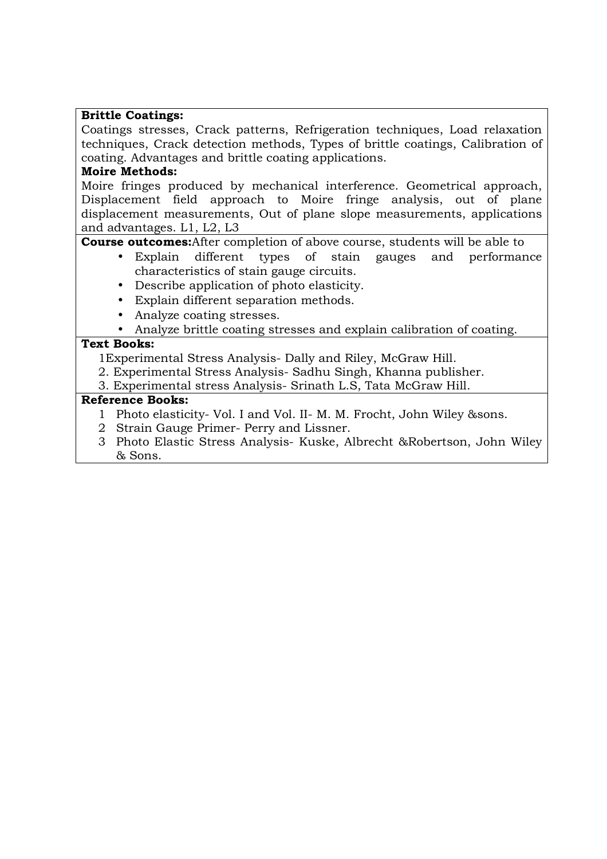# **Brittle Coatings:**

Coatings stresses, Crack patterns, Refrigeration techniques, Load relaxation techniques, Crack detection methods, Types of brittle coatings, Calibration of coating. Advantages and brittle coating applications.

# **Moire Methods:**

Moire fringes produced by mechanical interference. Geometrical approach, Displacement field approach to Moire fringe analysis, out of plane displacement measurements, Out of plane slope measurements, applications and advantages. L1, L2, L3

**Course outcomes:**After completion of above course, students will be able to

- Explain different types of stain gauges and performance characteristics of stain gauge circuits.
- Describe application of photo elasticity.
- Explain different separation methods.
- Analyze coating stresses.
- Analyze brittle coating stresses and explain calibration of coating.

# **Text Books:**

1Experimental Stress Analysis- Dally and Riley, McGraw Hill.

- 2. Experimental Stress Analysis- Sadhu Singh, Khanna publisher.
- 3. Experimental stress Analysis- Srinath L.S, Tata McGraw Hill.

- 1 Photo elasticity- Vol. I and Vol. II- M. M. Frocht, John Wiley &sons.
- 2 Strain Gauge Primer- Perry and Lissner.
- 3 Photo Elastic Stress Analysis- Kuske, Albrecht &Robertson, John Wiley & Sons.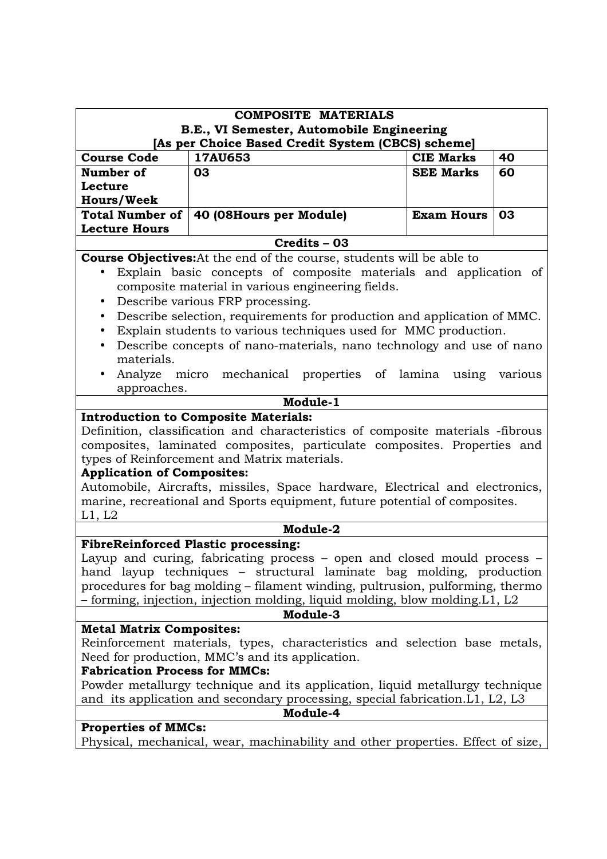| <b>COMPOSITE MATERIALS</b><br>B.E., VI Semester, Automobile Engineering                                                                                       |                                                                                                                                                                                                                                                                                                                                                                                                                         |                   |    |  |
|---------------------------------------------------------------------------------------------------------------------------------------------------------------|-------------------------------------------------------------------------------------------------------------------------------------------------------------------------------------------------------------------------------------------------------------------------------------------------------------------------------------------------------------------------------------------------------------------------|-------------------|----|--|
|                                                                                                                                                               | [As per Choice Based Credit System (CBCS) scheme]                                                                                                                                                                                                                                                                                                                                                                       |                   |    |  |
| <b>Course Code</b>                                                                                                                                            | 40<br>17AU653<br><b>CIE Marks</b>                                                                                                                                                                                                                                                                                                                                                                                       |                   |    |  |
| Number of                                                                                                                                                     | 03                                                                                                                                                                                                                                                                                                                                                                                                                      | <b>SEE Marks</b>  | 60 |  |
| Lecture                                                                                                                                                       |                                                                                                                                                                                                                                                                                                                                                                                                                         |                   |    |  |
| <b>Hours/Week</b>                                                                                                                                             |                                                                                                                                                                                                                                                                                                                                                                                                                         |                   |    |  |
| <b>Total Number of</b><br><b>Lecture Hours</b>                                                                                                                | 40 (08Hours per Module)                                                                                                                                                                                                                                                                                                                                                                                                 | <b>Exam Hours</b> | 03 |  |
|                                                                                                                                                               | Credits - 03                                                                                                                                                                                                                                                                                                                                                                                                            |                   |    |  |
|                                                                                                                                                               | <b>Course Objectives:</b> At the end of the course, students will be able to                                                                                                                                                                                                                                                                                                                                            |                   |    |  |
| $\bullet$                                                                                                                                                     | Explain basic concepts of composite materials and application of                                                                                                                                                                                                                                                                                                                                                        |                   |    |  |
|                                                                                                                                                               | composite material in various engineering fields.                                                                                                                                                                                                                                                                                                                                                                       |                   |    |  |
| $\bullet$                                                                                                                                                     | Describe various FRP processing.                                                                                                                                                                                                                                                                                                                                                                                        |                   |    |  |
| $\bullet$                                                                                                                                                     | Describe selection, requirements for production and application of MMC.                                                                                                                                                                                                                                                                                                                                                 |                   |    |  |
| $\bullet$                                                                                                                                                     | Explain students to various techniques used for MMC production.                                                                                                                                                                                                                                                                                                                                                         |                   |    |  |
| $\bullet$                                                                                                                                                     | Describe concepts of nano-materials, nano technology and use of nano                                                                                                                                                                                                                                                                                                                                                    |                   |    |  |
| materials.                                                                                                                                                    |                                                                                                                                                                                                                                                                                                                                                                                                                         |                   |    |  |
| $\bullet$                                                                                                                                                     | Analyze micro mechanical properties of lamina using various                                                                                                                                                                                                                                                                                                                                                             |                   |    |  |
| approaches.                                                                                                                                                   |                                                                                                                                                                                                                                                                                                                                                                                                                         |                   |    |  |
|                                                                                                                                                               | Module-1                                                                                                                                                                                                                                                                                                                                                                                                                |                   |    |  |
| <b>Application of Composites:</b><br>L1, L2                                                                                                                   | <b>Introduction to Composite Materials:</b><br>Definition, classification and characteristics of composite materials -fibrous<br>composites, laminated composites, particulate composites. Properties and<br>types of Reinforcement and Matrix materials.<br>Automobile, Aircrafts, missiles, Space hardware, Electrical and electronics,<br>marine, recreational and Sports equipment, future potential of composites. |                   |    |  |
|                                                                                                                                                               | Module-2                                                                                                                                                                                                                                                                                                                                                                                                                |                   |    |  |
|                                                                                                                                                               | <b>FibreReinforced Plastic processing:</b><br>Layup and curing, fabricating process - open and closed mould process -<br>hand layup techniques – structural laminate bag molding, production<br>procedures for bag molding – filament winding, pultrusion, pulforming, thermo<br>- forming, injection, injection molding, liquid molding, blow molding.L1, L2                                                           |                   |    |  |
|                                                                                                                                                               | Module-3                                                                                                                                                                                                                                                                                                                                                                                                                |                   |    |  |
| <b>Metal Matrix Composites:</b>                                                                                                                               |                                                                                                                                                                                                                                                                                                                                                                                                                         |                   |    |  |
|                                                                                                                                                               | Reinforcement materials, types, characteristics and selection base metals,                                                                                                                                                                                                                                                                                                                                              |                   |    |  |
|                                                                                                                                                               | Need for production, MMC's and its application.                                                                                                                                                                                                                                                                                                                                                                         |                   |    |  |
| <b>Fabrication Process for MMCs:</b>                                                                                                                          |                                                                                                                                                                                                                                                                                                                                                                                                                         |                   |    |  |
| Powder metallurgy technique and its application, liquid metallurgy technique<br>and its application and secondary processing, special fabrication. L1, L2, L3 |                                                                                                                                                                                                                                                                                                                                                                                                                         |                   |    |  |
| Module-4                                                                                                                                                      |                                                                                                                                                                                                                                                                                                                                                                                                                         |                   |    |  |
| <b>Properties of MMCs:</b>                                                                                                                                    |                                                                                                                                                                                                                                                                                                                                                                                                                         |                   |    |  |
|                                                                                                                                                               | Physical, mechanical, wear, machinability and other properties. Effect of size,                                                                                                                                                                                                                                                                                                                                         |                   |    |  |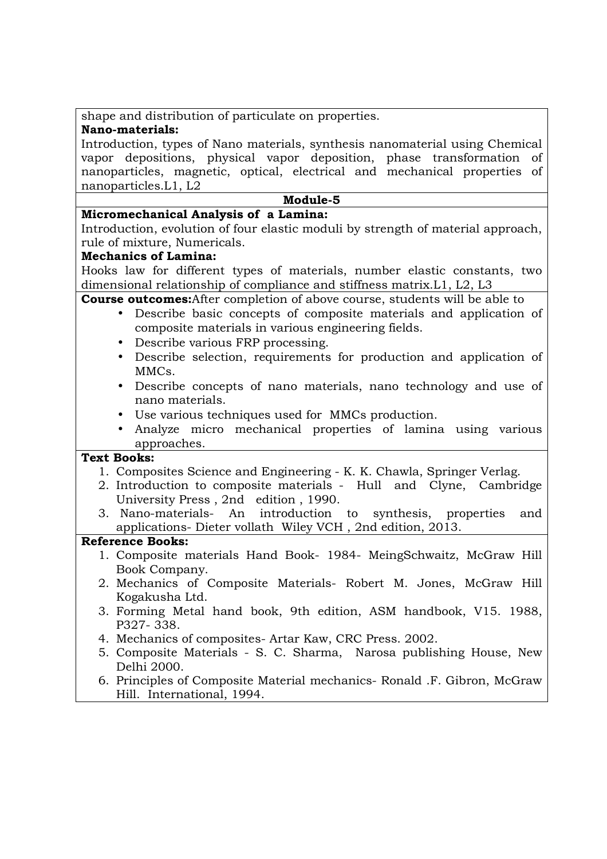shape and distribution of particulate on properties.

## **Nano-materials:**

Introduction, types of Nano materials, synthesis nanomaterial using Chemical vapor depositions, physical vapor deposition, phase transformation of nanoparticles, magnetic, optical, electrical and mechanical properties of nanoparticles.L1, L2

# **Module-5**

# **Micromechanical Analysis of a Lamina:**

Introduction, evolution of four elastic moduli by strength of material approach, rule of mixture, Numericals.

### **Mechanics of Lamina:**

Hooks law for different types of materials, number elastic constants, two dimensional relationship of compliance and stiffness matrix.L1, L2, L3

**Course outcomes:**After completion of above course, students will be able to

- Describe basic concepts of composite materials and application of composite materials in various engineering fields.
- Describe various FRP processing.
- Describe selection, requirements for production and application of MMCs.
- Describe concepts of nano materials, nano technology and use of nano materials.
- Use various techniques used for MMCs production.
- Analyze micro mechanical properties of lamina using various approaches.

# **Text Books:**

- 1. Composites Science and Engineering K. K. Chawla, Springer Verlag.
- 2. Introduction to composite materials Hull and Clyne, Cambridge University Press , 2nd edition , 1990.
- 3. Nano-materials- An introduction to synthesis, properties and applications- Dieter vollath Wiley VCH , 2nd edition, 2013.

- 1. Composite materials Hand Book- 1984- MeingSchwaitz, McGraw Hill Book Company.
- 2. Mechanics of Composite Materials- Robert M. Jones, McGraw Hill Kogakusha Ltd.
- 3. Forming Metal hand book, 9th edition, ASM handbook, V15. 1988, P327- 338.
- 4. Mechanics of composites- Artar Kaw, CRC Press. 2002.
- 5. Composite Materials S. C. Sharma, Narosa publishing House, New Delhi 2000.
- 6. Principles of Composite Material mechanics- Ronald .F. Gibron, McGraw Hill. International, 1994.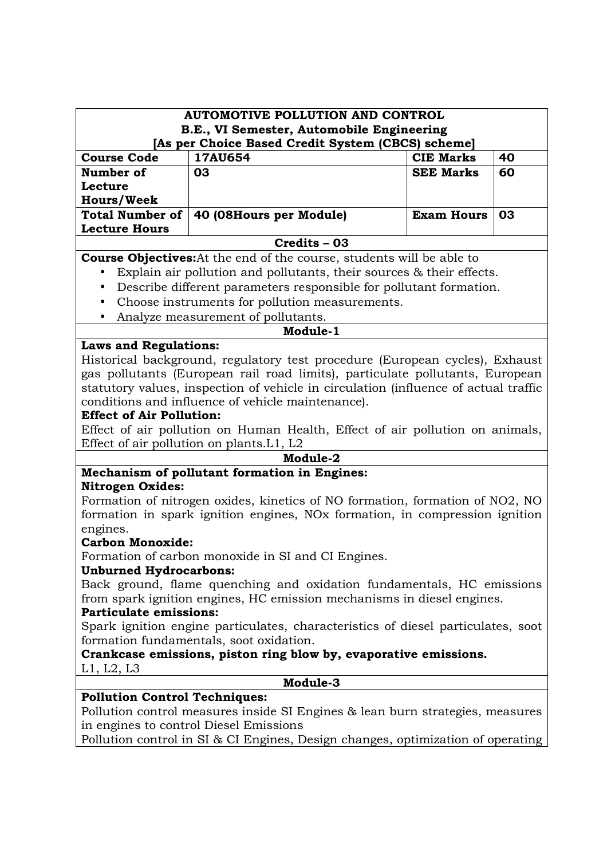| <b>AUTOMOTIVE POLLUTION AND CONTROL</b>                                                                                     |                                                                                         |                   |    |
|-----------------------------------------------------------------------------------------------------------------------------|-----------------------------------------------------------------------------------------|-------------------|----|
|                                                                                                                             | B.E., VI Semester, Automobile Engineering                                               |                   |    |
| <b>Course Code</b>                                                                                                          | [As per Choice Based Credit System (CBCS) scheme]<br>17AU654                            | <b>CIE Marks</b>  | 40 |
| Number of                                                                                                                   | 03                                                                                      | <b>SEE Marks</b>  | 60 |
| Lecture                                                                                                                     |                                                                                         |                   |    |
| <b>Hours/Week</b>                                                                                                           |                                                                                         |                   |    |
| <b>Total Number of</b>                                                                                                      | 40 (08Hours per Module)                                                                 | <b>Exam Hours</b> | 03 |
| <b>Lecture Hours</b>                                                                                                        |                                                                                         |                   |    |
|                                                                                                                             | Credits - 03                                                                            |                   |    |
|                                                                                                                             | <b>Course Objectives:</b> At the end of the course, students will be able to            |                   |    |
| $\bullet$                                                                                                                   | Explain air pollution and pollutants, their sources & their effects.                    |                   |    |
| $\bullet$                                                                                                                   | Describe different parameters responsible for pollutant formation.                      |                   |    |
| $\bullet$                                                                                                                   | Choose instruments for pollution measurements.                                          |                   |    |
|                                                                                                                             | Analyze measurement of pollutants.                                                      |                   |    |
|                                                                                                                             | Module-1                                                                                |                   |    |
| <b>Laws and Regulations:</b>                                                                                                |                                                                                         |                   |    |
|                                                                                                                             | Historical background, regulatory test procedure (European cycles), Exhaust             |                   |    |
|                                                                                                                             | gas pollutants (European rail road limits), particulate pollutants, European            |                   |    |
|                                                                                                                             | statutory values, inspection of vehicle in circulation (influence of actual traffic     |                   |    |
|                                                                                                                             | conditions and influence of vehicle maintenance).                                       |                   |    |
| <b>Effect of Air Pollution:</b>                                                                                             |                                                                                         |                   |    |
|                                                                                                                             | Effect of air pollution on Human Health, Effect of air pollution on animals,            |                   |    |
|                                                                                                                             | Effect of air pollution on plants. L1, L2                                               |                   |    |
|                                                                                                                             | Module-2                                                                                |                   |    |
|                                                                                                                             | Mechanism of pollutant formation in Engines:                                            |                   |    |
| <b>Nitrogen Oxides:</b>                                                                                                     |                                                                                         |                   |    |
|                                                                                                                             | Formation of nitrogen oxides, kinetics of NO formation, formation of NO2, NO            |                   |    |
|                                                                                                                             | formation in spark ignition engines, NO <sub>x</sub> formation, in compression ignition |                   |    |
| engines.<br><b>Carbon Monoxide:</b>                                                                                         |                                                                                         |                   |    |
|                                                                                                                             | Formation of carbon monoxide in SI and CI Engines.                                      |                   |    |
| <b>Unburned Hydrocarbons:</b>                                                                                               |                                                                                         |                   |    |
|                                                                                                                             | Back ground, flame quenching and oxidation fundamentals, HC emissions                   |                   |    |
|                                                                                                                             | from spark ignition engines, HC emission mechanisms in diesel engines.                  |                   |    |
| <b>Particulate emissions:</b>                                                                                               |                                                                                         |                   |    |
|                                                                                                                             |                                                                                         |                   |    |
| Spark ignition engine particulates, characteristics of diesel particulates, soot<br>formation fundamentals, soot oxidation. |                                                                                         |                   |    |
| Crankcase emissions, piston ring blow by, evaporative emissions.                                                            |                                                                                         |                   |    |
| L1, L2, L3                                                                                                                  |                                                                                         |                   |    |
| Module-3                                                                                                                    |                                                                                         |                   |    |
| <b>Pollution Control Techniques:</b>                                                                                        |                                                                                         |                   |    |
|                                                                                                                             | Pollution control measures inside SI Engines & lean burn strategies, measures           |                   |    |
|                                                                                                                             | in engines to control Diesel Emissions                                                  |                   |    |
|                                                                                                                             | Pollution control in SI & CI Engines, Design changes, optimization of operating         |                   |    |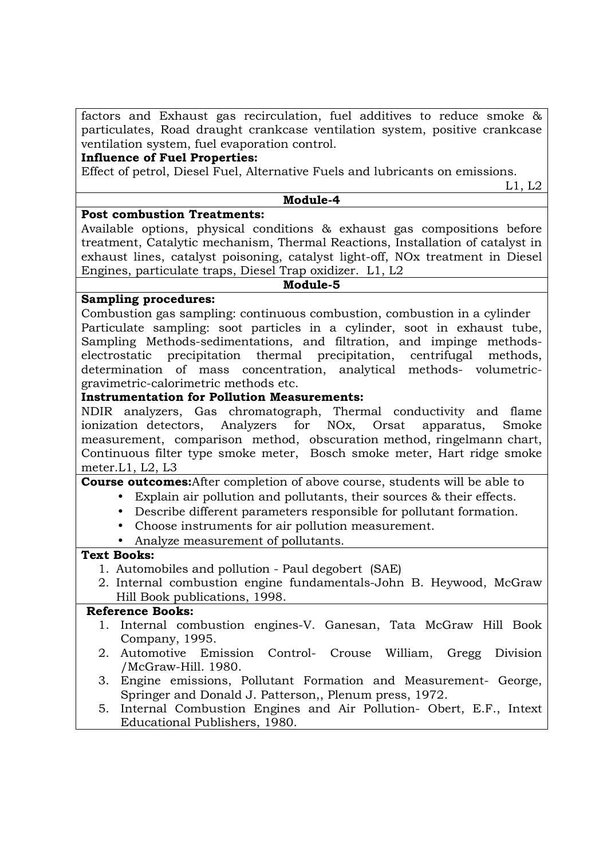factors and Exhaust gas recirculation, fuel additives to reduce smoke & particulates, Road draught crankcase ventilation system, positive crankcase ventilation system, fuel evaporation control.

#### **Influence of Fuel Properties:**

Effect of petrol, Diesel Fuel, Alternative Fuels and lubricants on emissions.

L1, L2

#### **Module-4**

#### **Post combustion Treatments:**

Available options, physical conditions & exhaust gas compositions before treatment, Catalytic mechanism, Thermal Reactions, Installation of catalyst in exhaust lines, catalyst poisoning, catalyst light-off, NOx treatment in Diesel Engines, particulate traps, Diesel Trap oxidizer. L1, L2

**Module-5** 

### **Sampling procedures:**

Combustion gas sampling: continuous combustion, combustion in a cylinder Particulate sampling: soot particles in a cylinder, soot in exhaust tube, Sampling Methods-sedimentations, and filtration, and impinge methodselectrostatic precipitation thermal precipitation, centrifugal methods, determination of mass concentration, analytical methods- volumetricgravimetric-calorimetric methods etc.

### **Instrumentation for Pollution Measurements:**

NDIR analyzers, Gas chromatograph, Thermal conductivity and flame ionization detectors, Analyzers for NOx, Orsat apparatus, Smoke measurement, comparison method, obscuration method, ringelmann chart, Continuous filter type smoke meter, Bosch smoke meter, Hart ridge smoke meter.L1, L2, L3

#### **Course outcomes:**After completion of above course, students will be able to

- Explain air pollution and pollutants, their sources & their effects.
- Describe different parameters responsible for pollutant formation.
- Choose instruments for air pollution measurement.
- Analyze measurement of pollutants.

# **Text Books:**

- 1. Automobiles and pollution Paul degobert (SAE)
- 2. Internal combustion engine fundamentals-John B. Heywood, McGraw Hill Book publications, 1998.

- 1. Internal combustion engines-V. Ganesan, Tata McGraw Hill Book Company, 1995.
- 2. Automotive Emission Control- Crouse William, Gregg Division /McGraw-Hill. 1980.
- 3. Engine emissions, Pollutant Formation and Measurement- George, Springer and Donald J. Patterson,, Plenum press, 1972.
- 5. Internal Combustion Engines and Air Pollution- Obert, E.F., Intext Educational Publishers, 1980.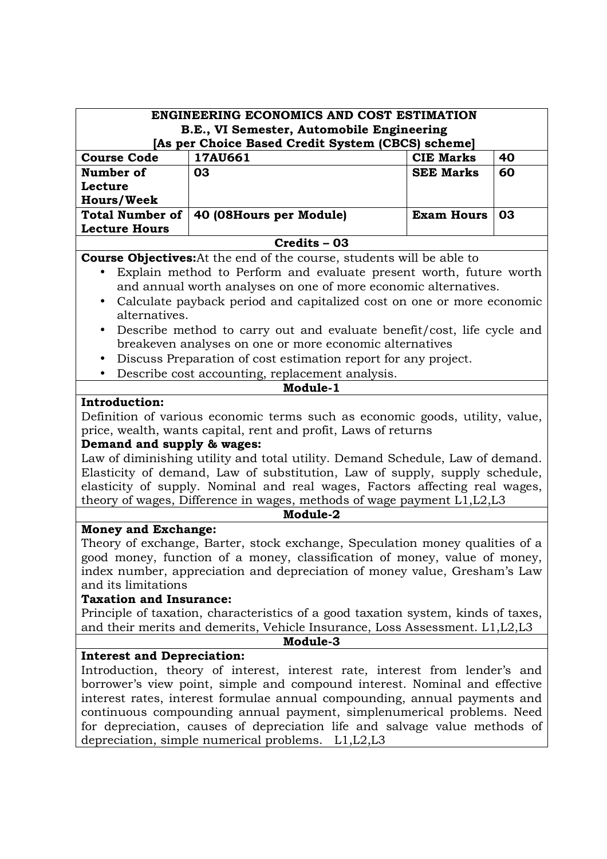| <b>ENGINEERING ECONOMICS AND COST ESTIMATION</b><br>B.E., VI Semester, Automobile Engineering |                                                                                   |                   |    |
|-----------------------------------------------------------------------------------------------|-----------------------------------------------------------------------------------|-------------------|----|
|                                                                                               | [As per Choice Based Credit System (CBCS) scheme]                                 |                   |    |
| <b>Course Code</b>                                                                            | 17AU661                                                                           | <b>CIE Marks</b>  | 40 |
| Number of                                                                                     | 03                                                                                | <b>SEE Marks</b>  | 60 |
| Lecture                                                                                       |                                                                                   |                   |    |
| <b>Hours/Week</b>                                                                             |                                                                                   |                   |    |
| <b>Total Number of</b>                                                                        | 40 (08Hours per Module)                                                           | <b>Exam Hours</b> | 03 |
| <b>Lecture Hours</b>                                                                          |                                                                                   |                   |    |
|                                                                                               | Credits - 03                                                                      |                   |    |
|                                                                                               |                                                                                   |                   |    |
|                                                                                               | <b>Course Objectives:</b> At the end of the course, students will be able to      |                   |    |
|                                                                                               | Explain method to Perform and evaluate present worth, future worth                |                   |    |
|                                                                                               | and annual worth analyses on one of more economic alternatives.                   |                   |    |
| $\bullet$                                                                                     | Calculate payback period and capitalized cost on one or more economic             |                   |    |
| alternatives.                                                                                 |                                                                                   |                   |    |
| $\bullet$                                                                                     | Describe method to carry out and evaluate benefit/cost, life cycle and            |                   |    |
|                                                                                               | breakeven analyses on one or more economic alternatives                           |                   |    |
| $\bullet$                                                                                     | Discuss Preparation of cost estimation report for any project.                    |                   |    |
| $\bullet$                                                                                     | Describe cost accounting, replacement analysis.                                   |                   |    |
|                                                                                               | Module-1                                                                          |                   |    |
| <b>Introduction:</b>                                                                          |                                                                                   |                   |    |
|                                                                                               |                                                                                   |                   |    |
|                                                                                               | Definition of various economic terms such as economic goods, utility, value,      |                   |    |
|                                                                                               | price, wealth, wants capital, rent and profit, Laws of returns                    |                   |    |
| Demand and supply & wages:                                                                    |                                                                                   |                   |    |
| Law of diminishing utility and total utility. Demand Schedule, Law of demand.                 |                                                                                   |                   |    |
|                                                                                               | Elasticity of demand, Law of substitution, Law of supply, supply schedule,        |                   |    |
|                                                                                               | elasticity of supply. Nominal and real wages, Factors affecting real wages,       |                   |    |
|                                                                                               | theory of wages, Difference in wages, methods of wage payment L1, L2, L3          |                   |    |
|                                                                                               | Module-2                                                                          |                   |    |
| <b>Money and Exchange:</b>                                                                    |                                                                                   |                   |    |
|                                                                                               | Theory of exchange, Barter, stock exchange, Speculation money qualities of a      |                   |    |
|                                                                                               | good money, function of a money, classification of money, value of money,         |                   |    |
|                                                                                               | index number, appreciation and depreciation of money value, Gresham's Law         |                   |    |
| and its limitations                                                                           |                                                                                   |                   |    |
| <b>Taxation and Insurance:</b>                                                                |                                                                                   |                   |    |
|                                                                                               | Principle of taxation, characteristics of a good taxation system, kinds of taxes, |                   |    |
| and their merits and demerits, Vehicle Insurance, Loss Assessment. L1, L2, L3                 |                                                                                   |                   |    |
| Module-3                                                                                      |                                                                                   |                   |    |
| <b>Interest and Depreciation:</b>                                                             |                                                                                   |                   |    |
|                                                                                               | Introduction, theory of interest, interest rate, interest from lender's and       |                   |    |
|                                                                                               |                                                                                   |                   |    |
| borrower's view point, simple and compound interest. Nominal and effective                    |                                                                                   |                   |    |
| interest rates, interest formulae annual compounding, annual payments and                     |                                                                                   |                   |    |
| continuous compounding annual payment, simplenumerical problems. Need                         |                                                                                   |                   |    |
| for depreciation, causes of depreciation life and salvage value methods of                    |                                                                                   |                   |    |
|                                                                                               | depreciation, simple numerical problems. L1, L2, L3                               |                   |    |
|                                                                                               |                                                                                   |                   |    |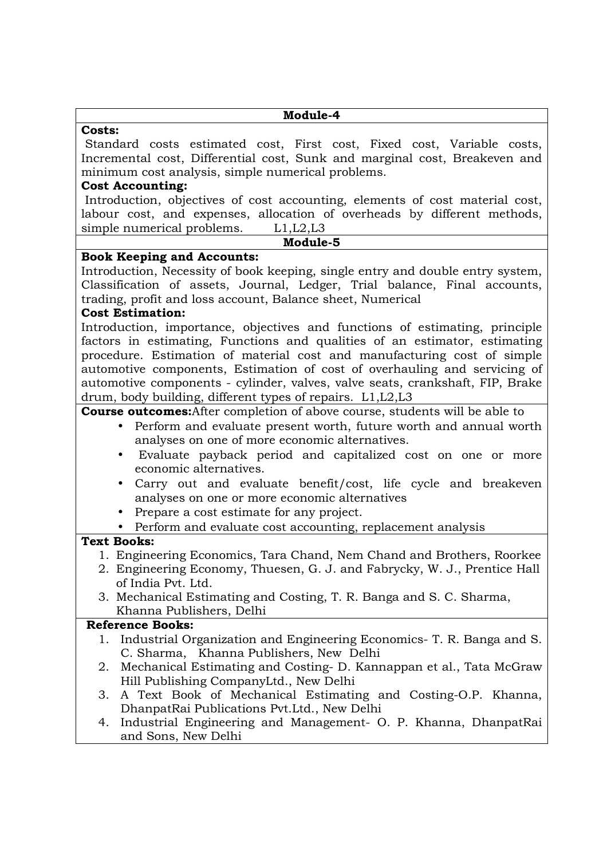| Module-4                                                                                                                                                                                                                                                                                                                                                                                                                                                          |
|-------------------------------------------------------------------------------------------------------------------------------------------------------------------------------------------------------------------------------------------------------------------------------------------------------------------------------------------------------------------------------------------------------------------------------------------------------------------|
| <b>Costs:</b>                                                                                                                                                                                                                                                                                                                                                                                                                                                     |
| Standard costs estimated cost, First cost, Fixed cost, Variable costs,<br>Incremental cost, Differential cost, Sunk and marginal cost, Breakeven and                                                                                                                                                                                                                                                                                                              |
| minimum cost analysis, simple numerical problems.                                                                                                                                                                                                                                                                                                                                                                                                                 |
| <b>Cost Accounting:</b>                                                                                                                                                                                                                                                                                                                                                                                                                                           |
| Introduction, objectives of cost accounting, elements of cost material cost,<br>labour cost, and expenses, allocation of overheads by different methods,                                                                                                                                                                                                                                                                                                          |
| simple numerical problems. $L1, L2, L3$<br>Module-5                                                                                                                                                                                                                                                                                                                                                                                                               |
|                                                                                                                                                                                                                                                                                                                                                                                                                                                                   |
| <b>Book Keeping and Accounts:</b><br>Introduction, Necessity of book keeping, single entry and double entry system,<br>Classification of assets, Journal, Ledger, Trial balance, Final accounts,<br>trading, profit and loss account, Balance sheet, Numerical<br><b>Cost Estimation:</b>                                                                                                                                                                         |
| Introduction, importance, objectives and functions of estimating, principle<br>factors in estimating, Functions and qualities of an estimator, estimating<br>procedure. Estimation of material cost and manufacturing cost of simple<br>automotive components, Estimation of cost of overhauling and servicing of<br>automotive components - cylinder, valves, valve seats, crankshaft, FIP, Brake<br>drum, body building, different types of repairs. L1, L2, L3 |
| <b>Course outcomes:</b> After completion of above course, students will be able to                                                                                                                                                                                                                                                                                                                                                                                |
| Perform and evaluate present worth, future worth and annual worth                                                                                                                                                                                                                                                                                                                                                                                                 |
| analyses on one of more economic alternatives.<br>Evaluate payback period and capitalized cost on one or more<br>economic alternatives.                                                                                                                                                                                                                                                                                                                           |
| Carry out and evaluate benefit/cost, life cycle and breakeven<br>$\bullet$<br>analyses on one or more economic alternatives                                                                                                                                                                                                                                                                                                                                       |
| Prepare a cost estimate for any project.<br>$\bullet$                                                                                                                                                                                                                                                                                                                                                                                                             |
| • Perform and evaluate cost accounting, replacement analysis                                                                                                                                                                                                                                                                                                                                                                                                      |
| <b>Text Books:</b>                                                                                                                                                                                                                                                                                                                                                                                                                                                |
| 1. Engineering Economics, Tara Chand, Nem Chand and Brothers, Roorkee<br>2. Engineering Economy, Thuesen, G. J. and Fabrycky, W. J., Prentice Hall<br>of India Pvt. Ltd.                                                                                                                                                                                                                                                                                          |
| 3. Mechanical Estimating and Costing, T. R. Banga and S. C. Sharma,<br>Khanna Publishers, Delhi                                                                                                                                                                                                                                                                                                                                                                   |
| <b>Reference Books:</b>                                                                                                                                                                                                                                                                                                                                                                                                                                           |
| Industrial Organization and Engineering Economics- T. R. Banga and S.<br>1.<br>C. Sharma, Khanna Publishers, New Delhi                                                                                                                                                                                                                                                                                                                                            |
| Mechanical Estimating and Costing-D. Kannappan et al., Tata McGraw<br>2.<br>Hill Publishing CompanyLtd., New Delhi                                                                                                                                                                                                                                                                                                                                                |
| A Text Book of Mechanical Estimating and Costing-O.P. Khanna,<br>3.<br>DhanpatRai Publications Pvt.Ltd., New Delhi                                                                                                                                                                                                                                                                                                                                                |
| Industrial Engineering and Management- O. P. Khanna, DhanpatRai<br>4.<br>and Sons, New Delhi                                                                                                                                                                                                                                                                                                                                                                      |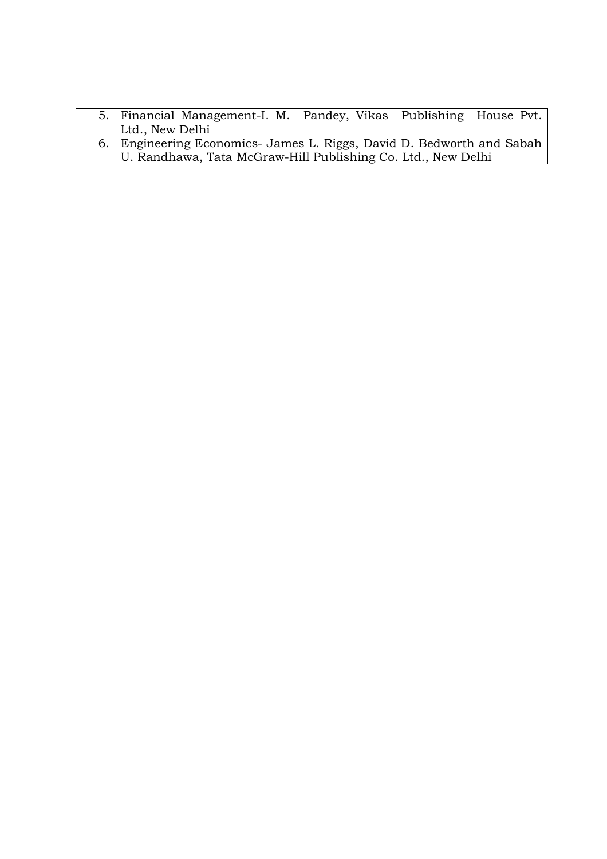- 5. Financial Management-I. M. Pandey, Vikas Publishing House Pvt. Ltd., New Delhi
- 6. Engineering Economics- James L. Riggs, David D. Bedworth and Sabah U. Randhawa, Tata McGraw-Hill Publishing Co. Ltd., New Delhi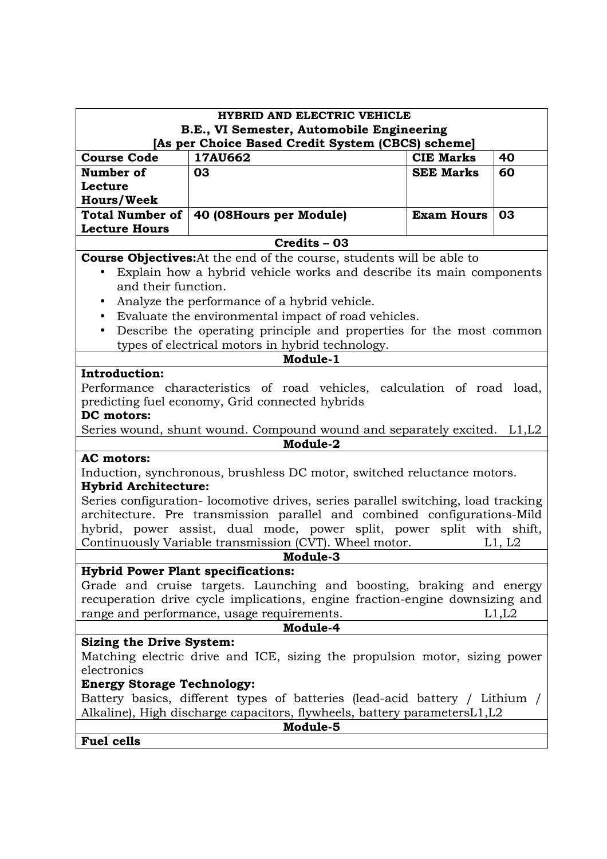| <b>HYBRID AND ELECTRIC VEHICLE</b><br>B.E., VI Semester, Automobile Engineering |                                                                                                                                 |                   |        |
|---------------------------------------------------------------------------------|---------------------------------------------------------------------------------------------------------------------------------|-------------------|--------|
|                                                                                 | [As per Choice Based Credit System (CBCS) scheme]                                                                               |                   |        |
| <b>Course Code</b>                                                              | 17AU662                                                                                                                         | <b>CIE Marks</b>  | 40     |
| Number of                                                                       | 03                                                                                                                              | <b>SEE Marks</b>  | 60     |
| Lecture                                                                         |                                                                                                                                 |                   |        |
| <b>Hours/Week</b>                                                               |                                                                                                                                 |                   |        |
| <b>Total Number of</b><br><b>Lecture Hours</b>                                  | 40 (08Hours per Module)                                                                                                         | <b>Exam Hours</b> | 03     |
|                                                                                 | Credits - 03                                                                                                                    |                   |        |
|                                                                                 | <b>Course Objectives:</b> At the end of the course, students will be able to                                                    |                   |        |
|                                                                                 | Explain how a hybrid vehicle works and describe its main components                                                             |                   |        |
| and their function.                                                             |                                                                                                                                 |                   |        |
|                                                                                 | Analyze the performance of a hybrid vehicle.                                                                                    |                   |        |
|                                                                                 | Evaluate the environmental impact of road vehicles.                                                                             |                   |        |
| $\bullet$                                                                       | Describe the operating principle and properties for the most common                                                             |                   |        |
|                                                                                 | types of electrical motors in hybrid technology.                                                                                |                   |        |
|                                                                                 | Module-1                                                                                                                        |                   |        |
| Introduction:                                                                   |                                                                                                                                 |                   |        |
|                                                                                 | Performance characteristics of road vehicles, calculation of road load,                                                         |                   |        |
|                                                                                 | predicting fuel economy, Grid connected hybrids                                                                                 |                   |        |
| DC motors:                                                                      |                                                                                                                                 |                   |        |
|                                                                                 | Series wound, shunt wound. Compound wound and separately excited. L1, L2                                                        |                   |        |
|                                                                                 | Module-2                                                                                                                        |                   |        |
| <b>AC</b> motors:                                                               |                                                                                                                                 |                   |        |
|                                                                                 | Induction, synchronous, brushless DC motor, switched reluctance motors.                                                         |                   |        |
| <b>Hybrid Architecture:</b>                                                     |                                                                                                                                 |                   |        |
|                                                                                 | Series configuration- locomotive drives, series parallel switching, load tracking                                               |                   |        |
|                                                                                 | architecture. Pre transmission parallel and combined configurations-Mild                                                        |                   |        |
|                                                                                 | hybrid, power assist, dual mode, power split, power split with shift,<br>Continuously Variable transmission (CVT). Wheel motor. |                   |        |
|                                                                                 | <b>Module-3</b>                                                                                                                 |                   | L1, L2 |
| <b>Hybrid Power Plant specifications:</b>                                       |                                                                                                                                 |                   |        |
|                                                                                 | Grade and cruise targets. Launching and boosting, braking and energy                                                            |                   |        |
|                                                                                 | recuperation drive cycle implications, engine fraction-engine downsizing and                                                    |                   |        |
|                                                                                 |                                                                                                                                 |                   | L1,L2  |
| range and performance, usage requirements.<br>Module-4                          |                                                                                                                                 |                   |        |
| <b>Sizing the Drive System:</b>                                                 |                                                                                                                                 |                   |        |
|                                                                                 | Matching electric drive and ICE, sizing the propulsion motor, sizing power                                                      |                   |        |
| electronics                                                                     |                                                                                                                                 |                   |        |
| <b>Energy Storage Technology:</b>                                               |                                                                                                                                 |                   |        |
| Battery basics, different types of batteries (lead-acid battery / Lithium /     |                                                                                                                                 |                   |        |
| Alkaline), High discharge capacitors, flywheels, battery parametersL1,L2        |                                                                                                                                 |                   |        |
| Module-5                                                                        |                                                                                                                                 |                   |        |
| <b>Fuel cells</b>                                                               |                                                                                                                                 |                   |        |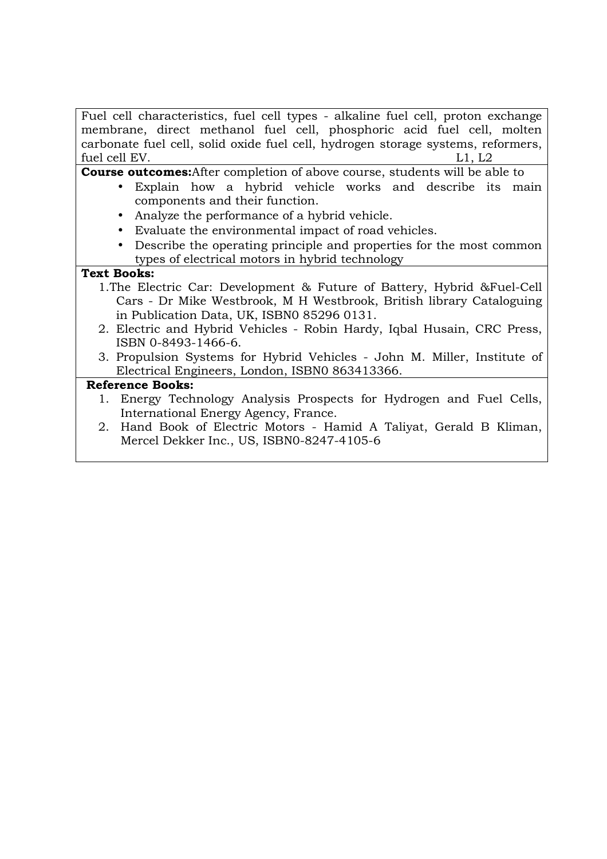| Fuel cell characteristics, fuel cell types - alkaline fuel cell, proton exchange   |
|------------------------------------------------------------------------------------|
| membrane, direct methanol fuel cell, phosphoric acid fuel cell, molten             |
| carbonate fuel cell, solid oxide fuel cell, hydrogen storage systems, reformers,   |
| fuel cell EV.<br>L1, L2                                                            |
| <b>Course outcomes:</b> After completion of above course, students will be able to |
| Explain how a hybrid vehicle works and describe its main<br>$\bullet$              |
| components and their function.                                                     |
| Analyze the performance of a hybrid vehicle.                                       |
| Evaluate the environmental impact of road vehicles.                                |
| Describe the operating principle and properties for the most common                |
| types of electrical motors in hybrid technology                                    |
| <b>Text Books:</b>                                                                 |
| 1. The Electric Car: Development & Future of Battery, Hybrid & Fuel-Cell           |
| Cars - Dr Mike Westbrook, M H Westbrook, British library Cataloguing               |
| in Publication Data, UK, ISBN0 85296 0131.                                         |
| 2. Electric and Hybrid Vehicles - Robin Hardy, Iqbal Husain, CRC Press,            |
| ISBN 0-8493-1466-6.                                                                |
| 3. Propulsion Systems for Hybrid Vehicles - John M. Miller, Institute of           |
| Electrical Engineers, London, ISBN0 863413366.                                     |
| <b>Reference Books:</b>                                                            |
| 1. Energy Technology Analysis Prospects for Hydrogen and Fuel Cells,               |
| International Energy Agency, France.                                               |
| 2. Hand Book of Electric Motors - Hamid A Taliyat, Gerald B Kliman,                |
| Mercel Dekker Inc., US, ISBN0-8247-4105-6                                          |
|                                                                                    |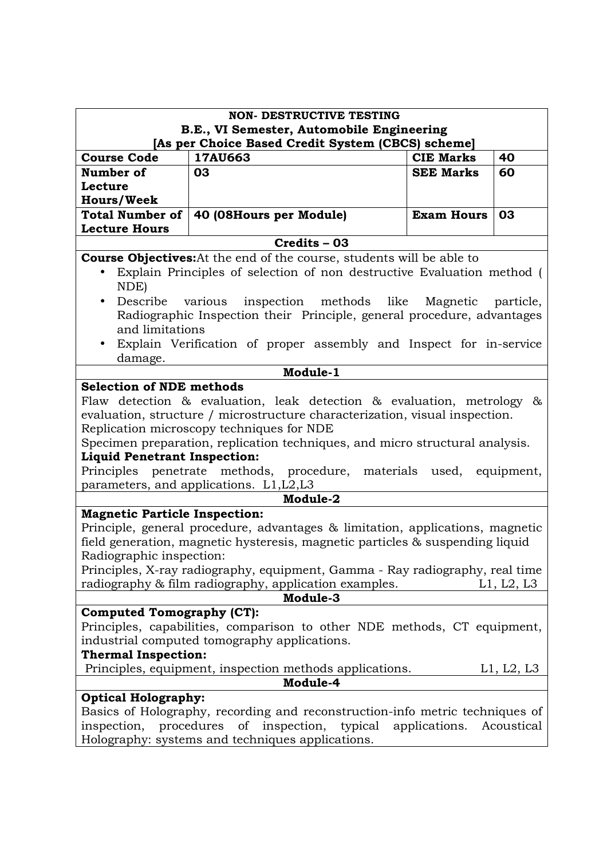|                                                                                                         | <b>NON- DESTRUCTIVE TESTING</b>                                                                                                                                                                                                                                                                                                                                                                                                                                                                                                                                                                                                                                                                                             |                   |            |
|---------------------------------------------------------------------------------------------------------|-----------------------------------------------------------------------------------------------------------------------------------------------------------------------------------------------------------------------------------------------------------------------------------------------------------------------------------------------------------------------------------------------------------------------------------------------------------------------------------------------------------------------------------------------------------------------------------------------------------------------------------------------------------------------------------------------------------------------------|-------------------|------------|
|                                                                                                         | B.E., VI Semester, Automobile Engineering                                                                                                                                                                                                                                                                                                                                                                                                                                                                                                                                                                                                                                                                                   |                   |            |
|                                                                                                         | [As per Choice Based Credit System (CBCS) scheme]                                                                                                                                                                                                                                                                                                                                                                                                                                                                                                                                                                                                                                                                           |                   |            |
| <b>Course Code</b>                                                                                      | 17AU663                                                                                                                                                                                                                                                                                                                                                                                                                                                                                                                                                                                                                                                                                                                     | <b>CIE Marks</b>  | 40         |
| Number of                                                                                               | 03                                                                                                                                                                                                                                                                                                                                                                                                                                                                                                                                                                                                                                                                                                                          | <b>SEE Marks</b>  | 60         |
| Lecture                                                                                                 |                                                                                                                                                                                                                                                                                                                                                                                                                                                                                                                                                                                                                                                                                                                             |                   |            |
| <b>Hours/Week</b>                                                                                       |                                                                                                                                                                                                                                                                                                                                                                                                                                                                                                                                                                                                                                                                                                                             |                   |            |
| <b>Total Number of</b><br><b>Lecture Hours</b>                                                          | 40 (08Hours per Module)                                                                                                                                                                                                                                                                                                                                                                                                                                                                                                                                                                                                                                                                                                     | <b>Exam Hours</b> | 03         |
|                                                                                                         | Credits - 03                                                                                                                                                                                                                                                                                                                                                                                                                                                                                                                                                                                                                                                                                                                |                   |            |
|                                                                                                         | <b>Course Objectives:</b> At the end of the course, students will be able to                                                                                                                                                                                                                                                                                                                                                                                                                                                                                                                                                                                                                                                |                   |            |
| NDE)                                                                                                    | Explain Principles of selection of non destructive Evaluation method (                                                                                                                                                                                                                                                                                                                                                                                                                                                                                                                                                                                                                                                      |                   |            |
| Describe various<br>$\bullet$                                                                           | inspection methods like Magnetic                                                                                                                                                                                                                                                                                                                                                                                                                                                                                                                                                                                                                                                                                            |                   | particle,  |
|                                                                                                         | Radiographic Inspection their Principle, general procedure, advantages                                                                                                                                                                                                                                                                                                                                                                                                                                                                                                                                                                                                                                                      |                   |            |
| and limitations                                                                                         |                                                                                                                                                                                                                                                                                                                                                                                                                                                                                                                                                                                                                                                                                                                             |                   |            |
| $\bullet$<br>damage.                                                                                    | Explain Verification of proper assembly and Inspect for in-service                                                                                                                                                                                                                                                                                                                                                                                                                                                                                                                                                                                                                                                          |                   |            |
|                                                                                                         | Module-1                                                                                                                                                                                                                                                                                                                                                                                                                                                                                                                                                                                                                                                                                                                    |                   |            |
| <b>Liquid Penetrant Inspection:</b><br><b>Magnetic Particle Inspection:</b><br>Radiographic inspection: | Flaw detection & evaluation, leak detection & evaluation, metrology &<br>evaluation, structure / microstructure characterization, visual inspection.<br>Replication microscopy techniques for NDE<br>Specimen preparation, replication techniques, and micro structural analysis.<br>Principles penetrate methods, procedure, materials used, equipment,<br>parameters, and applications. L1, L2, L3<br>Module-2<br>Principle, general procedure, advantages & limitation, applications, magnetic<br>field generation, magnetic hysteresis, magnetic particles & suspending liquid<br>Principles, X-ray radiography, equipment, Gamma - Ray radiography, real time<br>radiography & film radiography, application examples. |                   | L1, L2, L3 |
|                                                                                                         | Module-3                                                                                                                                                                                                                                                                                                                                                                                                                                                                                                                                                                                                                                                                                                                    |                   |            |
| <b>Computed Tomography (CT):</b>                                                                        |                                                                                                                                                                                                                                                                                                                                                                                                                                                                                                                                                                                                                                                                                                                             |                   |            |
|                                                                                                         | Principles, capabilities, comparison to other NDE methods, CT equipment,                                                                                                                                                                                                                                                                                                                                                                                                                                                                                                                                                                                                                                                    |                   |            |
|                                                                                                         | industrial computed tomography applications.                                                                                                                                                                                                                                                                                                                                                                                                                                                                                                                                                                                                                                                                                |                   |            |
| <b>Thermal Inspection:</b>                                                                              |                                                                                                                                                                                                                                                                                                                                                                                                                                                                                                                                                                                                                                                                                                                             |                   |            |
|                                                                                                         | Principles, equipment, inspection methods applications.                                                                                                                                                                                                                                                                                                                                                                                                                                                                                                                                                                                                                                                                     |                   | L1, L2, L3 |
| Module-4                                                                                                |                                                                                                                                                                                                                                                                                                                                                                                                                                                                                                                                                                                                                                                                                                                             |                   |            |
| <b>Optical Holography:</b>                                                                              |                                                                                                                                                                                                                                                                                                                                                                                                                                                                                                                                                                                                                                                                                                                             |                   |            |
| inspection,                                                                                             | Basics of Holography, recording and reconstruction-info metric techniques of<br>procedures<br>of<br>inspection,<br>typical<br>Holography: systems and techniques applications.                                                                                                                                                                                                                                                                                                                                                                                                                                                                                                                                              | applications.     | Acoustical |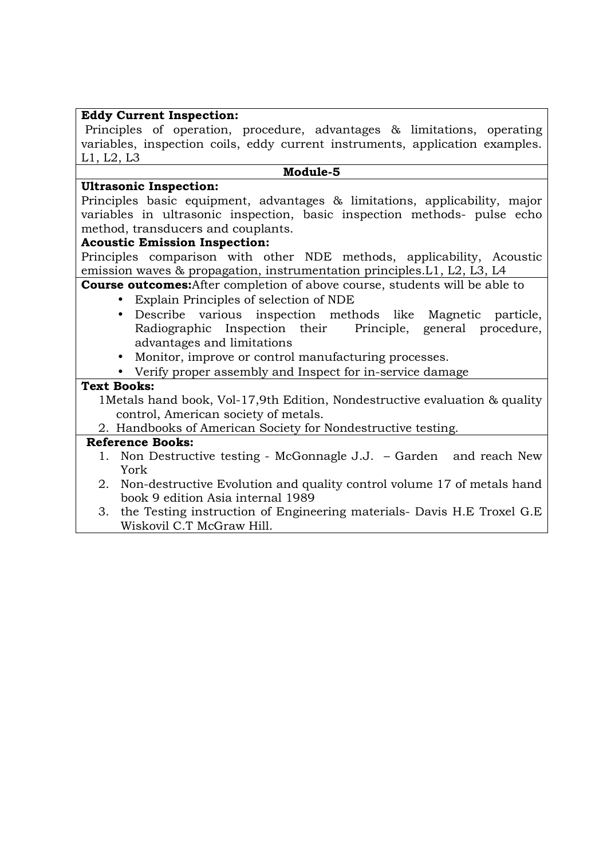## **Eddy Current Inspection:**

 Principles of operation, procedure, advantages & limitations, operating variables, inspection coils, eddy current instruments, application examples. L1, L2, L3

#### **Module-5**

#### **Ultrasonic Inspection:**

Principles basic equipment, advantages & limitations, applicability, major variables in ultrasonic inspection, basic inspection methods- pulse echo method, transducers and couplants.

### **Acoustic Emission Inspection:**

Principles comparison with other NDE methods, applicability, Acoustic emission waves & propagation, instrumentation principles.L1, L2, L3, L4

# **Course outcomes:**After completion of above course, students will be able to

- Explain Principles of selection of NDE
- Describe various inspection methods like Magnetic particle, Radiographic Inspection their Principle, general procedure, advantages and limitations
- Monitor, improve or control manufacturing processes.
- Verify proper assembly and Inspect for in-service damage

# **Text Books:**

1Metals hand book, Vol-17,9th Edition, Nondestructive evaluation & quality control, American society of metals.

2. Handbooks of American Society for Nondestructive testing.

- 1. Non Destructive testing McGonnagle J.J. Garden and reach New York
- 2. Non-destructive Evolution and quality control volume 17 of metals hand book 9 edition Asia internal 1989
- 3. the Testing instruction of Engineering materials- Davis H.E Troxel G.E Wiskovil C.T McGraw Hill.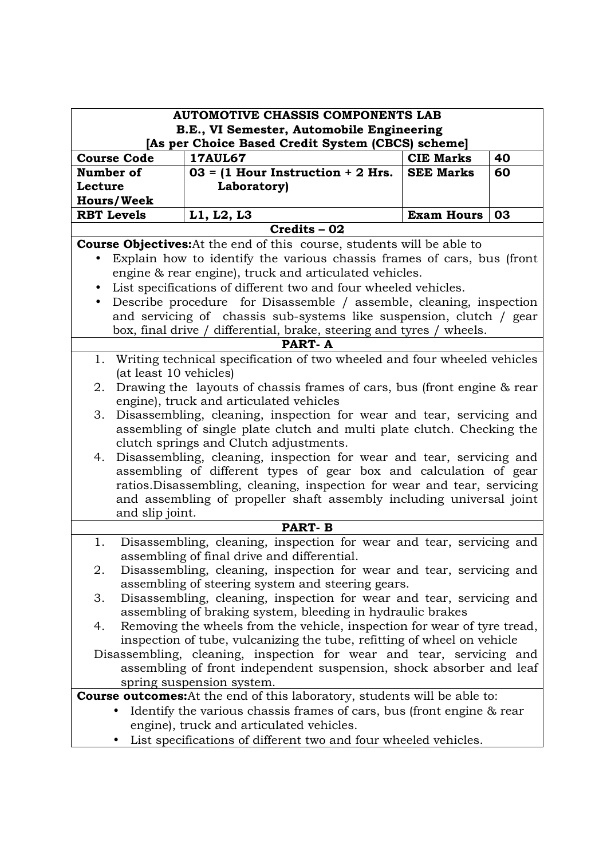| <b>AUTOMOTIVE CHASSIS COMPONENTS LAB</b>                                                                    |                                                                                                                |                   |    |
|-------------------------------------------------------------------------------------------------------------|----------------------------------------------------------------------------------------------------------------|-------------------|----|
|                                                                                                             | B.E., VI Semester, Automobile Engineering<br>[As per Choice Based Credit System (CBCS) scheme]                 |                   |    |
| <b>Course Code</b>                                                                                          | <b>17AUL67</b>                                                                                                 | <b>CIE Marks</b>  | 40 |
| Number of                                                                                                   | $03 = (1$ Hour Instruction + 2 Hrs.                                                                            | <b>SEE Marks</b>  | 60 |
| Lecture                                                                                                     | Laboratory)                                                                                                    |                   |    |
| <b>Hours/Week</b>                                                                                           |                                                                                                                |                   |    |
| <b>RBT Levels</b>                                                                                           | L1, L2, L3                                                                                                     | <b>Exam Hours</b> | 03 |
|                                                                                                             | Credits - 02                                                                                                   |                   |    |
|                                                                                                             | <b>Course Objectives:</b> At the end of this course, students will be able to                                  |                   |    |
|                                                                                                             | Explain how to identify the various chassis frames of cars, bus (front                                         |                   |    |
|                                                                                                             | engine & rear engine), truck and articulated vehicles.                                                         |                   |    |
|                                                                                                             | List specifications of different two and four wheeled vehicles.                                                |                   |    |
| $\bullet$                                                                                                   | Describe procedure for Disassemble / assemble, cleaning, inspection                                            |                   |    |
|                                                                                                             | and servicing of chassis sub-systems like suspension, clutch / gear                                            |                   |    |
|                                                                                                             | box, final drive / differential, brake, steering and tyres / wheels.                                           |                   |    |
|                                                                                                             | <b>PART-A</b>                                                                                                  |                   |    |
|                                                                                                             | 1. Writing technical specification of two wheeled and four wheeled vehicles                                    |                   |    |
| (at least 10 vehicles)                                                                                      |                                                                                                                |                   |    |
| 2.                                                                                                          | Drawing the layouts of chassis frames of cars, bus (front engine & rear                                        |                   |    |
|                                                                                                             | engine), truck and articulated vehicles                                                                        |                   |    |
| 3.                                                                                                          | Disassembling, cleaning, inspection for wear and tear, servicing and                                           |                   |    |
|                                                                                                             | assembling of single plate clutch and multi plate clutch. Checking the                                         |                   |    |
| 4.                                                                                                          | clutch springs and Clutch adjustments.<br>Disassembling, cleaning, inspection for wear and tear, servicing and |                   |    |
|                                                                                                             | assembling of different types of gear box and calculation of gear                                              |                   |    |
|                                                                                                             | ratios. Disassembling, cleaning, inspection for wear and tear, servicing                                       |                   |    |
|                                                                                                             | and assembling of propeller shaft assembly including universal joint                                           |                   |    |
| and slip joint.                                                                                             |                                                                                                                |                   |    |
|                                                                                                             | <b>PART-B</b>                                                                                                  |                   |    |
| 1.                                                                                                          | Disassembling, cleaning, inspection for wear and tear, servicing and                                           |                   |    |
|                                                                                                             | assembling of final drive and differential.                                                                    |                   |    |
| 2.                                                                                                          | Disassembling, cleaning, inspection for wear and tear, servicing and                                           |                   |    |
|                                                                                                             | assembling of steering system and steering gears.                                                              |                   |    |
| 3.                                                                                                          | Disassembling, cleaning, inspection for wear and tear, servicing and                                           |                   |    |
|                                                                                                             | assembling of braking system, bleeding in hydraulic brakes                                                     |                   |    |
| 4.                                                                                                          | Removing the wheels from the vehicle, inspection for wear of tyre tread,                                       |                   |    |
|                                                                                                             | inspection of tube, vulcanizing the tube, refitting of wheel on vehicle                                        |                   |    |
|                                                                                                             | Disassembling, cleaning, inspection for wear and tear, servicing and                                           |                   |    |
| assembling of front independent suspension, shock absorber and leaf                                         |                                                                                                                |                   |    |
| spring suspension system.                                                                                   |                                                                                                                |                   |    |
| <b>Course outcomes:</b> At the end of this laboratory, students will be able to:                            |                                                                                                                |                   |    |
| Identify the various chassis frames of cars, bus (front engine & rear                                       |                                                                                                                |                   |    |
| engine), truck and articulated vehicles.<br>List specifications of different two and four wheeled vehicles. |                                                                                                                |                   |    |
|                                                                                                             |                                                                                                                |                   |    |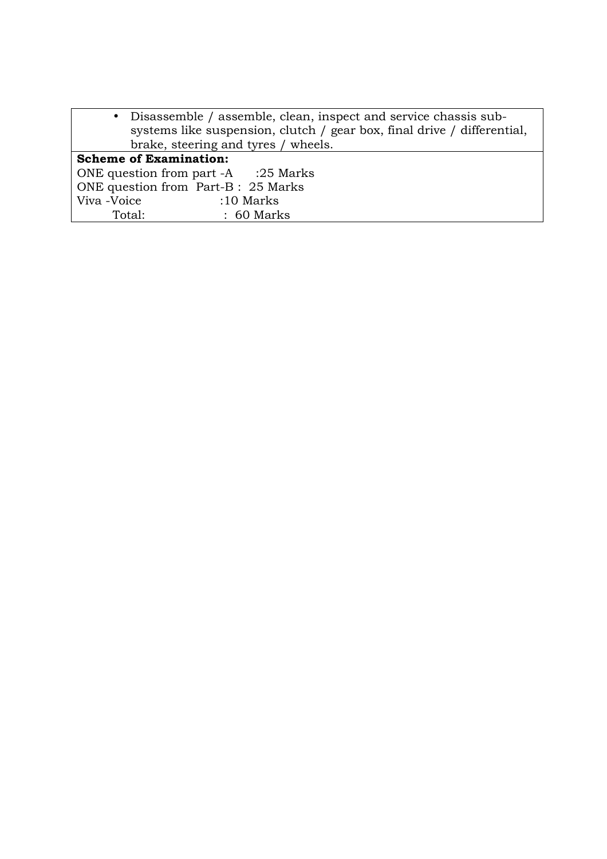| • Disassemble / assemble, clean, inspect and service chassis sub-       |  |
|-------------------------------------------------------------------------|--|
| systems like suspension, clutch / gear box, final drive / differential, |  |
| brake, steering and tyres / wheels.                                     |  |
| <b>Scheme of Examination:</b>                                           |  |
| ONE question from part -A :25 Marks                                     |  |
| ONE question from Part-B : 25 Marks                                     |  |
| Viva -Voice<br>$:10$ Marks                                              |  |
| $\therefore$ 60 Marks<br>Total:                                         |  |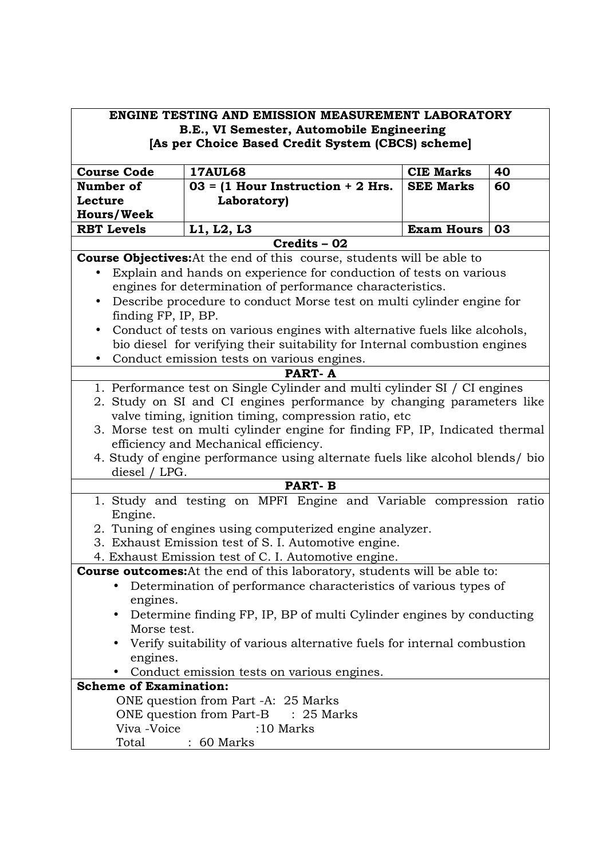| <b>ENGINE TESTING AND EMISSION MEASUREMENT LABORATORY</b><br>B.E., VI Semester, Automobile Engineering<br>[As per Choice Based Credit System (CBCS) scheme]                                                                                                                                                                                                                                                                                                                                                                              |                                                                                                                                                                          |                   |    |  |  |
|------------------------------------------------------------------------------------------------------------------------------------------------------------------------------------------------------------------------------------------------------------------------------------------------------------------------------------------------------------------------------------------------------------------------------------------------------------------------------------------------------------------------------------------|--------------------------------------------------------------------------------------------------------------------------------------------------------------------------|-------------------|----|--|--|
|                                                                                                                                                                                                                                                                                                                                                                                                                                                                                                                                          | <b>17AUL68</b><br>40<br><b>Course Code</b><br><b>CIE Marks</b>                                                                                                           |                   |    |  |  |
| Number of                                                                                                                                                                                                                                                                                                                                                                                                                                                                                                                                | $03 = (1$ Hour Instruction + 2 Hrs.                                                                                                                                      | <b>SEE Marks</b>  | 60 |  |  |
| Lecture                                                                                                                                                                                                                                                                                                                                                                                                                                                                                                                                  | Laboratory)                                                                                                                                                              |                   |    |  |  |
| <b>Hours/Week</b>                                                                                                                                                                                                                                                                                                                                                                                                                                                                                                                        |                                                                                                                                                                          |                   |    |  |  |
| <b>RBT Levels</b>                                                                                                                                                                                                                                                                                                                                                                                                                                                                                                                        | L1, L2, L3                                                                                                                                                               | <b>Exam Hours</b> | 03 |  |  |
|                                                                                                                                                                                                                                                                                                                                                                                                                                                                                                                                          | $Credits - 02$                                                                                                                                                           |                   |    |  |  |
|                                                                                                                                                                                                                                                                                                                                                                                                                                                                                                                                          | <b>Course Objectives:</b> At the end of this course, students will be able to<br>Explain and hands on experience for conduction of tests on various                      |                   |    |  |  |
|                                                                                                                                                                                                                                                                                                                                                                                                                                                                                                                                          | engines for determination of performance characteristics.<br>Describe procedure to conduct Morse test on multi cylinder engine for                                       |                   |    |  |  |
| finding FP, IP, BP.                                                                                                                                                                                                                                                                                                                                                                                                                                                                                                                      |                                                                                                                                                                          |                   |    |  |  |
|                                                                                                                                                                                                                                                                                                                                                                                                                                                                                                                                          | Conduct of tests on various engines with alternative fuels like alcohols,<br>bio diesel for verifying their suitability for Internal combustion engines                  |                   |    |  |  |
| $\bullet$                                                                                                                                                                                                                                                                                                                                                                                                                                                                                                                                | Conduct emission tests on various engines.<br><b>PART-A</b>                                                                                                              |                   |    |  |  |
| 1. Performance test on Single Cylinder and multi cylinder SI / CI engines<br>2. Study on SI and CI engines performance by changing parameters like<br>valve timing, ignition timing, compression ratio, etc<br>3. Morse test on multi cylinder engine for finding FP, IP, Indicated thermal<br>efficiency and Mechanical efficiency.<br>4. Study of engine performance using alternate fuels like alcohol blends/ bio<br>diesel / LPG.<br><b>PART-B</b><br>1. Study and testing on MPFI Engine and Variable compression ratio<br>Engine. |                                                                                                                                                                          |                   |    |  |  |
|                                                                                                                                                                                                                                                                                                                                                                                                                                                                                                                                          | 2. Tuning of engines using computerized engine analyzer.<br>3. Exhaust Emission test of S. I. Automotive engine.<br>4. Exhaust Emission test of C. I. Automotive engine. |                   |    |  |  |
| <b>Course outcomes:</b> At the end of this laboratory, students will be able to:<br>Determination of performance characteristics of various types of<br>engines.                                                                                                                                                                                                                                                                                                                                                                         |                                                                                                                                                                          |                   |    |  |  |
| Determine finding FP, IP, BP of multi Cylinder engines by conducting<br>Morse test.<br>Verify suitability of various alternative fuels for internal combustion<br>engines.                                                                                                                                                                                                                                                                                                                                                               |                                                                                                                                                                          |                   |    |  |  |
| Conduct emission tests on various engines.                                                                                                                                                                                                                                                                                                                                                                                                                                                                                               |                                                                                                                                                                          |                   |    |  |  |
| <b>Scheme of Examination:</b><br>ONE question from Part -A: 25 Marks<br>ONE question from Part-B : 25 Marks<br>Viva -Voice<br>:10 Marks<br>$: 60$ Marks<br>Total                                                                                                                                                                                                                                                                                                                                                                         |                                                                                                                                                                          |                   |    |  |  |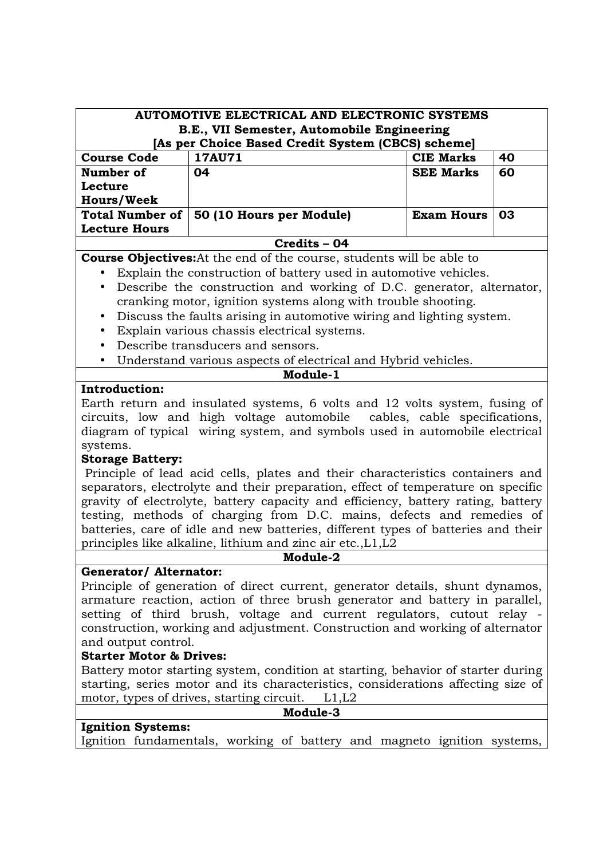| <b>AUTOMOTIVE ELECTRICAL AND ELECTRONIC SYSTEMS</b><br>B.E., VII Semester, Automobile Engineering<br>[As per Choice Based Credit System (CBCS) scheme]                                                                                  |                          |                   |    |
|-----------------------------------------------------------------------------------------------------------------------------------------------------------------------------------------------------------------------------------------|--------------------------|-------------------|----|
| <b>Course Code</b>                                                                                                                                                                                                                      | <b>17AU71</b>            | <b>CIE Marks</b>  | 40 |
| Number of<br>Lecture<br><b>Hours/Week</b>                                                                                                                                                                                               | 04                       | <b>SEE Marks</b>  | 60 |
| <b>Total Number of</b>                                                                                                                                                                                                                  | 50 (10 Hours per Module) | <b>Exam Hours</b> | 03 |
| <b>Lecture Hours</b>                                                                                                                                                                                                                    |                          |                   |    |
| Credits - 04                                                                                                                                                                                                                            |                          |                   |    |
| <b>Course Objectives:</b> At the end of the course, students will be able to                                                                                                                                                            |                          |                   |    |
| Explain the construction of battery used in automotive vehicles.<br>$\bullet$                                                                                                                                                           |                          |                   |    |
| Describe the construction and working of D.C. generator, alternator,<br>$\bullet$<br>cranking motor, ignition systems along with trouble shooting.<br>Discuss the faults arising in automotive wiring and lighting system.<br>$\bullet$ |                          |                   |    |

- Explain various chassis electrical systems.
- Describe transducers and sensors.
- Understand various aspects of electrical and Hybrid vehicles.

# **Module-1**

#### **Introduction:**

Earth return and insulated systems, 6 volts and 12 volts system, fusing of circuits, low and high voltage automobile cables, cable specifications, diagram of typical wiring system, and symbols used in automobile electrical systems.

#### **Storage Battery:**

 Principle of lead acid cells, plates and their characteristics containers and separators, electrolyte and their preparation, effect of temperature on specific gravity of electrolyte, battery capacity and efficiency, battery rating, battery testing, methods of charging from D.C. mains, defects and remedies of batteries, care of idle and new batteries, different types of batteries and their principles like alkaline, lithium and zinc air etc.,L1,L2

#### **Module-2**

# **Generator/ Alternator:**

Principle of generation of direct current, generator details, shunt dynamos, armature reaction, action of three brush generator and battery in parallel, setting of third brush, voltage and current regulators, cutout relay construction, working and adjustment. Construction and working of alternator and output control.

#### **Starter Motor & Drives:**

Battery motor starting system, condition at starting, behavior of starter during starting, series motor and its characteristics, considerations affecting size of motor, types of drives, starting circuit. L1, L2

| Module- |  |
|---------|--|
|---------|--|

# **Ignition Systems:**

Ignition fundamentals, working of battery and magneto ignition systems,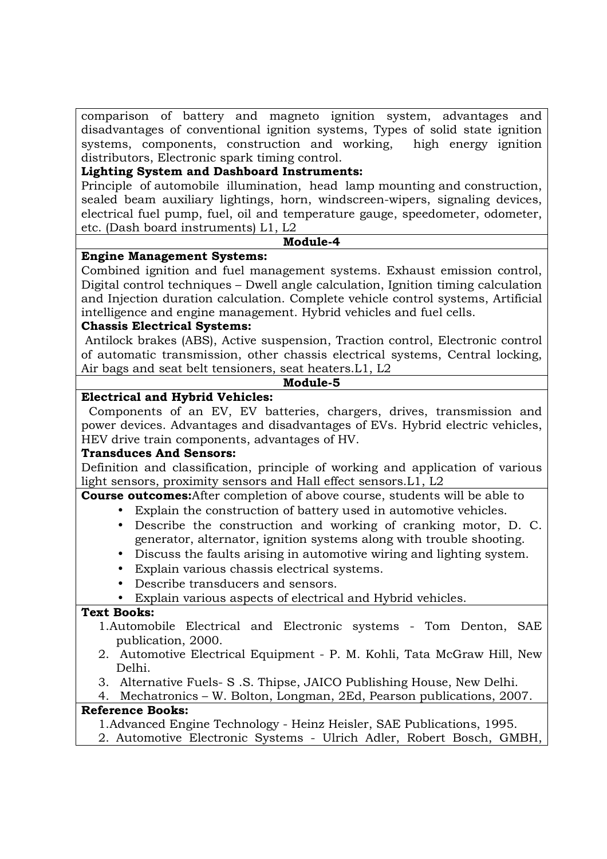comparison of battery and magneto ignition system, advantages and disadvantages of conventional ignition systems, Types of solid state ignition systems, components, construction and working, high energy ignition distributors, Electronic spark timing control.

#### **Lighting System and Dashboard Instruments:**

Principle of automobile illumination, head lamp mounting and construction, sealed beam auxiliary lightings, horn, windscreen-wipers, signaling devices, electrical fuel pump, fuel, oil and temperature gauge, speedometer, odometer, etc. (Dash board instruments) L1, L2

#### **Module-4**

### **Engine Management Systems:**

Combined ignition and fuel management systems. Exhaust emission control, Digital control techniques – Dwell angle calculation, Ignition timing calculation and Injection duration calculation. Complete vehicle control systems, Artificial intelligence and engine management. Hybrid vehicles and fuel cells.

### **Chassis Electrical Systems:**

 Antilock brakes (ABS), Active suspension, Traction control, Electronic control of automatic transmission, other chassis electrical systems, Central locking, Air bags and seat belt tensioners, seat heaters.L1, L2

### **Module-5**

### **Electrical and Hybrid Vehicles:**

 Components of an EV, EV batteries, chargers, drives, transmission and power devices. Advantages and disadvantages of EVs. Hybrid electric vehicles, HEV drive train components, advantages of HV.

#### **Transduces And Sensors:**

Definition and classification, principle of working and application of various light sensors, proximity sensors and Hall effect sensors.L1, L2

**Course outcomes:**After completion of above course, students will be able to

- Explain the construction of battery used in automotive vehicles.
	- Describe the construction and working of cranking motor, D. C. generator, alternator, ignition systems along with trouble shooting.
- Discuss the faults arising in automotive wiring and lighting system.
- Explain various chassis electrical systems.
- Describe transducers and sensors.
- Explain various aspects of electrical and Hybrid vehicles.

# **Text Books:**

- 1.Automobile Electrical and Electronic systems Tom Denton, SAE publication, 2000.
- 2. Automotive Electrical Equipment P. M. Kohli, Tata McGraw Hill, New Delhi.
- 3. Alternative Fuels- S .S. Thipse, JAICO Publishing House, New Delhi.
- 4. Mechatronics W. Bolton, Longman, 2Ed, Pearson publications, 2007. **Reference Books:**

# 1.Advanced Engine Technology - Heinz Heisler, SAE Publications, 1995.

2. Automotive Electronic Systems - Ulrich Adler, Robert Bosch, GMBH,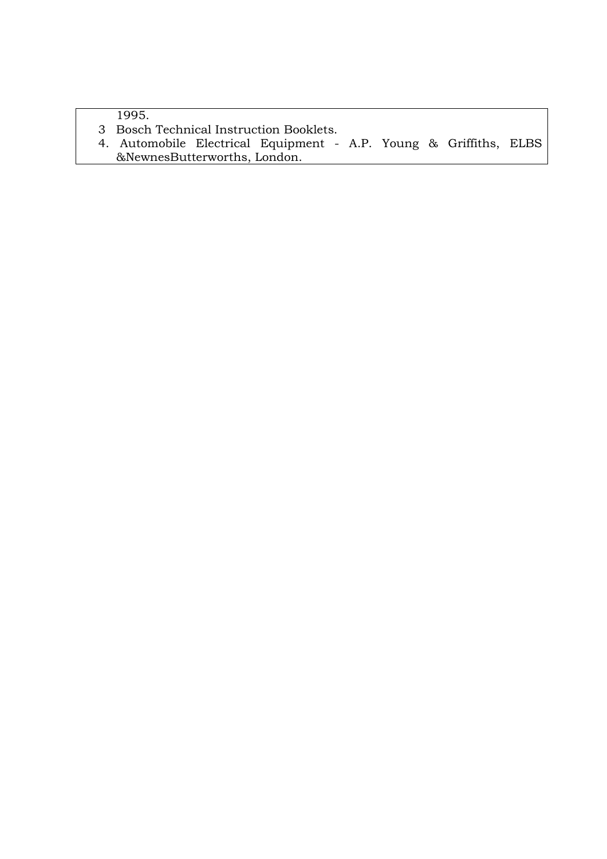1995.

- 3 Bosch Technical Instruction Booklets.
- 4. Automobile Electrical Equipment A.P. Young & Griffiths, ELBS &NewnesButterworths, London.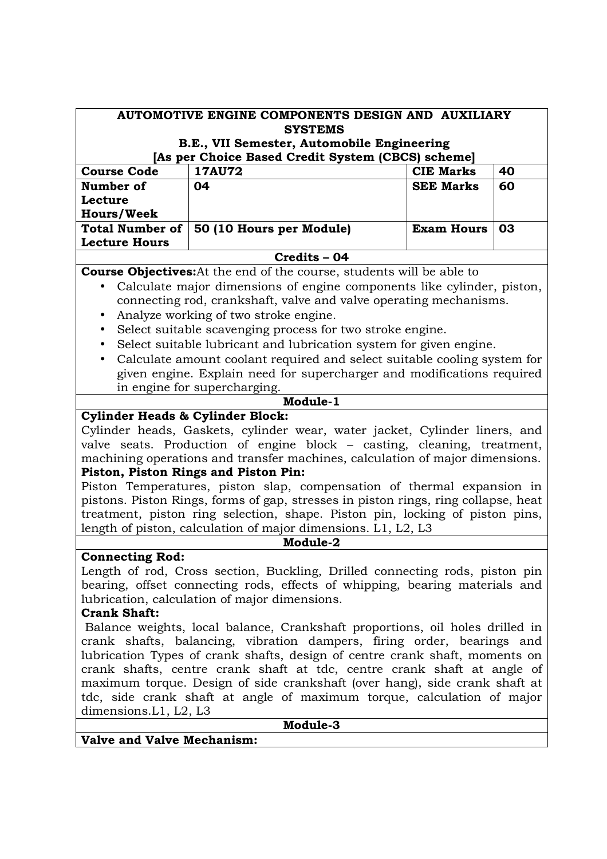| AUTOMOTIVE ENGINE COMPONENTS DESIGN AND AUXILIARY                                                                                             |                                                                                                                                                              |                   |    |  |
|-----------------------------------------------------------------------------------------------------------------------------------------------|--------------------------------------------------------------------------------------------------------------------------------------------------------------|-------------------|----|--|
| <b>SYSTEMS</b><br>B.E., VII Semester, Automobile Engineering                                                                                  |                                                                                                                                                              |                   |    |  |
| [As per Choice Based Credit System (CBCS) scheme]                                                                                             |                                                                                                                                                              |                   |    |  |
| <b>Course Code</b>                                                                                                                            | <b>17AU72</b>                                                                                                                                                | <b>CIE Marks</b>  | 40 |  |
| Number of                                                                                                                                     | 04                                                                                                                                                           | <b>SEE Marks</b>  | 60 |  |
| Lecture<br><b>Hours/Week</b>                                                                                                                  |                                                                                                                                                              |                   |    |  |
| <b>Total Number of</b>                                                                                                                        | 50 (10 Hours per Module)                                                                                                                                     | <b>Exam Hours</b> | 03 |  |
| <b>Lecture Hours</b>                                                                                                                          |                                                                                                                                                              |                   |    |  |
|                                                                                                                                               | Credits - 04                                                                                                                                                 |                   |    |  |
|                                                                                                                                               | <b>Course Objectives:</b> At the end of the course, students will be able to                                                                                 |                   |    |  |
| $\bullet$                                                                                                                                     | Calculate major dimensions of engine components like cylinder, piston,                                                                                       |                   |    |  |
|                                                                                                                                               | connecting rod, crankshaft, valve and valve operating mechanisms.                                                                                            |                   |    |  |
| $\bullet$                                                                                                                                     | Analyze working of two stroke engine.                                                                                                                        |                   |    |  |
| $\bullet$                                                                                                                                     | Select suitable scavenging process for two stroke engine.                                                                                                    |                   |    |  |
|                                                                                                                                               | Select suitable lubricant and lubrication system for given engine.                                                                                           |                   |    |  |
| $\bullet$                                                                                                                                     | Calculate amount coolant required and select suitable cooling system for                                                                                     |                   |    |  |
|                                                                                                                                               | given engine. Explain need for supercharger and modifications required                                                                                       |                   |    |  |
|                                                                                                                                               | in engine for supercharging.                                                                                                                                 |                   |    |  |
|                                                                                                                                               | Module-1                                                                                                                                                     |                   |    |  |
| <b>Cylinder Heads &amp; Cylinder Block:</b>                                                                                                   |                                                                                                                                                              |                   |    |  |
|                                                                                                                                               | Cylinder heads, Gaskets, cylinder wear, water jacket, Cylinder liners, and                                                                                   |                   |    |  |
|                                                                                                                                               | valve seats. Production of engine block – casting, cleaning, treatment,                                                                                      |                   |    |  |
|                                                                                                                                               | machining operations and transfer machines, calculation of major dimensions.                                                                                 |                   |    |  |
|                                                                                                                                               | Piston, Piston Rings and Piston Pin:                                                                                                                         |                   |    |  |
|                                                                                                                                               | Piston Temperatures, piston slap, compensation of thermal expansion in<br>pistons. Piston Rings, forms of gap, stresses in piston rings, ring collapse, heat |                   |    |  |
|                                                                                                                                               |                                                                                                                                                              |                   |    |  |
| treatment, piston ring selection, shape. Piston pin, locking of piston pins,<br>length of piston, calculation of major dimensions. L1, L2, L3 |                                                                                                                                                              |                   |    |  |
|                                                                                                                                               | Module-2                                                                                                                                                     |                   |    |  |
| <b>Connecting Rod:</b>                                                                                                                        |                                                                                                                                                              |                   |    |  |
|                                                                                                                                               | Length of rod, Cross section, Buckling, Drilled connecting rods, piston pin                                                                                  |                   |    |  |
| bearing, offset connecting rods, effects of whipping, bearing materials and                                                                   |                                                                                                                                                              |                   |    |  |
| lubrication, calculation of major dimensions.                                                                                                 |                                                                                                                                                              |                   |    |  |
| <b>Crank Shaft:</b>                                                                                                                           |                                                                                                                                                              |                   |    |  |
| Balance weights, local balance, Crankshaft proportions, oil holes drilled in                                                                  |                                                                                                                                                              |                   |    |  |
| crank shafts, balancing, vibration dampers, firing order, bearings and                                                                        |                                                                                                                                                              |                   |    |  |
| lubrication Types of crank shafts, design of centre crank shaft, moments on                                                                   |                                                                                                                                                              |                   |    |  |
| crank shafts, centre crank shaft at tdc, centre crank shaft at angle of                                                                       |                                                                                                                                                              |                   |    |  |
| maximum torque. Design of side crankshaft (over hang), side crank shaft at                                                                    |                                                                                                                                                              |                   |    |  |
| tdc, side crank shaft at angle of maximum torque, calculation of major                                                                        |                                                                                                                                                              |                   |    |  |
| dimensions. L1, L2, L3                                                                                                                        |                                                                                                                                                              |                   |    |  |
| Module-3                                                                                                                                      |                                                                                                                                                              |                   |    |  |

 $\overline{\phantom{a}}$ 

**Valve and Valve Mechanism:**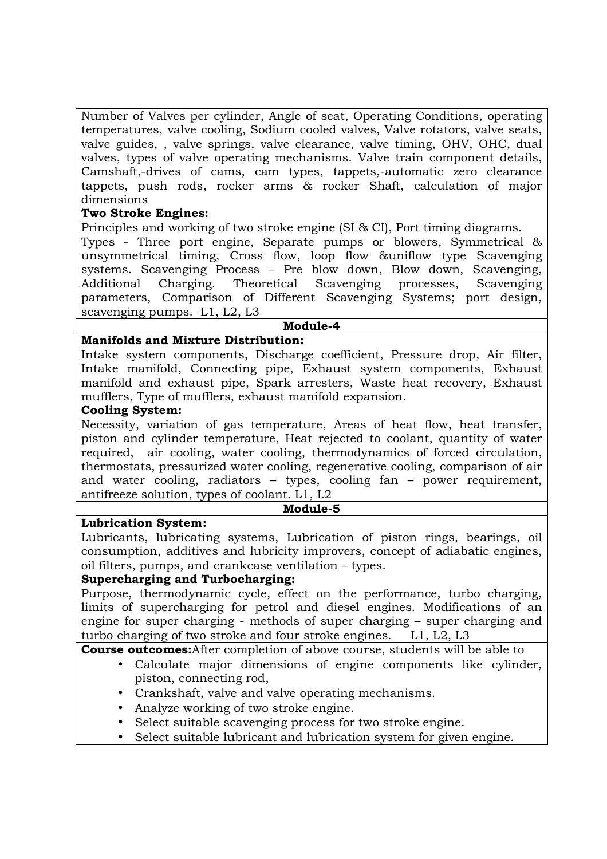Number of Valves per cylinder, Angle of seat, Operating Conditions, operating temperatures, valve cooling, Sodium cooled valves, Valve rotators, valve seats, valve guides, , valve springs, valve clearance, valve timing, OHV, OHC, dual valves, types of valve operating mechanisms. Valve train component details, Camshaft,-drives of cams, cam types, tappets,-automatic zero clearance tappets, push rods, rocker arms & rocker Shaft, calculation of major dimensions

## **Two Stroke Engines:**

Principles and working of two stroke engine (SI & CI), Port timing diagrams.

Types - Three port engine, Separate pumps or blowers, Symmetrical & unsymmetrical timing, Cross flow, loop flow &uniflow type Scavenging systems. Scavenging Process – Pre blow down, Blow down, Scavenging, Additional Charging. Theoretical Scavenging processes, Scavenging parameters, Comparison of Different Scavenging Systems; port design, scavenging pumps. L1, L2, L3

#### **Module-4**

### **Manifolds and Mixture Distribution:**

Intake system components, Discharge coefficient, Pressure drop, Air filter, Intake manifold, Connecting pipe, Exhaust system components, Exhaust manifold and exhaust pipe, Spark arresters, Waste heat recovery, Exhaust mufflers, Type of mufflers, exhaust manifold expansion.

#### **Cooling System:**

Necessity, variation of gas temperature, Areas of heat flow, heat transfer, piston and cylinder temperature, Heat rejected to coolant, quantity of water required, air cooling, water cooling, thermodynamics of forced circulation, thermostats, pressurized water cooling, regenerative cooling, comparison of air and water cooling, radiators – types, cooling fan – power requirement, antifreeze solution, types of coolant. L1, L2

#### **Module-5**

#### **Lubrication System:**

Lubricants, lubricating systems, Lubrication of piston rings, bearings, oil consumption, additives and lubricity improvers, concept of adiabatic engines, oil filters, pumps, and crankcase ventilation – types.

#### **Supercharging and Turbocharging:**

Purpose, thermodynamic cycle, effect on the performance, turbo charging, limits of supercharging for petrol and diesel engines. Modifications of an engine for super charging - methods of super charging – super charging and turbo charging of two stroke and four stroke engines. L1, L2, L3

**Course outcomes:**After completion of above course, students will be able to

- Calculate major dimensions of engine components like cylinder, piston, connecting rod,
- Crankshaft, valve and valve operating mechanisms.
- Analyze working of two stroke engine.
- Select suitable scavenging process for two stroke engine.
- Select suitable lubricant and lubrication system for given engine.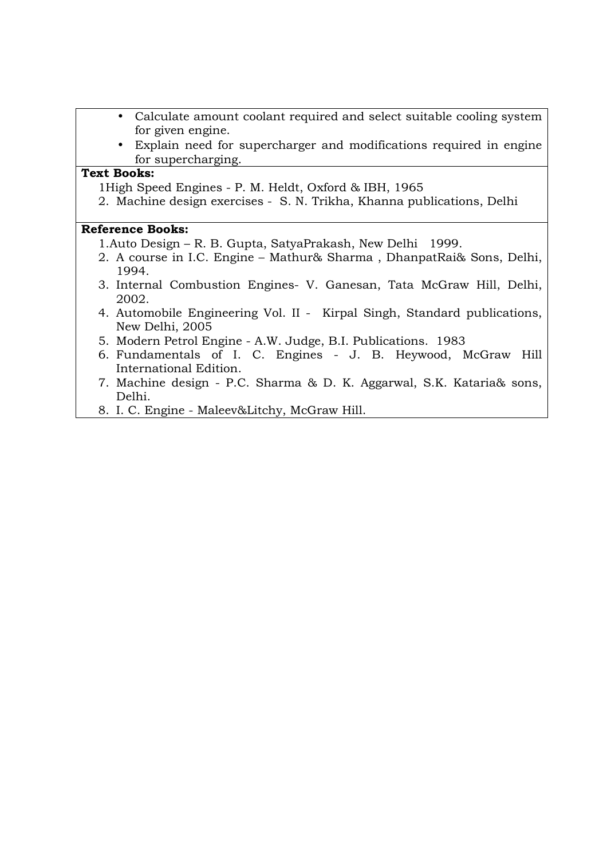- Calculate amount coolant required and select suitable cooling system for given engine.
- Explain need for supercharger and modifications required in engine for supercharging.

### **Text Books:**

1High Speed Engines - P. M. Heldt, Oxford & IBH, 1965

2. Machine design exercises - S. N. Trikha, Khanna publications, Delhi

- 1.Auto Design R. B. Gupta, SatyaPrakash, New Delhi 1999.
- 2. A course in I.C. Engine Mathur& Sharma , DhanpatRai& Sons, Delhi, 1994.
- 3. Internal Combustion Engines- V. Ganesan, Tata McGraw Hill, Delhi, 2002.
- 4. Automobile Engineering Vol. II Kirpal Singh, Standard publications, New Delhi, 2005
- 5. Modern Petrol Engine A.W. Judge, B.I. Publications. 1983
- 6. Fundamentals of I. C. Engines J. B. Heywood, McGraw Hill International Edition.
- 7. Machine design P.C. Sharma & D. K. Aggarwal, S.K. Kataria& sons, Delhi.
- 8. I. C. Engine Maleev&Litchy, McGraw Hill.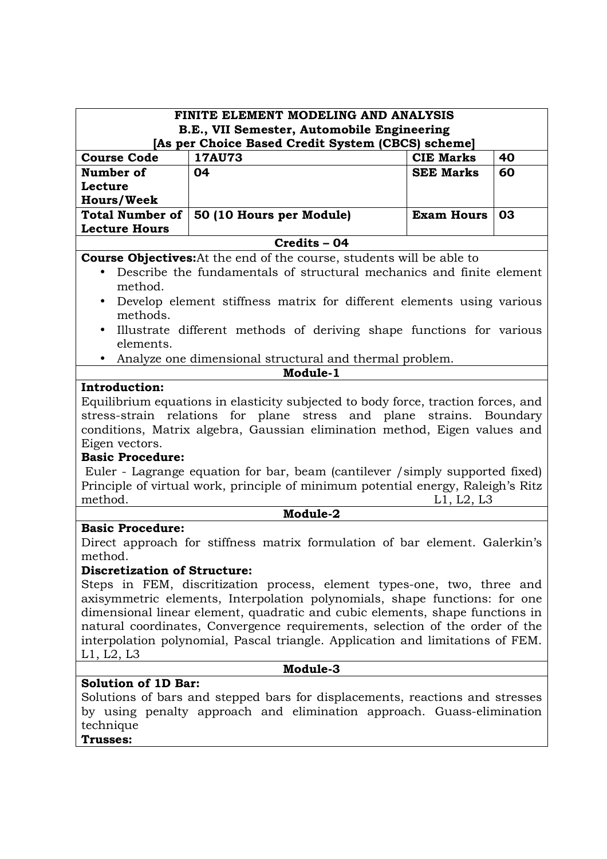| B.E., VII Semester, Automobile Engineering<br>[As per Choice Based Credit System (CBCS) scheme]<br><b>Course Code</b><br><b>17AU73</b><br><b>CIE Marks</b><br>40<br><b>SEE Marks</b><br>Number of<br>04<br>60 |          |  |  |
|---------------------------------------------------------------------------------------------------------------------------------------------------------------------------------------------------------------|----------|--|--|
|                                                                                                                                                                                                               |          |  |  |
|                                                                                                                                                                                                               |          |  |  |
|                                                                                                                                                                                                               |          |  |  |
| Lecture                                                                                                                                                                                                       |          |  |  |
| <b>Hours/Week</b>                                                                                                                                                                                             |          |  |  |
| <b>Total Number of</b><br>50 (10 Hours per Module)<br><b>Exam Hours</b><br>03                                                                                                                                 |          |  |  |
| <b>Lecture Hours</b>                                                                                                                                                                                          |          |  |  |
| Credits - 04                                                                                                                                                                                                  |          |  |  |
| <b>Course Objectives:</b> At the end of the course, students will be able to                                                                                                                                  |          |  |  |
| Describe the fundamentals of structural mechanics and finite element                                                                                                                                          |          |  |  |
| method.                                                                                                                                                                                                       |          |  |  |
| Develop element stiffness matrix for different elements using various<br>$\bullet$                                                                                                                            |          |  |  |
| methods.                                                                                                                                                                                                      |          |  |  |
| Illustrate different methods of deriving shape functions for various<br>$\bullet$                                                                                                                             |          |  |  |
| elements.                                                                                                                                                                                                     |          |  |  |
| Analyze one dimensional structural and thermal problem.<br>Module-1                                                                                                                                           |          |  |  |
| Introduction:                                                                                                                                                                                                 |          |  |  |
| Equilibrium equations in elasticity subjected to body force, traction forces, and                                                                                                                             |          |  |  |
| stress-strain relations for plane stress and plane strains. Boundary                                                                                                                                          |          |  |  |
| conditions, Matrix algebra, Gaussian elimination method, Eigen values and                                                                                                                                     |          |  |  |
| Eigen vectors.                                                                                                                                                                                                |          |  |  |
| <b>Basic Procedure:</b>                                                                                                                                                                                       |          |  |  |
| Euler - Lagrange equation for bar, beam (cantilever / simply supported fixed)                                                                                                                                 |          |  |  |
| Principle of virtual work, principle of minimum potential energy, Raleigh's Ritz                                                                                                                              |          |  |  |
| method.<br>L1, L2, L3                                                                                                                                                                                         |          |  |  |
| Module-2                                                                                                                                                                                                      |          |  |  |
| <b>Basic Procedure:</b>                                                                                                                                                                                       |          |  |  |
| Direct approach for stiffness matrix formulation of bar element. Galerkin's<br>method.                                                                                                                        |          |  |  |
| <b>Discretization of Structure:</b>                                                                                                                                                                           |          |  |  |
| Steps in FEM, discritization process, element types-one, two, three and                                                                                                                                       |          |  |  |
| axisymmetric elements, Interpolation polynomials, shape functions: for one                                                                                                                                    |          |  |  |
| dimensional linear element, quadratic and cubic elements, shape functions in                                                                                                                                  |          |  |  |
| natural coordinates, Convergence requirements, selection of the order of the                                                                                                                                  |          |  |  |
| interpolation polynomial, Pascal triangle. Application and limitations of FEM.                                                                                                                                |          |  |  |
| L1, L2, L3                                                                                                                                                                                                    |          |  |  |
|                                                                                                                                                                                                               | Module-3 |  |  |
|                                                                                                                                                                                                               |          |  |  |
| <b>Solution of 1D Bar:</b>                                                                                                                                                                                    |          |  |  |
| Solutions of bars and stepped bars for displacements, reactions and stresses<br>by using penalty approach and elimination approach. Guass-elimination                                                         |          |  |  |

# **Trusses:**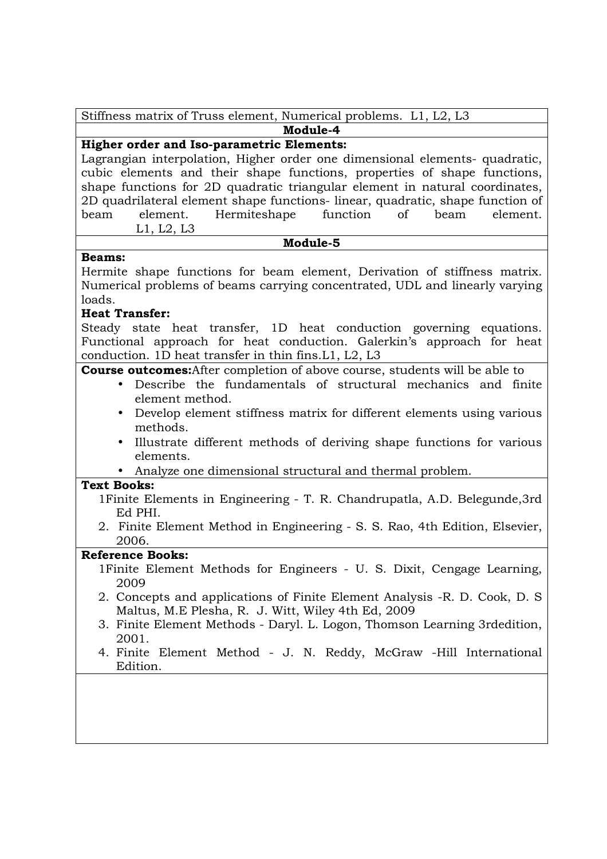| Stiffness matrix of Truss element, Numerical problems. L1, L2, L3 |  |
|-------------------------------------------------------------------|--|
|-------------------------------------------------------------------|--|

**Module-4** 

# **Higher order and Iso-parametric Elements:**

Lagrangian interpolation, Higher order one dimensional elements- quadratic, cubic elements and their shape functions, properties of shape functions, shape functions for 2D quadratic triangular element in natural coordinates, 2D quadrilateral element shape functions- linear, quadratic, shape function of beam element. Hermiteshape function of beam element. L1, L2, L3

#### **Module-5**

### **Beams:**

Hermite shape functions for beam element, Derivation of stiffness matrix. Numerical problems of beams carrying concentrated, UDL and linearly varying loads.

# **Heat Transfer:**

Steady state heat transfer, 1D heat conduction governing equations. Functional approach for heat conduction. Galerkin's approach for heat conduction. 1D heat transfer in thin fins.L1, L2, L3

**Course outcomes:**After completion of above course, students will be able to

- Describe the fundamentals of structural mechanics and finite element method.
	- Develop element stiffness matrix for different elements using various methods.
	- Illustrate different methods of deriving shape functions for various elements.
- Analyze one dimensional structural and thermal problem.

# **Text Books:**

- 1Finite Elements in Engineering T. R. Chandrupatla, A.D. Belegunde,3rd Ed PHI.
- 2. Finite Element Method in Engineering S. S. Rao, 4th Edition, Elsevier, 2006.

- 1Finite Element Methods for Engineers U. S. Dixit, Cengage Learning, 2009
- 2. Concepts and applications of Finite Element Analysis -R. D. Cook, D. S Maltus, M.E Plesha, R. J. Witt, Wiley 4th Ed, 2009
- 3. Finite Element Methods Daryl. L. Logon, Thomson Learning 3rdedition, 2001.
- 4. Finite Element Method J. N. Reddy, McGraw -Hill International Edition.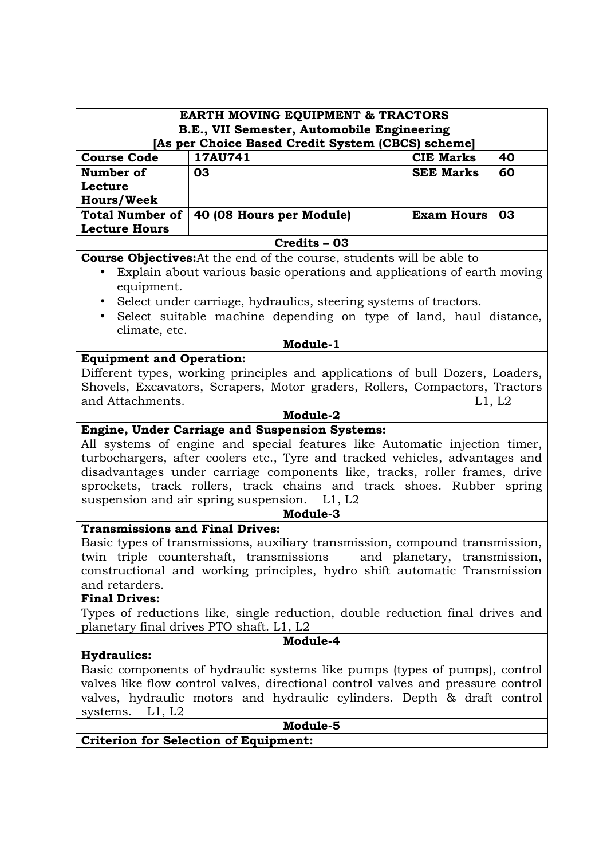| <b>EARTH MOVING EQUIPMENT &amp; TRACTORS</b><br>B.E., VII Semester, Automobile Engineering                                                                                                                                                                                                                                                                                                                |                                                                                                                                                                                                                                                                                                                                                                   |                   |    |  |
|-----------------------------------------------------------------------------------------------------------------------------------------------------------------------------------------------------------------------------------------------------------------------------------------------------------------------------------------------------------------------------------------------------------|-------------------------------------------------------------------------------------------------------------------------------------------------------------------------------------------------------------------------------------------------------------------------------------------------------------------------------------------------------------------|-------------------|----|--|
| [As per Choice Based Credit System (CBCS) scheme]                                                                                                                                                                                                                                                                                                                                                         |                                                                                                                                                                                                                                                                                                                                                                   |                   |    |  |
| <b>Course Code</b>                                                                                                                                                                                                                                                                                                                                                                                        | 17AU741                                                                                                                                                                                                                                                                                                                                                           | <b>CIE Marks</b>  | 40 |  |
| Number of                                                                                                                                                                                                                                                                                                                                                                                                 | 03                                                                                                                                                                                                                                                                                                                                                                | <b>SEE Marks</b>  | 60 |  |
| Lecture                                                                                                                                                                                                                                                                                                                                                                                                   |                                                                                                                                                                                                                                                                                                                                                                   |                   |    |  |
| <b>Hours/Week</b>                                                                                                                                                                                                                                                                                                                                                                                         |                                                                                                                                                                                                                                                                                                                                                                   |                   |    |  |
| <b>Total Number of</b><br><b>Lecture Hours</b>                                                                                                                                                                                                                                                                                                                                                            | 40 (08 Hours per Module)                                                                                                                                                                                                                                                                                                                                          | <b>Exam Hours</b> | 03 |  |
|                                                                                                                                                                                                                                                                                                                                                                                                           | Credits - 03                                                                                                                                                                                                                                                                                                                                                      |                   |    |  |
|                                                                                                                                                                                                                                                                                                                                                                                                           | <b>Course Objectives:</b> At the end of the course, students will be able to                                                                                                                                                                                                                                                                                      |                   |    |  |
|                                                                                                                                                                                                                                                                                                                                                                                                           | Explain about various basic operations and applications of earth moving                                                                                                                                                                                                                                                                                           |                   |    |  |
| equipment.                                                                                                                                                                                                                                                                                                                                                                                                |                                                                                                                                                                                                                                                                                                                                                                   |                   |    |  |
| $\bullet$                                                                                                                                                                                                                                                                                                                                                                                                 | Select under carriage, hydraulics, steering systems of tractors.                                                                                                                                                                                                                                                                                                  |                   |    |  |
| $\bullet$                                                                                                                                                                                                                                                                                                                                                                                                 | Select suitable machine depending on type of land, haul distance,                                                                                                                                                                                                                                                                                                 |                   |    |  |
| climate, etc.                                                                                                                                                                                                                                                                                                                                                                                             |                                                                                                                                                                                                                                                                                                                                                                   |                   |    |  |
|                                                                                                                                                                                                                                                                                                                                                                                                           | Module-1                                                                                                                                                                                                                                                                                                                                                          |                   |    |  |
| <b>Equipment and Operation:</b>                                                                                                                                                                                                                                                                                                                                                                           |                                                                                                                                                                                                                                                                                                                                                                   |                   |    |  |
| and Attachments.                                                                                                                                                                                                                                                                                                                                                                                          | Different types, working principles and applications of bull Dozers, Loaders,<br>Shovels, Excavators, Scrapers, Motor graders, Rollers, Compactors, Tractors<br>L1, L2                                                                                                                                                                                            |                   |    |  |
|                                                                                                                                                                                                                                                                                                                                                                                                           | Module-2<br><b>Engine, Under Carriage and Suspension Systems:</b>                                                                                                                                                                                                                                                                                                 |                   |    |  |
|                                                                                                                                                                                                                                                                                                                                                                                                           | All systems of engine and special features like Automatic injection timer,<br>turbochargers, after coolers etc., Tyre and tracked vehicles, advantages and<br>disadvantages under carriage components like, tracks, roller frames, drive<br>sprockets, track rollers, track chains and track shoes. Rubber spring<br>suspension and air spring suspension. L1, L2 |                   |    |  |
| Module-3                                                                                                                                                                                                                                                                                                                                                                                                  |                                                                                                                                                                                                                                                                                                                                                                   |                   |    |  |
| <b>Transmissions and Final Drives:</b><br>Basic types of transmissions, auxiliary transmission, compound transmission,<br>twin triple countershaft, transmissions<br>and planetary, transmission,<br>constructional and working principles, hydro shift automatic Transmission<br>and retarders.<br><b>Final Drives:</b><br>Types of reductions like, single reduction, double reduction final drives and |                                                                                                                                                                                                                                                                                                                                                                   |                   |    |  |
| planetary final drives PTO shaft. L1, L2                                                                                                                                                                                                                                                                                                                                                                  |                                                                                                                                                                                                                                                                                                                                                                   |                   |    |  |
| Module-4                                                                                                                                                                                                                                                                                                                                                                                                  |                                                                                                                                                                                                                                                                                                                                                                   |                   |    |  |
| <b>Hydraulics:</b>                                                                                                                                                                                                                                                                                                                                                                                        |                                                                                                                                                                                                                                                                                                                                                                   |                   |    |  |
| Basic components of hydraulic systems like pumps (types of pumps), control<br>valves like flow control valves, directional control valves and pressure control<br>valves, hydraulic motors and hydraulic cylinders. Depth & draft control<br>systems.<br>L1, L2                                                                                                                                           |                                                                                                                                                                                                                                                                                                                                                                   |                   |    |  |
|                                                                                                                                                                                                                                                                                                                                                                                                           | Module-5                                                                                                                                                                                                                                                                                                                                                          |                   |    |  |
| <b>Criterion for Selection of Equipment:</b>                                                                                                                                                                                                                                                                                                                                                              |                                                                                                                                                                                                                                                                                                                                                                   |                   |    |  |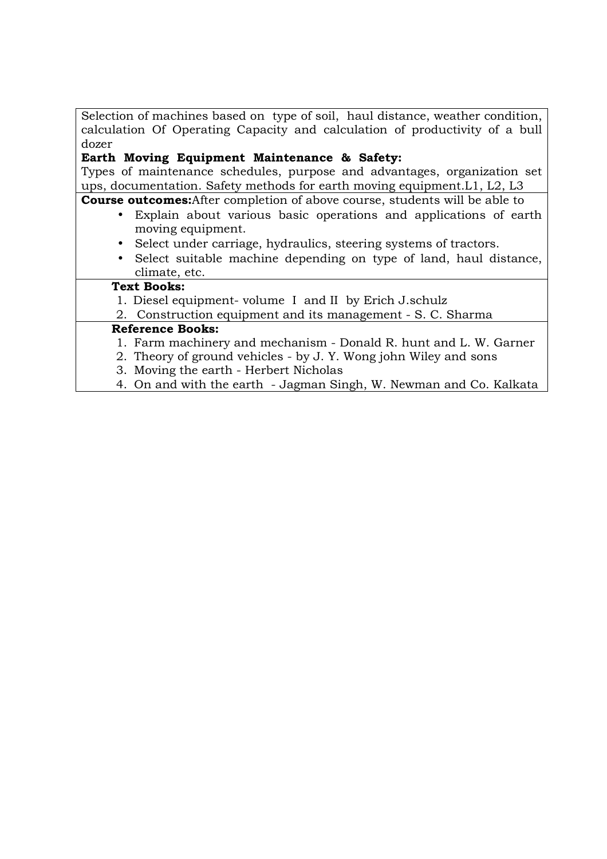Selection of machines based on type of soil, haul distance, weather condition, calculation Of Operating Capacity and calculation of productivity of a bull dozer

# **Earth Moving Equipment Maintenance & Safety:**

Types of maintenance schedules, purpose and advantages, organization set ups, documentation. Safety methods for earth moving equipment.L1, L2, L3

**Course outcomes:**After completion of above course, students will be able to

- Explain about various basic operations and applications of earth moving equipment.
- Select under carriage, hydraulics, steering systems of tractors.
- Select suitable machine depending on type of land, haul distance, climate, etc.

# **Text Books:**

1. Diesel equipment- volume I and II by Erich J.schulz

2. Construction equipment and its management - S. C. Sharma

- 1. Farm machinery and mechanism Donald R. hunt and L. W. Garner
- 2. Theory of ground vehicles by J. Y. Wong john Wiley and sons
- 3. Moving the earth Herbert Nicholas
- 4. On and with the earth Jagman Singh, W. Newman and Co. Kalkata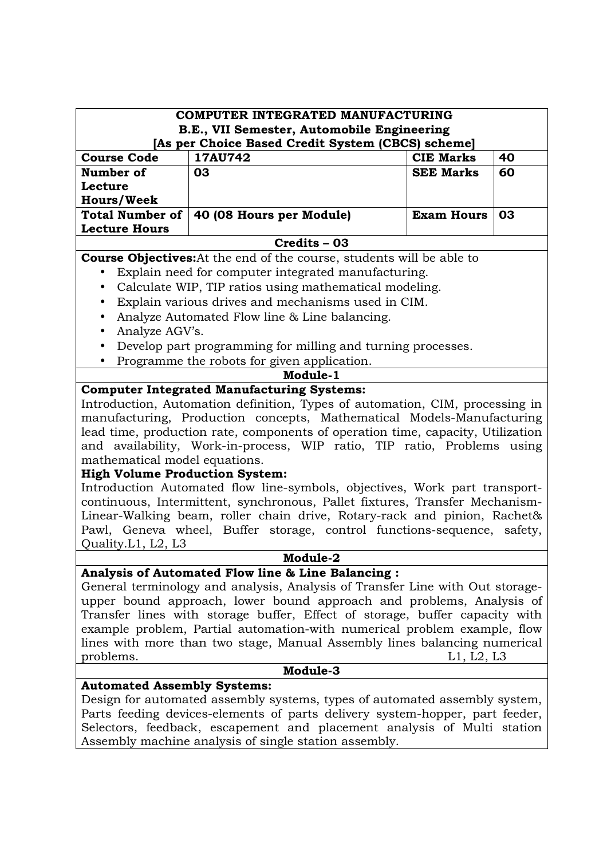| COMPUTER INTEGRATED MANUFACTURING<br>B.E., VII Semester, Automobile Engineering                                                                         |                                                                                 |                   |    |
|---------------------------------------------------------------------------------------------------------------------------------------------------------|---------------------------------------------------------------------------------|-------------------|----|
| [As per Choice Based Credit System (CBCS) scheme]                                                                                                       |                                                                                 |                   |    |
| <b>Course Code</b>                                                                                                                                      | 17AU742                                                                         | <b>CIE Marks</b>  | 40 |
| Number of                                                                                                                                               | 03                                                                              | <b>SEE Marks</b>  | 60 |
| Lecture                                                                                                                                                 |                                                                                 |                   |    |
| <b>Hours/Week</b>                                                                                                                                       |                                                                                 |                   |    |
| <b>Total Number of</b>                                                                                                                                  | 40 (08 Hours per Module)                                                        | <b>Exam Hours</b> | 03 |
| <b>Lecture Hours</b>                                                                                                                                    |                                                                                 |                   |    |
|                                                                                                                                                         | Credits - 03                                                                    |                   |    |
|                                                                                                                                                         | <b>Course Objectives:</b> At the end of the course, students will be able to    |                   |    |
| $\bullet$                                                                                                                                               | Explain need for computer integrated manufacturing.                             |                   |    |
| $\bullet$                                                                                                                                               | Calculate WIP, TIP ratios using mathematical modeling.                          |                   |    |
|                                                                                                                                                         | Explain various drives and mechanisms used in CIM.                              |                   |    |
|                                                                                                                                                         | Analyze Automated Flow line & Line balancing.                                   |                   |    |
| Analyze AGV's.<br>$\bullet$                                                                                                                             |                                                                                 |                   |    |
| $\bullet$                                                                                                                                               | Develop part programming for milling and turning processes.                     |                   |    |
| $\bullet$                                                                                                                                               | Programme the robots for given application.                                     |                   |    |
|                                                                                                                                                         | Module-1                                                                        |                   |    |
|                                                                                                                                                         | <b>Computer Integrated Manufacturing Systems:</b>                               |                   |    |
|                                                                                                                                                         | Introduction, Automation definition, Types of automation, CIM, processing in    |                   |    |
|                                                                                                                                                         | manufacturing, Production concepts, Mathematical Models-Manufacturing           |                   |    |
|                                                                                                                                                         | lead time, production rate, components of operation time, capacity, Utilization |                   |    |
|                                                                                                                                                         | and availability, Work-in-process, WIP ratio, TIP ratio, Problems using         |                   |    |
| mathematical model equations.                                                                                                                           |                                                                                 |                   |    |
| <b>High Volume Production System:</b>                                                                                                                   |                                                                                 |                   |    |
|                                                                                                                                                         | Introduction Automated flow line-symbols, objectives, Work part transport-      |                   |    |
|                                                                                                                                                         | continuous, Intermittent, synchronous, Pallet fixtures, Transfer Mechanism-     |                   |    |
|                                                                                                                                                         | Linear-Walking beam, roller chain drive, Rotary-rack and pinion, Rachet&        |                   |    |
|                                                                                                                                                         | Pawl, Geneva wheel, Buffer storage, control functions-sequence, safety,         |                   |    |
| Quality.L1, L2, L3                                                                                                                                      |                                                                                 |                   |    |
|                                                                                                                                                         | Module-2                                                                        |                   |    |
|                                                                                                                                                         | Analysis of Automated Flow line & Line Balancing :                              |                   |    |
|                                                                                                                                                         | General terminology and analysis, Analysis of Transfer Line with Out storage-   |                   |    |
|                                                                                                                                                         | upper bound approach, lower bound approach and problems, Analysis of            |                   |    |
|                                                                                                                                                         | Transfer lines with storage buffer, Effect of storage, buffer capacity with     |                   |    |
| example problem, Partial automation-with numerical problem example, flow                                                                                |                                                                                 |                   |    |
| lines with more than two stage, Manual Assembly lines balancing numerical                                                                               |                                                                                 |                   |    |
| L1, L2, L3<br>problems.                                                                                                                                 |                                                                                 |                   |    |
|                                                                                                                                                         | Module-3<br><b>Automated Assembly Systems:</b>                                  |                   |    |
|                                                                                                                                                         |                                                                                 |                   |    |
|                                                                                                                                                         | Design for automated assembly systems, types of automated assembly system,      |                   |    |
| Parts feeding devices-elements of parts delivery system-hopper, part feeder,<br>Selectors, feedback, escapement and placement analysis of Multi station |                                                                                 |                   |    |
|                                                                                                                                                         | Assembly machine analysis of single station assembly.                           |                   |    |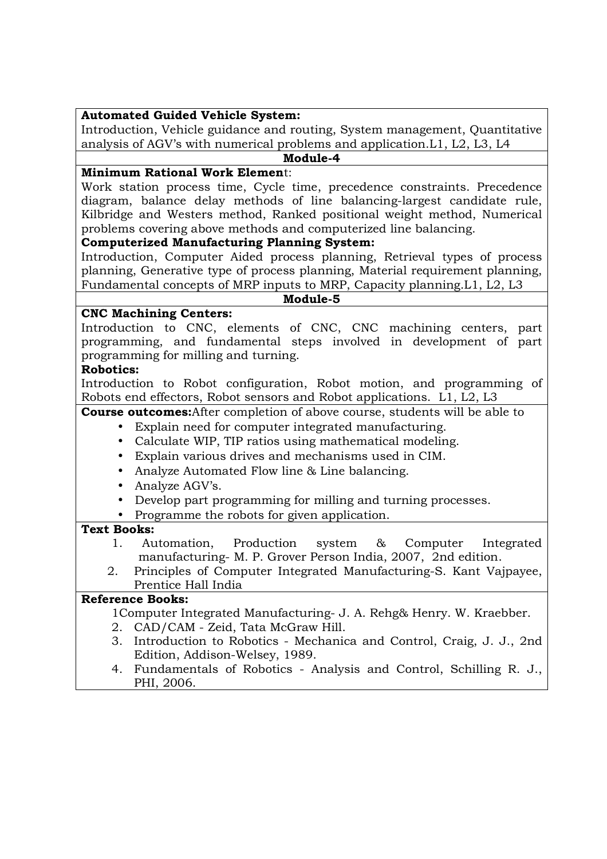# **Automated Guided Vehicle System:**

Introduction, Vehicle guidance and routing, System management, Quantitative analysis of AGV's with numerical problems and application.L1, L2, L3, L4

#### **Module-4**

# **Minimum Rational Work Elemen**t:

Work station process time, Cycle time, precedence constraints. Precedence diagram, balance delay methods of line balancing-largest candidate rule, Kilbridge and Westers method, Ranked positional weight method, Numerical problems covering above methods and computerized line balancing.

### **Computerized Manufacturing Planning System:**

Introduction, Computer Aided process planning, Retrieval types of process planning, Generative type of process planning, Material requirement planning, Fundamental concepts of MRP inputs to MRP, Capacity planning.L1, L2, L3

#### **Module-5**

### **CNC Machining Centers:**

Introduction to CNC, elements of CNC, CNC machining centers, part programming, and fundamental steps involved in development of part programming for milling and turning.

### **Robotics:**

Introduction to Robot configuration, Robot motion, and programming of Robots end effectors, Robot sensors and Robot applications. L1, L2, L3

**Course outcomes:**After completion of above course, students will be able to

- Explain need for computer integrated manufacturing.
- Calculate WIP, TIP ratios using mathematical modeling.
- Explain various drives and mechanisms used in CIM.
- Analyze Automated Flow line & Line balancing.
- Analyze AGV's.
- Develop part programming for milling and turning processes.
- Programme the robots for given application.

# **Text Books:**

- 1. Automation, Production system & Computer Integrated manufacturing- M. P. Grover Person India, 2007, 2nd edition.
- 2. Principles of Computer Integrated Manufacturing-S. Kant Vajpayee, Prentice Hall India

# **Reference Books:**

1Computer Integrated Manufacturing- J. A. Rehg& Henry. W. Kraebber.

- 2. CAD/CAM Zeid, Tata McGraw Hill.
- 3. Introduction to Robotics Mechanica and Control, Craig, J. J., 2nd Edition, Addison-Welsey, 1989.
- 4. Fundamentals of Robotics Analysis and Control, Schilling R. J., PHI, 2006.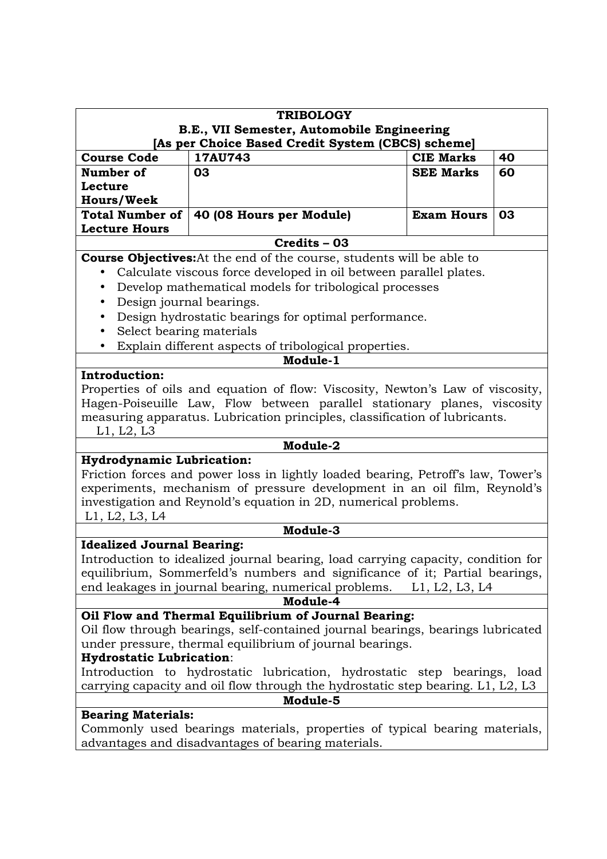| <b>TRIBOLOGY</b>                                                                |                                                                                  |                   |    |  |
|---------------------------------------------------------------------------------|----------------------------------------------------------------------------------|-------------------|----|--|
| B.E., VII Semester, Automobile Engineering                                      |                                                                                  |                   |    |  |
| [As per Choice Based Credit System (CBCS) scheme]                               |                                                                                  |                   |    |  |
| <b>Course Code</b>                                                              | 17AU743                                                                          | <b>CIE Marks</b>  | 40 |  |
| Number of                                                                       | 03                                                                               | <b>SEE Marks</b>  | 60 |  |
| Lecture                                                                         |                                                                                  |                   |    |  |
| <b>Hours/Week</b>                                                               |                                                                                  |                   |    |  |
| <b>Total Number of</b>                                                          | 40 (08 Hours per Module)                                                         | <b>Exam Hours</b> | 03 |  |
| <b>Lecture Hours</b>                                                            |                                                                                  |                   |    |  |
|                                                                                 | Credits - 03                                                                     |                   |    |  |
|                                                                                 | <b>Course Objectives:</b> At the end of the course, students will be able to     |                   |    |  |
|                                                                                 | Calculate viscous force developed in oil between parallel plates.                |                   |    |  |
| $\bullet$                                                                       | Develop mathematical models for tribological processes                           |                   |    |  |
| $\bullet$                                                                       | Design journal bearings.                                                         |                   |    |  |
| $\bullet$                                                                       | Design hydrostatic bearings for optimal performance.                             |                   |    |  |
| Select bearing materials<br>$\bullet$                                           |                                                                                  |                   |    |  |
|                                                                                 | Explain different aspects of tribological properties.                            |                   |    |  |
|                                                                                 | Module-1                                                                         |                   |    |  |
| Introduction:                                                                   |                                                                                  |                   |    |  |
|                                                                                 | Properties of oils and equation of flow: Viscosity, Newton's Law of viscosity,   |                   |    |  |
|                                                                                 | Hagen-Poiseuille Law, Flow between parallel stationary planes, viscosity         |                   |    |  |
|                                                                                 | measuring apparatus. Lubrication principles, classification of lubricants.       |                   |    |  |
| L1, L2, L3                                                                      |                                                                                  |                   |    |  |
| Module-2                                                                        |                                                                                  |                   |    |  |
| <b>Hydrodynamic Lubrication:</b>                                                |                                                                                  |                   |    |  |
|                                                                                 | Friction forces and power loss in lightly loaded bearing, Petroff's law, Tower's |                   |    |  |
|                                                                                 | experiments, mechanism of pressure development in an oil film, Reynold's         |                   |    |  |
|                                                                                 | investigation and Reynold's equation in 2D, numerical problems.                  |                   |    |  |
| L1, L2, L3, L4                                                                  |                                                                                  |                   |    |  |
|                                                                                 | Module-3                                                                         |                   |    |  |
| <b>Idealized Journal Bearing:</b>                                               |                                                                                  |                   |    |  |
|                                                                                 | Introduction to idealized journal bearing, load carrying capacity, condition for |                   |    |  |
|                                                                                 | equilibrium, Sommerfeld's numbers and significance of it; Partial bearings,      |                   |    |  |
|                                                                                 | end leakages in journal bearing, numerical problems.                             | L1, L2, L3, L4    |    |  |
| Module-4                                                                        |                                                                                  |                   |    |  |
| Oil Flow and Thermal Equilibrium of Journal Bearing:                            |                                                                                  |                   |    |  |
| Oil flow through bearings, self-contained journal bearings, bearings lubricated |                                                                                  |                   |    |  |
| under pressure, thermal equilibrium of journal bearings.                        |                                                                                  |                   |    |  |
| <b>Hydrostatic Lubrication:</b>                                                 |                                                                                  |                   |    |  |
| Introduction to hydrostatic lubrication, hydrostatic step bearings, load        |                                                                                  |                   |    |  |
| carrying capacity and oil flow through the hydrostatic step bearing. L1, L2, L3 |                                                                                  |                   |    |  |
| Module-5                                                                        |                                                                                  |                   |    |  |
|                                                                                 | <b>Bearing Materials:</b>                                                        |                   |    |  |

Commonly used bearings materials, properties of typical bearing materials, advantages and disadvantages of bearing materials.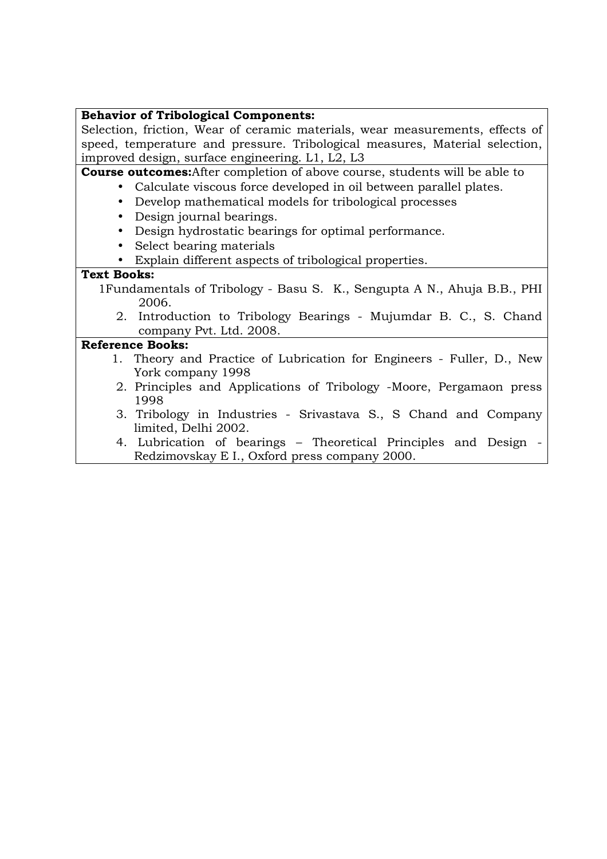## **Behavior of Tribological Components:**

Selection, friction, Wear of ceramic materials, wear measurements, effects of speed, temperature and pressure. Tribological measures, Material selection, improved design, surface engineering. L1, L2, L3

**Course outcomes:**After completion of above course, students will be able to

- Calculate viscous force developed in oil between parallel plates.
- Develop mathematical models for tribological processes
- Design journal bearings.
- Design hydrostatic bearings for optimal performance.
- Select bearing materials
- Explain different aspects of tribological properties.

### **Text Books:**

- 1Fundamentals of Tribology Basu S. K., Sengupta A N., Ahuja B.B., PHI 2006.
	- 2. Introduction to Tribology Bearings Mujumdar B. C., S. Chand company Pvt. Ltd. 2008.

- 1. Theory and Practice of Lubrication for Engineers Fuller, D., New York company 1998
- 2. Principles and Applications of Tribology -Moore, Pergamaon press 1998
- 3. Tribology in Industries Srivastava S., S Chand and Company limited, Delhi 2002.
- 4. Lubrication of bearings Theoretical Principles and Design Redzimovskay E I., Oxford press company 2000.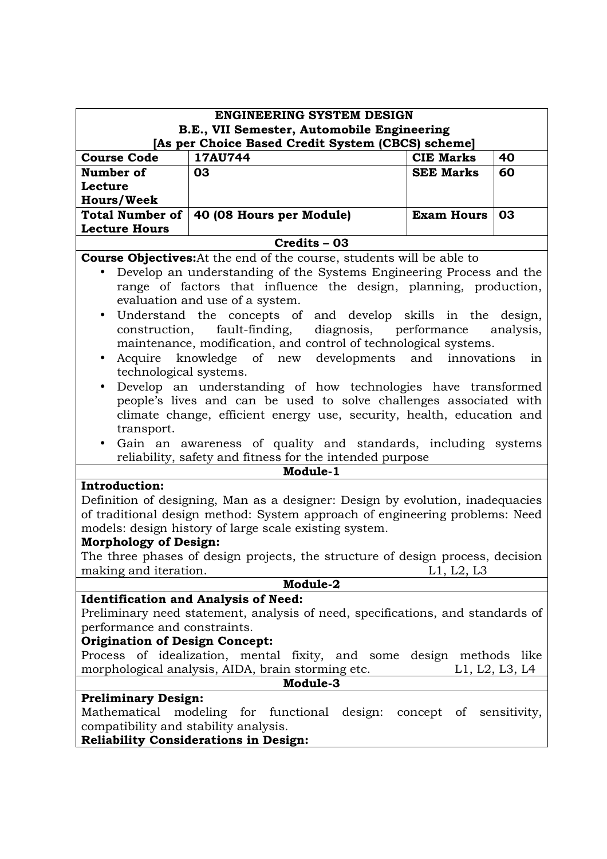| <b>ENGINEERING SYSTEM DESIGN</b>                                                                              |                                                                                                                                             |                   |           |
|---------------------------------------------------------------------------------------------------------------|---------------------------------------------------------------------------------------------------------------------------------------------|-------------------|-----------|
| B.E., VII Semester, Automobile Engineering<br>[As per Choice Based Credit System (CBCS) scheme]               |                                                                                                                                             |                   |           |
| <b>Course Code</b><br>17AU744<br>40<br><b>CIE Marks</b>                                                       |                                                                                                                                             |                   |           |
| Number of                                                                                                     | 03                                                                                                                                          | <b>SEE Marks</b>  | 60        |
| Lecture                                                                                                       |                                                                                                                                             |                   |           |
| <b>Hours/Week</b>                                                                                             |                                                                                                                                             |                   |           |
| <b>Total Number of</b>                                                                                        | 40 (08 Hours per Module)                                                                                                                    | <b>Exam Hours</b> | 03        |
| <b>Lecture Hours</b>                                                                                          |                                                                                                                                             |                   |           |
|                                                                                                               | Credits - 03                                                                                                                                |                   |           |
|                                                                                                               | <b>Course Objectives:</b> At the end of the course, students will be able to                                                                |                   |           |
|                                                                                                               | Develop an understanding of the Systems Engineering Process and the                                                                         |                   |           |
|                                                                                                               | range of factors that influence the design, planning, production,                                                                           |                   |           |
|                                                                                                               | evaluation and use of a system.                                                                                                             |                   |           |
| $\bullet$                                                                                                     | Understand the concepts of and develop skills in the design,                                                                                |                   |           |
| construction,                                                                                                 | fault-finding, diagnosis, performance                                                                                                       |                   | analysis, |
|                                                                                                               | maintenance, modification, and control of technological systems.                                                                            |                   |           |
| $\bullet$                                                                                                     | Acquire knowledge of new developments and innovations                                                                                       |                   | in        |
| technological systems.                                                                                        |                                                                                                                                             |                   |           |
| $\bullet$                                                                                                     | Develop an understanding of how technologies have transformed                                                                               |                   |           |
|                                                                                                               | people's lives and can be used to solve challenges associated with<br>climate change, efficient energy use, security, health, education and |                   |           |
| transport.                                                                                                    |                                                                                                                                             |                   |           |
|                                                                                                               | Gain an awareness of quality and standards, including systems                                                                               |                   |           |
|                                                                                                               | reliability, safety and fitness for the intended purpose                                                                                    |                   |           |
|                                                                                                               | Module-1                                                                                                                                    |                   |           |
| <b>Introduction:</b>                                                                                          |                                                                                                                                             |                   |           |
|                                                                                                               | Definition of designing, Man as a designer: Design by evolution, inadequacies                                                               |                   |           |
|                                                                                                               | of traditional design method: System approach of engineering problems: Need                                                                 |                   |           |
| models: design history of large scale existing system.                                                        |                                                                                                                                             |                   |           |
| <b>Morphology of Design:</b>                                                                                  |                                                                                                                                             |                   |           |
| The three phases of design projects, the structure of design process, decision                                |                                                                                                                                             |                   |           |
| making and iteration.                                                                                         |                                                                                                                                             | L1, L2, L3        |           |
| Module-2                                                                                                      |                                                                                                                                             |                   |           |
|                                                                                                               | <b>Identification and Analysis of Need:</b>                                                                                                 |                   |           |
| Preliminary need statement, analysis of need, specifications, and standards of                                |                                                                                                                                             |                   |           |
| performance and constraints.                                                                                  |                                                                                                                                             |                   |           |
| <b>Origination of Design Concept:</b><br>Process of idealization, mental fixity, and some design methods like |                                                                                                                                             |                   |           |
|                                                                                                               |                                                                                                                                             |                   |           |
| morphological analysis, AIDA, brain storming etc.<br>L1, L2, L3, L4<br>Module-3                               |                                                                                                                                             |                   |           |
| <b>Preliminary Design:</b>                                                                                    |                                                                                                                                             |                   |           |
| Mathematical modeling for functional design: concept of sensitivity,                                          |                                                                                                                                             |                   |           |
| compatibility and stability analysis.                                                                         |                                                                                                                                             |                   |           |
|                                                                                                               | <b>Reliability Considerations in Design:</b>                                                                                                |                   |           |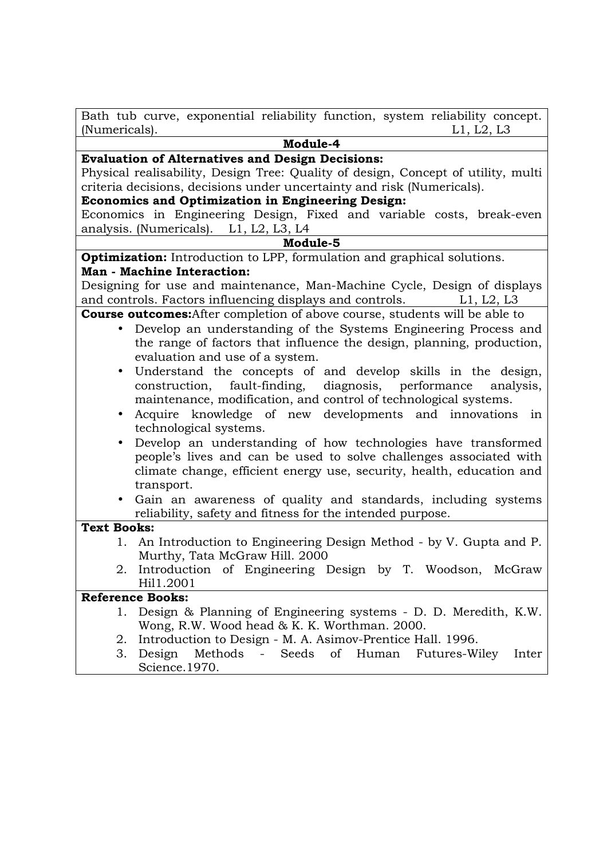Bath tub curve, exponential reliability function, system reliability concept. (Numericals). L1, L2, L3

# **Module-4**

#### **Evaluation of Alternatives and Design Decisions:**

Physical realisability, Design Tree: Quality of design, Concept of utility, multi criteria decisions, decisions under uncertainty and risk (Numericals).

# **Economics and Optimization in Engineering Design:**

Economics in Engineering Design, Fixed and variable costs, break-even analysis. (Numericals). L1, L2, L3, L4

#### **Module-5**

**Optimization:** Introduction to LPP, formulation and graphical solutions. **Man - Machine Interaction:** 

Designing for use and maintenance, Man-Machine Cycle, Design of displays and controls. Factors influencing displays and controls. L1, L2, L3

**Course outcomes:**After completion of above course, students will be able to

- Develop an understanding of the Systems Engineering Process and the range of factors that influence the design, planning, production, evaluation and use of a system.
- Understand the concepts of and develop skills in the design, construction, fault-finding, diagnosis, performance analysis, maintenance, modification, and control of technological systems.
- Acquire knowledge of new developments and innovations in technological systems.
- Develop an understanding of how technologies have transformed people's lives and can be used to solve challenges associated with climate change, efficient energy use, security, health, education and transport.
- Gain an awareness of quality and standards, including systems reliability, safety and fitness for the intended purpose.

#### **Text Books:**

- 1. An Introduction to Engineering Design Method by V. Gupta and P. Murthy, Tata McGraw Hill. 2000
- 2. Introduction of Engineering Design by T. Woodson, McGraw Hil1.2001

- 1. Design & Planning of Engineering systems D. D. Meredith, K.W. Wong, R.W. Wood head & K. K. Worthman. 2000.
- 2. Introduction to Design M. A. Asimov-Prentice Hall. 1996.
- 3. Design Methods Seeds of Human Futures-Wiley Inter Science.1970.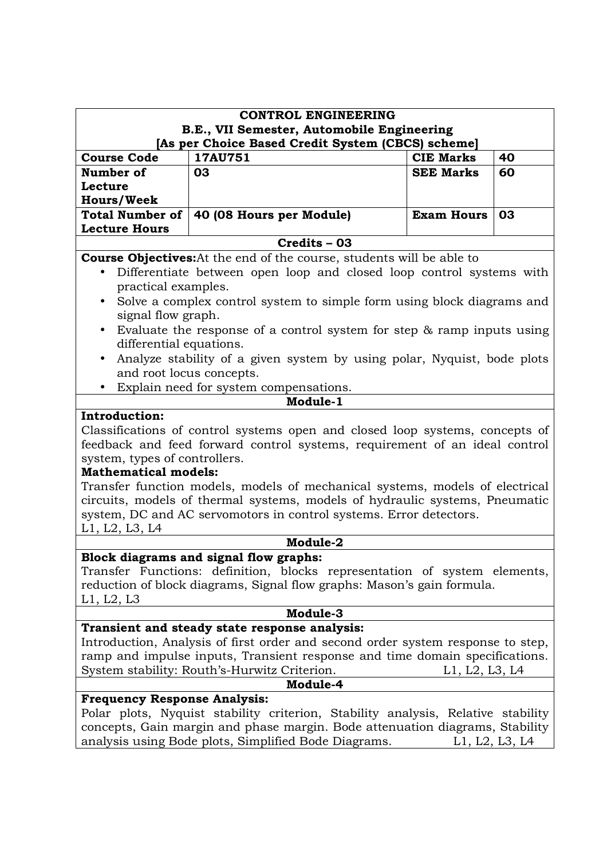|                                                                                                                                                                | <b>CONTROL ENGINEERING</b>                                                             |                   |                |  |  |
|----------------------------------------------------------------------------------------------------------------------------------------------------------------|----------------------------------------------------------------------------------------|-------------------|----------------|--|--|
|                                                                                                                                                                | B.E., VII Semester, Automobile Engineering                                             |                   |                |  |  |
| <b>Course Code</b>                                                                                                                                             | [As per Choice Based Credit System (CBCS) scheme]<br>17AU751<br><b>CIE Marks</b><br>40 |                   |                |  |  |
| Number of                                                                                                                                                      | 03                                                                                     | <b>SEE Marks</b>  | 60             |  |  |
| Lecture                                                                                                                                                        |                                                                                        |                   |                |  |  |
| <b>Hours/Week</b>                                                                                                                                              |                                                                                        |                   |                |  |  |
| <b>Total Number of</b><br><b>Lecture Hours</b>                                                                                                                 | 40 (08 Hours per Module)                                                               | <b>Exam Hours</b> | 03             |  |  |
|                                                                                                                                                                | Credits - 03                                                                           |                   |                |  |  |
|                                                                                                                                                                | <b>Course Objectives:</b> At the end of the course, students will be able to           |                   |                |  |  |
| $\bullet$                                                                                                                                                      | Differentiate between open loop and closed loop control systems with                   |                   |                |  |  |
| practical examples.                                                                                                                                            |                                                                                        |                   |                |  |  |
| $\bullet$                                                                                                                                                      | Solve a complex control system to simple form using block diagrams and                 |                   |                |  |  |
| signal flow graph.                                                                                                                                             |                                                                                        |                   |                |  |  |
| $\bullet$                                                                                                                                                      | Evaluate the response of a control system for step $\&$ ramp inputs using              |                   |                |  |  |
| differential equations.                                                                                                                                        |                                                                                        |                   |                |  |  |
| $\bullet$                                                                                                                                                      | Analyze stability of a given system by using polar, Nyquist, bode plots                |                   |                |  |  |
|                                                                                                                                                                | and root locus concepts.                                                               |                   |                |  |  |
|                                                                                                                                                                | Explain need for system compensations.<br>Module-1                                     |                   |                |  |  |
| Introduction:                                                                                                                                                  |                                                                                        |                   |                |  |  |
|                                                                                                                                                                |                                                                                        |                   |                |  |  |
| Classifications of control systems open and closed loop systems, concepts of<br>feedback and feed forward control systems, requirement of an ideal control     |                                                                                        |                   |                |  |  |
| system, types of controllers.                                                                                                                                  |                                                                                        |                   |                |  |  |
| <b>Mathematical models:</b>                                                                                                                                    |                                                                                        |                   |                |  |  |
|                                                                                                                                                                | Transfer function models, models of mechanical systems, models of electrical           |                   |                |  |  |
|                                                                                                                                                                | circuits, models of thermal systems, models of hydraulic systems, Pneumatic            |                   |                |  |  |
|                                                                                                                                                                | system, DC and AC servomotors in control systems. Error detectors.                     |                   |                |  |  |
| L1, L2, L3, L4                                                                                                                                                 |                                                                                        |                   |                |  |  |
|                                                                                                                                                                | Module-2                                                                               |                   |                |  |  |
|                                                                                                                                                                | Block diagrams and signal flow graphs:                                                 |                   |                |  |  |
|                                                                                                                                                                | Transfer Functions: definition, blocks representation of system elements,              |                   |                |  |  |
| reduction of block diagrams, Signal flow graphs: Mason's gain formula.                                                                                         |                                                                                        |                   |                |  |  |
| L1, L2, L3                                                                                                                                                     |                                                                                        |                   |                |  |  |
|                                                                                                                                                                | Module-3                                                                               |                   |                |  |  |
|                                                                                                                                                                | Transient and steady state response analysis:                                          |                   |                |  |  |
| Introduction, Analysis of first order and second order system response to step,<br>ramp and impulse inputs, Transient response and time domain specifications. |                                                                                        |                   |                |  |  |
| System stability: Routh's-Hurwitz Criterion.<br>L1, L2, L3, L4                                                                                                 |                                                                                        |                   |                |  |  |
|                                                                                                                                                                | Module-4                                                                               |                   |                |  |  |
| <b>Frequency Response Analysis:</b>                                                                                                                            |                                                                                        |                   |                |  |  |
|                                                                                                                                                                | Polar plots, Nyquist stability criterion, Stability analysis, Relative stability       |                   |                |  |  |
|                                                                                                                                                                | concepts, Gain margin and phase margin. Bode attenuation diagrams, Stability           |                   |                |  |  |
|                                                                                                                                                                | analysis using Bode plots, Simplified Bode Diagrams.                                   |                   | L1, L2, L3, L4 |  |  |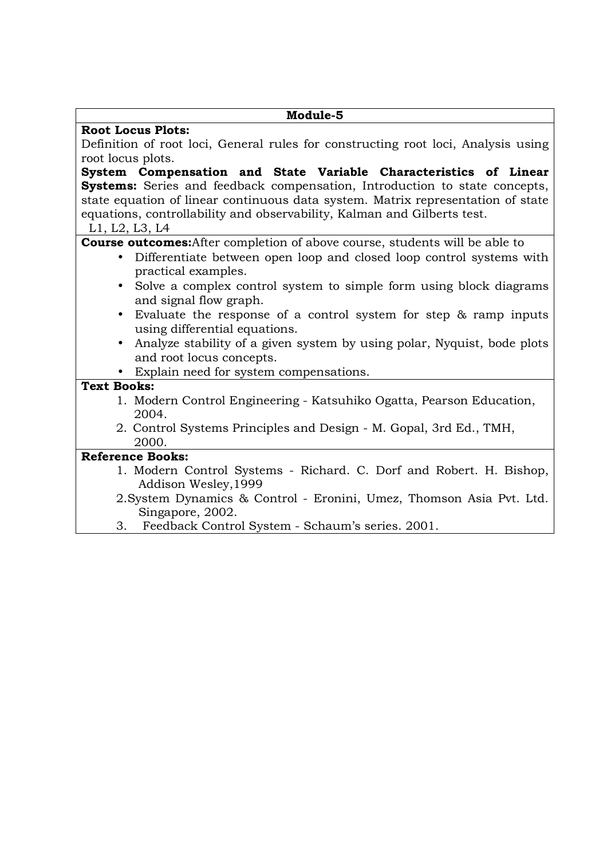| Module-5                                                                                                       |
|----------------------------------------------------------------------------------------------------------------|
| <b>Root Locus Plots:</b>                                                                                       |
| Definition of root loci, General rules for constructing root loci, Analysis using                              |
| root locus plots.                                                                                              |
| System Compensation and State Variable Characteristics of Linear                                               |
| <b>Systems:</b> Series and feedback compensation, Introduction to state concepts,                              |
| state equation of linear continuous data system. Matrix representation of state                                |
| equations, controllability and observability, Kalman and Gilberts test.                                        |
| L1, L2, L3, L4                                                                                                 |
| <b>Course outcomes:</b> After completion of above course, students will be able to                             |
| Differentiate between open loop and closed loop control systems with<br>$\bullet$                              |
| practical examples.                                                                                            |
| Solve a complex control system to simple form using block diagrams                                             |
| and signal flow graph.                                                                                         |
| Evaluate the response of a control system for step & ramp inputs<br>$\bullet$<br>using differential equations. |
| Analyze stability of a given system by using polar, Nyquist, bode plots                                        |
| and root locus concepts.                                                                                       |
| • Explain need for system compensations.                                                                       |
| <b>Text Books:</b>                                                                                             |
| 1. Modern Control Engineering - Katsuhiko Ogatta, Pearson Education,                                           |
| 2004.                                                                                                          |
| 2. Control Systems Principles and Design - M. Gopal, 3rd Ed., TMH,                                             |
| 2000.                                                                                                          |
| <b>Reference Books:</b>                                                                                        |
| 1. Modern Control Systems - Richard. C. Dorf and Robert. H. Bishop,                                            |
| Addison Wesley, 1999                                                                                           |
| 2. System Dynamics & Control - Eronini, Umez, Thomson Asia Pvt. Ltd.                                           |
| Singapore, 2002.                                                                                               |
| Feedback Control System - Schaum's series. 2001.<br>3.                                                         |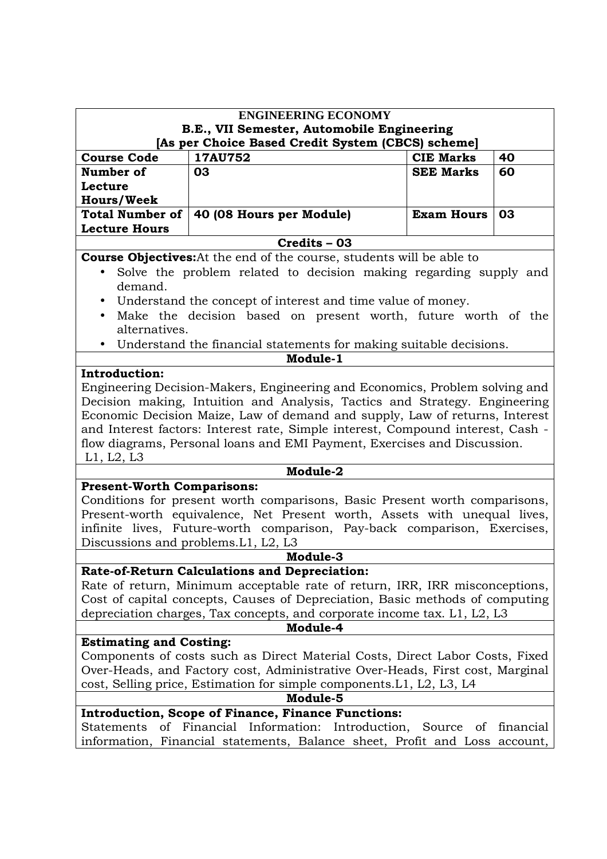| <b>ENGINEERING ECONOMY</b>                                                                                                                                                                                                                                                                                                                                                                                            |                                                                                                                                                                                                                  |                   |    |  |
|-----------------------------------------------------------------------------------------------------------------------------------------------------------------------------------------------------------------------------------------------------------------------------------------------------------------------------------------------------------------------------------------------------------------------|------------------------------------------------------------------------------------------------------------------------------------------------------------------------------------------------------------------|-------------------|----|--|
|                                                                                                                                                                                                                                                                                                                                                                                                                       | B.E., VII Semester, Automobile Engineering                                                                                                                                                                       |                   |    |  |
| [As per Choice Based Credit System (CBCS) scheme]<br><b>Course Code</b><br>17AU752<br><b>CIE Marks</b><br>40                                                                                                                                                                                                                                                                                                          |                                                                                                                                                                                                                  |                   |    |  |
| Number of                                                                                                                                                                                                                                                                                                                                                                                                             | 03                                                                                                                                                                                                               | <b>SEE Marks</b>  | 60 |  |
| Lecture                                                                                                                                                                                                                                                                                                                                                                                                               |                                                                                                                                                                                                                  |                   |    |  |
| <b>Hours/Week</b>                                                                                                                                                                                                                                                                                                                                                                                                     |                                                                                                                                                                                                                  |                   |    |  |
| <b>Total Number of</b><br><b>Lecture Hours</b>                                                                                                                                                                                                                                                                                                                                                                        | 40 (08 Hours per Module)                                                                                                                                                                                         | <b>Exam Hours</b> | 03 |  |
|                                                                                                                                                                                                                                                                                                                                                                                                                       | Credits - 03                                                                                                                                                                                                     |                   |    |  |
| demand.                                                                                                                                                                                                                                                                                                                                                                                                               | <b>Course Objectives:</b> At the end of the course, students will be able to<br>Solve the problem related to decision making regarding supply and<br>Understand the concept of interest and time value of money. |                   |    |  |
| alternatives.                                                                                                                                                                                                                                                                                                                                                                                                         | Make the decision based on present worth, future worth of the<br>Understand the financial statements for making suitable decisions.<br>Module-1                                                                  |                   |    |  |
| <b>Introduction:</b>                                                                                                                                                                                                                                                                                                                                                                                                  |                                                                                                                                                                                                                  |                   |    |  |
| Engineering Decision-Makers, Engineering and Economics, Problem solving and<br>Decision making, Intuition and Analysis, Tactics and Strategy. Engineering<br>Economic Decision Maize, Law of demand and supply, Law of returns, Interest<br>and Interest factors: Interest rate, Simple interest, Compound interest, Cash -<br>flow diagrams, Personal loans and EMI Payment, Exercises and Discussion.<br>L1, L2, L3 |                                                                                                                                                                                                                  |                   |    |  |
| Module-2                                                                                                                                                                                                                                                                                                                                                                                                              |                                                                                                                                                                                                                  |                   |    |  |
| <b>Present-Worth Comparisons:</b><br>Conditions for present worth comparisons, Basic Present worth comparisons,<br>Present-worth equivalence, Net Present worth, Assets with unequal lives,<br>infinite lives, Future-worth comparison, Pay-back comparison, Exercises,<br>Discussions and problems. L1, L2, L3                                                                                                       |                                                                                                                                                                                                                  |                   |    |  |
| Module-3                                                                                                                                                                                                                                                                                                                                                                                                              |                                                                                                                                                                                                                  |                   |    |  |
| Rate-of-Return Calculations and Depreciation:<br>Rate of return, Minimum acceptable rate of return, IRR, IRR misconceptions,<br>Cost of capital concepts, Causes of Depreciation, Basic methods of computing<br>depreciation charges, Tax concepts, and corporate income tax. L1, L2, L3<br>Module-4                                                                                                                  |                                                                                                                                                                                                                  |                   |    |  |
| <b>Estimating and Costing:</b>                                                                                                                                                                                                                                                                                                                                                                                        |                                                                                                                                                                                                                  |                   |    |  |
| Components of costs such as Direct Material Costs, Direct Labor Costs, Fixed<br>Over-Heads, and Factory cost, Administrative Over-Heads, First cost, Marginal<br>cost, Selling price, Estimation for simple components. L1, L2, L3, L4                                                                                                                                                                                |                                                                                                                                                                                                                  |                   |    |  |
| Module-5                                                                                                                                                                                                                                                                                                                                                                                                              |                                                                                                                                                                                                                  |                   |    |  |
| <b>Introduction, Scope of Finance, Finance Functions:</b><br>Statements<br>of Financial Information: Introduction, Source of financial<br>information, Financial statements, Balance sheet, Profit and Loss account,                                                                                                                                                                                                  |                                                                                                                                                                                                                  |                   |    |  |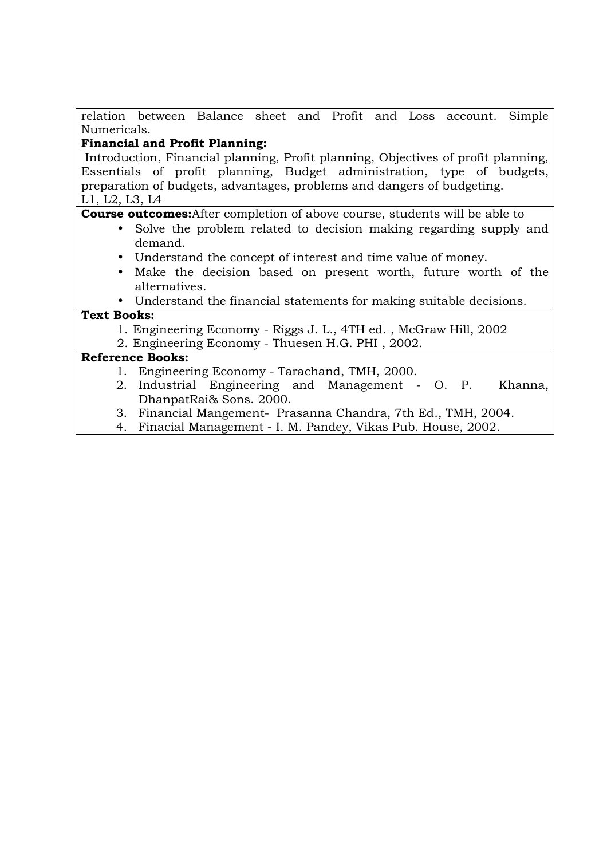relation between Balance sheet and Profit and Loss account. Simple Numericals.

# **Financial and Profit Planning:**

 Introduction, Financial planning, Profit planning, Objectives of profit planning, Essentials of profit planning, Budget administration, type of budgets, preparation of budgets, advantages, problems and dangers of budgeting. L1, L2, L3, L4

**Course outcomes:**After completion of above course, students will be able to

- Solve the problem related to decision making regarding supply and demand.
- Understand the concept of interest and time value of money.
- Make the decision based on present worth, future worth of the alternatives.

• Understand the financial statements for making suitable decisions.

## **Text Books:**

1. Engineering Economy - Riggs J. L., 4TH ed. , McGraw Hill, 2002

2. Engineering Economy - Thuesen H.G. PHI , 2002.

- 1. Engineering Economy Tarachand, TMH, 2000.
- 2. Industrial Engineering and Management O. P. Khanna, DhanpatRai& Sons. 2000.
- 3. Financial Mangement- Prasanna Chandra, 7th Ed., TMH, 2004.
- 4. Finacial Management I. M. Pandey, Vikas Pub. House, 2002.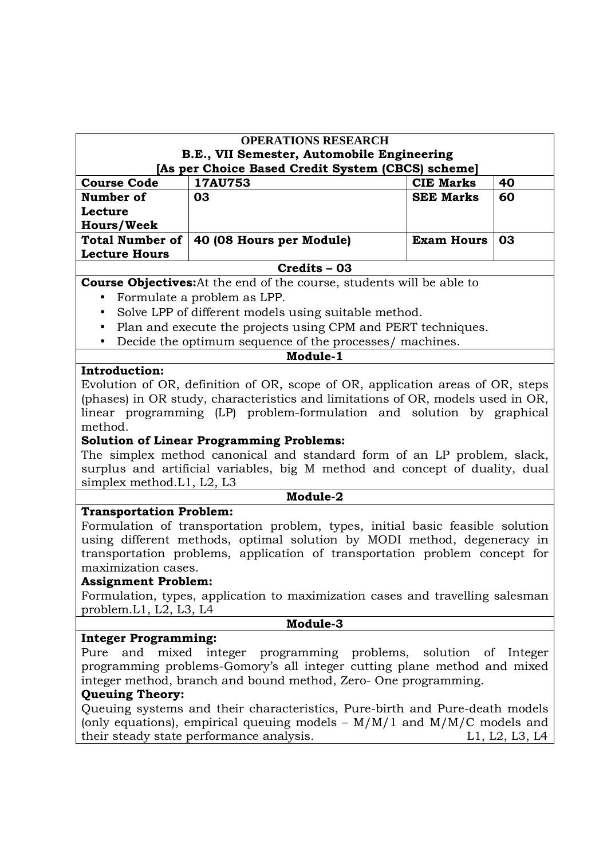#### **OPERATIONS RESEARCH B.E., VII Semester, Automobile Engineering [As per Choice Based Credit System (CBCS) scheme]**

| <b>Course Code</b>   | <b>17AU753</b>                             | <b>CIE Marks</b>       | 40 |
|----------------------|--------------------------------------------|------------------------|----|
| Number of            | 03                                         | <b>SEE Marks</b>       | 60 |
| Lecture              |                                            |                        |    |
| <b>Hours/Week</b>    |                                            |                        |    |
|                      | Total Number of   40 (08 Hours per Module) | <b>Exam Hours   03</b> |    |
| <b>Lecture Hours</b> |                                            |                        |    |

#### **Credits – 03**

**Course Objectives:**At the end of the course, students will be able to

- Formulate a problem as LPP.
- Solve LPP of different models using suitable method.
- Plan and execute the projects using CPM and PERT techniques.
- Decide the optimum sequence of the processes/ machines.

## **Introduction:**

Evolution of OR, definition of OR, scope of OR, application areas of OR, steps (phases) in OR study, characteristics and limitations of OR, models used in OR, linear programming (LP) problem-formulation and solution by graphical method.

**Module-1** 

#### **Solution of Linear Programming Problems:**

The simplex method canonical and standard form of an LP problem, slack, surplus and artificial variables, big M method and concept of duality, dual simplex method.L1, L2, L3

**Module-2** 

#### **Transportation Problem:**

Formulation of transportation problem, types, initial basic feasible solution using different methods, optimal solution by MODI method, degeneracy in transportation problems, application of transportation problem concept for maximization cases.

#### **Assignment Problem:**

Formulation, types, application to maximization cases and travelling salesman problem.L1, L2, L3, L4

#### **Module-3**

#### **Integer Programming:**

Pure and mixed integer programming problems, solution of Integer programming problems-Gomory's all integer cutting plane method and mixed integer method, branch and bound method, Zero- One programming.

# **Queuing Theory:**

Queuing systems and their characteristics, Pure-birth and Pure-death models (only equations), empirical queuing models  $- M/M/1$  and  $M/M/C$  models and their steady state performance analysis. Let us a set of the left of the L1, L2, L3, L4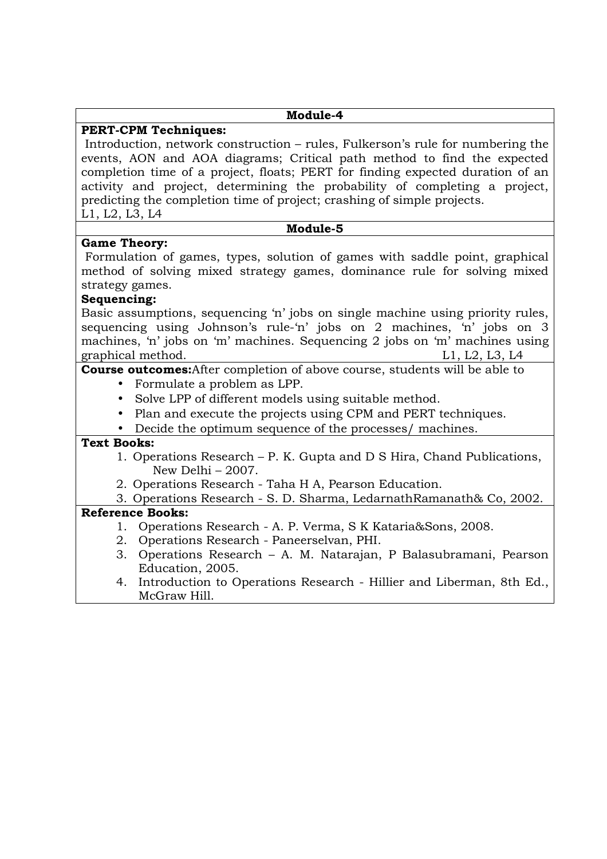| <b>PERT-CPM Techniques:</b><br>Introduction, network construction – rules, Fulkerson's rule for numbering the<br>events, AON and AOA diagrams; Critical path method to find the expected<br>completion time of a project, floats; PERT for finding expected duration of an<br>activity and project, determining the probability of completing a project,<br>predicting the completion time of project; crashing of simple projects.<br>L1, L2, L3, L4<br>Module-5<br><b>Game Theory:</b><br>Formulation of games, types, solution of games with saddle point, graphical<br>method of solving mixed strategy games, dominance rule for solving mixed<br>strategy games.<br>Sequencing:<br>Basic assumptions, sequencing 'n' jobs on single machine using priority rules,<br>sequencing using Johnson's rule-'n' jobs on 2 machines, 'n' jobs on 3<br>machines, 'n' jobs on 'm' machines. Sequencing 2 jobs on 'm' machines using<br>graphical method.<br>L1, L2, L3, L4<br><b>Course outcomes:</b> After completion of above course, students will be able to<br>Formulate a problem as LPP.<br>Solve LPP of different models using suitable method.<br>• Plan and execute the projects using CPM and PERT techniques.<br>• Decide the optimum sequence of the processes/ machines.<br><b>Text Books:</b><br>1. Operations Research – P. K. Gupta and D S Hira, Chand Publications,<br>New Delhi - 2007.<br>2. Operations Research - Taha H A, Pearson Education.<br>3. Operations Research - S. D. Sharma, Ledarnath Ramanath & Co, 2002.<br><b>Reference Books:</b><br>Operations Research - A. P. Verma, S. K. Kataria& Sons, 2008.<br>1.<br>2. Operations Research - Paneerselvan, PHI. | Module-4 |
|--------------------------------------------------------------------------------------------------------------------------------------------------------------------------------------------------------------------------------------------------------------------------------------------------------------------------------------------------------------------------------------------------------------------------------------------------------------------------------------------------------------------------------------------------------------------------------------------------------------------------------------------------------------------------------------------------------------------------------------------------------------------------------------------------------------------------------------------------------------------------------------------------------------------------------------------------------------------------------------------------------------------------------------------------------------------------------------------------------------------------------------------------------------------------------------------------------------------------------------------------------------------------------------------------------------------------------------------------------------------------------------------------------------------------------------------------------------------------------------------------------------------------------------------------------------------------------------------------------------------------------------------------------------------------------------------|----------|
|                                                                                                                                                                                                                                                                                                                                                                                                                                                                                                                                                                                                                                                                                                                                                                                                                                                                                                                                                                                                                                                                                                                                                                                                                                                                                                                                                                                                                                                                                                                                                                                                                                                                                            |          |
|                                                                                                                                                                                                                                                                                                                                                                                                                                                                                                                                                                                                                                                                                                                                                                                                                                                                                                                                                                                                                                                                                                                                                                                                                                                                                                                                                                                                                                                                                                                                                                                                                                                                                            |          |
|                                                                                                                                                                                                                                                                                                                                                                                                                                                                                                                                                                                                                                                                                                                                                                                                                                                                                                                                                                                                                                                                                                                                                                                                                                                                                                                                                                                                                                                                                                                                                                                                                                                                                            |          |
|                                                                                                                                                                                                                                                                                                                                                                                                                                                                                                                                                                                                                                                                                                                                                                                                                                                                                                                                                                                                                                                                                                                                                                                                                                                                                                                                                                                                                                                                                                                                                                                                                                                                                            |          |
|                                                                                                                                                                                                                                                                                                                                                                                                                                                                                                                                                                                                                                                                                                                                                                                                                                                                                                                                                                                                                                                                                                                                                                                                                                                                                                                                                                                                                                                                                                                                                                                                                                                                                            |          |
|                                                                                                                                                                                                                                                                                                                                                                                                                                                                                                                                                                                                                                                                                                                                                                                                                                                                                                                                                                                                                                                                                                                                                                                                                                                                                                                                                                                                                                                                                                                                                                                                                                                                                            |          |
|                                                                                                                                                                                                                                                                                                                                                                                                                                                                                                                                                                                                                                                                                                                                                                                                                                                                                                                                                                                                                                                                                                                                                                                                                                                                                                                                                                                                                                                                                                                                                                                                                                                                                            |          |
|                                                                                                                                                                                                                                                                                                                                                                                                                                                                                                                                                                                                                                                                                                                                                                                                                                                                                                                                                                                                                                                                                                                                                                                                                                                                                                                                                                                                                                                                                                                                                                                                                                                                                            |          |
|                                                                                                                                                                                                                                                                                                                                                                                                                                                                                                                                                                                                                                                                                                                                                                                                                                                                                                                                                                                                                                                                                                                                                                                                                                                                                                                                                                                                                                                                                                                                                                                                                                                                                            |          |
|                                                                                                                                                                                                                                                                                                                                                                                                                                                                                                                                                                                                                                                                                                                                                                                                                                                                                                                                                                                                                                                                                                                                                                                                                                                                                                                                                                                                                                                                                                                                                                                                                                                                                            |          |
| Operations Research - A. M. Natarajan, P Balasubramani, Pearson<br>3.<br>Education, 2005.<br>4. Introduction to Operations Research - Hillier and Liberman, 8th Ed.,<br>McGraw Hill.                                                                                                                                                                                                                                                                                                                                                                                                                                                                                                                                                                                                                                                                                                                                                                                                                                                                                                                                                                                                                                                                                                                                                                                                                                                                                                                                                                                                                                                                                                       |          |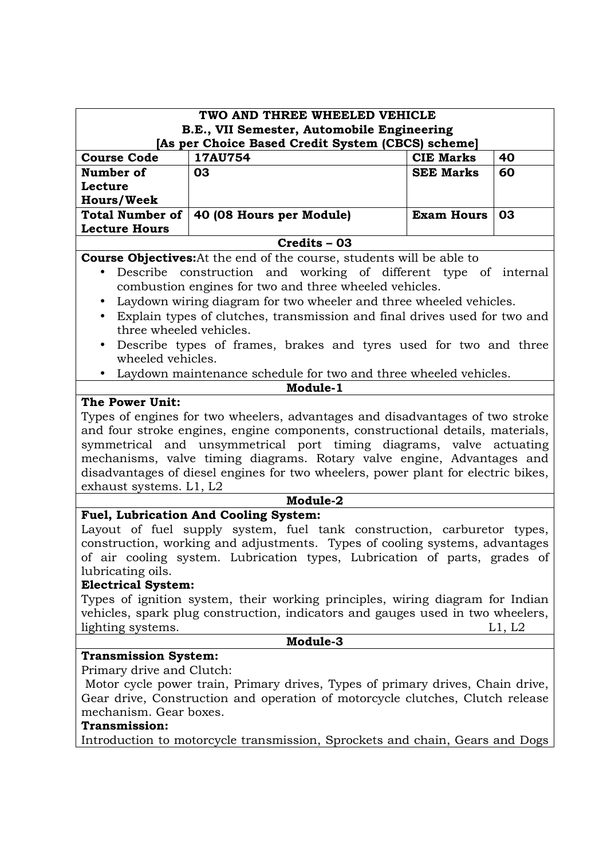| TWO AND THREE WHEELED VEHICLE                                                                                                                                                                                                                                                                                                                                                                                                                                                                                                                                                                                                                                                                                                                                                                                                                                                                                                      |                                                                                                                                                                                                                                                 |                   |    |  |  |
|------------------------------------------------------------------------------------------------------------------------------------------------------------------------------------------------------------------------------------------------------------------------------------------------------------------------------------------------------------------------------------------------------------------------------------------------------------------------------------------------------------------------------------------------------------------------------------------------------------------------------------------------------------------------------------------------------------------------------------------------------------------------------------------------------------------------------------------------------------------------------------------------------------------------------------|-------------------------------------------------------------------------------------------------------------------------------------------------------------------------------------------------------------------------------------------------|-------------------|----|--|--|
|                                                                                                                                                                                                                                                                                                                                                                                                                                                                                                                                                                                                                                                                                                                                                                                                                                                                                                                                    | B.E., VII Semester, Automobile Engineering                                                                                                                                                                                                      |                   |    |  |  |
|                                                                                                                                                                                                                                                                                                                                                                                                                                                                                                                                                                                                                                                                                                                                                                                                                                                                                                                                    | [As per Choice Based Credit System (CBCS) scheme]                                                                                                                                                                                               |                   |    |  |  |
| <b>Course Code</b><br>17AU754<br><b>CIE Marks</b><br>40                                                                                                                                                                                                                                                                                                                                                                                                                                                                                                                                                                                                                                                                                                                                                                                                                                                                            |                                                                                                                                                                                                                                                 |                   |    |  |  |
| Number of                                                                                                                                                                                                                                                                                                                                                                                                                                                                                                                                                                                                                                                                                                                                                                                                                                                                                                                          | 03                                                                                                                                                                                                                                              | <b>SEE Marks</b>  | 60 |  |  |
| Lecture                                                                                                                                                                                                                                                                                                                                                                                                                                                                                                                                                                                                                                                                                                                                                                                                                                                                                                                            |                                                                                                                                                                                                                                                 |                   |    |  |  |
| <b>Hours/Week</b>                                                                                                                                                                                                                                                                                                                                                                                                                                                                                                                                                                                                                                                                                                                                                                                                                                                                                                                  |                                                                                                                                                                                                                                                 |                   |    |  |  |
| <b>Total Number of</b>                                                                                                                                                                                                                                                                                                                                                                                                                                                                                                                                                                                                                                                                                                                                                                                                                                                                                                             | 40 (08 Hours per Module)                                                                                                                                                                                                                        | <b>Exam Hours</b> | 03 |  |  |
| <b>Lecture Hours</b>                                                                                                                                                                                                                                                                                                                                                                                                                                                                                                                                                                                                                                                                                                                                                                                                                                                                                                               |                                                                                                                                                                                                                                                 |                   |    |  |  |
|                                                                                                                                                                                                                                                                                                                                                                                                                                                                                                                                                                                                                                                                                                                                                                                                                                                                                                                                    | $Credits - 03$                                                                                                                                                                                                                                  |                   |    |  |  |
| <b>Course Objectives:</b> At the end of the course, students will be able to<br>Describe construction and working of different type of internal<br>combustion engines for two and three wheeled vehicles.<br>Laydown wiring diagram for two wheeler and three wheeled vehicles.<br>$\bullet$<br>Explain types of clutches, transmission and final drives used for two and<br>three wheeled vehicles.<br>Describe types of frames, brakes and tyres used for two and three<br>$\bullet$<br>wheeled vehicles.<br>Laydown maintenance schedule for two and three wheeled vehicles.<br>Module-1<br>The Power Unit:<br>Types of engines for two wheelers, advantages and disadvantages of two stroke<br>and four stroke engines, engine components, constructional details, materials,<br>symmetrical and unsymmetrical port timing diagrams, valve actuating<br>mechanisms, valve timing diagrams. Rotary valve engine, Advantages and |                                                                                                                                                                                                                                                 |                   |    |  |  |
| disadvantages of diesel engines for two wheelers, power plant for electric bikes,<br>exhaust systems. L1, L2                                                                                                                                                                                                                                                                                                                                                                                                                                                                                                                                                                                                                                                                                                                                                                                                                       |                                                                                                                                                                                                                                                 |                   |    |  |  |
|                                                                                                                                                                                                                                                                                                                                                                                                                                                                                                                                                                                                                                                                                                                                                                                                                                                                                                                                    | Module-2                                                                                                                                                                                                                                        |                   |    |  |  |
| <b>Fuel, Lubrication And Cooling System:</b><br>Layout of fuel supply system, fuel tank construction, carburetor types,<br>construction, working and adjustments. Types of cooling systems, advantages<br>of air cooling system. Lubrication types, Lubrication of parts, grades of<br>lubricating oils.                                                                                                                                                                                                                                                                                                                                                                                                                                                                                                                                                                                                                           |                                                                                                                                                                                                                                                 |                   |    |  |  |
| <b>Electrical System:</b>                                                                                                                                                                                                                                                                                                                                                                                                                                                                                                                                                                                                                                                                                                                                                                                                                                                                                                          |                                                                                                                                                                                                                                                 |                   |    |  |  |
| Types of ignition system, their working principles, wiring diagram for Indian<br>vehicles, spark plug construction, indicators and gauges used in two wheelers,<br>lighting systems.<br>L1, L2                                                                                                                                                                                                                                                                                                                                                                                                                                                                                                                                                                                                                                                                                                                                     |                                                                                                                                                                                                                                                 |                   |    |  |  |
| Module-3                                                                                                                                                                                                                                                                                                                                                                                                                                                                                                                                                                                                                                                                                                                                                                                                                                                                                                                           |                                                                                                                                                                                                                                                 |                   |    |  |  |
| <b>Transmission System:</b><br>Primary drive and Clutch:<br>mechanism. Gear boxes.<br><b>Transmission:</b>                                                                                                                                                                                                                                                                                                                                                                                                                                                                                                                                                                                                                                                                                                                                                                                                                         | Motor cycle power train, Primary drives, Types of primary drives, Chain drive,<br>Gear drive, Construction and operation of motorcycle clutches, Clutch release<br>Introduction to motorcycle transmission, Sprockets and chain, Gears and Dogs |                   |    |  |  |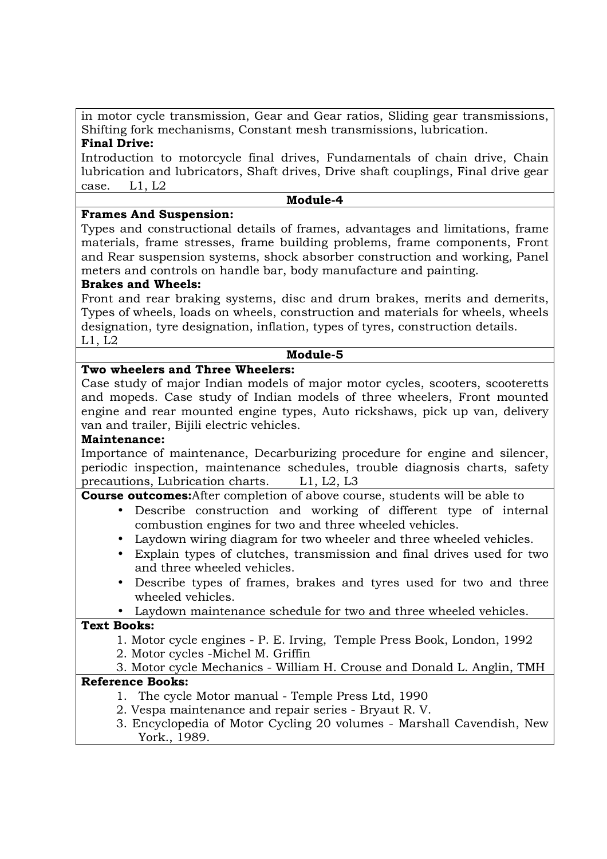in motor cycle transmission, Gear and Gear ratios, Sliding gear transmissions, Shifting fork mechanisms, Constant mesh transmissions, lubrication.

# **Final Drive:**

Introduction to motorcycle final drives, Fundamentals of chain drive, Chain lubrication and lubricators, Shaft drives, Drive shaft couplings, Final drive gear case. L1, L2

#### **Module-4**

# **Frames And Suspension:**

Types and constructional details of frames, advantages and limitations, frame materials, frame stresses, frame building problems, frame components, Front and Rear suspension systems, shock absorber construction and working, Panel meters and controls on handle bar, body manufacture and painting.

# **Brakes and Wheels:**

Front and rear braking systems, disc and drum brakes, merits and demerits, Types of wheels, loads on wheels, construction and materials for wheels, wheels designation, tyre designation, inflation, types of tyres, construction details. L1, L2

#### **Module-5**

## **Two wheelers and Three Wheelers:**

Case study of major Indian models of major motor cycles, scooters, scooteretts and mopeds. Case study of Indian models of three wheelers, Front mounted engine and rear mounted engine types, Auto rickshaws, pick up van, delivery van and trailer, Bijili electric vehicles.

#### **Maintenance:**

Importance of maintenance, Decarburizing procedure for engine and silencer, periodic inspection, maintenance schedules, trouble diagnosis charts, safety precautions, Lubrication charts. L1, L2, L3

# **Course outcomes:**After completion of above course, students will be able to

- Describe construction and working of different type of internal combustion engines for two and three wheeled vehicles.
- Laydown wiring diagram for two wheeler and three wheeled vehicles.
- Explain types of clutches, transmission and final drives used for two and three wheeled vehicles.
- Describe types of frames, brakes and tyres used for two and three wheeled vehicles.
- Laydown maintenance schedule for two and three wheeled vehicles.

# **Text Books:**

- 1. Motor cycle engines P. E. Irving, Temple Press Book, London, 1992
- 2. Motor cycles -Michel M. Griffin

# 3. Motor cycle Mechanics - William H. Crouse and Donald L. Anglin, TMH

- 1. The cycle Motor manual Temple Press Ltd, 1990
- 2. Vespa maintenance and repair series Bryaut R. V.
- 3. Encyclopedia of Motor Cycling 20 volumes Marshall Cavendish, New York., 1989.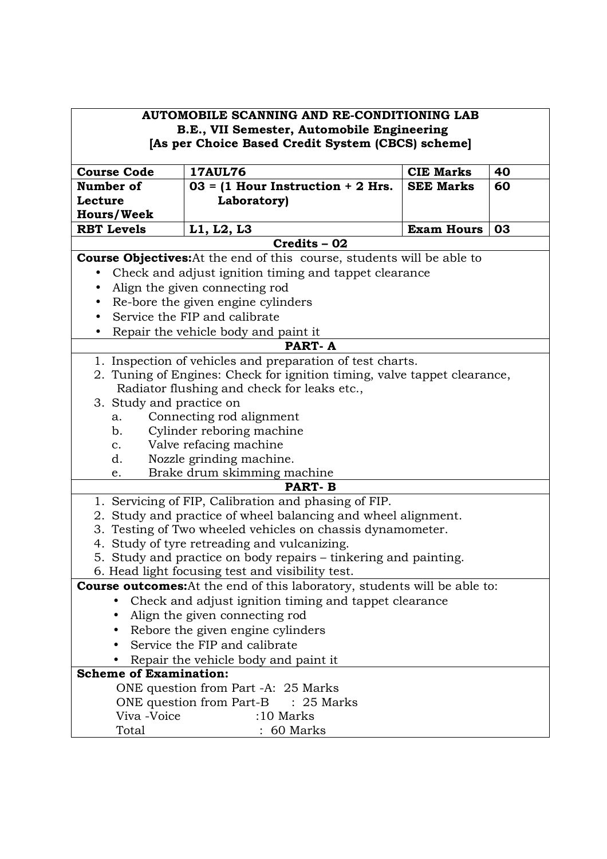|                                                                    | AUTOMOBILE SCANNING AND RE-CONDITIONING LAB<br>B.E., VII Semester, Automobile Engineering<br>[As per Choice Based Credit System (CBCS) scheme]                                                                                                                                                                                                                                                                                                                               |                   |    |
|--------------------------------------------------------------------|------------------------------------------------------------------------------------------------------------------------------------------------------------------------------------------------------------------------------------------------------------------------------------------------------------------------------------------------------------------------------------------------------------------------------------------------------------------------------|-------------------|----|
| <b>Course Code</b>                                                 | <b>17AUL76</b>                                                                                                                                                                                                                                                                                                                                                                                                                                                               | <b>CIE Marks</b>  | 40 |
| Number of                                                          | $03 = (1$ Hour Instruction + 2 Hrs.                                                                                                                                                                                                                                                                                                                                                                                                                                          | <b>SEE Marks</b>  | 60 |
| Lecture                                                            | Laboratory)                                                                                                                                                                                                                                                                                                                                                                                                                                                                  |                   |    |
| <b>Hours/Week</b>                                                  |                                                                                                                                                                                                                                                                                                                                                                                                                                                                              |                   |    |
| <b>RBT Levels</b>                                                  | L1, L2, L3                                                                                                                                                                                                                                                                                                                                                                                                                                                                   | <b>Exam Hours</b> | 03 |
|                                                                    | Credits - 02                                                                                                                                                                                                                                                                                                                                                                                                                                                                 |                   |    |
|                                                                    | <b>Course Objectives:</b> At the end of this course, students will be able to                                                                                                                                                                                                                                                                                                                                                                                                |                   |    |
|                                                                    | Check and adjust ignition timing and tappet clearance                                                                                                                                                                                                                                                                                                                                                                                                                        |                   |    |
|                                                                    | Align the given connecting rod                                                                                                                                                                                                                                                                                                                                                                                                                                               |                   |    |
|                                                                    | Re-bore the given engine cylinders                                                                                                                                                                                                                                                                                                                                                                                                                                           |                   |    |
|                                                                    | Service the FIP and calibrate                                                                                                                                                                                                                                                                                                                                                                                                                                                |                   |    |
|                                                                    | Repair the vehicle body and paint it                                                                                                                                                                                                                                                                                                                                                                                                                                         |                   |    |
|                                                                    | <b>PART-A</b>                                                                                                                                                                                                                                                                                                                                                                                                                                                                |                   |    |
| 3. Study and practice on<br>a.<br>b.<br>$\mathbf{c}$ .<br>d.<br>e. | 1. Inspection of vehicles and preparation of test charts.<br>2. Tuning of Engines: Check for ignition timing, valve tappet clearance,<br>Radiator flushing and check for leaks etc.,<br>Connecting rod alignment<br>Cylinder reboring machine<br>Valve refacing machine<br>Nozzle grinding machine.<br>Brake drum skimming machine<br><b>PART-B</b><br>1. Servicing of FIP, Calibration and phasing of FIP.<br>2. Study and practice of wheel balancing and wheel alignment. |                   |    |
|                                                                    | 3. Testing of Two wheeled vehicles on chassis dynamometer.                                                                                                                                                                                                                                                                                                                                                                                                                   |                   |    |
|                                                                    | 4. Study of tyre retreading and vulcanizing.                                                                                                                                                                                                                                                                                                                                                                                                                                 |                   |    |
|                                                                    | 5. Study and practice on body repairs - tinkering and painting.                                                                                                                                                                                                                                                                                                                                                                                                              |                   |    |
|                                                                    | 6. Head light focusing test and visibility test.                                                                                                                                                                                                                                                                                                                                                                                                                             |                   |    |
|                                                                    | <b>Course outcomes:</b> At the end of this laboratory, students will be able to:                                                                                                                                                                                                                                                                                                                                                                                             |                   |    |
|                                                                    | Check and adjust ignition timing and tappet clearance                                                                                                                                                                                                                                                                                                                                                                                                                        |                   |    |
|                                                                    | Align the given connecting rod                                                                                                                                                                                                                                                                                                                                                                                                                                               |                   |    |
|                                                                    | Rebore the given engine cylinders                                                                                                                                                                                                                                                                                                                                                                                                                                            |                   |    |
|                                                                    | Service the FIP and calibrate                                                                                                                                                                                                                                                                                                                                                                                                                                                |                   |    |
|                                                                    | Repair the vehicle body and paint it                                                                                                                                                                                                                                                                                                                                                                                                                                         |                   |    |
| <b>Scheme of Examination:</b>                                      |                                                                                                                                                                                                                                                                                                                                                                                                                                                                              |                   |    |
|                                                                    | ONE question from Part -A: 25 Marks                                                                                                                                                                                                                                                                                                                                                                                                                                          |                   |    |
|                                                                    | ONE question from Part-B : 25 Marks                                                                                                                                                                                                                                                                                                                                                                                                                                          |                   |    |
| Viva -Voice                                                        | $:10$ Marks                                                                                                                                                                                                                                                                                                                                                                                                                                                                  |                   |    |
| Total                                                              | $: 60$ Marks                                                                                                                                                                                                                                                                                                                                                                                                                                                                 |                   |    |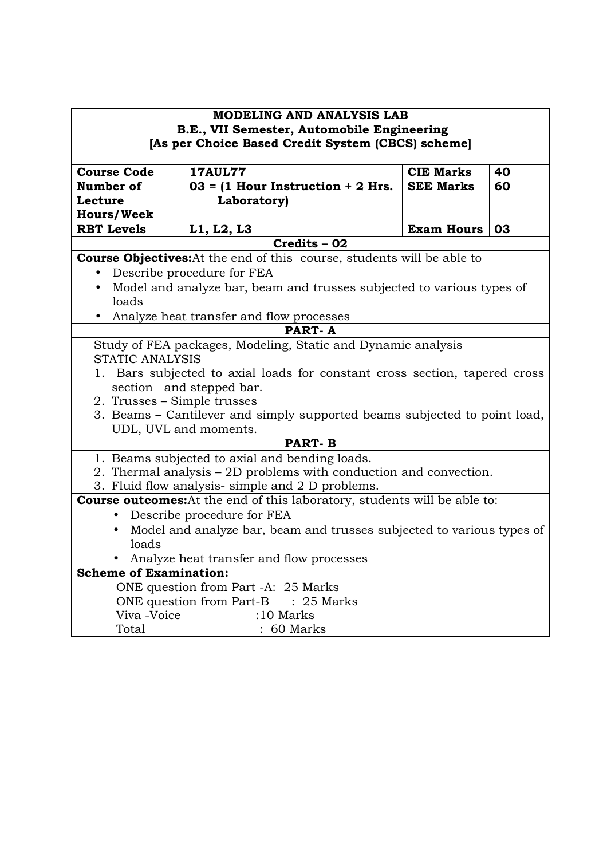| <b>MODELING AND ANALYSIS LAB</b>                                                 |                                                                               |                   |    |  |
|----------------------------------------------------------------------------------|-------------------------------------------------------------------------------|-------------------|----|--|
| B.E., VII Semester, Automobile Engineering                                       |                                                                               |                   |    |  |
| [As per Choice Based Credit System (CBCS) scheme]                                |                                                                               |                   |    |  |
| <b>17AUL77</b><br><b>CIE Marks</b><br>40<br><b>Course Code</b>                   |                                                                               |                   |    |  |
| Number of                                                                        | $03 = (1$ Hour Instruction + 2 Hrs.                                           | <b>SEE Marks</b>  | 60 |  |
| Lecture                                                                          | Laboratory)                                                                   |                   |    |  |
| <b>Hours/Week</b>                                                                |                                                                               |                   |    |  |
| <b>RBT Levels</b>                                                                | L1, L2, L3                                                                    | <b>Exam Hours</b> | 03 |  |
|                                                                                  | Credits - 02                                                                  |                   |    |  |
|                                                                                  | <b>Course Objectives:</b> At the end of this course, students will be able to |                   |    |  |
|                                                                                  | Describe procedure for FEA                                                    |                   |    |  |
| $\bullet$                                                                        | Model and analyze bar, beam and trusses subjected to various types of         |                   |    |  |
| loads                                                                            |                                                                               |                   |    |  |
|                                                                                  | Analyze heat transfer and flow processes                                      |                   |    |  |
|                                                                                  | <b>PART-A</b>                                                                 |                   |    |  |
| Study of FEA packages, Modeling, Static and Dynamic analysis                     |                                                                               |                   |    |  |
| <b>STATIC ANALYSIS</b>                                                           |                                                                               |                   |    |  |
| 1. Bars subjected to axial loads for constant cross section, tapered cross       |                                                                               |                   |    |  |
| section and stepped bar.<br>2. Trusses - Simple trusses                          |                                                                               |                   |    |  |
|                                                                                  | 3. Beams – Cantilever and simply supported beams subjected to point load,     |                   |    |  |
|                                                                                  | UDL, UVL and moments.                                                         |                   |    |  |
|                                                                                  | <b>PART-B</b>                                                                 |                   |    |  |
|                                                                                  | 1. Beams subjected to axial and bending loads.                                |                   |    |  |
|                                                                                  | 2. Thermal analysis – 2D problems with conduction and convection.             |                   |    |  |
| 3. Fluid flow analysis- simple and 2 D problems.                                 |                                                                               |                   |    |  |
| <b>Course outcomes:</b> At the end of this laboratory, students will be able to: |                                                                               |                   |    |  |
| • Describe procedure for FEA                                                     |                                                                               |                   |    |  |
| • Model and analyze bar, beam and trusses subjected to various types of          |                                                                               |                   |    |  |
| loads                                                                            |                                                                               |                   |    |  |
|                                                                                  | • Analyze heat transfer and flow processes                                    |                   |    |  |
| <b>Scheme of Examination:</b>                                                    |                                                                               |                   |    |  |
| ONE question from Part -A: 25 Marks                                              |                                                                               |                   |    |  |
|                                                                                  | ONE question from Part-B : 25 Marks                                           |                   |    |  |
| Viva -Voice                                                                      | $:10$ Marks                                                                   |                   |    |  |
| Total                                                                            | : 60 Marks                                                                    |                   |    |  |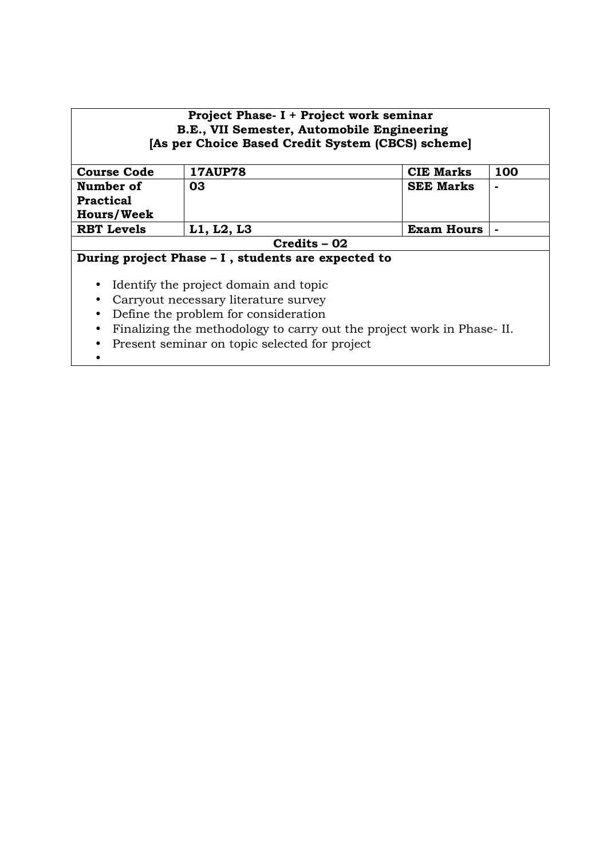| Project Phase- I + Project work seminar<br>B.E., VII Semester, Automobile Engineering<br>[As per Choice Based Credit System (CBCS) scheme] |                |                  |     |  |  |
|--------------------------------------------------------------------------------------------------------------------------------------------|----------------|------------------|-----|--|--|
| <b>Course Code</b>                                                                                                                         | <b>17AUP78</b> | <b>CIE Marks</b> | 100 |  |  |
| Number of                                                                                                                                  | 03             | <b>SEE Marks</b> |     |  |  |
| <b>Practical</b>                                                                                                                           |                |                  |     |  |  |
| <b>Hours/Week</b>                                                                                                                          |                |                  |     |  |  |
| L1, L2, L3<br><b>RBT</b> Levels<br><b>Exam Hours</b><br>$\blacksquare$                                                                     |                |                  |     |  |  |
|                                                                                                                                            | Credits - 02   |                  |     |  |  |
| During project Phase – I, students are expected to                                                                                         |                |                  |     |  |  |
| Identify the project domain and topic<br>$\bullet$                                                                                         |                |                  |     |  |  |
| Carryout necessary literature survey                                                                                                       |                |                  |     |  |  |
| Define the problem for consideration<br>$\bullet$                                                                                          |                |                  |     |  |  |
| Finalizing the methodology to carry out the project work in Phase-II.<br>$\bullet$                                                         |                |                  |     |  |  |

- Present seminar on topic selected for project
- •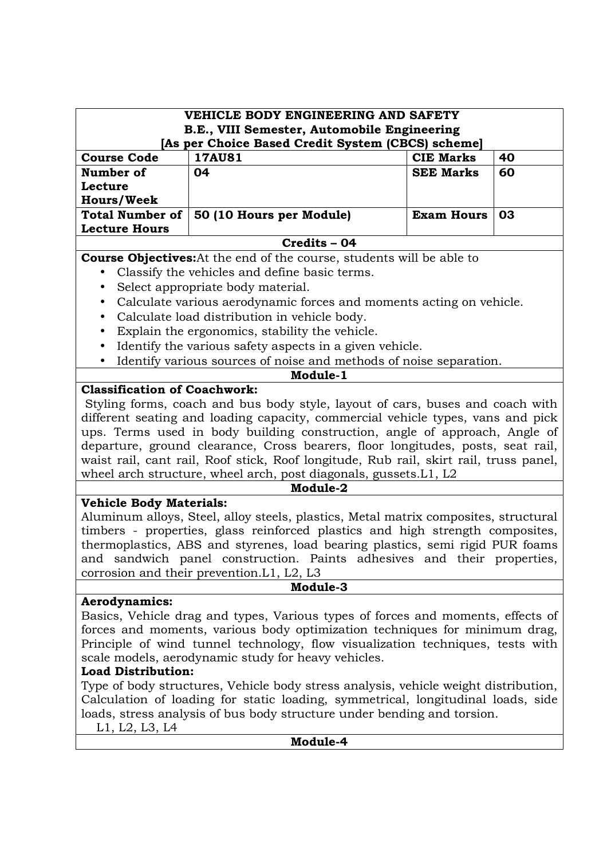| VEHICLE BODY ENGINEERING AND SAFETY                                                                                                                                                                                                                                                                                                                                                                                                                                                                                                                                                                                                  |                                                                                                                                                                                                                                                                                                                                                                                                                                                                                                                                                              |                   |    |  |  |  |
|--------------------------------------------------------------------------------------------------------------------------------------------------------------------------------------------------------------------------------------------------------------------------------------------------------------------------------------------------------------------------------------------------------------------------------------------------------------------------------------------------------------------------------------------------------------------------------------------------------------------------------------|--------------------------------------------------------------------------------------------------------------------------------------------------------------------------------------------------------------------------------------------------------------------------------------------------------------------------------------------------------------------------------------------------------------------------------------------------------------------------------------------------------------------------------------------------------------|-------------------|----|--|--|--|
| B.E., VIII Semester, Automobile Engineering                                                                                                                                                                                                                                                                                                                                                                                                                                                                                                                                                                                          |                                                                                                                                                                                                                                                                                                                                                                                                                                                                                                                                                              |                   |    |  |  |  |
| [As per Choice Based Credit System (CBCS) scheme]<br><b>Course Code</b><br><b>17AU81</b><br><b>CIE Marks</b><br>40                                                                                                                                                                                                                                                                                                                                                                                                                                                                                                                   |                                                                                                                                                                                                                                                                                                                                                                                                                                                                                                                                                              |                   |    |  |  |  |
| Number of                                                                                                                                                                                                                                                                                                                                                                                                                                                                                                                                                                                                                            | 04                                                                                                                                                                                                                                                                                                                                                                                                                                                                                                                                                           | <b>SEE Marks</b>  | 60 |  |  |  |
| Lecture                                                                                                                                                                                                                                                                                                                                                                                                                                                                                                                                                                                                                              |                                                                                                                                                                                                                                                                                                                                                                                                                                                                                                                                                              |                   |    |  |  |  |
| <b>Hours/Week</b>                                                                                                                                                                                                                                                                                                                                                                                                                                                                                                                                                                                                                    |                                                                                                                                                                                                                                                                                                                                                                                                                                                                                                                                                              |                   |    |  |  |  |
| <b>Total Number of</b>                                                                                                                                                                                                                                                                                                                                                                                                                                                                                                                                                                                                               | 50 (10 Hours per Module)                                                                                                                                                                                                                                                                                                                                                                                                                                                                                                                                     | <b>Exam Hours</b> | 03 |  |  |  |
| <b>Lecture Hours</b>                                                                                                                                                                                                                                                                                                                                                                                                                                                                                                                                                                                                                 |                                                                                                                                                                                                                                                                                                                                                                                                                                                                                                                                                              |                   |    |  |  |  |
|                                                                                                                                                                                                                                                                                                                                                                                                                                                                                                                                                                                                                                      | Credits - 04                                                                                                                                                                                                                                                                                                                                                                                                                                                                                                                                                 |                   |    |  |  |  |
|                                                                                                                                                                                                                                                                                                                                                                                                                                                                                                                                                                                                                                      | <b>Course Objectives:</b> At the end of the course, students will be able to                                                                                                                                                                                                                                                                                                                                                                                                                                                                                 |                   |    |  |  |  |
|                                                                                                                                                                                                                                                                                                                                                                                                                                                                                                                                                                                                                                      | Classify the vehicles and define basic terms.                                                                                                                                                                                                                                                                                                                                                                                                                                                                                                                |                   |    |  |  |  |
|                                                                                                                                                                                                                                                                                                                                                                                                                                                                                                                                                                                                                                      | Select appropriate body material.                                                                                                                                                                                                                                                                                                                                                                                                                                                                                                                            |                   |    |  |  |  |
| $\bullet$                                                                                                                                                                                                                                                                                                                                                                                                                                                                                                                                                                                                                            | Calculate various aerodynamic forces and moments acting on vehicle.                                                                                                                                                                                                                                                                                                                                                                                                                                                                                          |                   |    |  |  |  |
| $\bullet$                                                                                                                                                                                                                                                                                                                                                                                                                                                                                                                                                                                                                            | Calculate load distribution in vehicle body.                                                                                                                                                                                                                                                                                                                                                                                                                                                                                                                 |                   |    |  |  |  |
| $\bullet$                                                                                                                                                                                                                                                                                                                                                                                                                                                                                                                                                                                                                            | Explain the ergonomics, stability the vehicle.                                                                                                                                                                                                                                                                                                                                                                                                                                                                                                               |                   |    |  |  |  |
| $\bullet$                                                                                                                                                                                                                                                                                                                                                                                                                                                                                                                                                                                                                            | Identify the various safety aspects in a given vehicle.                                                                                                                                                                                                                                                                                                                                                                                                                                                                                                      |                   |    |  |  |  |
| $\bullet$                                                                                                                                                                                                                                                                                                                                                                                                                                                                                                                                                                                                                            | Identify various sources of noise and methods of noise separation.                                                                                                                                                                                                                                                                                                                                                                                                                                                                                           |                   |    |  |  |  |
| <b>Classification of Coachwork:</b>                                                                                                                                                                                                                                                                                                                                                                                                                                                                                                                                                                                                  | Module-1                                                                                                                                                                                                                                                                                                                                                                                                                                                                                                                                                     |                   |    |  |  |  |
| different seating and loading capacity, commercial vehicle types, vans and pick<br>ups. Terms used in body building construction, angle of approach, Angle of<br>departure, ground clearance, Cross bearers, floor longitudes, posts, seat rail,<br>waist rail, cant rail, Roof stick, Roof longitude, Rub rail, skirt rail, truss panel,<br>wheel arch structure, wheel arch, post diagonals, gussets. L1, L2<br>Module-2<br><b>Vehicle Body Materials:</b><br>Aluminum alloys, Steel, alloy steels, plastics, Metal matrix composites, structural<br>timbers - properties, glass reinforced plastics and high strength composites, |                                                                                                                                                                                                                                                                                                                                                                                                                                                                                                                                                              |                   |    |  |  |  |
|                                                                                                                                                                                                                                                                                                                                                                                                                                                                                                                                                                                                                                      | thermoplastics, ABS and styrenes, load bearing plastics, semi rigid PUR foams                                                                                                                                                                                                                                                                                                                                                                                                                                                                                |                   |    |  |  |  |
|                                                                                                                                                                                                                                                                                                                                                                                                                                                                                                                                                                                                                                      | and sandwich panel construction. Paints adhesives and their properties,                                                                                                                                                                                                                                                                                                                                                                                                                                                                                      |                   |    |  |  |  |
|                                                                                                                                                                                                                                                                                                                                                                                                                                                                                                                                                                                                                                      | corrosion and their prevention. L1, L2, L3                                                                                                                                                                                                                                                                                                                                                                                                                                                                                                                   |                   |    |  |  |  |
| Module-3                                                                                                                                                                                                                                                                                                                                                                                                                                                                                                                                                                                                                             |                                                                                                                                                                                                                                                                                                                                                                                                                                                                                                                                                              |                   |    |  |  |  |
| <b>Aerodynamics:</b><br><b>Load Distribution:</b>                                                                                                                                                                                                                                                                                                                                                                                                                                                                                                                                                                                    | Basics, Vehicle drag and types, Various types of forces and moments, effects of<br>forces and moments, various body optimization techniques for minimum drag,<br>Principle of wind tunnel technology, flow visualization techniques, tests with<br>scale models, aerodynamic study for heavy vehicles.<br>Type of body structures, Vehicle body stress analysis, vehicle weight distribution,<br>Calculation of loading for static loading, symmetrical, longitudinal loads, side<br>loads, stress analysis of bus body structure under bending and torsion. |                   |    |  |  |  |
| L1, L2, L3, L4                                                                                                                                                                                                                                                                                                                                                                                                                                                                                                                                                                                                                       |                                                                                                                                                                                                                                                                                                                                                                                                                                                                                                                                                              |                   |    |  |  |  |
|                                                                                                                                                                                                                                                                                                                                                                                                                                                                                                                                                                                                                                      | Module-4                                                                                                                                                                                                                                                                                                                                                                                                                                                                                                                                                     |                   |    |  |  |  |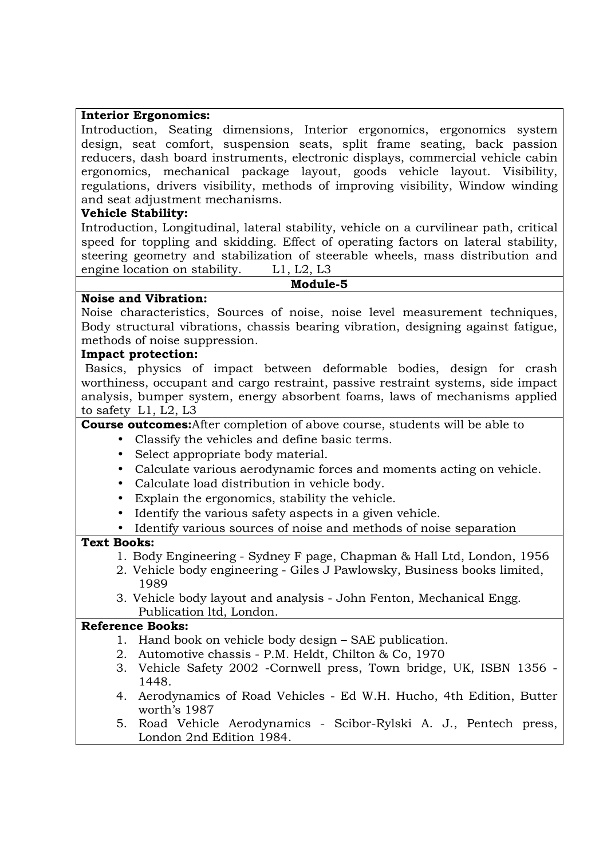#### **Interior Ergonomics:**

Introduction, Seating dimensions, Interior ergonomics, ergonomics system design, seat comfort, suspension seats, split frame seating, back passion reducers, dash board instruments, electronic displays, commercial vehicle cabin ergonomics, mechanical package layout, goods vehicle layout. Visibility, regulations, drivers visibility, methods of improving visibility, Window winding and seat adjustment mechanisms.

# **Vehicle Stability:**

Introduction, Longitudinal, lateral stability, vehicle on a curvilinear path, critical speed for toppling and skidding. Effect of operating factors on lateral stability, steering geometry and stabilization of steerable wheels, mass distribution and engine location on stability. L1, L2, L3

**Module-5** 

# **Noise and Vibration:**

Noise characteristics, Sources of noise, noise level measurement techniques, Body structural vibrations, chassis bearing vibration, designing against fatigue, methods of noise suppression.

## **Impact protection:**

 Basics, physics of impact between deformable bodies, design for crash worthiness, occupant and cargo restraint, passive restraint systems, side impact analysis, bumper system, energy absorbent foams, laws of mechanisms applied to safety L1, L2, L3

#### **Course outcomes:**After completion of above course, students will be able to

- Classify the vehicles and define basic terms.
- Select appropriate body material.
- Calculate various aerodynamic forces and moments acting on vehicle.
- Calculate load distribution in vehicle body.
- Explain the ergonomics, stability the vehicle.
- Identify the various safety aspects in a given vehicle.
- Identify various sources of noise and methods of noise separation

# **Text Books:**

- 1. Body Engineering Sydney F page, Chapman & Hall Ltd, London, 1956
- 2. Vehicle body engineering Giles J Pawlowsky, Business books limited, 1989
- 3. Vehicle body layout and analysis John Fenton, Mechanical Engg. Publication ltd, London.

- 1. Hand book on vehicle body design SAE publication.
- 2. Automotive chassis P.M. Heldt, Chilton & Co, 1970
- 3. Vehicle Safety 2002 -Cornwell press, Town bridge, UK, ISBN 1356 1448.
- 4. Aerodynamics of Road Vehicles Ed W.H. Hucho, 4th Edition, Butter worth's 1987
- 5. Road Vehicle Aerodynamics Scibor-Rylski A. J., Pentech press, London 2nd Edition 1984.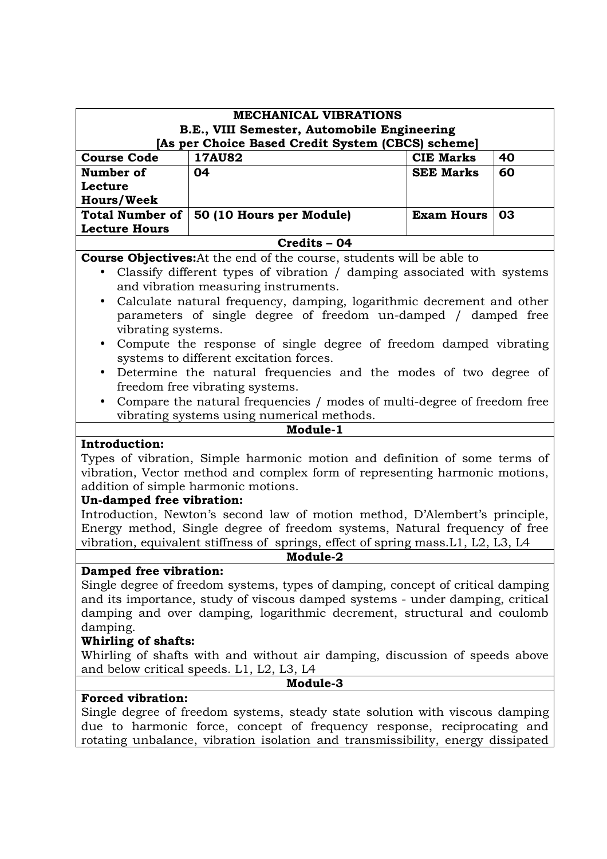| <b>MECHANICAL VIBRATIONS</b><br>B.E., VIII Semester, Automobile Engineering<br>[As per Choice Based Credit System (CBCS) scheme]                                                                                                                                                                                                                                                                                                                                                                                                                                                                                                                                                                          |                                                                                                                                                                                                                                            |                   |    |
|-----------------------------------------------------------------------------------------------------------------------------------------------------------------------------------------------------------------------------------------------------------------------------------------------------------------------------------------------------------------------------------------------------------------------------------------------------------------------------------------------------------------------------------------------------------------------------------------------------------------------------------------------------------------------------------------------------------|--------------------------------------------------------------------------------------------------------------------------------------------------------------------------------------------------------------------------------------------|-------------------|----|
| <b>Course Code</b>                                                                                                                                                                                                                                                                                                                                                                                                                                                                                                                                                                                                                                                                                        | <b>17AU82</b>                                                                                                                                                                                                                              | <b>CIE Marks</b>  | 40 |
| Number of                                                                                                                                                                                                                                                                                                                                                                                                                                                                                                                                                                                                                                                                                                 | 04                                                                                                                                                                                                                                         | <b>SEE Marks</b>  | 60 |
| Lecture                                                                                                                                                                                                                                                                                                                                                                                                                                                                                                                                                                                                                                                                                                   |                                                                                                                                                                                                                                            |                   |    |
| <b>Hours/Week</b>                                                                                                                                                                                                                                                                                                                                                                                                                                                                                                                                                                                                                                                                                         |                                                                                                                                                                                                                                            |                   |    |
| <b>Total Number of</b><br><b>Lecture Hours</b>                                                                                                                                                                                                                                                                                                                                                                                                                                                                                                                                                                                                                                                            | 50 (10 Hours per Module)                                                                                                                                                                                                                   | <b>Exam Hours</b> | 03 |
|                                                                                                                                                                                                                                                                                                                                                                                                                                                                                                                                                                                                                                                                                                           | Credits - 04                                                                                                                                                                                                                               |                   |    |
| <b>Course Objectives:</b> At the end of the course, students will be able to<br>Classify different types of vibration / damping associated with systems<br>and vibration measuring instruments.<br>Calculate natural frequency, damping, logarithmic decrement and other<br>$\bullet$<br>parameters of single degree of freedom un-damped / damped free<br>vibrating systems.<br>Compute the response of single degree of freedom damped vibrating<br>$\bullet$<br>systems to different excitation forces.<br>Determine the natural frequencies and the modes of two degree of<br>$\bullet$<br>freedom free vibrating systems.<br>Compare the natural frequencies / modes of multi-degree of freedom free |                                                                                                                                                                                                                                            |                   |    |
|                                                                                                                                                                                                                                                                                                                                                                                                                                                                                                                                                                                                                                                                                                           | vibrating systems using numerical methods.                                                                                                                                                                                                 |                   |    |
| Module-1                                                                                                                                                                                                                                                                                                                                                                                                                                                                                                                                                                                                                                                                                                  |                                                                                                                                                                                                                                            |                   |    |
| <b>Introduction:</b><br>Types of vibration, Simple harmonic motion and definition of some terms of<br>vibration, Vector method and complex form of representing harmonic motions,<br>addition of simple harmonic motions.<br>Un-damped free vibration:<br>Introduction, Newton's second law of motion method, D'Alembert's principle,                                                                                                                                                                                                                                                                                                                                                                     |                                                                                                                                                                                                                                            |                   |    |
|                                                                                                                                                                                                                                                                                                                                                                                                                                                                                                                                                                                                                                                                                                           | Energy method, Single degree of freedom systems, Natural frequency of free                                                                                                                                                                 |                   |    |
|                                                                                                                                                                                                                                                                                                                                                                                                                                                                                                                                                                                                                                                                                                           | vibration, equivalent stiffness of springs, effect of spring mass. L1, L2, L3, L4                                                                                                                                                          |                   |    |
|                                                                                                                                                                                                                                                                                                                                                                                                                                                                                                                                                                                                                                                                                                           | Module-2                                                                                                                                                                                                                                   |                   |    |
| Damped free vibration:<br>Single degree of freedom systems, types of damping, concept of critical damping<br>and its importance, study of viscous damped systems - under damping, critical<br>damping and over damping, logarithmic decrement, structural and coulomb<br>damping.<br><b>Whirling of shafts:</b><br>Whirling of shafts with and without air damping, discussion of speeds above<br>and below critical speeds. L1, L2, L3, L4                                                                                                                                                                                                                                                               |                                                                                                                                                                                                                                            |                   |    |
| Module-3                                                                                                                                                                                                                                                                                                                                                                                                                                                                                                                                                                                                                                                                                                  |                                                                                                                                                                                                                                            |                   |    |
| <b>Forced vibration:</b>                                                                                                                                                                                                                                                                                                                                                                                                                                                                                                                                                                                                                                                                                  |                                                                                                                                                                                                                                            |                   |    |
|                                                                                                                                                                                                                                                                                                                                                                                                                                                                                                                                                                                                                                                                                                           | Single degree of freedom systems, steady state solution with viscous damping<br>due to harmonic force, concept of frequency response, reciprocating and<br>rotating unbalance, vibration isolation and transmissibility, energy dissipated |                   |    |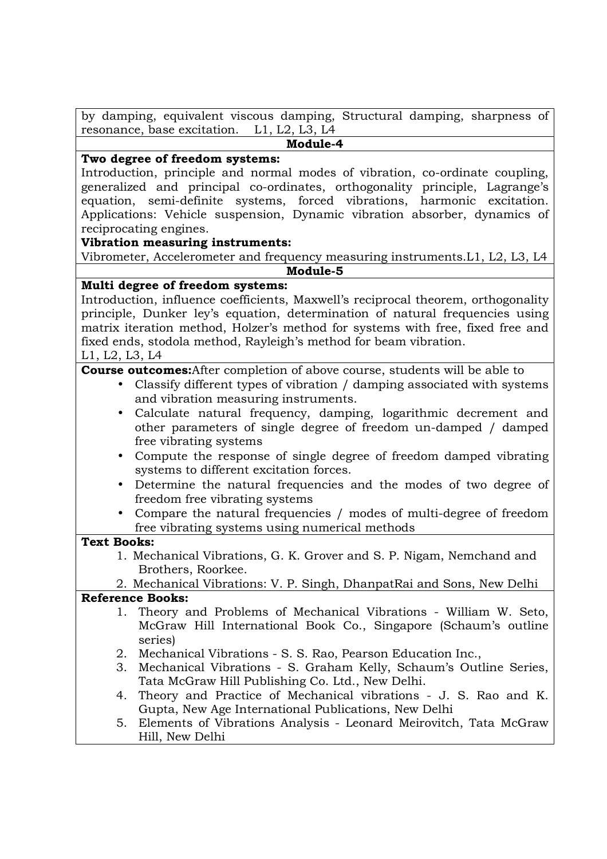by damping, equivalent viscous damping, Structural damping, sharpness of resonance, base excitation. L1, L2, L3, L4

# **Module-4**

## **Two degree of freedom systems:**

Introduction, principle and normal modes of vibration, co-ordinate coupling, generalized and principal co-ordinates, orthogonality principle, Lagrange's equation, semi-definite systems, forced vibrations, harmonic excitation. Applications: Vehicle suspension, Dynamic vibration absorber, dynamics of reciprocating engines.

## **Vibration measuring instruments:**

Vibrometer, Accelerometer and frequency measuring instruments.L1, L2, L3, L4 **Module-5** 

## **Multi degree of freedom systems:**

Introduction, influence coefficients, Maxwell's reciprocal theorem, orthogonality principle, Dunker ley's equation, determination of natural frequencies using matrix iteration method, Holzer's method for systems with free, fixed free and fixed ends, stodola method, Rayleigh's method for beam vibration. L1, L2, L3, L4

# **Course outcomes:**After completion of above course, students will be able to

- Classify different types of vibration / damping associated with systems and vibration measuring instruments.
- Calculate natural frequency, damping, logarithmic decrement and other parameters of single degree of freedom un-damped / damped free vibrating systems
- Compute the response of single degree of freedom damped vibrating systems to different excitation forces.
- Determine the natural frequencies and the modes of two degree of freedom free vibrating systems
- Compare the natural frequencies / modes of multi-degree of freedom free vibrating systems using numerical methods

# **Text Books:**

- 1. Mechanical Vibrations, G. K. Grover and S. P. Nigam, Nemchand and Brothers, Roorkee.
- 2. Mechanical Vibrations: V. P. Singh, DhanpatRai and Sons, New Delhi

- 1. Theory and Problems of Mechanical Vibrations William W. Seto, McGraw Hill International Book Co., Singapore (Schaum's outline series)
- 2. Mechanical Vibrations S. S. Rao, Pearson Education Inc.,
- 3. Mechanical Vibrations S. Graham Kelly, Schaum's Outline Series, Tata McGraw Hill Publishing Co. Ltd., New Delhi.
- 4. Theory and Practice of Mechanical vibrations J. S. Rao and K. Gupta, New Age International Publications, New Delhi
- 5. Elements of Vibrations Analysis Leonard Meirovitch, Tata McGraw Hill, New Delhi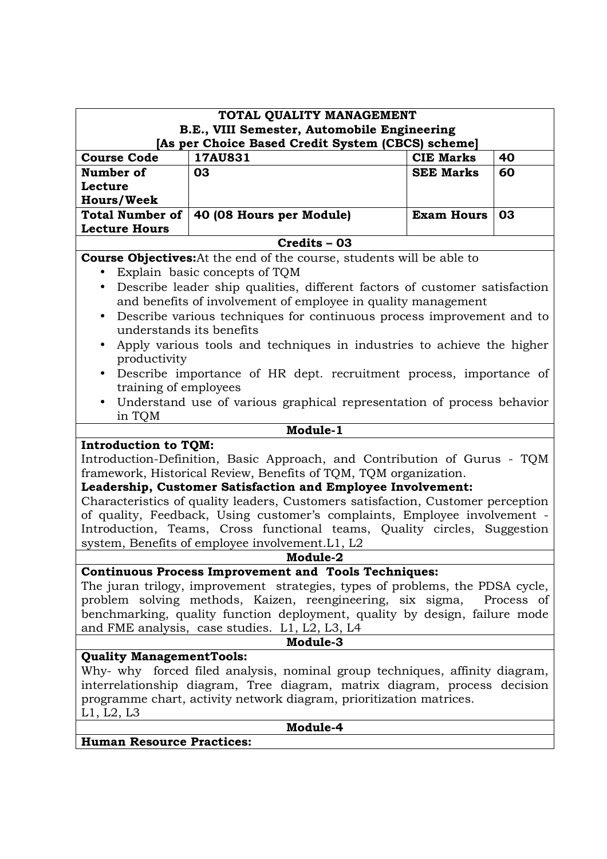| TOTAL QUALITY MANAGEMENT                                                                                                                     |                                                                                 |                   |    |  |  |
|----------------------------------------------------------------------------------------------------------------------------------------------|---------------------------------------------------------------------------------|-------------------|----|--|--|
| B.E., VIII Semester, Automobile Engineering                                                                                                  |                                                                                 |                   |    |  |  |
|                                                                                                                                              | [As per Choice Based Credit System (CBCS) scheme]                               |                   |    |  |  |
| 17AU831<br><b>CIE Marks</b><br><b>Course Code</b><br>40                                                                                      |                                                                                 |                   |    |  |  |
| Number of                                                                                                                                    | 03                                                                              | <b>SEE Marks</b>  | 60 |  |  |
| Lecture                                                                                                                                      |                                                                                 |                   |    |  |  |
| <b>Hours/Week</b>                                                                                                                            |                                                                                 |                   |    |  |  |
| <b>Total Number of</b>                                                                                                                       | 40 (08 Hours per Module)                                                        | <b>Exam Hours</b> | 03 |  |  |
| <b>Lecture Hours</b>                                                                                                                         |                                                                                 |                   |    |  |  |
|                                                                                                                                              | $Credits - 03$                                                                  |                   |    |  |  |
|                                                                                                                                              | <b>Course Objectives:</b> At the end of the course, students will be able to    |                   |    |  |  |
|                                                                                                                                              | Explain basic concepts of TQM                                                   |                   |    |  |  |
| $\bullet$                                                                                                                                    | Describe leader ship qualities, different factors of customer satisfaction      |                   |    |  |  |
|                                                                                                                                              | and benefits of involvement of employee in quality management                   |                   |    |  |  |
| $\bullet$                                                                                                                                    | Describe various techniques for continuous process improvement and to           |                   |    |  |  |
| understands its benefits                                                                                                                     |                                                                                 |                   |    |  |  |
|                                                                                                                                              | Apply various tools and techniques in industries to achieve the higher          |                   |    |  |  |
| productivity                                                                                                                                 |                                                                                 |                   |    |  |  |
|                                                                                                                                              | Describe importance of HR dept. recruitment process, importance of              |                   |    |  |  |
| training of employees                                                                                                                        |                                                                                 |                   |    |  |  |
|                                                                                                                                              | Understand use of various graphical representation of process behavior          |                   |    |  |  |
| in TQM                                                                                                                                       |                                                                                 |                   |    |  |  |
| Module-1                                                                                                                                     |                                                                                 |                   |    |  |  |
| <b>Introduction to TQM:</b>                                                                                                                  |                                                                                 |                   |    |  |  |
| Introduction-Definition, Basic Approach, and Contribution of Gurus - TQM<br>framework, Historical Review, Benefits of TQM, TQM organization. |                                                                                 |                   |    |  |  |
|                                                                                                                                              | Leadership, Customer Satisfaction and Employee Involvement:                     |                   |    |  |  |
|                                                                                                                                              | Characteristics of quality leaders, Customers satisfaction, Customer perception |                   |    |  |  |
|                                                                                                                                              | of quality, Feedback, Using customer's complaints, Employee involvement -       |                   |    |  |  |
|                                                                                                                                              |                                                                                 |                   |    |  |  |
| Introduction, Teams, Cross functional teams, Quality circles, Suggestion                                                                     |                                                                                 |                   |    |  |  |
| system, Benefits of employee involvement. L1, L2<br>Module-2                                                                                 |                                                                                 |                   |    |  |  |
| <b>Continuous Process Improvement and Tools Techniques:</b>                                                                                  |                                                                                 |                   |    |  |  |
| The juran trilogy, improvement strategies, types of problems, the PDSA cycle,                                                                |                                                                                 |                   |    |  |  |
| problem solving methods, Kaizen, reengineering, six sigma, Process of                                                                        |                                                                                 |                   |    |  |  |
| benchmarking, quality function deployment, quality by design, failure mode                                                                   |                                                                                 |                   |    |  |  |
| and FME analysis, case studies. L1, L2, L3, L4                                                                                               |                                                                                 |                   |    |  |  |
| Module-3                                                                                                                                     |                                                                                 |                   |    |  |  |
| <b>Quality ManagementTools:</b>                                                                                                              |                                                                                 |                   |    |  |  |
| Why- why forced filed analysis, nominal group techniques, affinity diagram,                                                                  |                                                                                 |                   |    |  |  |
| interrelationship diagram, Tree diagram, matrix diagram, process decision                                                                    |                                                                                 |                   |    |  |  |
| programme chart, activity network diagram, prioritization matrices.                                                                          |                                                                                 |                   |    |  |  |
| L1, L2, L3                                                                                                                                   |                                                                                 |                   |    |  |  |
| Module-4                                                                                                                                     |                                                                                 |                   |    |  |  |
| <b>Human Resource Practices:</b>                                                                                                             |                                                                                 |                   |    |  |  |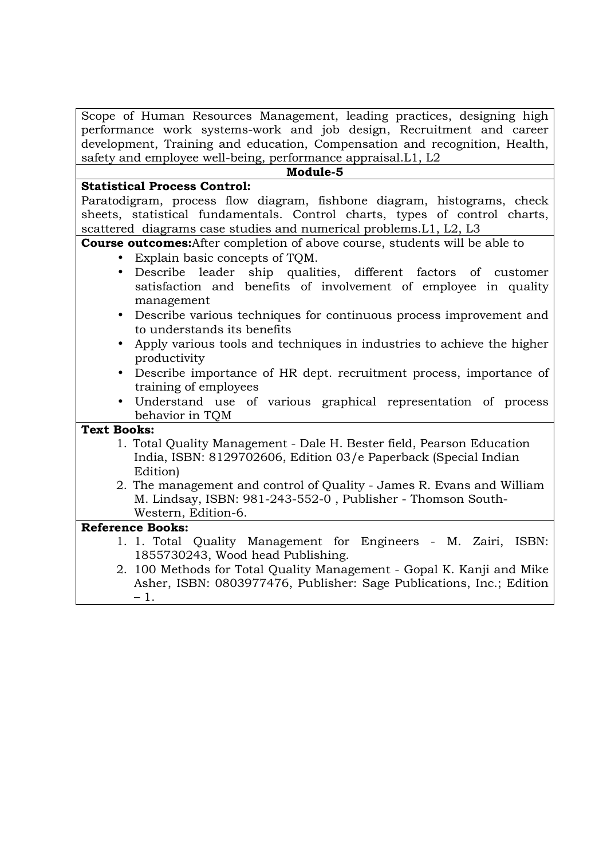Scope of Human Resources Management, leading practices, designing high performance work systems-work and job design, Recruitment and career development, Training and education, Compensation and recognition, Health, safety and employee well-being, performance appraisal.L1, L2

#### **Module-5**

#### **Statistical Process Control:**

Paratodigram, process flow diagram, fishbone diagram, histograms, check sheets, statistical fundamentals. Control charts, types of control charts, scattered diagrams case studies and numerical problems.L1, L2, L3

**Course outcomes:**After completion of above course, students will be able to

- Explain basic concepts of TQM.
- Describe leader ship qualities, different factors of customer satisfaction and benefits of involvement of employee in quality management
- Describe various techniques for continuous process improvement and to understands its benefits
- Apply various tools and techniques in industries to achieve the higher productivity
- Describe importance of HR dept. recruitment process, importance of training of employees
- Understand use of various graphical representation of process behavior in TQM

#### **Text Books:**

- 1. Total Quality Management Dale H. Bester field, Pearson Education India, ISBN: 8129702606, Edition 03/e Paperback (Special Indian Edition)
- 2. The management and control of Quality James R. Evans and William M. Lindsay, ISBN: 981-243-552-0 , Publisher - Thomson South-Western, Edition-6.

- 1. 1. Total Quality Management for Engineers M. Zairi, ISBN: 1855730243, Wood head Publishing.
- 2. 100 Methods for Total Quality Management Gopal K. Kanji and Mike Asher, ISBN: 0803977476, Publisher: Sage Publications, Inc.; Edition – 1.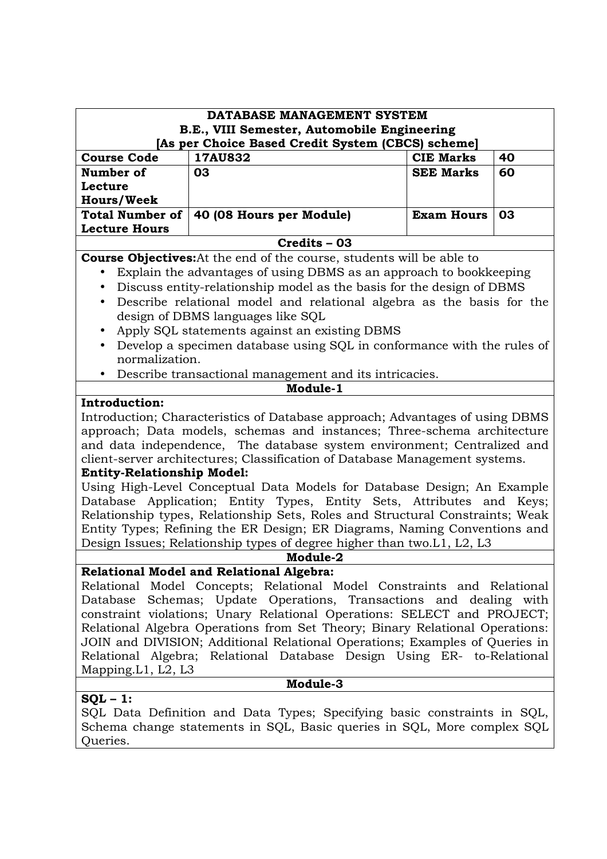| DATABASE MANAGEMENT SYSTEM                                                                                                                          |                                                                              |                   |    |
|-----------------------------------------------------------------------------------------------------------------------------------------------------|------------------------------------------------------------------------------|-------------------|----|
| B.E., VIII Semester, Automobile Engineering                                                                                                         |                                                                              |                   |    |
|                                                                                                                                                     | [As per Choice Based Credit System (CBCS) scheme]                            |                   |    |
| <b>Course Code</b>                                                                                                                                  | 17AU832                                                                      | <b>CIE Marks</b>  | 40 |
| Number of                                                                                                                                           | 03                                                                           | <b>SEE Marks</b>  | 60 |
| Lecture                                                                                                                                             |                                                                              |                   |    |
| <b>Hours/Week</b>                                                                                                                                   |                                                                              |                   |    |
| <b>Total Number of</b>                                                                                                                              | 40 (08 Hours per Module)                                                     | <b>Exam Hours</b> | 03 |
| <b>Lecture Hours</b>                                                                                                                                |                                                                              |                   |    |
|                                                                                                                                                     | Credits - 03                                                                 |                   |    |
|                                                                                                                                                     | <b>Course Objectives:</b> At the end of the course, students will be able to |                   |    |
|                                                                                                                                                     | Explain the advantages of using DBMS as an approach to bookkeeping           |                   |    |
| $\bullet$                                                                                                                                           | Discuss entity-relationship model as the basis for the design of DBMS        |                   |    |
| $\bullet$                                                                                                                                           | Describe relational model and relational algebra as the basis for the        |                   |    |
|                                                                                                                                                     | design of DBMS languages like SQL                                            |                   |    |
|                                                                                                                                                     | Apply SQL statements against an existing DBMS                                |                   |    |
| $\bullet$                                                                                                                                           | Develop a specimen database using SQL in conformance with the rules of       |                   |    |
| normalization.                                                                                                                                      |                                                                              |                   |    |
|                                                                                                                                                     | Describe transactional management and its intricacies.                       |                   |    |
|                                                                                                                                                     | Module-1                                                                     |                   |    |
| <b>Introduction:</b>                                                                                                                                |                                                                              |                   |    |
| Introduction; Characteristics of Database approach; Advantages of using DBMS                                                                        |                                                                              |                   |    |
| approach; Data models, schemas and instances; Three-schema architecture                                                                             |                                                                              |                   |    |
| and data independence, The database system environment; Centralized and                                                                             |                                                                              |                   |    |
| client-server architectures; Classification of Database Management systems.                                                                         |                                                                              |                   |    |
| <b>Entity-Relationship Model:</b>                                                                                                                   |                                                                              |                   |    |
|                                                                                                                                                     | Using High-Level Conceptual Data Models for Database Design; An Example      |                   |    |
| Database Application; Entity Types, Entity Sets, Attributes and Keys;                                                                               |                                                                              |                   |    |
| Relationship types, Relationship Sets, Roles and Structural Constraints; Weak                                                                       |                                                                              |                   |    |
| Entity Types; Refining the ER Design; ER Diagrams, Naming Conventions and<br>Design Issues; Relationship types of degree higher than two.L1, L2, L3 |                                                                              |                   |    |
|                                                                                                                                                     | <b>Module-2</b>                                                              |                   |    |
|                                                                                                                                                     |                                                                              |                   |    |
|                                                                                                                                                     | <b>Relational Model and Relational Algebra:</b>                              |                   |    |
| Relational Model Concepts; Relational Model Constraints and Relational                                                                              |                                                                              |                   |    |
| Database Schemas; Update Operations, Transactions and dealing with<br>constraint violations; Unary Relational Operations: SELECT and PROJECT;       |                                                                              |                   |    |
| Relational Algebra Operations from Set Theory; Binary Relational Operations:                                                                        |                                                                              |                   |    |
| JOIN and DIVISION; Additional Relational Operations; Examples of Queries in                                                                         |                                                                              |                   |    |
| Relational Algebra; Relational Database Design Using ER- to-Relational                                                                              |                                                                              |                   |    |
| Mapping.L1, L2, L3                                                                                                                                  |                                                                              |                   |    |
| Module-3                                                                                                                                            |                                                                              |                   |    |
| $SQL - 1$ :                                                                                                                                         |                                                                              |                   |    |
|                                                                                                                                                     | SQL Data Definition and Data Types; Specifying basic constraints in SQL,     |                   |    |
|                                                                                                                                                     | Schema change statements in SQL, Basic queries in SQL, More complex SQL      |                   |    |

Queries.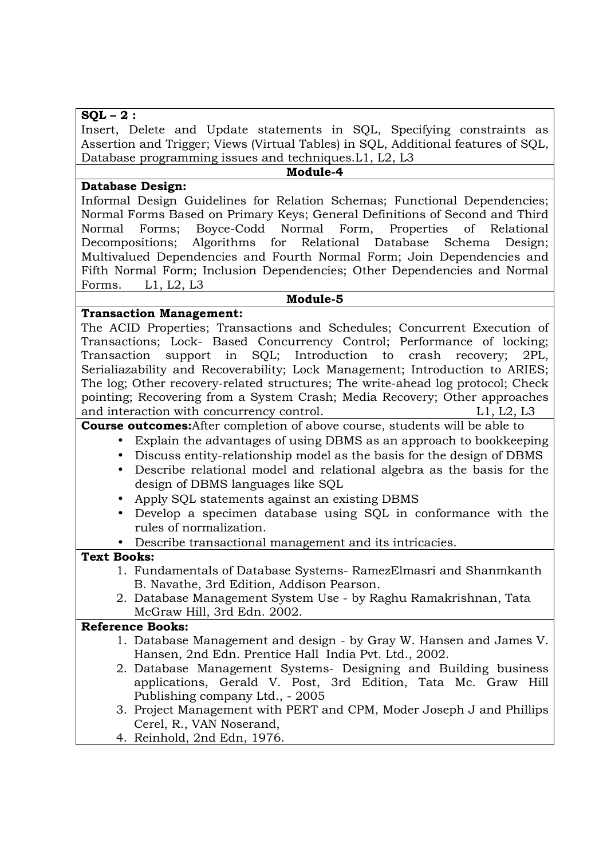# **SQL – 2 :**

Insert, Delete and Update statements in SQL, Specifying constraints as Assertion and Trigger; Views (Virtual Tables) in SQL, Additional features of SQL, Database programming issues and techniques.L1, L2, L3

#### **Module-4**

**Database Design:** 

Informal Design Guidelines for Relation Schemas; Functional Dependencies; Normal Forms Based on Primary Keys; General Definitions of Second and Third Normal Forms; Boyce-Codd Normal Form, Properties of Relational Decompositions; Algorithms for Relational Database Schema Design; Multivalued Dependencies and Fourth Normal Form; Join Dependencies and Fifth Normal Form; Inclusion Dependencies; Other Dependencies and Normal Forms. L1, L2, L3

#### **Module-5**

## **Transaction Management:**

The ACID Properties; Transactions and Schedules; Concurrent Execution of Transactions; Lock- Based Concurrency Control; Performance of locking; Transaction support in SQL; Introduction to crash recovery; 2PL, Serialiazability and Recoverability; Lock Management; Introduction to ARIES; The log; Other recovery-related structures; The write-ahead log protocol; Check pointing; Recovering from a System Crash; Media Recovery; Other approaches and interaction with concurrency control. The same state of the L1, L2, L3

**Course outcomes:**After completion of above course, students will be able to

- Explain the advantages of using DBMS as an approach to bookkeeping
- Discuss entity-relationship model as the basis for the design of DBMS
- Describe relational model and relational algebra as the basis for the design of DBMS languages like SQL
- Apply SQL statements against an existing DBMS
- Develop a specimen database using SQL in conformance with the rules of normalization.
- Describe transactional management and its intricacies.

# **Text Books:**

- 1. Fundamentals of Database Systems- RamezElmasri and Shanmkanth B. Navathe, 3rd Edition, Addison Pearson.
- 2. Database Management System Use by Raghu Ramakrishnan, Tata McGraw Hill, 3rd Edn. 2002.

- 1. Database Management and design by Gray W. Hansen and James V. Hansen, 2nd Edn. Prentice Hall India Pvt. Ltd., 2002.
- 2. Database Management Systems- Designing and Building business applications, Gerald V. Post, 3rd Edition, Tata Mc. Graw Hill Publishing company Ltd., - 2005
- 3. Project Management with PERT and CPM, Moder Joseph J and Phillips Cerel, R., VAN Noserand,
- 4. Reinhold, 2nd Edn, 1976.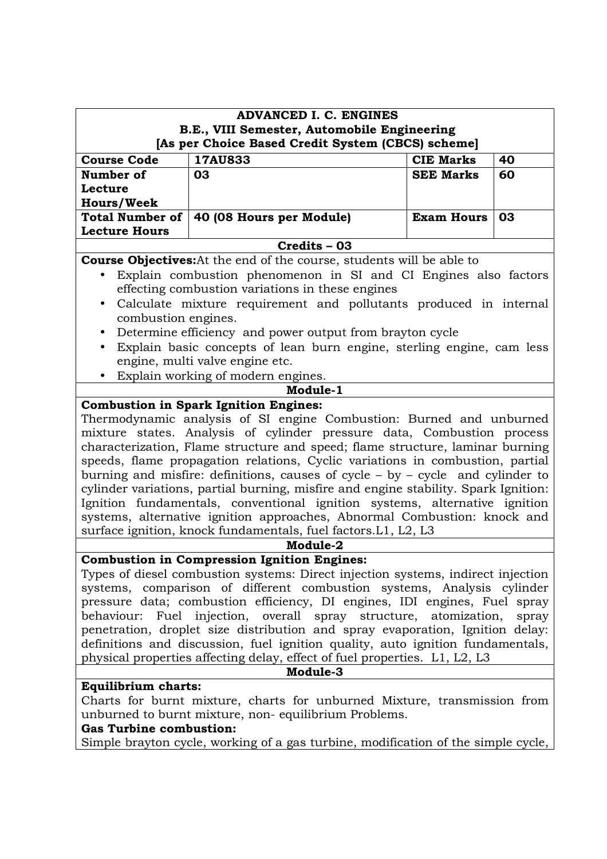| <b>ADVANCED I. C. ENGINES</b>                                                    |                                                                                                                                                              |                   |    |
|----------------------------------------------------------------------------------|--------------------------------------------------------------------------------------------------------------------------------------------------------------|-------------------|----|
| B.E., VIII Semester, Automobile Engineering                                      |                                                                                                                                                              |                   |    |
| [As per Choice Based Credit System (CBCS) scheme]                                |                                                                                                                                                              |                   |    |
| <b>Course Code</b>                                                               | 17AU833                                                                                                                                                      | <b>CIE Marks</b>  | 40 |
| Number of                                                                        | 03                                                                                                                                                           | <b>SEE Marks</b>  | 60 |
| Lecture                                                                          |                                                                                                                                                              |                   |    |
| <b>Hours/Week</b>                                                                |                                                                                                                                                              |                   |    |
| <b>Total Number of</b>                                                           | 40 (08 Hours per Module)                                                                                                                                     | <b>Exam Hours</b> | 03 |
| <b>Lecture Hours</b>                                                             | Credits - 03                                                                                                                                                 |                   |    |
|                                                                                  | <b>Course Objectives:</b> At the end of the course, students will be able to                                                                                 |                   |    |
|                                                                                  | Explain combustion phenomenon in SI and CI Engines also factors                                                                                              |                   |    |
|                                                                                  | effecting combustion variations in these engines                                                                                                             |                   |    |
| $\bullet$                                                                        | Calculate mixture requirement and pollutants produced in internal                                                                                            |                   |    |
| combustion engines.                                                              |                                                                                                                                                              |                   |    |
| $\bullet$                                                                        | Determine efficiency and power output from brayton cycle                                                                                                     |                   |    |
| $\bullet$                                                                        | Explain basic concepts of lean burn engine, sterling engine, cam less                                                                                        |                   |    |
|                                                                                  | engine, multi valve engine etc.                                                                                                                              |                   |    |
|                                                                                  | Explain working of modern engines.                                                                                                                           |                   |    |
|                                                                                  | Module-1                                                                                                                                                     |                   |    |
|                                                                                  | <b>Combustion in Spark Ignition Engines:</b>                                                                                                                 |                   |    |
|                                                                                  | Thermodynamic analysis of SI engine Combustion: Burned and unburned<br>mixture states. Analysis of cylinder pressure data, Combustion process                |                   |    |
|                                                                                  | characterization, Flame structure and speed; flame structure, laminar burning                                                                                |                   |    |
|                                                                                  | speeds, flame propagation relations, Cyclic variations in combustion, partial                                                                                |                   |    |
|                                                                                  | burning and misfire: definitions, causes of cycle $-$ by $-$ cycle and cylinder to                                                                           |                   |    |
|                                                                                  | cylinder variations, partial burning, misfire and engine stability. Spark Ignition:                                                                          |                   |    |
|                                                                                  | Ignition fundamentals, conventional ignition systems, alternative ignition                                                                                   |                   |    |
|                                                                                  | systems, alternative ignition approaches, Abnormal Combustion: knock and                                                                                     |                   |    |
|                                                                                  | surface ignition, knock fundamentals, fuel factors. L1, L2, L3                                                                                               |                   |    |
| Module-2                                                                         |                                                                                                                                                              |                   |    |
|                                                                                  | <b>Combustion in Compression Ignition Engines:</b>                                                                                                           |                   |    |
| Types of diesel combustion systems: Direct injection systems, indirect injection |                                                                                                                                                              |                   |    |
| systems, comparison of different combustion systems, Analysis cylinder           |                                                                                                                                                              |                   |    |
| pressure data; combustion efficiency, DI engines, IDI engines, Fuel spray        |                                                                                                                                                              |                   |    |
| behaviour: Fuel injection, overall spray structure, atomization,<br>spray        |                                                                                                                                                              |                   |    |
| penetration, droplet size distribution and spray evaporation, Ignition delay:    |                                                                                                                                                              |                   |    |
|                                                                                  | definitions and discussion, fuel ignition quality, auto ignition fundamentals,<br>physical properties affecting delay, effect of fuel properties. L1, L2, L3 |                   |    |
| Module-3                                                                         |                                                                                                                                                              |                   |    |
| <b>Equilibrium charts:</b>                                                       |                                                                                                                                                              |                   |    |
| Charts for burnt mixture, charts for unburned Mixture, transmission from         |                                                                                                                                                              |                   |    |
| unburned to burnt mixture, non-equilibrium Problems.                             |                                                                                                                                                              |                   |    |
| <b>Gas Turbine combustion:</b>                                                   |                                                                                                                                                              |                   |    |

Simple brayton cycle, working of a gas turbine, modification of the simple cycle,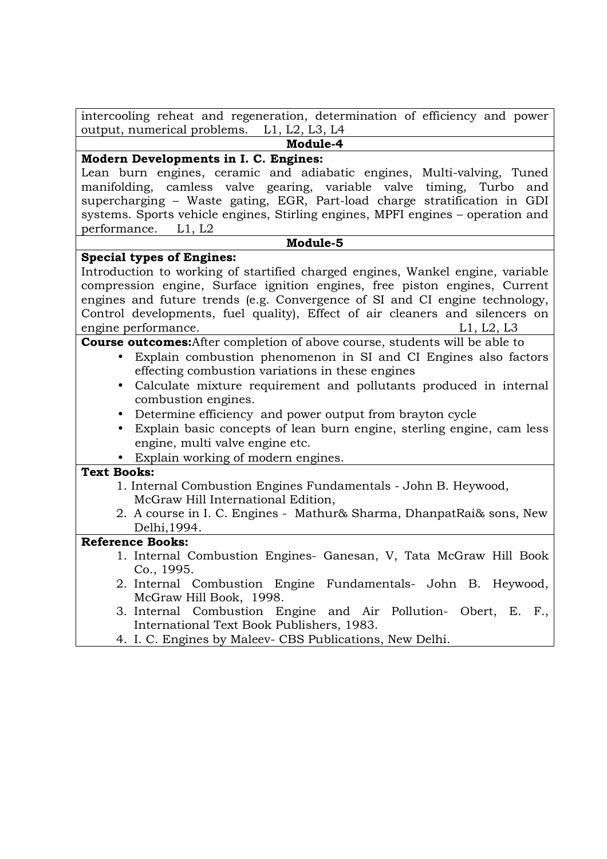| intercooling reheat and regeneration, determination of efficiency and power                                                                                                                                                                                                                                                                                                                                                                                                                                                                                                                                                                                                                                                                                                                                                                                                             |
|-----------------------------------------------------------------------------------------------------------------------------------------------------------------------------------------------------------------------------------------------------------------------------------------------------------------------------------------------------------------------------------------------------------------------------------------------------------------------------------------------------------------------------------------------------------------------------------------------------------------------------------------------------------------------------------------------------------------------------------------------------------------------------------------------------------------------------------------------------------------------------------------|
| output, numerical problems. L1, L2, L3, L4                                                                                                                                                                                                                                                                                                                                                                                                                                                                                                                                                                                                                                                                                                                                                                                                                                              |
| Module-4                                                                                                                                                                                                                                                                                                                                                                                                                                                                                                                                                                                                                                                                                                                                                                                                                                                                                |
| Modern Developments in I. C. Engines:                                                                                                                                                                                                                                                                                                                                                                                                                                                                                                                                                                                                                                                                                                                                                                                                                                                   |
| Lean burn engines, ceramic and adiabatic engines, Multi-valving, Tuned<br>manifolding, camless valve gearing, variable valve timing, Turbo<br>and<br>supercharging - Waste gating, EGR, Part-load charge stratification in GDI<br>systems. Sports vehicle engines, Stirling engines, MPFI engines – operation and                                                                                                                                                                                                                                                                                                                                                                                                                                                                                                                                                                       |
| performance. L1, L2                                                                                                                                                                                                                                                                                                                                                                                                                                                                                                                                                                                                                                                                                                                                                                                                                                                                     |
| Module-5                                                                                                                                                                                                                                                                                                                                                                                                                                                                                                                                                                                                                                                                                                                                                                                                                                                                                |
| <b>Special types of Engines:</b>                                                                                                                                                                                                                                                                                                                                                                                                                                                                                                                                                                                                                                                                                                                                                                                                                                                        |
| Introduction to working of startified charged engines, Wankel engine, variable<br>compression engine, Surface ignition engines, free piston engines, Current<br>engines and future trends (e.g. Convergence of SI and CI engine technology,<br>Control developments, fuel quality), Effect of air cleaners and silencers on<br>engine performance.<br>L1, L2, L3<br><b>Course outcomes:</b> After completion of above course, students will be able to<br>Explain combustion phenomenon in SI and CI Engines also factors<br>effecting combustion variations in these engines<br>Calculate mixture requirement and pollutants produced in internal<br>combustion engines.<br>Determine efficiency and power output from brayton cycle<br>Explain basic concepts of lean burn engine, sterling engine, cam less<br>engine, multi valve engine etc.<br>Explain working of modern engines. |
| <b>Text Books:</b>                                                                                                                                                                                                                                                                                                                                                                                                                                                                                                                                                                                                                                                                                                                                                                                                                                                                      |
| 1. Internal Combustion Engines Fundamentals - John B. Heywood,<br>McGraw Hill International Edition,<br>2. A course in I. C. Engines - Mathur& Sharma, DhanpatRai& sons, New<br>Delhi, 1994.                                                                                                                                                                                                                                                                                                                                                                                                                                                                                                                                                                                                                                                                                            |
| <b>Reference Books:</b>                                                                                                                                                                                                                                                                                                                                                                                                                                                                                                                                                                                                                                                                                                                                                                                                                                                                 |
| 1. Internal Combustion Engines- Ganesan, V, Tata McGraw Hill Book<br>Co., 1995.<br>2. Internal Combustion Engine Fundamentals- John B. Heywood,<br>McGraw Hill Book, 1998.<br>3. Internal Combustion Engine and Air Pollution- Obert, E. F.,<br>International Text Book Publishers, 1983.                                                                                                                                                                                                                                                                                                                                                                                                                                                                                                                                                                                               |
| 4. I. C. Engines by Maleev- CBS Publications, New Delhi.                                                                                                                                                                                                                                                                                                                                                                                                                                                                                                                                                                                                                                                                                                                                                                                                                                |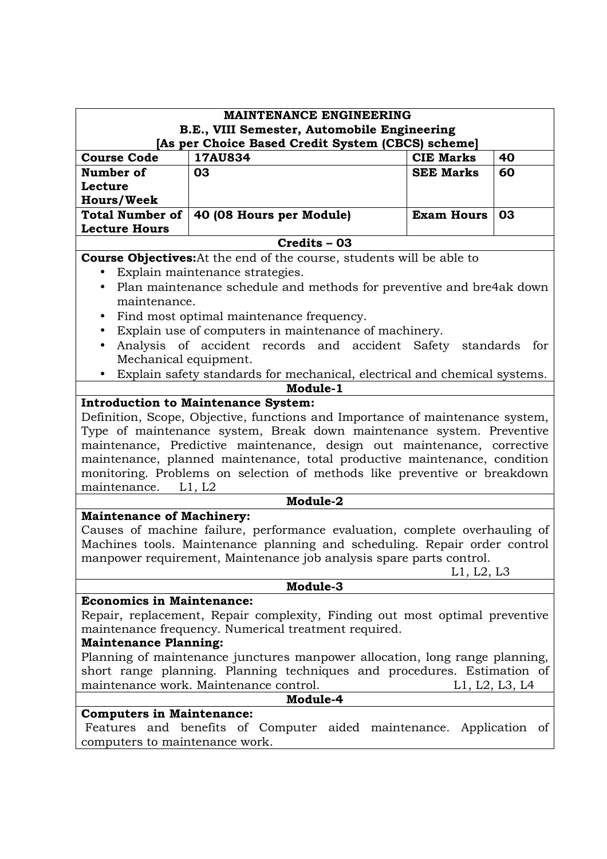| <b>MAINTENANCE ENGINEERING</b>                                              |                                                                               |                   |    |  |
|-----------------------------------------------------------------------------|-------------------------------------------------------------------------------|-------------------|----|--|
| B.E., VIII Semester, Automobile Engineering                                 |                                                                               |                   |    |  |
| [As per Choice Based Credit System (CBCS) scheme]                           |                                                                               |                   |    |  |
| <b>Course Code</b>                                                          | 17AU834                                                                       | <b>CIE Marks</b>  | 40 |  |
| Number of                                                                   | 03                                                                            | <b>SEE Marks</b>  | 60 |  |
| Lecture                                                                     |                                                                               |                   |    |  |
| <b>Hours/Week</b>                                                           |                                                                               |                   |    |  |
| <b>Total Number of</b><br><b>Lecture Hours</b>                              | 40 (08 Hours per Module)                                                      | <b>Exam Hours</b> | 03 |  |
|                                                                             | Credits - 03                                                                  |                   |    |  |
|                                                                             | <b>Course Objectives:</b> At the end of the course, students will be able to  |                   |    |  |
| $\bullet$                                                                   | Explain maintenance strategies.                                               |                   |    |  |
| $\bullet$                                                                   | Plan maintenance schedule and methods for preventive and bre4ak down          |                   |    |  |
| maintenance.                                                                |                                                                               |                   |    |  |
|                                                                             | Find most optimal maintenance frequency.                                      |                   |    |  |
| $\bullet$                                                                   | Explain use of computers in maintenance of machinery.                         |                   |    |  |
| $\bullet$                                                                   | Analysis of accident records and accident Safety standards for                |                   |    |  |
| Mechanical equipment.                                                       |                                                                               |                   |    |  |
|                                                                             | Explain safety standards for mechanical, electrical and chemical systems.     |                   |    |  |
|                                                                             | Module-1                                                                      |                   |    |  |
|                                                                             | <b>Introduction to Maintenance System:</b>                                    |                   |    |  |
|                                                                             | Definition, Scope, Objective, functions and Importance of maintenance system, |                   |    |  |
| Type of maintenance system, Break down maintenance system. Preventive       |                                                                               |                   |    |  |
|                                                                             | maintenance, Predictive maintenance, design out maintenance, corrective       |                   |    |  |
|                                                                             | maintenance, planned maintenance, total productive maintenance, condition     |                   |    |  |
|                                                                             | monitoring. Problems on selection of methods like preventive or breakdown     |                   |    |  |
| maintenance.                                                                | L1, L2                                                                        |                   |    |  |
| Module-2                                                                    |                                                                               |                   |    |  |
| <b>Maintenance of Machinery:</b>                                            |                                                                               |                   |    |  |
|                                                                             | Causes of machine failure, performance evaluation, complete overhauling of    |                   |    |  |
|                                                                             | Machines tools. Maintenance planning and scheduling. Repair order control     |                   |    |  |
|                                                                             | manpower requirement, Maintenance job analysis spare parts control.           |                   |    |  |
| L1, L2, L3                                                                  |                                                                               |                   |    |  |
| Module-3                                                                    |                                                                               |                   |    |  |
| <b>Economics in Maintenance:</b>                                            |                                                                               |                   |    |  |
| Repair, replacement, Repair complexity, Finding out most optimal preventive |                                                                               |                   |    |  |
| maintenance frequency. Numerical treatment required.                        |                                                                               |                   |    |  |
| <b>Maintenance Planning:</b>                                                |                                                                               |                   |    |  |
| Planning of maintenance junctures manpower allocation, long range planning, |                                                                               |                   |    |  |
| short range planning. Planning techniques and procedures. Estimation of     |                                                                               |                   |    |  |
| maintenance work. Maintenance control.<br>L1, L2, L3, L4                    |                                                                               |                   |    |  |
| Module-4                                                                    |                                                                               |                   |    |  |
| <b>Computers in Maintenance:</b>                                            |                                                                               |                   |    |  |
|                                                                             | Features and benefits of Computer aided maintenance. Application of           |                   |    |  |
| computers to maintenance work.                                              |                                                                               |                   |    |  |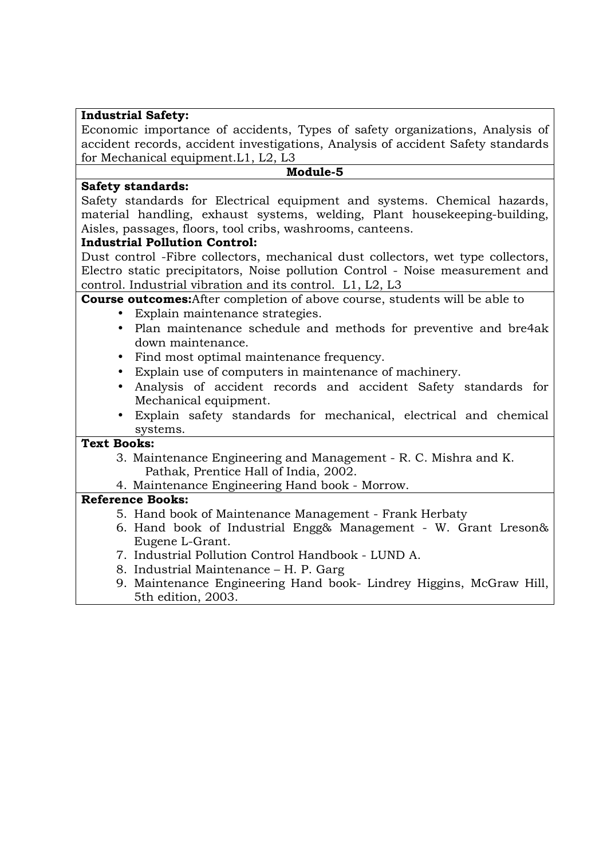# **Industrial Safety:**

Economic importance of accidents, Types of safety organizations, Analysis of accident records, accident investigations, Analysis of accident Safety standards for Mechanical equipment.L1, L2, L3

#### **Module-5**

# **Safety standards:**

Safety standards for Electrical equipment and systems. Chemical hazards, material handling, exhaust systems, welding, Plant housekeeping-building, Aisles, passages, floors, tool cribs, washrooms, canteens.

## **Industrial Pollution Control:**

Dust control -Fibre collectors, mechanical dust collectors, wet type collectors, Electro static precipitators, Noise pollution Control - Noise measurement and control. Industrial vibration and its control. L1, L2, L3

# **Course outcomes:**After completion of above course, students will be able to

- Explain maintenance strategies.
- Plan maintenance schedule and methods for preventive and bre4ak down maintenance.
- Find most optimal maintenance frequency.
- Explain use of computers in maintenance of machinery.
- Analysis of accident records and accident Safety standards for Mechanical equipment.
- Explain safety standards for mechanical, electrical and chemical systems.

#### **Text Books:**

- 3. Maintenance Engineering and Management R. C. Mishra and K. Pathak, Prentice Hall of India, 2002.
- 4. Maintenance Engineering Hand book Morrow.

- 5. Hand book of Maintenance Management Frank Herbaty
- 6. Hand book of Industrial Engg& Management W. Grant Lreson& Eugene L-Grant.
- 7. Industrial Pollution Control Handbook LUND A.
- 8. Industrial Maintenance H. P. Garg
- 9. Maintenance Engineering Hand book- Lindrey Higgins, McGraw Hill, 5th edition, 2003.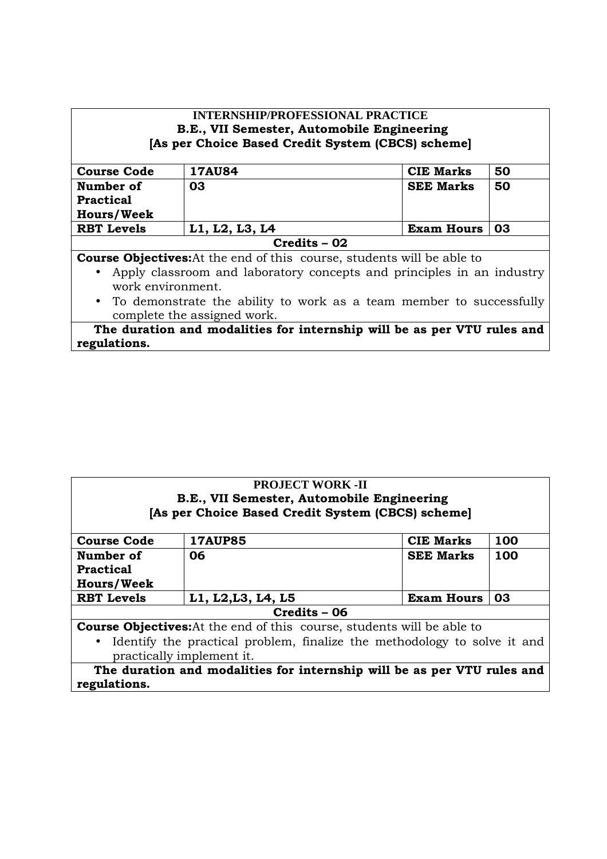| <b>INTERNSHIP/PROFESSIONAL PRACTICE</b>                                            |                |                   |    |  |
|------------------------------------------------------------------------------------|----------------|-------------------|----|--|
| B.E., VII Semester, Automobile Engineering                                         |                |                   |    |  |
| [As per Choice Based Credit System (CBCS) scheme]                                  |                |                   |    |  |
| <b>Course Code</b>                                                                 | <b>17AU84</b>  | <b>CIE Marks</b>  | 50 |  |
| Number of                                                                          | 03             | <b>SEE Marks</b>  | 50 |  |
| <b>Practical</b>                                                                   |                |                   |    |  |
| <b>Hours/Week</b>                                                                  |                |                   |    |  |
| <b>RBT</b> Levels                                                                  | L1, L2, L3, L4 | <b>Exam Hours</b> | 03 |  |
|                                                                                    | $Credits - 02$ |                   |    |  |
| <b>Course Objectives:</b> At the end of this course, students will be able to      |                |                   |    |  |
| Apply classroom and laboratory concepts and principles in an industry<br>$\bullet$ |                |                   |    |  |
| work environment.                                                                  |                |                   |    |  |
| • To demonstrate the ability to work as a team member to successfully              |                |                   |    |  |
| complete the assigned work.                                                        |                |                   |    |  |
| The duration and modalities for internship will be as per VTU rules and            |                |                   |    |  |
| regulations.                                                                       |                |                   |    |  |

| <b>PROJECT WORK -II</b><br>B.E., VII Semester, Automobile Engineering                                                                                                                  |                    |                   |     |  |
|----------------------------------------------------------------------------------------------------------------------------------------------------------------------------------------|--------------------|-------------------|-----|--|
| [As per Choice Based Credit System (CBCS) scheme]                                                                                                                                      |                    |                   |     |  |
| <b>Course Code</b>                                                                                                                                                                     | <b>17AUP85</b>     | <b>CIE Marks</b>  | 100 |  |
| Number of<br><b>Practical</b><br><b>Hours/Week</b>                                                                                                                                     | 06                 | <b>SEE Marks</b>  | 100 |  |
| <b>RBT</b> Levels                                                                                                                                                                      | L1, L2, L3, L4, L5 | <b>Exam Hours</b> | 03  |  |
| Credits - 06                                                                                                                                                                           |                    |                   |     |  |
| <b>Course Objectives:</b> At the end of this course, students will be able to<br>Identify the practical problem, finalize the methodology to solve it and<br>practically implement it. |                    |                   |     |  |
| The duration and modalities for internship will be as per VTU rules and<br>regulations.                                                                                                |                    |                   |     |  |